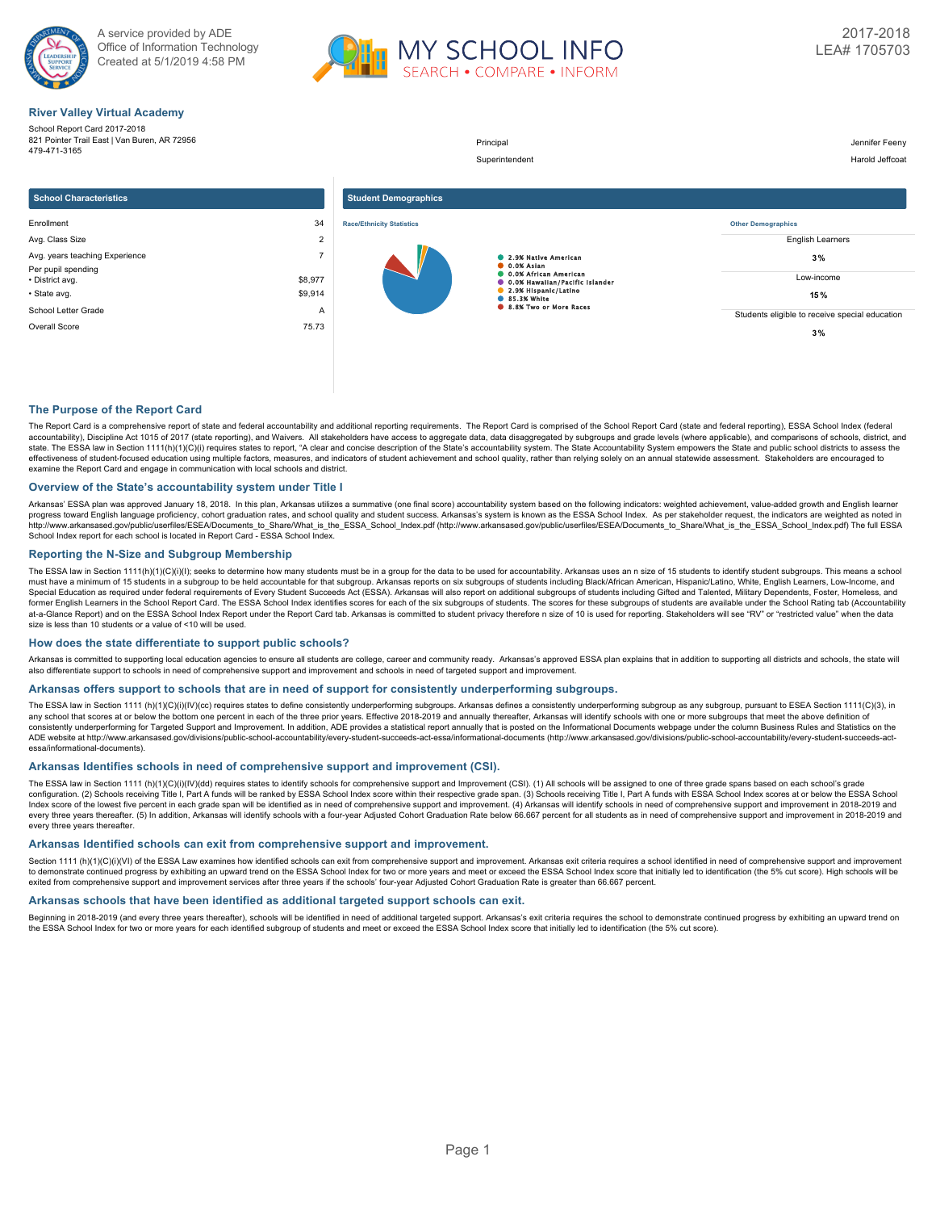

A service provided by ADE Office of Information Technology Created at 5/1/2019 4:58 PM



#### **River Valley Virtual Academy**

School Report Card 2017-2018<br>821 Pointer Trail East I Van Bur 821 Pointer Trail East | Van Buren, AR 72956 479-4

| School Report Card 2017-2018<br>821 Pointer Trail East   Van Buren, AR 72956<br>479-471-3165 |                |                                  | Principal<br>Superintendent                                              | Jennifer Feeny<br>Harold Jeffcoat              |
|----------------------------------------------------------------------------------------------|----------------|----------------------------------|--------------------------------------------------------------------------|------------------------------------------------|
| <b>School Characteristics</b>                                                                |                | <b>Student Demographics</b>      |                                                                          |                                                |
| Enrollment                                                                                   | 34             | <b>Race/Ethnicity Statistics</b> |                                                                          | <b>Other Demographics</b>                      |
| Avg. Class Size                                                                              | $\overline{2}$ |                                  |                                                                          | English Learners                               |
| Avg. years teaching Experience<br>Per pupil spending                                         | $\overline{7}$ |                                  | 2.9% Native American<br>$0.0%$ Asian                                     | 3%                                             |
| • District avg.                                                                              | \$8,977        |                                  | <b>C</b> 0.0% African American<br><b>CO.0% Hawallan/Pacific Islander</b> | Low-income                                     |
| · State avg.                                                                                 | \$9,914        |                                  | 2.9% Hispanic/Latino<br><b>6</b> 85.3% White                             | 15%                                            |
| School Letter Grade                                                                          | Α              |                                  | 8.8% Two or More Races                                                   | Students eligible to receive special education |
| Overall Score                                                                                | 75.73          |                                  |                                                                          | 3%                                             |
|                                                                                              |                |                                  |                                                                          |                                                |

#### **The Purpose of the Report Card**

The Report Card is a comprehensive report of state and federal accountability and additional reporting requirements. The Report Card is comprised of the School Report Card (state and federal reporting). ESSA School Index ( accountability), Discipline Act 1015 of 2017 (state reporting), and Waivers. All stakeholders have access to aggregate data, data disaggregated by subgroups and grade levels (where applicable), and comparisons of schools, state. The ESSA law in Section 1111(h)(1)(C)(i) requires states to report, "A clear and concise description of the State's accountability system. The State Accountability System empowers the State and public school distric effectiveness of student-focused education using multiple factors, measures, and indicators of student achievement and school quality, rather than relying solely on an annual statewide assessment. Stakeholders are encoura

#### **Overview of the State's accountability system under Title I**

Arkansas' ESSA plan was approved January 18, 2018. In this plan, Arkansas utilizes a summative (one final score) accountability system based on the following indicators: weighted achievement, value-added growth and English progress toward English language proficiency, cohort graduation rates, and school quality and student success. Arkansas's system is known as the ESSA School Index. As per stakeholder request, the indicators are weighted as School Index report for each school is located in Report Card - ESSA School Index.

#### **Reporting the N-Size and Subgroup Membership**

The ESSA law in Section 1111(h)(1)(C)(i)(l); seeks to determine how many students must be in a group for the data to be used for accountability. Arkansas uses an n size of 15 students to identify student subgroups. This me must have a minimum of 15 students in a subgroup to be held accountable for that subgroup. Arkansas reports on six subgroups of students including Black/African American, Hispanic/Latino, White, English Learners, Low-Incom Special Education as required under federal requirements of Every Student Succeeds Act (ESSA). Arkansas will also report on additional subgroups of students including Gifted and Talented, Military Dependents, Foster, Homel former English Learners in the School Report Card. The ESSA School Index identifies scores for each of the six subgroups of students. The scores for these subgroups of students are available under the School Rating tab (Ac at-a-Glance Report) and on the ESSA School Index Report under the Report Card tab. Arkansas is committed to student privacy therefore n size of 10 is used for reporting. Stakeholders will see "RV" or "restricted value" whe size is less than 10 students or a value of <10 will be used.

#### **How does the state differentiate to support public schools?**

Arkansas is committed to supporting local education agencies to ensure all students are college, career and community ready. Arkansas's approved ESSA plan explains that in addition to supporting all districts and schools, also differentiate support to schools in need of comprehensive support and improvement and schools in need of targeted support and improvement.

#### **Arkansas offers support to schools that are in need of support for consistently underperforming subgroups.**

The ESSA law in Section 1111 (h)(1)(O)(i)(IV)(cc) requires states to define consistently underperforming subgroups. Arkansas defines a consistently underperforming subgroups as any subgroup, pursuant to ESEA Section 1111(C any school that scores at or below the bottom one percent in each of the three prior years. Effective 2018-2019 and annually thereafter. Arkansas will identify schools with one or more subgroups that meet the above definit consistently underperforming for Targeted Support and Improvement. In addition, ADE provides a statistical report annually that is posted on the Informational Documents webpage under the column Business Rules and Statistic ADE website at http://www.arkansased.gov/divisions/public-school-accountability/every-student-succeeds-act-essa/informational-documents (http://www.arkansased.gov/divisions/public-school-accountability/every-student-succee essa/informational-documents).

#### **Arkansas Identifies schools in need of comprehensive support and improvement (CSI).**

The ESSA law in Section 1111 (h)(1)(C)(i)(IV)(dd) requires states to identify schools for comprehensive support and Improvement (CSI). (1) All schools will be assigned to one of three grade spans based on each school's gra configuration. (2) Schools receiving Title I, Part A funds will be ranked by ESSA School Index score within their respective grade span. (3) Schools receiving Title I, Part A funds with ESSA School Index scores at or below every three years thereafter. (5) In addition, Arkansas will identify schools with a four-year Adjusted Cohort Graduation Rate below 66.667 percent for all students as in need of comprehensive support and improvement in 20 every three years thereafter.

#### **Arkansas Identified schools can exit from comprehensive support and improvement.**

Section 1111 (h)(1)(C)(i)(VI) of the ESSA Law examines how identified schools can exit from comprehensive support and improvement. Arkansas exit criteria requires a school identified in need of comprehensive support and im to demonstrate continued progress by exhibiting an upward trend on the ESSA School Index for two or more years and meet or exceed the ESSA School Index score that initially led to identification (the 5% cut score). High sc exited from comprehensive support and improvement services after three years if the schools' four-year Adjusted Cohort Graduation Rate is greater than 66.667 percent.

#### **Arkansas schools that have been identified as additional targeted support schools can exit.**

Beginning in 2018-2019 (and every three years thereafter), schools will be identified in need of additional targeted support. Arkansas's exit criteria requires the school to demonstrate continued progress by exhibiting an the ESSA School Index for two or more years for each identified subgroup of students and meet or exceed the ESSA School Index score that initially led to identification (the 5% cut score).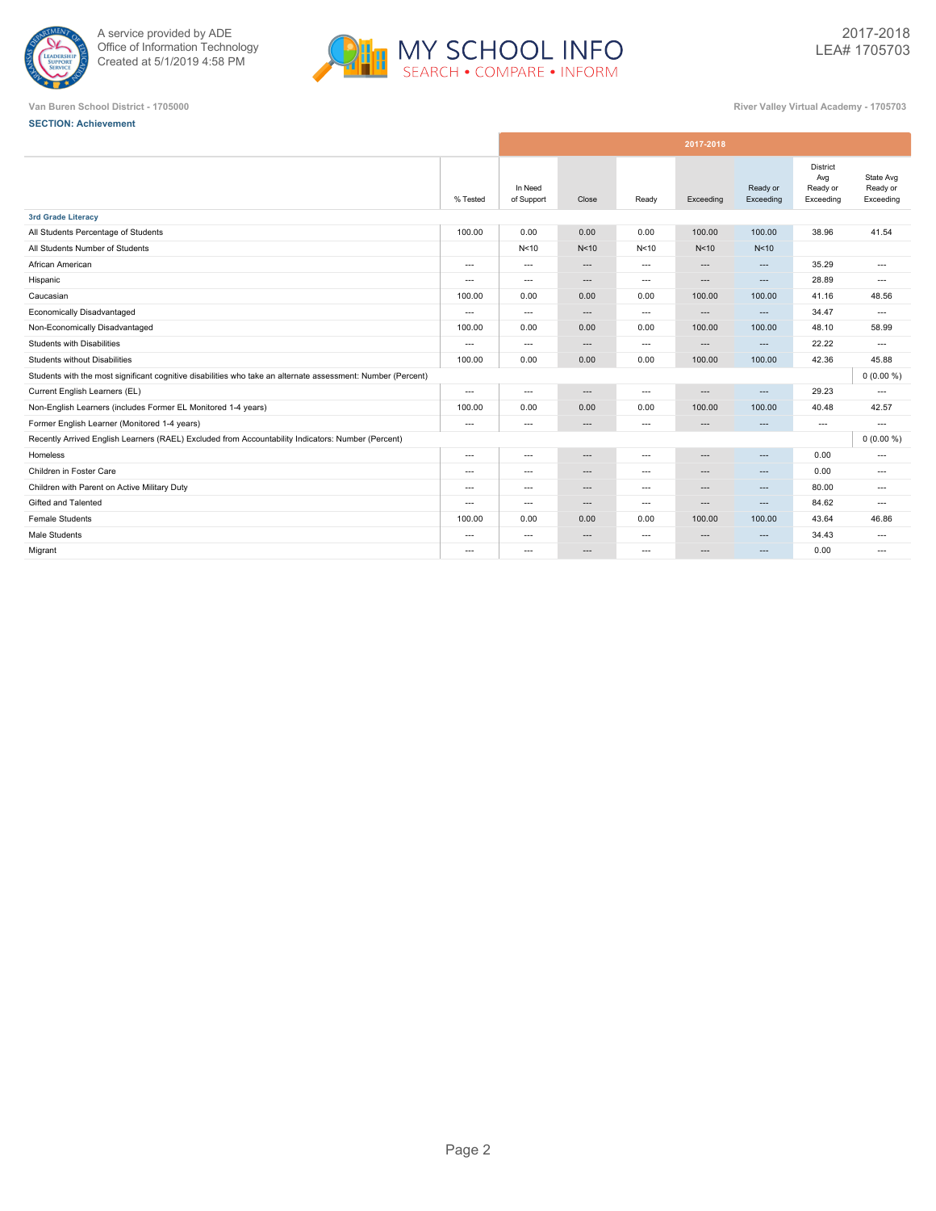



#### SECTI

| <b>SECTION: Achievement</b>                                                                                  |                          |                               |                          |                          |                          |                       |                                          |                                    |
|--------------------------------------------------------------------------------------------------------------|--------------------------|-------------------------------|--------------------------|--------------------------|--------------------------|-----------------------|------------------------------------------|------------------------------------|
|                                                                                                              |                          |                               |                          |                          | 2017-2018                |                       |                                          |                                    |
|                                                                                                              | % Tested                 | In Need<br>of Support         | Close                    | Ready                    | Exceeding                | Ready or<br>Exceeding | District<br>Avg<br>Ready or<br>Exceeding | State Avg<br>Ready or<br>Exceeding |
| <b>3rd Grade Literacy</b>                                                                                    |                          |                               |                          |                          |                          |                       |                                          |                                    |
| All Students Percentage of Students                                                                          | 100.00                   | 0.00                          | 0.00                     | 0.00                     | 100.00                   | 100.00                | 38.96                                    | 41.54                              |
| All Students Number of Students                                                                              |                          | N <sub>10</sub>               | N <sub>10</sub>          | N<10                     | N<10                     | N <sub>10</sub>       |                                          |                                    |
| African American                                                                                             | $\hspace{0.05cm} \ldots$ | $\cdots$                      | $\cdots$                 | $\cdots$                 | $\cdots$                 | $\cdots$              | 35.29                                    | $\cdots$                           |
| Hispanic                                                                                                     | $---$                    | $---$                         | $---$                    | $---$                    | $---$                    | $---$                 | 28.89                                    | $---$                              |
| Caucasian                                                                                                    | 100.00                   | 0.00                          | 0.00                     | 0.00                     | 100.00                   | 100.00                | 41.16                                    | 48.56                              |
| Economically Disadvantaged                                                                                   | $\sim$ $\sim$            | $\cdots$                      | $\cdots$                 | $\hspace{0.05cm} \ldots$ | $\overline{\phantom{a}}$ | $\cdots$              | 34.47                                    | $\cdots$                           |
| Non-Economically Disadvantaged                                                                               | 100.00                   | 0.00                          | 0.00                     | 0.00                     | 100.00                   | 100.00                | 48.10                                    | 58.99                              |
| <b>Students with Disabilities</b>                                                                            | $\overline{a}$           | $\cdots$                      | $\cdots$                 | $\cdots$                 | $\cdots$                 | $---$                 | 22.22                                    | $\cdots$                           |
| <b>Students without Disabilities</b>                                                                         | 100.00                   | 0.00                          | 0.00                     | 0.00                     | 100.00                   | 100.00                | 42.36                                    | 45.88                              |
| Students with the most significant cognitive disabilities who take an alternate assessment: Number (Percent) |                          |                               |                          |                          |                          |                       |                                          | $0(0.00\%)$                        |
| Current English Learners (EL)                                                                                | $\hspace{0.05cm} \ldots$ | $\hspace{0.05cm} \ldots$      | $\hspace{0.05cm} \ldots$ | $---$                    | $\cdots$                 | $\cdots$              | 29.23                                    | $\cdots$                           |
| Non-English Learners (includes Former EL Monitored 1-4 years)                                                | 100.00                   | 0.00                          | 0.00                     | 0.00                     | 100.00                   | 100.00                | 40.48                                    | 42.57                              |
| Former English Learner (Monitored 1-4 years)                                                                 | $\hspace{0.05cm} \ldots$ | $\hspace{1.5cm} \textbf{---}$ | $\hspace{0.05cm} \ldots$ | $\hspace{0.05cm} \ldots$ | $\hspace{0.05cm} \cdots$ | $---$                 | ---                                      | $---$                              |
| Recently Arrived English Learners (RAEL) Excluded from Accountability Indicators: Number (Percent)           |                          |                               |                          |                          |                          |                       |                                          | $0(0.00\%)$                        |
| Homeless                                                                                                     | $\hspace{0.05cm} \ldots$ | $\cdots$                      | $\cdots$                 | $\cdots$                 | $---$                    | $\cdots$              | 0.00                                     | $\cdots$                           |
| Children in Foster Care                                                                                      | $\cdots$                 | $\cdots$                      | $\cdots$                 | $---$                    | $\cdots$                 | $\cdots$              | 0.00                                     | $\qquad \qquad \cdots$             |
| Children with Parent on Active Military Duty                                                                 | $\hspace{0.05cm} \ldots$ | $\cdots$                      | $\cdots$                 | $\cdots$                 | $\cdots$                 | $\cdots$              | 80.00                                    | $\cdots$                           |
| Gifted and Talented                                                                                          | $\hspace{0.05cm} \ldots$ | $\cdots$                      | $\cdots$                 | $\cdots$                 | $\cdots$                 | $\cdots$              | 84.62                                    | $\cdots$                           |
| <b>Female Students</b>                                                                                       | 100.00                   | 0.00                          | 0.00                     | 0.00                     | 100.00                   | 100.00                | 43.64                                    | 46.86                              |
| Male Students                                                                                                | $\hspace{0.05cm} \ldots$ | $---$                         | $\cdots$                 | $\cdots$                 | $---$                    | $\cdots$              | 34.43                                    | $---$                              |

ست الله الله عليه الله عليه الله عليه الله عليه الله عليه الله عليه الله عليه الله عليه الله عليه الله عليه ال<br>الله عليه الله عليه الله عليه الله عليه الله عليه الله عليه الله عليه الله عليه الله عليه الله عليه الله عليه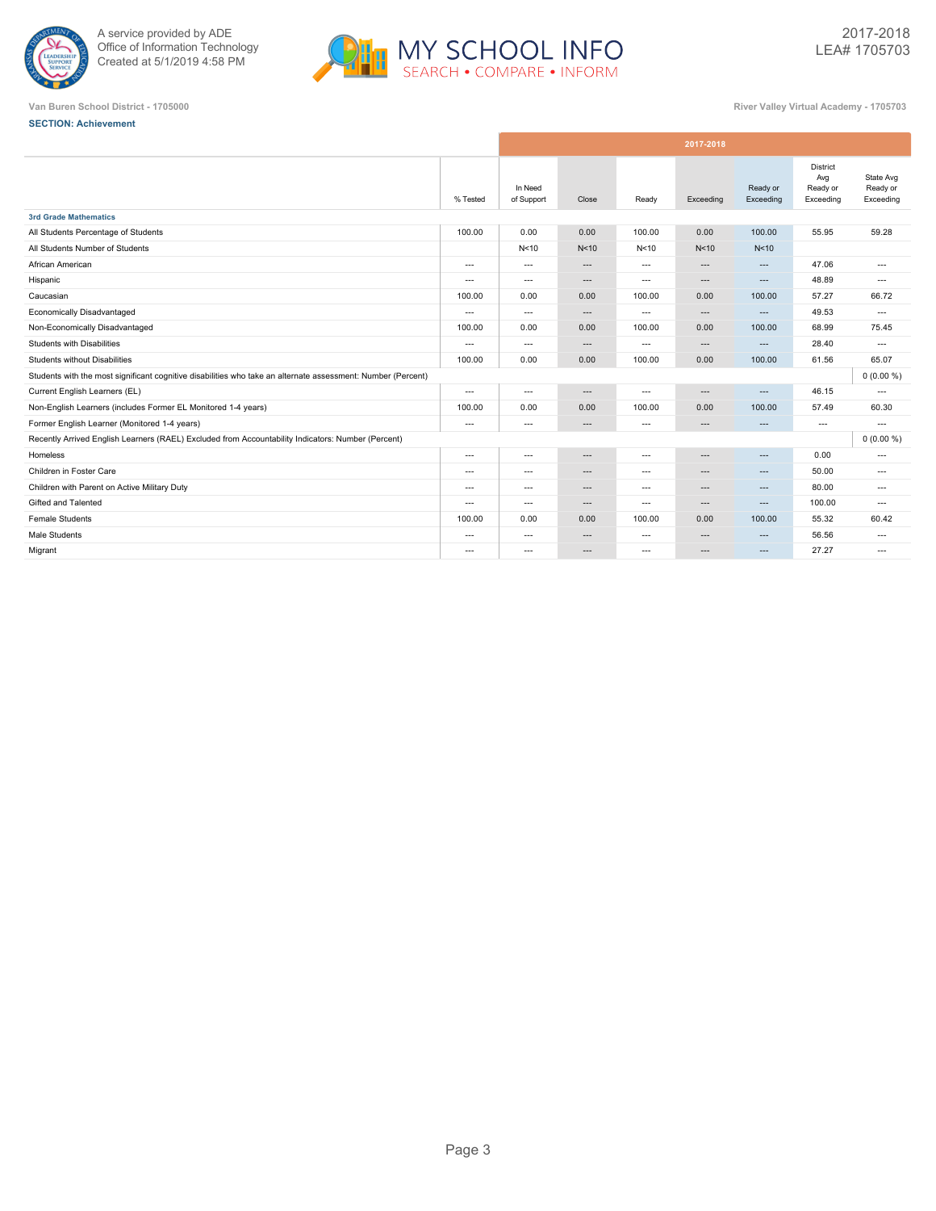



|                                                                                                              |                          |                          |                   |                          | 2017-2018      |                       |                                                 |                                    |
|--------------------------------------------------------------------------------------------------------------|--------------------------|--------------------------|-------------------|--------------------------|----------------|-----------------------|-------------------------------------------------|------------------------------------|
|                                                                                                              | % Tested                 | In Need<br>of Support    | Close             | Ready                    | Exceeding      | Ready or<br>Exceeding | <b>District</b><br>Avg<br>Ready or<br>Exceeding | State Avg<br>Ready or<br>Exceeding |
| <b>3rd Grade Mathematics</b>                                                                                 |                          |                          |                   |                          |                |                       |                                                 |                                    |
| All Students Percentage of Students                                                                          | 100.00                   | 0.00                     | 0.00              | 100.00                   | 0.00           | 100.00                | 55.95                                           | 59.28                              |
| All Students Number of Students                                                                              |                          | N<10                     | N <sub>10</sub>   | N<10                     | N<10           | N <sub>10</sub>       |                                                 |                                    |
| African American                                                                                             | $\hspace{0.05cm} \ldots$ | $\cdots$                 | $\cdots$          | $\hspace{0.05cm} \ldots$ | $\cdots$       | $\cdots$              | 47.06                                           | $---$                              |
| Hispanic                                                                                                     | $- - -$                  | $---$                    | $---$             | $---$                    | $---$          | $---$                 | 48.89                                           | $---$                              |
| Caucasian                                                                                                    | 100.00                   | 0.00                     | 0.00              | 100.00                   | 0.00           | 100.00                | 57.27                                           | 66.72                              |
| Economically Disadvantaged                                                                                   | $---$                    | $---$                    | $---$             | $\cdots$                 | $---$          | $---$                 | 49.53                                           | $---$                              |
| Non-Economically Disadvantaged                                                                               | 100.00                   | 0.00                     | 0.00              | 100.00                   | 0.00           | 100.00                | 68.99                                           | 75.45                              |
| Students with Disabilities                                                                                   | $\hspace{0.05cm} \ldots$ | $\hspace{0.05cm} \ldots$ | $---$             | $\hspace{0.05cm} \ldots$ | $---$          | $\cdots$              | 28.40                                           | $---$                              |
| <b>Students without Disabilities</b>                                                                         | 100.00                   | 0.00                     | 0.00              | 100.00                   | 0.00           | 100.00                | 61.56                                           | 65.07                              |
| Students with the most significant cognitive disabilities who take an alternate assessment: Number (Percent) |                          |                          |                   |                          |                |                       |                                                 | $0(0.00\%)$                        |
| Current English Learners (EL)                                                                                | $\hspace{0.05cm} \ldots$ | $\cdots$                 | $\cdots$          | $\hspace{0.05cm} \ldots$ | $\cdots$       | $\cdots$              | 46.15                                           | $---$                              |
| Non-English Learners (includes Former EL Monitored 1-4 years)                                                | 100.00                   | 0.00                     | 0.00              | 100.00                   | 0.00           | 100.00                | 57.49                                           | 60.30                              |
| Former English Learner (Monitored 1-4 years)                                                                 | $---$                    | $---$                    | $---$             | $---$                    | $---$          | $---$                 | $---$                                           | ---                                |
| Recently Arrived English Learners (RAEL) Excluded from Accountability Indicators: Number (Percent)           |                          |                          |                   |                          |                |                       |                                                 | $0(0.00\%)$                        |
| Homeless                                                                                                     | $---$                    | $\cdots$                 | $\cdots$          | $\hspace{0.05cm} \ldots$ | $---$          | $---$                 | 0.00                                            | $---$                              |
| Children in Foster Care                                                                                      | $- - -$                  | $- - -$                  | $-$               | $- - -$                  | $-$            | $- - -$               | 50.00                                           | $---$                              |
| Children with Parent on Active Military Duty                                                                 | $---$                    | $---$                    | $---$             | $---$                    | $\overline{a}$ | $\cdots$              | 80.00                                           | $---$                              |
| Gifted and Talented                                                                                          | $---$                    | $---$                    | $---$             | $---$                    | $-$            | $---$                 | 100.00                                          | $---$                              |
| <b>Female Students</b>                                                                                       | 100.00                   | 0.00                     | 0.00              | 100.00                   | 0.00           | 100.00                | 55.32                                           | 60.42                              |
| Male Students                                                                                                | $\hspace{0.05cm} \ldots$ | $\hspace{0.05cm} \ldots$ | $\qquad \qquad -$ | $\hspace{0.05cm} \ldots$ | $\overline{a}$ | $\cdots$              | 56.56                                           | $---$                              |
| Migrant                                                                                                      | $\cdots$                 | $\cdots$                 | $\cdots$          | $\hspace{0.05cm} \ldots$ | $---$          | $\cdots$              | 27.27                                           | $---$                              |
|                                                                                                              |                          |                          |                   |                          |                |                       |                                                 |                                    |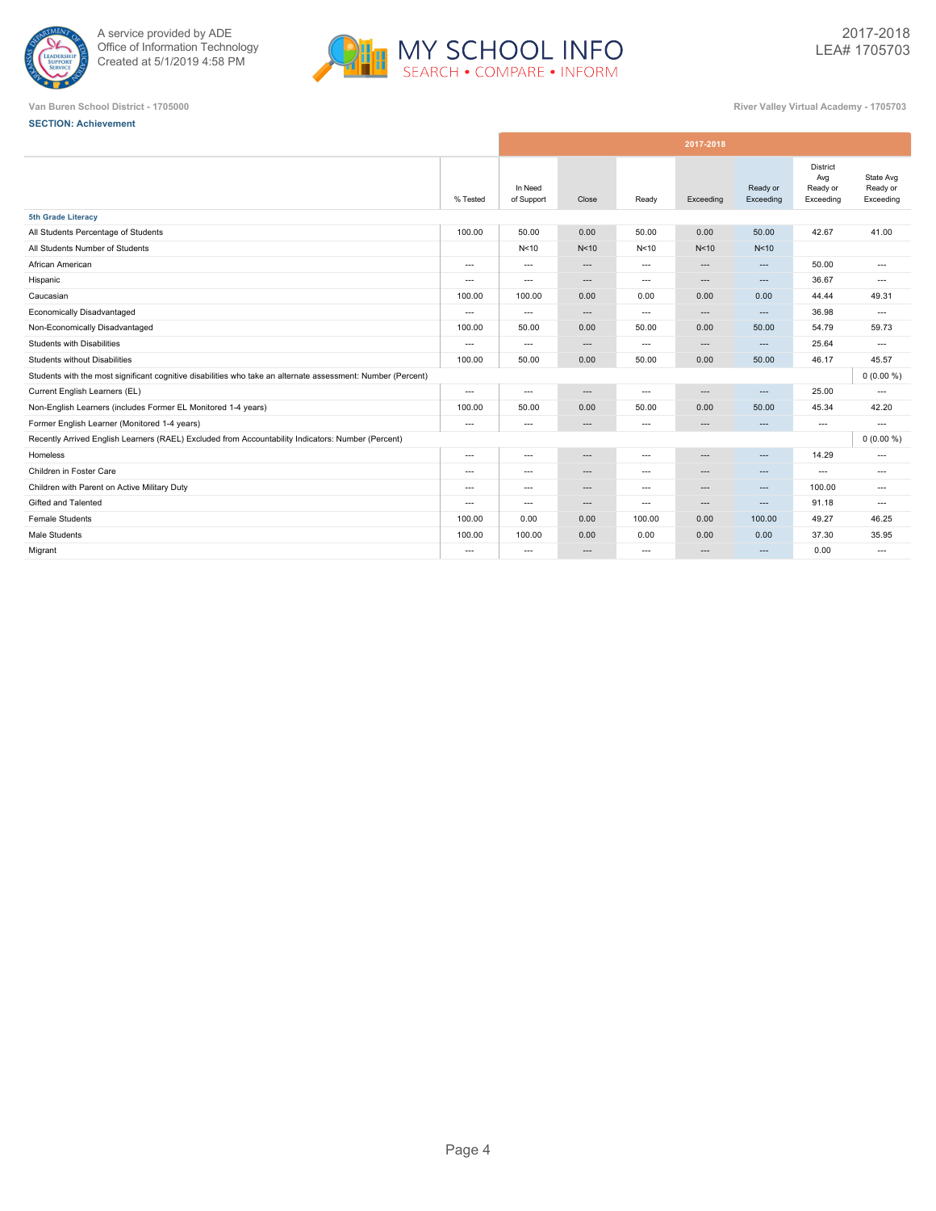



|                                                                                                              |                          |                          |                          |                          | 2017-2018                     |                               |                                          |                                    |
|--------------------------------------------------------------------------------------------------------------|--------------------------|--------------------------|--------------------------|--------------------------|-------------------------------|-------------------------------|------------------------------------------|------------------------------------|
|                                                                                                              | % Tested                 | In Need<br>of Support    | Close                    | Ready                    | Exceeding                     | Ready or<br>Exceeding         | District<br>Avg<br>Ready or<br>Exceeding | State Avg<br>Ready or<br>Exceeding |
| <b>5th Grade Literacy</b>                                                                                    |                          |                          |                          |                          |                               |                               |                                          |                                    |
| All Students Percentage of Students                                                                          | 100.00                   | 50.00                    | 0.00                     | 50.00                    | 0.00                          | 50.00                         | 42.67                                    | 41.00                              |
| All Students Number of Students                                                                              |                          | N<10                     | N <sub>10</sub>          | N<10                     | N<10                          | N <sub>10</sub>               |                                          |                                    |
| African American                                                                                             | $---$                    | $---$                    | $---$                    | $---$                    | $---$                         | $---$                         | 50.00                                    | $---$                              |
| Hispanic                                                                                                     | $\hspace{0.05cm} \ldots$ | $\hspace{0.05cm} \ldots$ | $\cdots$                 | $---$                    | $\hspace{0.05cm} \ldots$      | $  -$                         | 36.67                                    | $---$                              |
| Caucasian                                                                                                    | 100.00                   | 100.00                   | 0.00                     | 0.00                     | 0.00                          | 0.00                          | 44.44                                    | 49.31                              |
| Economically Disadvantaged                                                                                   | $---$                    | $\cdots$                 | $\qquad \qquad -$        | $\hspace{0.05cm} \ldots$ | $\cdots$                      | $\cdots$                      | 36.98                                    | $---$                              |
| Non-Economically Disadvantaged                                                                               | 100.00                   | 50.00                    | 0.00                     | 50.00                    | 0.00                          | 50.00                         | 54.79                                    | 59.73                              |
| <b>Students with Disabilities</b>                                                                            | $\hspace{0.05cm} \ldots$ | $\cdots$                 | $\qquad \qquad -$        | $\cdots$                 | $\cdots$                      | $\cdots$                      | 25.64                                    | ---                                |
| <b>Students without Disabilities</b>                                                                         | 100.00                   | 50.00                    | 0.00                     | 50.00                    | 0.00                          | 50.00                         | 46.17                                    | 45.57                              |
| Students with the most significant cognitive disabilities who take an alternate assessment: Number (Percent) |                          |                          |                          |                          |                               |                               |                                          | $0(0.00\%)$                        |
| Current English Learners (EL)                                                                                | $---$                    | $---$                    | $\qquad \qquad -$        | $---$                    | $\cdots$                      | $---$                         | 25.00                                    | $---$                              |
| Non-English Learners (includes Former EL Monitored 1-4 years)                                                | 100.00                   | 50.00                    | 0.00                     | 50.00                    | 0.00                          | 50.00                         | 45.34                                    | 42.20                              |
| Former English Learner (Monitored 1-4 years)                                                                 | $\hspace{0.05cm} \ldots$ | $\cdots$                 | $\cdots$                 | $\hspace{0.05cm} \ldots$ | $\cdots$                      | $\cdots$                      | $\overline{\phantom{a}}$                 | ---                                |
| Recently Arrived English Learners (RAEL) Excluded from Accountability Indicators: Number (Percent)           |                          |                          |                          |                          |                               |                               |                                          | $0(0.00\%)$                        |
| Homeless                                                                                                     | $\hspace{0.05cm} \ldots$ | $\hspace{0.05cm} \ldots$ | $\qquad \qquad -$        | $\hspace{0.05cm} \ldots$ | $\cdots$                      | $\cdots$                      | 14.29                                    | $\cdots$                           |
| Children in Foster Care                                                                                      | $\hspace{0.05cm} \ldots$ | $\cdots$                 | $\qquad \qquad -$        | $---$                    | $\cdots$                      | $\qquad \qquad - -$           | $---$                                    | $\qquad \qquad \cdots$             |
| Children with Parent on Active Military Duty                                                                 | $\hspace{0.05cm} \ldots$ | $\cdots$                 | $\cdots$                 | $---$                    | $---$                         | $\cdots$                      | 100.00                                   | $---$                              |
| Gifted and Talented                                                                                          | $\hspace{0.05cm} \ldots$ | $\cdots$                 | $\hspace{0.05cm} \ldots$ | $\cdots$                 | $\hspace{1.5cm} \textbf{---}$ | $\hspace{1.5cm} \textbf{---}$ | 91.18                                    | $\hspace{0.05cm} \ldots$           |
| Female Students                                                                                              | 100.00                   | 0.00                     | 0.00                     | 100.00                   | 0.00                          | 100.00                        | 49.27                                    | 46.25                              |
| Male Students                                                                                                | 100.00                   | 100.00                   | 0.00                     | 0.00                     | 0.00                          | 0.00                          | 37.30                                    | 35.95                              |
| Migrant                                                                                                      | $---$                    | $---$                    | $---$                    | $---$                    | $---$                         | $---$                         | 0.00                                     | $---$                              |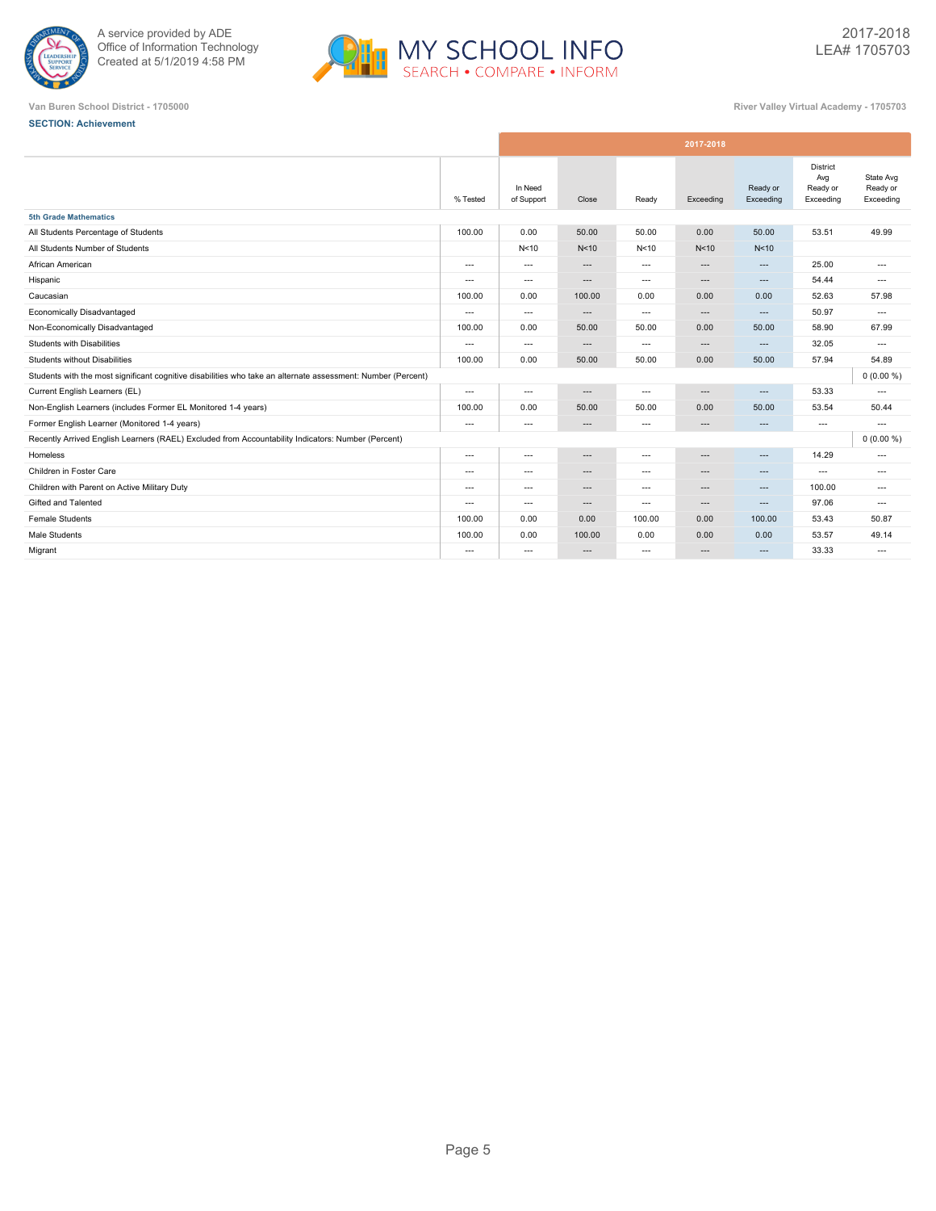



### **SECTION: Achievement**

| <b>SECTION: Achievement</b>                                                                                  |          |                       |                          |          |                          |                       |                                          |                                    |
|--------------------------------------------------------------------------------------------------------------|----------|-----------------------|--------------------------|----------|--------------------------|-----------------------|------------------------------------------|------------------------------------|
|                                                                                                              |          |                       |                          |          | 2017-2018                |                       |                                          |                                    |
|                                                                                                              | % Tested | In Need<br>of Support | Close                    | Ready    | Exceeding                | Ready or<br>Exceeding | District<br>Avg<br>Ready or<br>Exceeding | State Avg<br>Ready or<br>Exceeding |
| <b>5th Grade Mathematics</b>                                                                                 |          |                       |                          |          |                          |                       |                                          |                                    |
| All Students Percentage of Students                                                                          | 100.00   | 0.00                  | 50.00                    | 50.00    | 0.00                     | 50.00                 | 53.51                                    | 49.99                              |
| All Students Number of Students                                                                              |          | N <sub>10</sub>       | N <sub>10</sub>          | N<10     | N<10                     | N <sub>10</sub>       |                                          |                                    |
| African American                                                                                             | ---      | ---                   | $\hspace{0.05cm} \ldots$ | $\cdots$ | $\cdots$                 | $---$                 | 25.00                                    | $---$                              |
| Hispanic                                                                                                     | $---$    | $\cdots$              | $\cdots$                 | $\cdots$ | $\hspace{0.05cm} \ldots$ | $\cdots$              | 54.44                                    | $\cdots$                           |
| Caucasian                                                                                                    | 100.00   | 0.00                  | 100.00                   | 0.00     | 0.00                     | 0.00                  | 52.63                                    | 57.98                              |
| <b>Economically Disadvantaged</b>                                                                            | ---      | $\cdots$              | $\qquad \qquad - -$      | $\cdots$ | $\cdots$                 | $\cdots$              | 50.97                                    | $\cdots$                           |
| Non-Economically Disadvantaged                                                                               | 100.00   | 0.00                  | 50.00                    | 50.00    | 0.00                     | 50.00                 | 58.90                                    | 67.99                              |
| <b>Students with Disabilities</b>                                                                            | $---$    | $\cdots$              | $\cdots$                 | $\cdots$ | $\cdots$                 | $\cdots$              | 32.05                                    | $\cdots$                           |
| Students without Disabilities                                                                                | 100.00   | 0.00                  | 50.00                    | 50.00    | 0.00                     | 50.00                 | 57.94                                    | 54.89                              |
| Students with the most significant cognitive disabilities who take an alternate assessment: Number (Percent) |          |                       |                          |          |                          |                       |                                          | $0(0.00\%)$                        |
| Current English Learners (EL)                                                                                | ---      | ---                   | $\hspace{0.05cm} \ldots$ | $---$    | $\qquad \qquad \cdots$   | $\cdots$              | 53.33                                    | $\cdots$                           |
| Non-English Learners (includes Former EL Monitored 1-4 years)                                                | 100.00   | 0.00                  | 50.00                    | 50.00    | 0.00                     | 50.00                 | 53.54                                    | 50.44                              |
| Former English Learner (Monitored 1-4 years)                                                                 | $---$    | $\cdots$              | $\qquad \qquad - -$      | $\cdots$ | $\hspace{0.05cm} \ldots$ | $\cdots$              | $\cdots$                                 | $---$                              |
| Recently Arrived English Learners (RAEL) Excluded from Accountability Indicators: Number (Percent)           |          |                       |                          |          |                          |                       |                                          | $0(0.00\%)$                        |
| Homeless                                                                                                     | ---      | $---$                 | $---$                    | $---$    | $---$                    | $---$                 | 14.29                                    | $---$                              |
| Children in Foster Care                                                                                      | $---$    | $\cdots$              | $\cdots$                 | $\cdots$ | $\cdots$                 | $\cdots$              | $---$                                    | $\cdots$                           |
| Children with Parent on Active Military Duty                                                                 | $---$    | $\cdots$              | $\cdots$                 | $\cdots$ | $\cdots$                 | $\cdots$              | 100.00                                   | $\cdots$                           |
| Gifted and Talented                                                                                          | $---$    | $\cdots$              | $\cdots$                 | $\cdots$ | $\cdots$                 | $\cdots$              | 97.06                                    | $\cdots$                           |
| <b>Female Students</b>                                                                                       | 100.00   | 0.00                  | 0.00                     | 100.00   | 0.00                     | 100.00                | 53.43                                    | 50.87                              |
| Male Students                                                                                                | 100.00   | 0.00                  | 100.00                   | 0.00     | 0.00                     | 0.00                  | 53.57                                    | 49.14                              |

ست الله المعلم الله عليه الله عليه الله عليه الله عليه الله عليه الله عليه الله عليه الله عليه الله عليه الله ا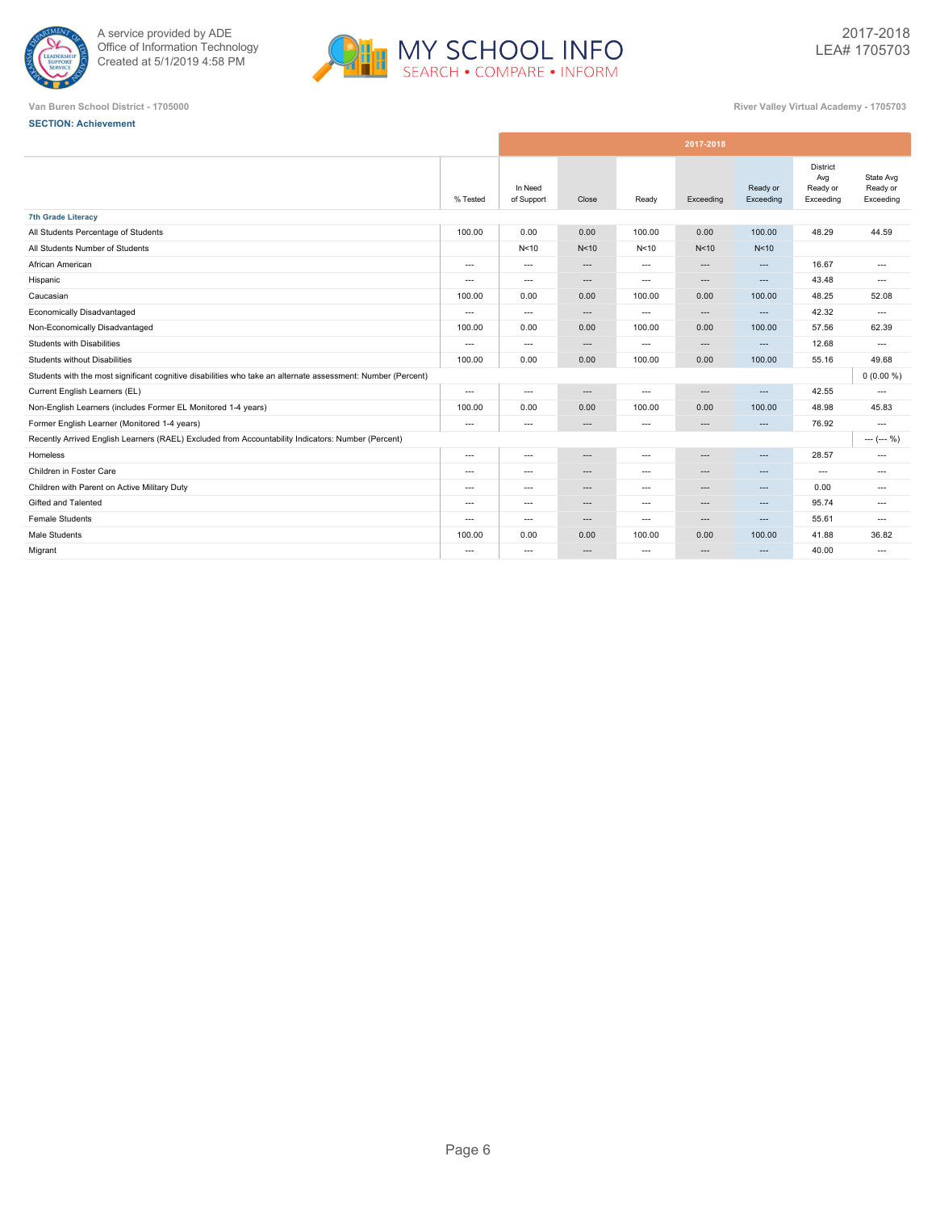



|                                                                                                              |                          |                          |                        |                          | 2017-2018                |                          |                                          |                                    |
|--------------------------------------------------------------------------------------------------------------|--------------------------|--------------------------|------------------------|--------------------------|--------------------------|--------------------------|------------------------------------------|------------------------------------|
|                                                                                                              | % Tested                 | In Need<br>of Support    | Close                  | Ready                    | Exceeding                | Ready or<br>Exceeding    | District<br>Avg<br>Ready or<br>Exceeding | State Avg<br>Ready or<br>Exceeding |
| <b>7th Grade Literacy</b>                                                                                    |                          |                          |                        |                          |                          |                          |                                          |                                    |
| All Students Percentage of Students                                                                          | 100.00                   | 0.00                     | 0.00                   | 100.00                   | 0.00                     | 100.00                   | 48.29                                    | 44.59                              |
| All Students Number of Students                                                                              |                          | N<10                     | N <sub>10</sub>        | N<10                     | N<10                     | N<10                     |                                          |                                    |
| African American                                                                                             | $\hspace{0.05cm} \ldots$ | $---$                    | $---$                  | $---$                    | $---$                    | $---$                    | 16.67                                    | $---$                              |
| Hispanic                                                                                                     | $\hspace{0.05cm} \ldots$ | $\cdots$                 | $\cdots$               | $\cdots$                 | $\hspace{0.05cm} \ldots$ | $\cdots$                 | 43.48                                    | $\qquad \qquad \cdots$             |
| Caucasian                                                                                                    | 100.00                   | 0.00                     | 0.00                   | 100.00                   | 0.00                     | 100.00                   | 48.25                                    | 52.08                              |
| Economically Disadvantaged                                                                                   | $\sim$ $\sim$            | $\hspace{0.05cm} \ldots$ | $\cdots$               | $\hspace{0.05cm} \ldots$ | $\cdots$                 | $\cdots$                 | 42.32                                    | $\cdots$                           |
| Non-Economically Disadvantaged                                                                               | 100.00                   | 0.00                     | 0.00                   | 100.00                   | 0.00                     | 100.00                   | 57.56                                    | 62.39                              |
| <b>Students with Disabilities</b>                                                                            | $\hspace{0.05cm} \ldots$ | $\hspace{0.05cm} \ldots$ | $\cdots$               | $\cdots$                 | $\cdots$                 | $\cdots$                 | 12.68                                    | $\qquad \qquad -$                  |
| <b>Students without Disabilities</b>                                                                         | 100.00                   | 0.00                     | 0.00                   | 100.00                   | 0.00                     | 100.00                   | 55.16                                    | 49.68                              |
| Students with the most significant cognitive disabilities who take an alternate assessment: Number (Percent) |                          |                          |                        |                          |                          |                          |                                          | $0(0.00\%)$                        |
| Current English Learners (EL)                                                                                | $\hspace{0.05cm} \ldots$ | $\hspace{0.05cm} \ldots$ | $\cdots$               | $\hspace{0.05cm} \ldots$ | $\cdots$                 | $\cdots$                 | 42.55                                    | $\cdots$                           |
| Non-English Learners (includes Former EL Monitored 1-4 years)                                                | 100.00                   | 0.00                     | 0.00                   | 100.00                   | 0.00                     | 100.00                   | 48.98                                    | 45.83                              |
| Former English Learner (Monitored 1-4 years)                                                                 | $\hspace{0.05cm} \ldots$ | $\hspace{0.05cm} \ldots$ | $\cdots$               | $\hspace{0.05cm} \ldots$ | $\hspace{0.05cm} \ldots$ | $\cdots$                 | 76.92                                    | $---$                              |
| Recently Arrived English Learners (RAEL) Excluded from Accountability Indicators: Number (Percent)           |                          |                          |                        |                          |                          |                          |                                          | $--- (- - % )$                     |
| Homeless                                                                                                     | $\hspace{0.05cm} \ldots$ | $\qquad \qquad \cdots$   | $\qquad \qquad \cdots$ | $\cdots$                 | $\hspace{0.05cm} \ldots$ | $\hspace{0.05cm} \ldots$ | 28.57                                    | $\cdots$                           |
| Children in Foster Care                                                                                      | $\hspace{0.05cm} \ldots$ | $---$                    | $\cdots$               | $\cdots$                 | $\cdots$                 | $---$                    | $\cdots$                                 | $\qquad \qquad -$                  |
| Children with Parent on Active Military Duty                                                                 | $---$                    | $---$                    | $\cdots$               | $---$                    | $\sim$ $\sim$            | $- - -$                  | 0.00                                     | $---$                              |
| Gifted and Talented                                                                                          | $---$                    | $---$                    | $---$                  | $---$                    | $\sim$ $\sim$            | $- - -$                  | 95.74                                    | $---$                              |
| Female Students                                                                                              | $---$                    | $---$                    | $\cdots$               | $---$                    | $\cdots$                 | $\cdots$                 | 55.61                                    | $---$                              |
| Male Students                                                                                                | 100.00                   | 0.00                     | 0.00                   | 100.00                   | 0.00                     | 100.00                   | 41.88                                    | 36.82                              |
| Migrant                                                                                                      | $---$                    | $---$                    | $\cdots$               | $\cdots$                 | $\sim$ $\sim$            | $- - -$                  | 40.00                                    | $\qquad \qquad -$                  |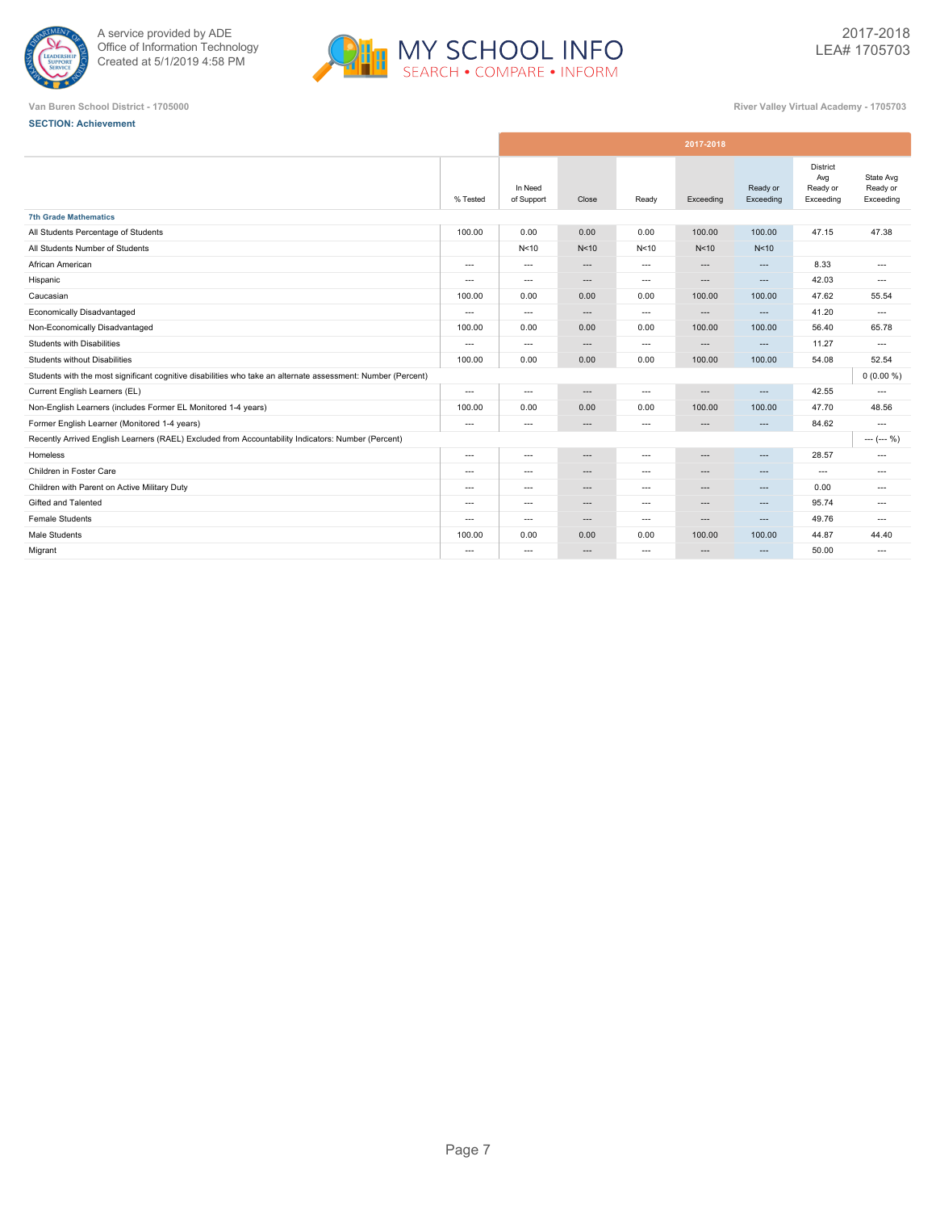



| <b>SECTION: Achievement</b> |
|-----------------------------|
|                             |

|                                                                                                              |                          |                          |                 |                          | 2017-2018      |                       |                                                 |                                    |  |
|--------------------------------------------------------------------------------------------------------------|--------------------------|--------------------------|-----------------|--------------------------|----------------|-----------------------|-------------------------------------------------|------------------------------------|--|
|                                                                                                              | % Tested                 | In Need<br>of Support    | Close           | Ready                    | Exceeding      | Ready or<br>Exceeding | <b>District</b><br>Avg<br>Ready or<br>Exceeding | State Avg<br>Ready or<br>Exceeding |  |
| <b>7th Grade Mathematics</b>                                                                                 |                          |                          |                 |                          |                |                       |                                                 |                                    |  |
| All Students Percentage of Students                                                                          | 100.00                   | 0.00                     | 0.00            | 0.00                     | 100.00         | 100.00                | 47.15                                           | 47.38                              |  |
| All Students Number of Students                                                                              |                          | N <sub>10</sub>          | N <sub>10</sub> | N<10                     | N<10           | N <sub>10</sub>       |                                                 |                                    |  |
| African American                                                                                             | $---$                    | $\hspace{0.05cm} \ldots$ | $---$           | $\hspace{0.05cm} \ldots$ | $---$          | $---$                 | 8.33                                            | $---$                              |  |
| Hispanic                                                                                                     | $- - -$                  | $\hspace{0.05cm} \ldots$ | $\cdots$        | $\hspace{0.05cm} \ldots$ | $---$          | $\cdots$              | 42.03                                           | $---$                              |  |
| Caucasian                                                                                                    | 100.00                   | 0.00                     | 0.00            | 0.00                     | 100.00         | 100.00                | 47.62                                           | 55.54                              |  |
| <b>Economically Disadvantaged</b>                                                                            | $---$                    | $---$                    | $---$           | $---$                    | $---$          | $---$                 | 41.20                                           | $---$                              |  |
| Non-Economically Disadvantaged                                                                               | 100.00                   | 0.00                     | 0.00            | 0.00                     | 100.00         | 100.00                | 56.40                                           | 65.78                              |  |
| Students with Disabilities                                                                                   | $\hspace{0.05cm} \ldots$ | $\hspace{0.05cm} \ldots$ | $---$           | $---$                    | $---$          | $\cdots$              | 11.27                                           | $---$                              |  |
| <b>Students without Disabilities</b>                                                                         | 100.00                   | 0.00                     | 0.00            | 0.00                     | 100.00         | 100.00                | 54.08                                           | 52.54                              |  |
| Students with the most significant cognitive disabilities who take an alternate assessment: Number (Percent) |                          |                          |                 |                          |                |                       |                                                 | $0(0.00\%)$                        |  |
| Current English Learners (EL)                                                                                | $\hspace{0.05cm} \ldots$ | $\cdots$                 | $\cdots$        | $\hspace{0.05cm} \ldots$ | $\cdots$       | $\cdots$              | 42.55                                           | $---$                              |  |
| Non-English Learners (includes Former EL Monitored 1-4 years)                                                | 100.00                   | 0.00                     | 0.00            | 0.00                     | 100.00         | 100.00                | 47.70                                           | 48.56                              |  |
| Former English Learner (Monitored 1-4 years)                                                                 | $\hspace{0.05cm} \ldots$ | $\sim$ $\sim$            | $---$           | $\hspace{0.05cm} \ldots$ | $---$          | $\cdots$              | 84.62                                           | $\qquad \qquad -$                  |  |
| Recently Arrived English Learners (RAEL) Excluded from Accountability Indicators: Number (Percent)           |                          |                          |                 |                          |                |                       |                                                 | $--- (-0)$                         |  |
| Homeless                                                                                                     | $- - -$                  | $---$                    | $---$           | $---$                    | $---$          | $---$                 | 28.57                                           | $-$                                |  |
| Children in Foster Care                                                                                      | $---$                    | $---$                    | $---$           | $\hspace{0.05cm} \ldots$ | $\overline{a}$ | $\cdots$              | $---$                                           | $---$                              |  |
| Children with Parent on Active Military Duty                                                                 | $---$                    | $\hspace{0.05cm} \ldots$ | $---$           | $\hspace{0.05cm} \ldots$ | $\overline{a}$ | $---$                 | 0.00                                            | $---$                              |  |
| Gifted and Talented                                                                                          | $\hspace{0.05cm} \ldots$ | $\hspace{0.05cm} \ldots$ | $\cdots$        | $\hspace{0.05cm} \ldots$ | $---$          | $\cdots$              | 95.74                                           | $---$                              |  |
| <b>Female Students</b>                                                                                       | $---$                    | $---$                    | $\cdots$        | $---$                    | $\overline{a}$ | $---$                 | 49.76                                           | $---$                              |  |
| Male Students                                                                                                | 100.00                   | 0.00                     | 0.00            | 0.00                     | 100.00         | 100.00                | 44.87                                           | 44.40                              |  |
| Migrant                                                                                                      | $---$                    | $---$                    | $---$           | $---$                    | $---$          | $---$                 | 50.00                                           | $---$                              |  |
|                                                                                                              |                          |                          |                 |                          |                |                       |                                                 |                                    |  |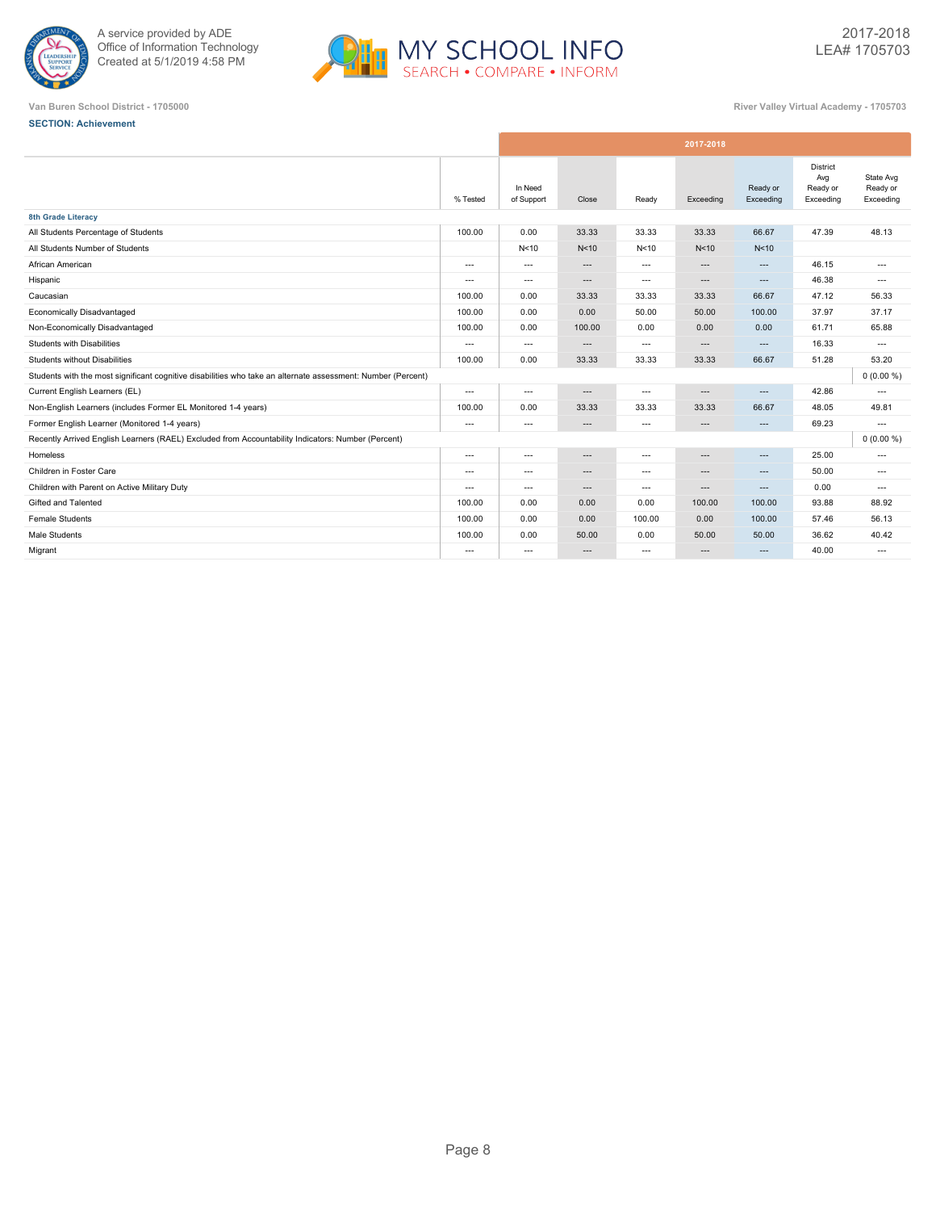



|                                                                                                              |                          |                          |                          |                          | 2017-2018                |                       |                                          |                                    |
|--------------------------------------------------------------------------------------------------------------|--------------------------|--------------------------|--------------------------|--------------------------|--------------------------|-----------------------|------------------------------------------|------------------------------------|
|                                                                                                              | % Tested                 | In Need<br>of Support    | Close                    | Ready                    | Exceeding                | Ready or<br>Exceeding | District<br>Avg<br>Ready or<br>Exceeding | State Avg<br>Ready or<br>Exceeding |
| <b>8th Grade Literacy</b>                                                                                    |                          |                          |                          |                          |                          |                       |                                          |                                    |
| All Students Percentage of Students                                                                          | 100.00                   | 0.00                     | 33.33                    | 33.33                    | 33.33                    | 66.67                 | 47.39                                    | 48.13                              |
| All Students Number of Students                                                                              |                          | N<10                     | N<10                     | N < 10                   | N<10                     | N<10                  |                                          |                                    |
| African American                                                                                             | $---$                    | $\hspace{0.05cm} \ldots$ | $---$                    | $---$                    | $---$                    | $---$                 | 46.15                                    | $---$                              |
| Hispanic                                                                                                     | $\hspace{0.05cm} \ldots$ | $\hspace{0.05cm} \ldots$ | $\cdots$                 | $\hspace{0.05cm} \ldots$ | $\hspace{0.05cm} \ldots$ | $\cdots$              | 46.38                                    | $\cdots$                           |
| Caucasian                                                                                                    | 100.00                   | 0.00                     | 33.33                    | 33.33                    | 33.33                    | 66.67                 | 47.12                                    | 56.33                              |
| Economically Disadvantaged                                                                                   | 100.00                   | 0.00                     | 0.00                     | 50.00                    | 50.00                    | 100.00                | 37.97                                    | 37.17                              |
| Non-Economically Disadvantaged                                                                               | 100.00                   | 0.00                     | 100.00                   | 0.00                     | 0.00                     | 0.00                  | 61.71                                    | 65.88                              |
| <b>Students with Disabilities</b>                                                                            | $\cdots$                 | $\cdots$                 | $\cdots$                 | $\cdots$                 | $---$                    | $\cdots$              | 16.33                                    | ---                                |
| <b>Students without Disabilities</b>                                                                         | 100.00                   | 0.00                     | 33.33                    | 33.33                    | 33.33                    | 66.67                 | 51.28                                    | 53.20                              |
| Students with the most significant cognitive disabilities who take an alternate assessment: Number (Percent) |                          |                          |                          |                          |                          |                       |                                          | $0(0.00\%)$                        |
| Current English Learners (EL)                                                                                | $---$                    | $---$                    | $---$                    | $---$                    | $\sim$ $\sim$            | $---$                 | 42.86                                    | $---$                              |
| Non-English Learners (includes Former EL Monitored 1-4 years)                                                | 100.00                   | 0.00                     | 33.33                    | 33.33                    | 33.33                    | 66.67                 | 48.05                                    | 49.81                              |
| Former English Learner (Monitored 1-4 years)                                                                 | $\cdots$                 | $\hspace{0.05cm} \ldots$ | $\cdots$                 | $\hspace{0.05cm} \ldots$ | $\cdots$                 | $\cdots$              | 69.23                                    | $---$                              |
| Recently Arrived English Learners (RAEL) Excluded from Accountability Indicators: Number (Percent)           |                          |                          |                          |                          |                          |                       |                                          | $0(0.00\%)$                        |
| Homeless                                                                                                     | $\sim$ $\sim$            | $\hspace{0.05cm} \ldots$ | $\cdots$                 | $\hspace{0.05cm} \ldots$ | $---$                    | $\cdots$              | 25.00                                    | $---$                              |
| Children in Foster Care                                                                                      | $\cdots$                 | $\hspace{0.05cm} \ldots$ | $\qquad \qquad -$        | $\cdots$                 | $\cdots$                 | $\cdots$              | 50.00                                    | $---$                              |
| Children with Parent on Active Military Duty                                                                 | $\cdots$                 | $\hspace{0.05cm} \ldots$ | $\hspace{0.05cm} \ldots$ | $\hspace{0.05cm} \ldots$ | $\cdots$                 | $\cdots$              | 0.00                                     | $---$                              |
| Gifted and Talented                                                                                          | 100.00                   | 0.00                     | 0.00                     | 0.00                     | 100.00                   | 100.00                | 93.88                                    | 88.92                              |
| Female Students                                                                                              | 100.00                   | 0.00                     | 0.00                     | 100.00                   | 0.00                     | 100.00                | 57.46                                    | 56.13                              |
| Male Students                                                                                                | 100.00                   | 0.00                     | 50.00                    | 0.00                     | 50.00                    | 50.00                 | 36.62                                    | 40.42                              |
| Migrant                                                                                                      | $---$                    | $---$                    | $---$                    | $---$                    | $---$                    | $---$                 | 40.00                                    | $---$                              |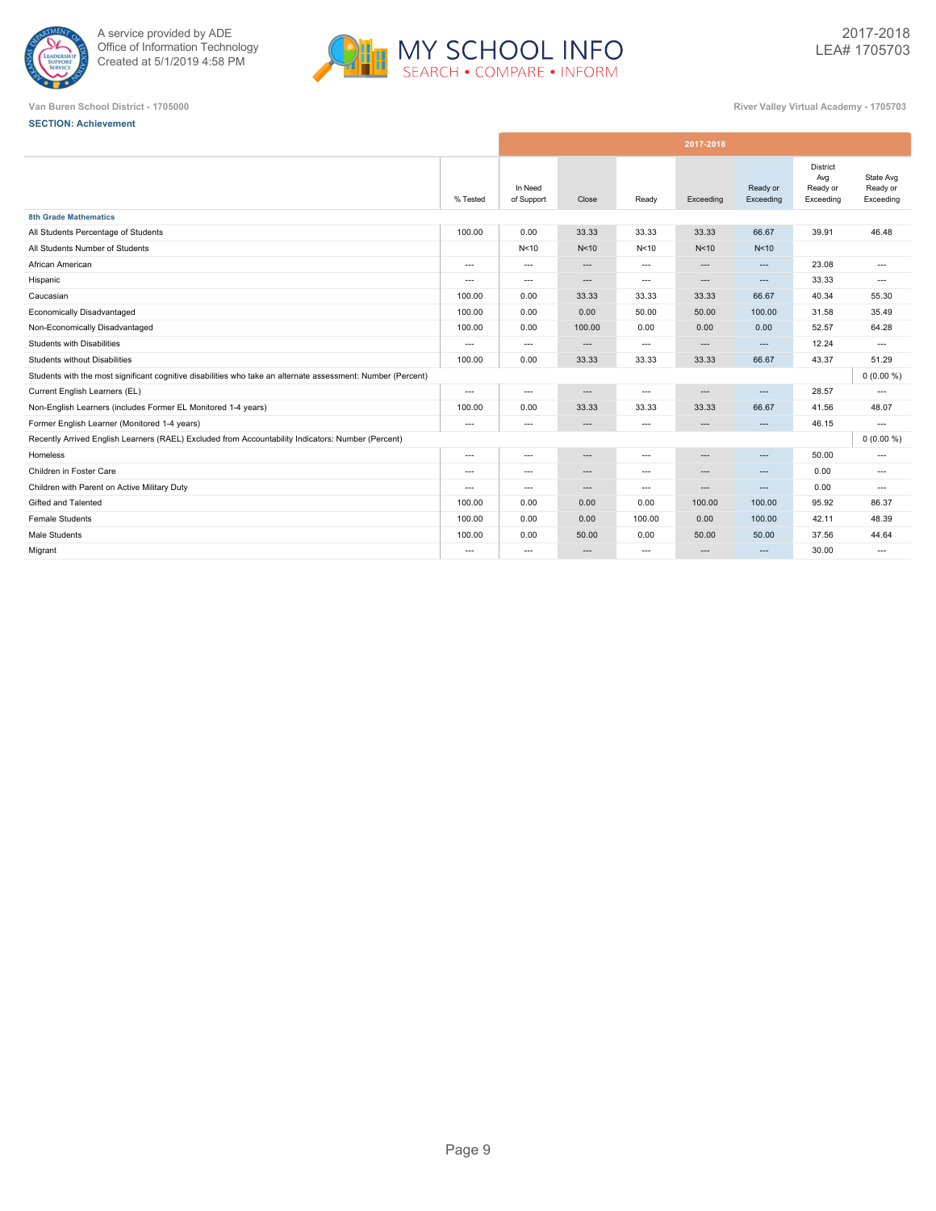

í,



## **Van Buren School District - 1705000 River Valley Virtual Academy - 1705703**

|                                                                                                              |                          |                          |                     |                        | 2017-2018                |                          |                                          |                                    |
|--------------------------------------------------------------------------------------------------------------|--------------------------|--------------------------|---------------------|------------------------|--------------------------|--------------------------|------------------------------------------|------------------------------------|
|                                                                                                              | % Tested                 | In Need<br>of Support    | Close               | Ready                  | Exceeding                | Ready or<br>Exceeding    | District<br>Avg<br>Ready or<br>Exceeding | State Avg<br>Ready or<br>Exceeding |
| <b>8th Grade Mathematics</b>                                                                                 |                          |                          |                     |                        |                          |                          |                                          |                                    |
| All Students Percentage of Students                                                                          | 100.00                   | 0.00                     | 33.33               | 33.33                  | 33.33                    | 66.67                    | 39.91                                    | 46.48                              |
| All Students Number of Students                                                                              |                          | N <sub>10</sub>          | N <sub>10</sub>     | N<10                   | N<10                     | N <sub>10</sub>          |                                          |                                    |
| African American                                                                                             | $\sim$ $\sim$ $\sim$     | $\cdots$                 | $\cdots$            | $  -$                  | $\cdots$                 | $\sim$ $\sim$            | 23.08                                    | $\cdots$                           |
| Hispanic                                                                                                     | $\hspace{0.05cm} \ldots$ | $---$                    | $\cdots$            | $\cdots$               | $\hspace{0.05cm} \cdots$ | $\sim$ $\sim$            | 33.33                                    | $\cdots$                           |
| Caucasian                                                                                                    | 100.00                   | 0.00                     | 33.33               | 33.33                  | 33.33                    | 66.67                    | 40.34                                    | 55.30                              |
| Economically Disadvantaged                                                                                   | 100.00                   | 0.00                     | 0.00                | 50.00                  | 50.00                    | 100.00                   | 31.58                                    | 35.49                              |
| Non-Economically Disadvantaged                                                                               | 100.00                   | 0.00                     | 100.00              | 0.00                   | 0.00                     | 0.00                     | 52.57                                    | 64.28                              |
| <b>Students with Disabilities</b>                                                                            | $---$                    | $\cdots$                 | $\cdots$            | $\cdots$               | $\cdots$                 | $\cdots$                 | 12.24                                    | $\cdots$                           |
| <b>Students without Disabilities</b>                                                                         | 100.00                   | 0.00                     | 33.33               | 33.33                  | 33.33                    | 66.67                    | 43.37                                    | 51.29                              |
| Students with the most significant cognitive disabilities who take an alternate assessment: Number (Percent) |                          |                          |                     |                        |                          |                          |                                          | $0(0.00\%)$                        |
| Current English Learners (EL)                                                                                | $\hspace{0.05cm} \ldots$ | $---$                    | $\cdots$            | $  -$                  | $\hspace{0.05cm} \ldots$ | $---$                    | 28.57                                    | $\cdots$                           |
| Non-English Learners (includes Former EL Monitored 1-4 years)                                                | 100.00                   | 0.00                     | 33.33               | 33.33                  | 33.33                    | 66.67                    | 41.56                                    | 48.07                              |
| Former English Learner (Monitored 1-4 years)                                                                 | $\sim$ $\sim$            | $\cdots$                 | $\qquad \qquad - -$ | $\qquad \qquad \cdots$ | $\hspace{0.05cm} \cdots$ | $\hspace{0.05cm} \ldots$ | 46.15                                    | $\qquad \qquad -$                  |
| Recently Arrived English Learners (RAEL) Excluded from Accountability Indicators: Number (Percent)           |                          |                          |                     |                        |                          |                          |                                          | $0(0.00\%)$                        |
| Homeless                                                                                                     | $\sim$ $\sim$            | $\cdots$                 | $\cdots$            | $\cdots$               | $\cdots$                 | $\cdots$                 | 50.00                                    | $\cdots$                           |
| Children in Foster Care                                                                                      | $---$                    | $---$                    | $\cdots$            | $  -$                  | $\cdots$                 | $\sim$ $\sim$            | 0.00                                     | $\cdots$                           |
| Children with Parent on Active Military Duty                                                                 | $\sim$ $\sim$            | $---$                    | $\cdots$            | $\cdots$               | $\hspace{0.05cm} \ldots$ | $\cdots$                 | 0.00                                     | $\cdots$                           |
| Gifted and Talented                                                                                          | 100.00                   | 0.00                     | 0.00                | 0.00                   | 100.00                   | 100.00                   | 95.92                                    | 86.37                              |
| Female Students                                                                                              | 100.00                   | 0.00                     | 0.00                | 100.00                 | 0.00                     | 100.00                   | 42.11                                    | 48.39                              |
| Male Students                                                                                                | 100.00                   | 0.00                     | 50.00               | 0.00                   | 50.00                    | 50.00                    | 37.56                                    | 44.64                              |
| Migrant                                                                                                      | $\cdots$                 | $\hspace{0.05cm} \ldots$ | $\cdots$            | $\cdots$               | $\cdots$                 | $\cdots$                 | 30.00                                    | $\cdots$                           |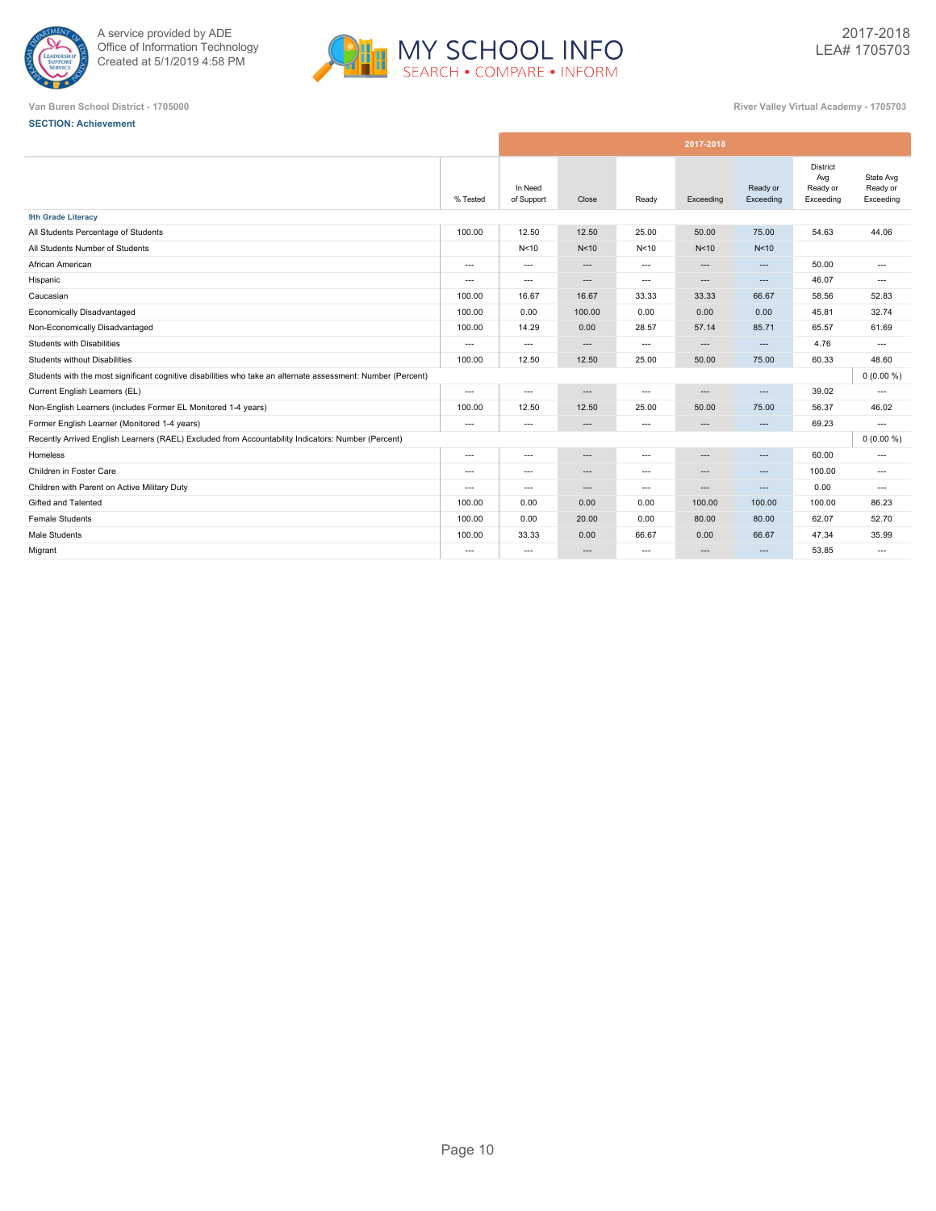



|                                                                                                              |                          |                          |                          |                          | 2017-2018     |                       |                                          |                                    |
|--------------------------------------------------------------------------------------------------------------|--------------------------|--------------------------|--------------------------|--------------------------|---------------|-----------------------|------------------------------------------|------------------------------------|
|                                                                                                              | % Tested                 | In Need<br>of Support    | Close                    | Ready                    | Exceeding     | Ready or<br>Exceeding | District<br>Avg<br>Ready or<br>Exceeding | State Avg<br>Ready or<br>Exceeding |
| 9th Grade Literacy                                                                                           |                          |                          |                          |                          |               |                       |                                          |                                    |
| All Students Percentage of Students                                                                          | 100.00                   | 12.50                    | 12.50                    | 25.00                    | 50.00         | 75.00                 | 54.63                                    | 44.06                              |
| All Students Number of Students                                                                              |                          | N <sub>10</sub>          | N <sub>10</sub>          | N<10                     | N<10          | N<10                  |                                          |                                    |
| African American                                                                                             | $\sim$ $\sim$            | $\hspace{0.05cm} \ldots$ | $\cdots$                 | $\hspace{0.05cm} \ldots$ | $\cdots$      | $\cdots$              | 50.00                                    | $---$                              |
| Hispanic                                                                                                     | $\hspace{0.05cm} \ldots$ | $\hspace{0.05cm} \ldots$ | $\cdots$                 | $\hspace{0.05cm} \ldots$ | $\cdots$      | $\cdots$              | 46.07                                    | $\cdots$                           |
| Caucasian                                                                                                    | 100.00                   | 16.67                    | 16.67                    | 33.33                    | 33.33         | 66.67                 | 58.56                                    | 52.83                              |
| Economically Disadvantaged                                                                                   | 100.00                   | 0.00                     | 100.00                   | 0.00                     | 0.00          | 0.00                  | 45.81                                    | 32.74                              |
| Non-Economically Disadvantaged                                                                               | 100.00                   | 14.29                    | 0.00                     | 28.57                    | 57.14         | 85.71                 | 65.57                                    | 61.69                              |
| <b>Students with Disabilities</b>                                                                            | $---$                    | $\cdots$                 | $---$                    | $\cdots$                 | $---$         | $\cdots$              | 4.76                                     | ---                                |
| <b>Students without Disabilities</b>                                                                         | 100.00                   | 12.50                    | 12.50                    | 25.00                    | 50.00         | 75.00                 | 60.33                                    | 48.60                              |
| Students with the most significant cognitive disabilities who take an alternate assessment: Number (Percent) |                          |                          |                          |                          |               |                       |                                          | $0(0.00\%)$                        |
| Current English Learners (EL)                                                                                | $\hspace{0.05cm} \cdots$ | $\hspace{0.05cm} \ldots$ | $\hspace{0.05cm} \ldots$ | $\hspace{0.05cm} \ldots$ | $\cdots$      | $\cdots$              | 39.02                                    | $---$                              |
| Non-English Learners (includes Former EL Monitored 1-4 years)                                                | 100.00                   | 12.50                    | 12.50                    | 25.00                    | 50.00         | 75.00                 | 56.37                                    | 46.02                              |
| Former English Learner (Monitored 1-4 years)                                                                 | $\cdots$                 | $\hspace{0.05cm} \ldots$ | $\cdots$                 | $\hspace{0.05cm} \ldots$ | $\cdots$      | $\cdots$              | 69.23                                    | ---                                |
| Recently Arrived English Learners (RAEL) Excluded from Accountability Indicators: Number (Percent)           |                          |                          |                          |                          |               |                       |                                          | $0(0.00\%)$                        |
| Homeless                                                                                                     | $\sim$ $\sim$            | $\hspace{0.05cm} \ldots$ | $\hspace{0.05cm} \ldots$ | $\hspace{0.05cm} \ldots$ | ---           | $\cdots$              | 60.00                                    | $---$                              |
| Children in Foster Care                                                                                      | $---$                    | $---$                    | $\cdots$                 | $\cdots$                 | $\cdots$      | $\cdots$              | 100.00                                   | $---$                              |
| Children with Parent on Active Military Duty                                                                 | $\cdots$                 | $---$                    | $\cdots$                 | $\hspace{0.05cm} \ldots$ | $---$         | $\cdots$              | 0.00                                     | $---$                              |
| Gifted and Talented                                                                                          | 100.00                   | 0.00                     | 0.00                     | 0.00                     | 100.00        | 100.00                | 100.00                                   | 86.23                              |
| <b>Female Students</b>                                                                                       | 100.00                   | 0.00                     | 20.00                    | 0.00                     | 80.00         | 80.00                 | 62.07                                    | 52.70                              |
| Male Students                                                                                                | 100.00                   | 33.33                    | 0.00                     | 66.67                    | 0.00          | 66.67                 | 47.34                                    | 35.99                              |
| Migrant                                                                                                      | $\cdots$                 | $---$                    | $\cdots$                 | $---$                    | $\sim$ $\sim$ | $\cdots$              | 53.85                                    | $---$                              |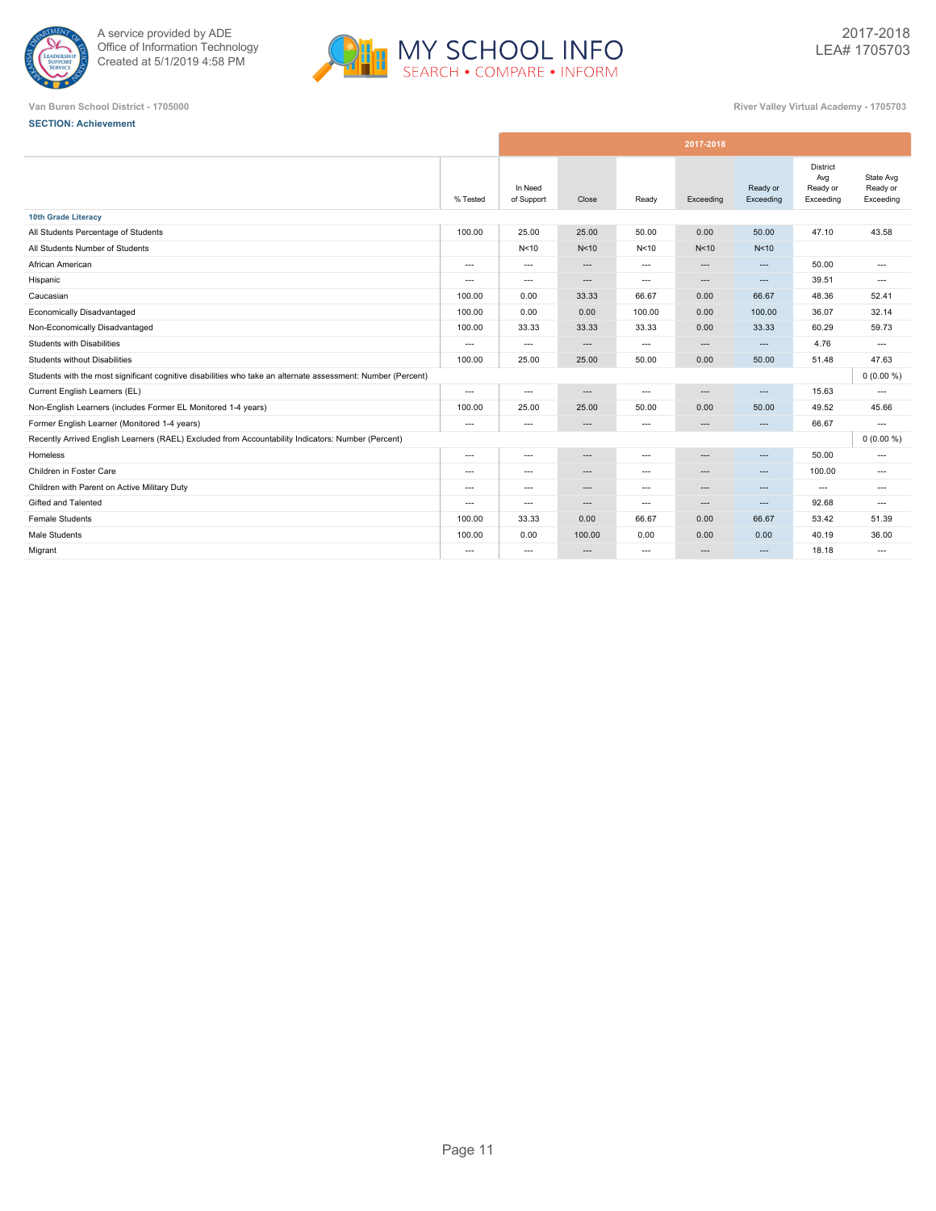



|                                                                                                              |                        |                          |                          |                          | 2017-2018                |                               |                                                 |                                    |
|--------------------------------------------------------------------------------------------------------------|------------------------|--------------------------|--------------------------|--------------------------|--------------------------|-------------------------------|-------------------------------------------------|------------------------------------|
|                                                                                                              | % Tested               | In Need<br>of Support    | Close                    | Ready                    | Exceeding                | Ready or<br>Exceeding         | <b>District</b><br>Avg<br>Ready or<br>Exceeding | State Avg<br>Ready or<br>Exceeding |
| <b>10th Grade Literacy</b>                                                                                   |                        |                          |                          |                          |                          |                               |                                                 |                                    |
| All Students Percentage of Students                                                                          | 100.00                 | 25.00                    | 25.00                    | 50.00                    | 0.00                     | 50.00                         | 47.10                                           | 43.58                              |
| All Students Number of Students                                                                              |                        | N<10                     | N <sub>10</sub>          | N<10                     | N<10                     | N<10                          |                                                 |                                    |
| African American                                                                                             | $\cdots$               | $\hspace{0.05cm} \ldots$ | $\cdots$                 | $---$                    | $---$                    | $\cdots$                      | 50.00                                           | $---$                              |
| Hispanic                                                                                                     | $\sim$ $\sim$          | $\hspace{0.05cm} \ldots$ | $\cdots$                 | $\hspace{0.05cm} \ldots$ | $\cdots$                 | $\cdots$                      | 39.51                                           | $---$                              |
| Caucasian                                                                                                    | 100.00                 | 0.00                     | 33.33                    | 66.67                    | 0.00                     | 66.67                         | 48.36                                           | 52.41                              |
| Economically Disadvantaged                                                                                   | 100.00                 | 0.00                     | 0.00                     | 100.00                   | 0.00                     | 100.00                        | 36.07                                           | 32.14                              |
| Non-Economically Disadvantaged                                                                               | 100.00                 | 33.33                    | 33.33                    | 33.33                    | 0.00                     | 33.33                         | 60.29                                           | 59.73                              |
| <b>Students with Disabilities</b>                                                                            | $\cdots$               | $\hspace{0.05cm} \ldots$ | $\hspace{0.05cm} \ldots$ | $\hspace{0.05cm} \ldots$ | $\cdots$                 | $\cdots$                      | 4.76                                            | $---$                              |
| <b>Students without Disabilities</b>                                                                         | 100.00                 | 25.00                    | 25.00                    | 50.00                    | 0.00                     | 50.00                         | 51.48                                           | 47.63                              |
| Students with the most significant cognitive disabilities who take an alternate assessment: Number (Percent) |                        |                          |                          |                          |                          |                               |                                                 | $0(0.00\%)$                        |
| Current English Learners (EL)                                                                                | $\sim$ $\sim$          | $\cdots$                 | $\cdots$                 | $---$                    | $\cdots$                 | $\cdots$                      | 15.63                                           | $---$                              |
| Non-English Learners (includes Former EL Monitored 1-4 years)                                                | 100.00                 | 25.00                    | 25.00                    | 50.00                    | 0.00                     | 50.00                         | 49.52                                           | 45.66                              |
| Former English Learner (Monitored 1-4 years)                                                                 | $\cdots$               | $\hspace{0.05cm} \ldots$ | $\cdots$                 | $\hspace{0.05cm} \ldots$ | $\hspace{0.05cm} \ldots$ | $\cdots$                      | 66.67                                           | ---                                |
| Recently Arrived English Learners (RAEL) Excluded from Accountability Indicators: Number (Percent)           |                        |                          |                          |                          |                          |                               |                                                 | $0(0.00\%)$                        |
| Homeless                                                                                                     | $\qquad \qquad \cdots$ | $\hspace{0.05cm} \ldots$ | $\hspace{0.05cm} \ldots$ | $\cdots$                 | ---                      | $\hspace{1.5cm} \textbf{---}$ | 50.00                                           | ---                                |
| Children in Foster Care                                                                                      | $\qquad \qquad \cdots$ | $\hspace{0.05cm} \ldots$ | $\qquad \qquad - -$      | $\cdots$                 | ---                      | $\cdots$                      | 100.00                                          | $---$                              |
| Children with Parent on Active Military Duty                                                                 | $\sim$ $\sim$          | $\hspace{0.05cm} \ldots$ | $\cdots$                 | $\hspace{0.05cm} \ldots$ | $---$                    | $\cdots$                      | $\overline{\phantom{a}}$                        | $---$                              |
| Gifted and Talented                                                                                          | $\cdots$               | $\hspace{0.05cm} \ldots$ | $\cdots$                 | $\hspace{0.05cm} \ldots$ | $\cdots$                 | $\cdots$                      | 92.68                                           | $---$                              |
| Female Students                                                                                              | 100.00                 | 33.33                    | 0.00                     | 66.67                    | 0.00                     | 66.67                         | 53.42                                           | 51.39                              |
| Male Students                                                                                                | 100.00                 | 0.00                     | 100.00                   | 0.00                     | 0.00                     | 0.00                          | 40.19                                           | 36.00                              |
| Migrant                                                                                                      | $\cdots$               | $---$                    | $\cdots$                 | $---$                    | $\cdots$                 | $---$                         | 18.18                                           | $---$                              |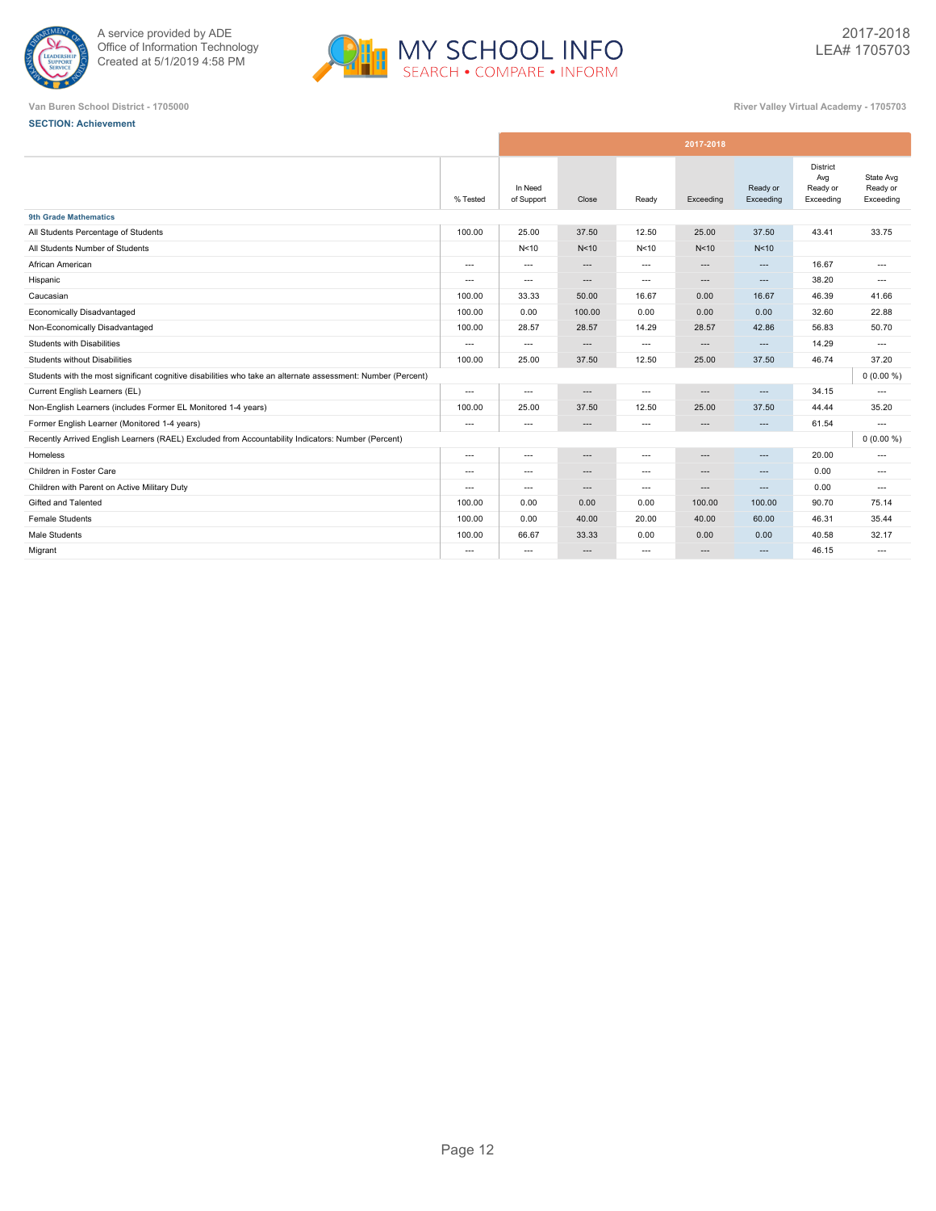



|                                                                                                              |                          |                          |                               |                          | 2017-2018                |                       |                                          |                                    |
|--------------------------------------------------------------------------------------------------------------|--------------------------|--------------------------|-------------------------------|--------------------------|--------------------------|-----------------------|------------------------------------------|------------------------------------|
|                                                                                                              | % Tested                 | In Need<br>of Support    | Close                         | Ready                    | Exceeding                | Ready or<br>Exceeding | District<br>Avg<br>Ready or<br>Exceeding | State Avg<br>Ready or<br>Exceeding |
| <b>9th Grade Mathematics</b>                                                                                 |                          |                          |                               |                          |                          |                       |                                          |                                    |
| All Students Percentage of Students                                                                          | 100.00                   | 25.00                    | 37.50                         | 12.50                    | 25.00                    | 37.50                 | 43.41                                    | 33.75                              |
| All Students Number of Students                                                                              |                          | N<10                     | N <sub>10</sub>               | N<10                     | N<10                     | N<10                  |                                          |                                    |
| African American                                                                                             | $\sim$ $\sim$            | $\hspace{0.05cm} \ldots$ | $\hspace{1.5cm} \textbf{---}$ | $\hspace{0.05cm} \ldots$ | $\cdots$                 | $\cdots$              | 16.67                                    | $\hspace{0.05cm} \ldots$           |
| Hispanic                                                                                                     | $\hspace{0.05cm} \ldots$ | $\hspace{0.05cm} \ldots$ | $\hspace{0.05cm} \ldots$      | $\cdots$                 | $\cdots$                 | $---$                 | 38.20                                    | $\overline{\phantom{a}}$           |
| Caucasian                                                                                                    | 100.00                   | 33.33                    | 50.00                         | 16.67                    | 0.00                     | 16.67                 | 46.39                                    | 41.66                              |
| Economically Disadvantaged                                                                                   | 100.00                   | 0.00                     | 100.00                        | 0.00                     | 0.00                     | 0.00                  | 32.60                                    | 22.88                              |
| Non-Economically Disadvantaged                                                                               | 100.00                   | 28.57                    | 28.57                         | 14.29                    | 28.57                    | 42.86                 | 56.83                                    | 50.70                              |
| Students with Disabilities                                                                                   | $\hspace{0.05cm} \ldots$ | $---$                    | $\hspace{0.05cm} \ldots$      | $\cdots$                 | $\cdots$                 | $\cdots$              | 14.29                                    | $---$                              |
| <b>Students without Disabilities</b>                                                                         | 100.00                   | 25.00                    | 37.50                         | 12.50                    | 25.00                    | 37.50                 | 46.74                                    | 37.20                              |
| Students with the most significant cognitive disabilities who take an alternate assessment: Number (Percent) |                          |                          |                               |                          |                          |                       |                                          | $0(0.00\%)$                        |
| Current English Learners (EL)                                                                                | ---                      | ---                      | $\hspace{0.05cm} \ldots$      | $\cdots$                 | $---$                    | $---$                 | 34.15                                    | $---$                              |
| Non-English Learners (includes Former EL Monitored 1-4 years)                                                | 100.00                   | 25.00                    | 37.50                         | 12.50                    | 25.00                    | 37.50                 | 44.44                                    | 35.20                              |
| Former English Learner (Monitored 1-4 years)                                                                 | $\hspace{0.05cm} \ldots$ | $\hspace{0.05cm} \ldots$ | $\cdots$                      | $\hspace{0.05cm} \ldots$ | $\hspace{0.05cm} \ldots$ | $\cdots$              | 61.54                                    | $\qquad \qquad -$                  |
| Recently Arrived English Learners (RAEL) Excluded from Accountability Indicators: Number (Percent)           |                          |                          |                               |                          |                          |                       |                                          | $0(0.00\%)$                        |
| Homeless                                                                                                     | $---$                    | $---$                    | $---$                         | $---$                    | $---$                    | $---$                 | 20.00                                    | $---$                              |
| Children in Foster Care                                                                                      | $\hspace{0.05cm} \ldots$ | $---$                    | $- - -$                       | $- - -$                  | $-$                      | $- - -$               | 0.00                                     | $-$                                |
| Children with Parent on Active Military Duty                                                                 | $\sim$ $\sim$            | $\hspace{0.05cm} \ldots$ | $\cdots$                      | $\cdots$                 | $\cdots$                 | $\cdots$              | 0.00                                     | $\cdots$                           |
| Gifted and Talented                                                                                          | 100.00                   | 0.00                     | 0.00                          | 0.00                     | 100.00                   | 100.00                | 90.70                                    | 75.14                              |
| <b>Female Students</b>                                                                                       | 100.00                   | 0.00                     | 40.00                         | 20.00                    | 40.00                    | 60.00                 | 46.31                                    | 35.44                              |
| Male Students                                                                                                | 100.00                   | 66.67                    | 33.33                         | 0.00                     | 0.00                     | 0.00                  | 40.58                                    | 32.17                              |
| Migrant                                                                                                      | $\hspace{0.05cm} \ldots$ | $\hspace{0.05cm} \ldots$ | $\hspace{0.05cm} \ldots$      | $\cdots$                 | $\hspace{0.05cm} \ldots$ | $\cdots$              | 46.15                                    | $\overline{\phantom{a}}$           |
|                                                                                                              |                          |                          |                               |                          |                          |                       |                                          |                                    |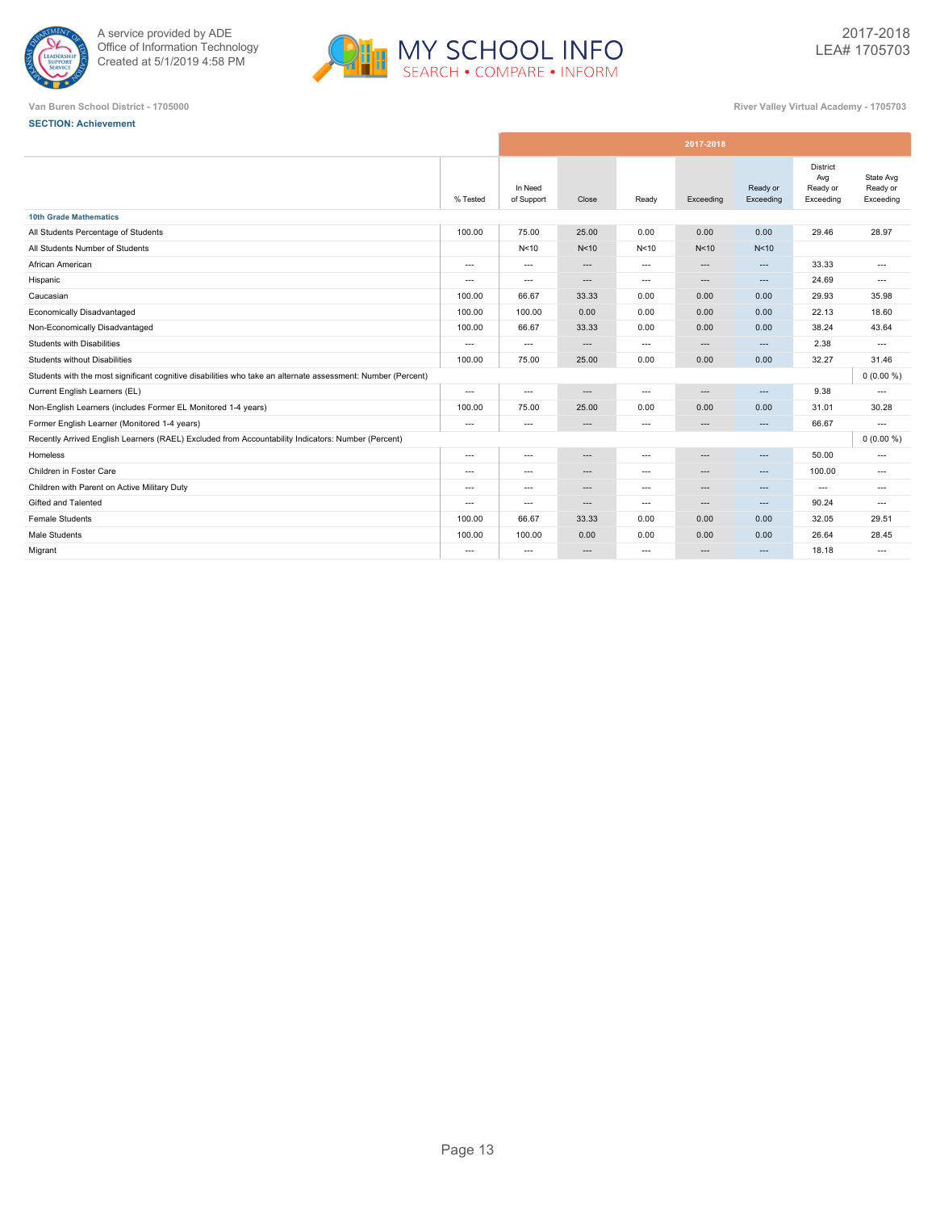



|                                                                                                              |                          |                          |                          |          | 2017-2018                |                          |                                          |                                    |
|--------------------------------------------------------------------------------------------------------------|--------------------------|--------------------------|--------------------------|----------|--------------------------|--------------------------|------------------------------------------|------------------------------------|
|                                                                                                              | % Tested                 | In Need<br>of Support    | Close                    | Ready    | Exceeding                | Ready or<br>Exceeding    | District<br>Avg<br>Ready or<br>Exceeding | State Avg<br>Ready or<br>Exceeding |
| <b>10th Grade Mathematics</b>                                                                                |                          |                          |                          |          |                          |                          |                                          |                                    |
| All Students Percentage of Students                                                                          | 100.00                   | 75.00                    | 25.00                    | 0.00     | 0.00                     | 0.00                     | 29.46                                    | 28.97                              |
| All Students Number of Students                                                                              |                          | N<10                     | N <sub>10</sub>          | N<10     | N <sub>10</sub>          | N <sub>10</sub>          |                                          |                                    |
| African American                                                                                             | $\hspace{0.05cm} \ldots$ | $\cdots$                 | $\hspace{0.05cm} \ldots$ | $\cdots$ | $\cdots$                 | $\hspace{0.05cm} \ldots$ | 33.33                                    | $---$                              |
| Hispanic                                                                                                     | $\cdots$                 | $\hspace{0.05cm} \ldots$ | $\cdots$                 | $\cdots$ | $\cdots$                 | $\sim$ $\sim$            | 24.69                                    | $\cdots$                           |
| Caucasian                                                                                                    | 100.00                   | 66.67                    | 33.33                    | 0.00     | 0.00                     | 0.00                     | 29.93                                    | 35.98                              |
| Economically Disadvantaged                                                                                   | 100.00                   | 100.00                   | 0.00                     | 0.00     | 0.00                     | 0.00                     | 22.13                                    | 18.60                              |
| Non-Economically Disadvantaged                                                                               | 100.00                   | 66.67                    | 33.33                    | 0.00     | 0.00                     | 0.00                     | 38.24                                    | 43.64                              |
| <b>Students with Disabilities</b>                                                                            | $\cdots$                 | $\cdots$                 | $\hspace{0.05cm} \ldots$ | $\cdots$ | $\cdots$                 | $\cdots$                 | 2.38                                     | $---$                              |
| <b>Students without Disabilities</b>                                                                         | 100.00                   | 75.00                    | 25.00                    | 0.00     | 0.00                     | 0.00                     | 32.27                                    | 31.46                              |
| Students with the most significant cognitive disabilities who take an alternate assessment: Number (Percent) |                          |                          |                          |          |                          |                          |                                          | $0(0.00\%)$                        |
| Current English Learners (EL)                                                                                | $\cdots$                 | $\cdots$                 | $\hspace{0.05cm} \ldots$ | $\cdots$ | $\cdots$                 | $\cdots$                 | 9.38                                     | $---$                              |
| Non-English Learners (includes Former EL Monitored 1-4 years)                                                | 100.00                   | 75.00                    | 25.00                    | 0.00     | 0.00                     | 0.00                     | 31.01                                    | 30.28                              |
| Former English Learner (Monitored 1-4 years)                                                                 | $\cdots$                 | $\hspace{0.05cm} \ldots$ | $\hspace{0.05cm} \ldots$ | $\cdots$ | $\hspace{0.05cm} \ldots$ | $\hspace{0.05cm} \ldots$ | 66.67                                    | $\overline{\phantom{a}}$           |
| Recently Arrived English Learners (RAEL) Excluded from Accountability Indicators: Number (Percent)           |                          |                          |                          |          |                          |                          |                                          | $0(0.00\%)$                        |
| Homeless                                                                                                     | $\cdots$                 | $\hspace{0.05cm} \ldots$ | $\hspace{0.05cm} \ldots$ | $\cdots$ | $\cdots$                 | $\cdots$                 | 50.00                                    | $\cdots$                           |
| Children in Foster Care                                                                                      | $\cdots$                 | $\hspace{0.05cm} \ldots$ | $\cdots$                 | $\cdots$ | $\cdots$                 | $\cdots$                 | 100.00                                   | $\cdots$                           |
| Children with Parent on Active Military Duty                                                                 | $\sim$ $\sim$            | $\sim$ $\sim$            | $\cdots$                 | $  -$    | $\cdots$                 | $\hspace{0.05cm} \ldots$ | $\cdots$                                 | $\cdots$                           |
| Gifted and Talented                                                                                          | $\cdots$                 | $\hspace{0.05cm} \ldots$ | $\cdots$                 | $\cdots$ | $\cdots$                 | $\cdots$                 | 90.24                                    | $\cdots$                           |
| <b>Female Students</b>                                                                                       | 100.00                   | 66.67                    | 33.33                    | 0.00     | 0.00                     | 0.00                     | 32.05                                    | 29.51                              |
| Male Students                                                                                                | 100.00                   | 100.00                   | 0.00                     | 0.00     | 0.00                     | 0.00                     | 26.64                                    | 28.45                              |
| Migrant                                                                                                      | $\cdots$                 | $---$                    | $---$                    | $\cdots$ | $---$                    | $---$                    | 18.18                                    | $\cdots$                           |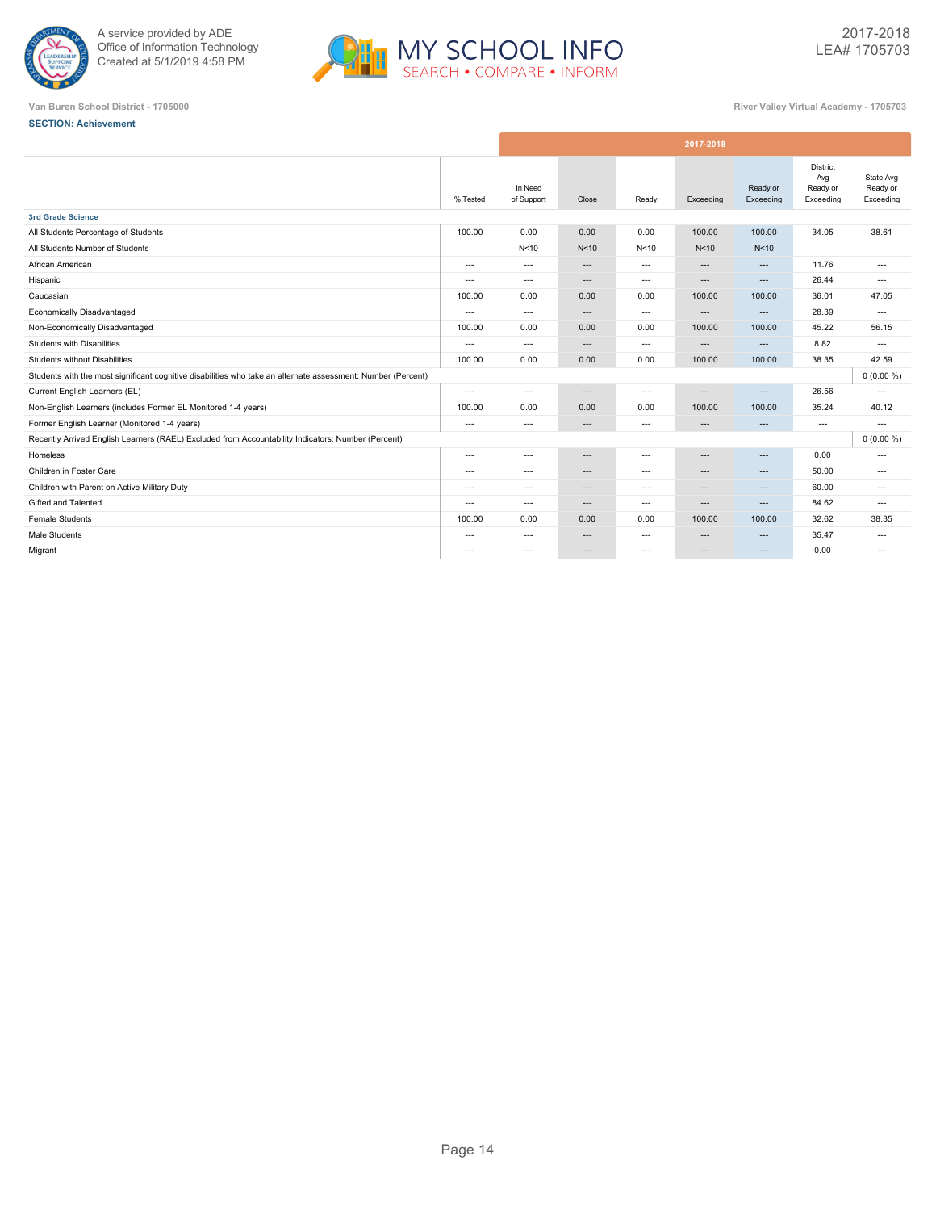



|                                                                                                              |                          |                          |                          |                          | 2017-2018                |                          |                                          |                                    |
|--------------------------------------------------------------------------------------------------------------|--------------------------|--------------------------|--------------------------|--------------------------|--------------------------|--------------------------|------------------------------------------|------------------------------------|
|                                                                                                              | % Tested                 | In Need<br>of Support    | Close                    | Ready                    | Exceeding                | Ready or<br>Exceeding    | District<br>Avg<br>Ready or<br>Exceeding | State Avg<br>Ready or<br>Exceeding |
| 3rd Grade Science                                                                                            |                          |                          |                          |                          |                          |                          |                                          |                                    |
| All Students Percentage of Students                                                                          | 100.00                   | 0.00                     | 0.00                     | 0.00                     | 100.00                   | 100.00                   | 34.05                                    | 38.61                              |
| All Students Number of Students                                                                              |                          | N<10                     | N <sub>10</sub>          | N<10                     | N<10                     | N<10                     |                                          |                                    |
| African American                                                                                             | $\hspace{0.05cm} \ldots$ | $\cdots$                 | $\cdots$                 | $---$                    | $\cdots$                 | $\cdots$                 | 11.76                                    | $\qquad \qquad \cdots$             |
| Hispanic                                                                                                     | $\hspace{0.05cm} \ldots$ | $\hspace{0.05cm} \ldots$ | $\hspace{0.05cm} \ldots$ | $\hspace{0.05cm} \ldots$ | $\hspace{0.05cm} \ldots$ | $\hspace{0.05cm} \ldots$ | 26.44                                    | $\cdots$                           |
| Caucasian                                                                                                    | 100.00                   | 0.00                     | 0.00                     | 0.00                     | 100.00                   | 100.00                   | 36.01                                    | 47.05                              |
| Economically Disadvantaged                                                                                   | $\sim$ $\sim$            | $\hspace{0.05cm} \ldots$ | $\hspace{0.05cm} \ldots$ | $\hspace{0.05cm} \ldots$ | $\hspace{0.05cm} \ldots$ | $\hspace{0.05cm} \ldots$ | 28.39                                    | $-\,$ – $-$                        |
| Non-Economically Disadvantaged                                                                               | 100.00                   | 0.00                     | 0.00                     | 0.00                     | 100.00                   | 100.00                   | 45.22                                    | 56.15                              |
| <b>Students with Disabilities</b>                                                                            | $\hspace{0.05cm} \ldots$ | $\hspace{0.05cm} \ldots$ | $\cdots$                 | $---$                    | $\hspace{0.05cm} \ldots$ | $---$                    | 8.82                                     | $\qquad \qquad -$                  |
| <b>Students without Disabilities</b>                                                                         | 100.00                   | 0.00                     | 0.00                     | 0.00                     | 100.00                   | 100.00                   | 38.35                                    | 42.59                              |
| Students with the most significant cognitive disabilities who take an alternate assessment: Number (Percent) |                          |                          |                          |                          |                          |                          |                                          | $0(0.00\%)$                        |
| Current English Learners (EL)                                                                                | $\hspace{0.05cm} \ldots$ | $\hspace{0.05cm} \ldots$ | $\hspace{0.05cm} \ldots$ | $\hspace{0.05cm} \ldots$ | $\hspace{0.05cm} \ldots$ | $\cdots$                 | 26.56                                    | $\hspace{0.05cm} \ldots$           |
| Non-English Learners (includes Former EL Monitored 1-4 years)                                                | 100.00                   | 0.00                     | 0.00                     | 0.00                     | 100.00                   | 100.00                   | 35.24                                    | 40.12                              |
| Former English Learner (Monitored 1-4 years)                                                                 | $\hspace{0.05cm} \ldots$ | $\hspace{0.05cm} \ldots$ | $\cdots$                 | $\hspace{0.05cm} \ldots$ | $\cdots$                 | $\cdots$                 | $\cdots$                                 | ---                                |
| Recently Arrived English Learners (RAEL) Excluded from Accountability Indicators: Number (Percent)           |                          |                          |                          |                          |                          |                          |                                          | $0(0.00\%)$                        |
| Homeless                                                                                                     | $\hspace{0.05cm} \ldots$ | $\hspace{0.05cm} \ldots$ | $\cdots$                 | $---$                    | $\cdots$                 | $\cdots$                 | 0.00                                     | $\cdots$                           |
| Children in Foster Care                                                                                      | $\hspace{0.05cm} \ldots$ | $\hspace{0.05cm} \ldots$ | $\qquad \qquad \cdots$   | $\overline{\phantom{a}}$ | $\hspace{0.05cm} \ldots$ | $\cdots$                 | 50.00                                    | $-\,$ – $-$                        |
| Children with Parent on Active Military Duty                                                                 | $\hspace{0.05cm} \ldots$ | $\hspace{0.05cm} \ldots$ | $\cdots$                 | $---$                    | $\sim$ $\sim$            | $\cdots$                 | 60.00                                    | $---$                              |
| Gifted and Talented                                                                                          | $\hspace{0.05cm} \ldots$ | $\hspace{0.05cm} \ldots$ | $\qquad \qquad \cdots$   | $\hspace{0.05cm} \ldots$ | $\hspace{0.05cm} \ldots$ | $\hspace{0.05cm} \ldots$ | 84.62                                    | $-\,$ – $-$                        |
| Female Students                                                                                              | 100.00                   | 0.00                     | 0.00                     | 0.00                     | 100.00                   | 100.00                   | 32.62                                    | 38.35                              |
| Male Students                                                                                                | $\hspace{0.05cm} \ldots$ | $\hspace{0.05cm} \ldots$ | $\cdots$                 | $\hspace{0.05cm} \ldots$ | $---$                    | $\cdots$                 | 35.47                                    | $\cdots$                           |
| Migrant                                                                                                      | $---$                    | $---$                    | $\cdots$                 | $---$                    | $\sim$ $\sim$            | $---$                    | 0.00                                     | $---$                              |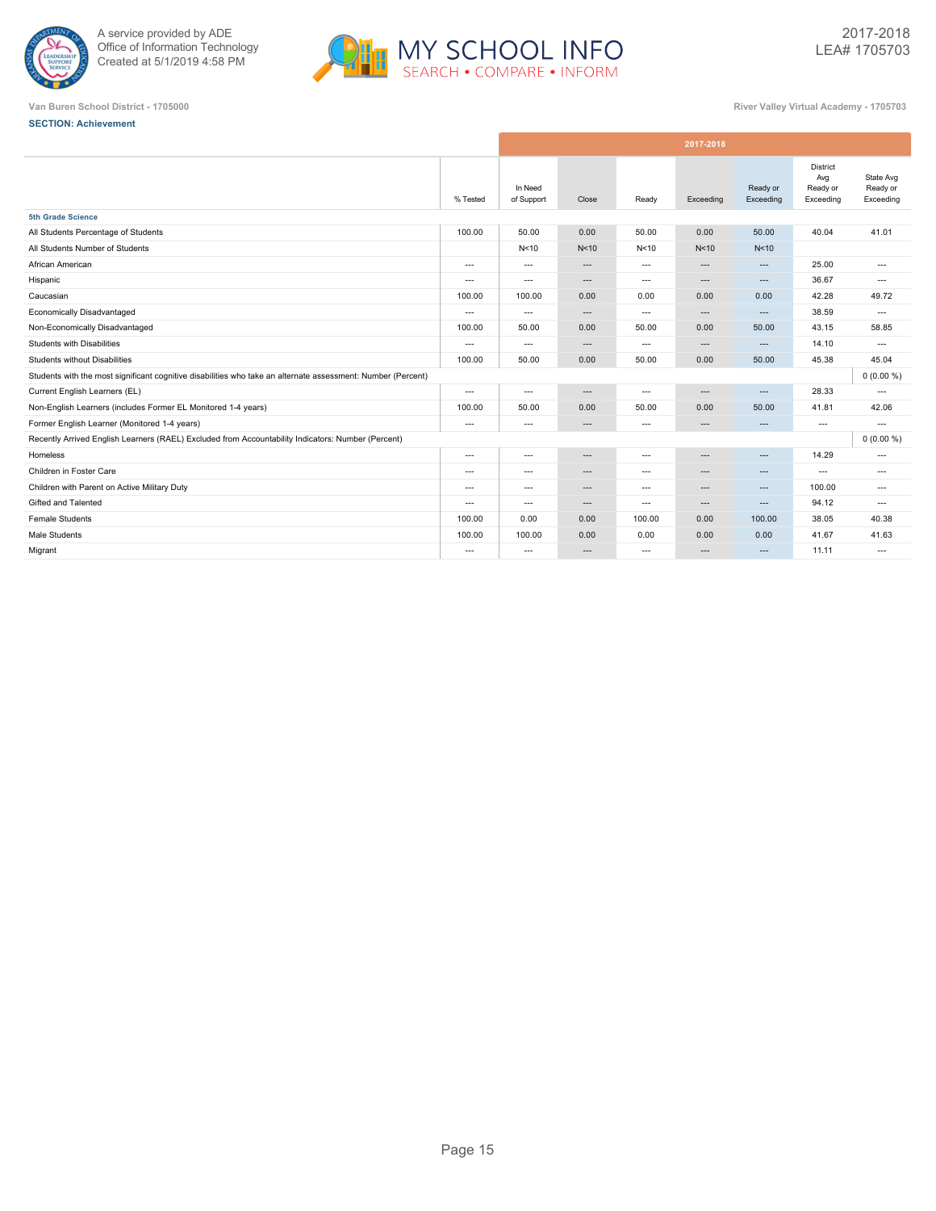



|                                                                                                              |                          | 2017-2018                |                          |                          |                          |                          |                                          |                                    |  |  |  |
|--------------------------------------------------------------------------------------------------------------|--------------------------|--------------------------|--------------------------|--------------------------|--------------------------|--------------------------|------------------------------------------|------------------------------------|--|--|--|
|                                                                                                              | % Tested                 | In Need<br>of Support    | Close                    | Ready                    | Exceeding                | Ready or<br>Exceeding    | District<br>Avg<br>Ready or<br>Exceeding | State Avg<br>Ready or<br>Exceeding |  |  |  |
| <b>5th Grade Science</b>                                                                                     |                          |                          |                          |                          |                          |                          |                                          |                                    |  |  |  |
| All Students Percentage of Students                                                                          | 100.00                   | 50.00                    | 0.00                     | 50.00                    | 0.00                     | 50.00                    | 40.04                                    | 41.01                              |  |  |  |
| All Students Number of Students                                                                              |                          | N<10                     | N <sub>10</sub>          | N<10                     | N<10                     | N <sub>10</sub>          |                                          |                                    |  |  |  |
| African American                                                                                             | $\hspace{0.05cm} \ldots$ | $\hspace{0.05cm} \ldots$ | $\qquad \qquad \cdots$   | $\cdots$                 | $\hspace{0.05cm} \ldots$ | $\cdots$                 | 25.00                                    | $\cdots$                           |  |  |  |
| Hispanic                                                                                                     | $\hspace{0.05cm} \ldots$ | $\qquad \qquad \cdots$   | $\qquad \qquad \cdots$   | $\cdots$                 | $\hspace{0.05cm} \ldots$ | $\hspace{0.05cm} \ldots$ | 36.67                                    | $---$                              |  |  |  |
| Caucasian                                                                                                    | 100.00                   | 100.00                   | 0.00                     | 0.00                     | 0.00                     | 0.00                     | 42.28                                    | 49.72                              |  |  |  |
| Economically Disadvantaged                                                                                   | $\hspace{0.05cm} \ldots$ | $\cdots$                 | $\cdots$                 | $\hspace{0.05cm} \ldots$ | $\cdots$                 | $\cdots$                 | 38.59                                    | $\qquad \qquad -$                  |  |  |  |
| Non-Economically Disadvantaged                                                                               | 100.00                   | 50.00                    | 0.00                     | 50.00                    | 0.00                     | 50.00                    | 43.15                                    | 58.85                              |  |  |  |
| <b>Students with Disabilities</b>                                                                            | $\hspace{0.05cm} \ldots$ | $\hspace{0.05cm} \ldots$ | $\cdots$                 | $---$                    | $\hspace{0.05cm} \ldots$ | $---$                    | 14.10                                    | $\qquad \qquad -$                  |  |  |  |
| <b>Students without Disabilities</b>                                                                         | 100.00                   | 50.00                    | 0.00                     | 50.00                    | 0.00                     | 50.00                    | 45.38                                    | 45.04                              |  |  |  |
| Students with the most significant cognitive disabilities who take an alternate assessment: Number (Percent) |                          |                          |                          |                          |                          |                          |                                          | $0(0.00\%)$                        |  |  |  |
| Current English Learners (EL)                                                                                | $\hspace{0.05cm} \ldots$ | $\hspace{0.05cm} \ldots$ | $\cdots$                 | $\hspace{0.05cm} \ldots$ | $\hspace{0.05cm} \ldots$ | $\cdots$                 | 28.33                                    | $\cdots$                           |  |  |  |
| Non-English Learners (includes Former EL Monitored 1-4 years)                                                | 100.00                   | 50.00                    | 0.00                     | 50.00                    | 0.00                     | 50.00                    | 41.81                                    | 42.06                              |  |  |  |
| Former English Learner (Monitored 1-4 years)                                                                 | $\hspace{0.05cm} \ldots$ | $\hspace{0.05cm} \ldots$ | $\cdots$                 | $\hspace{0.05cm} \ldots$ | $\cdots$                 | $\cdots$                 | $\cdots$                                 | ---                                |  |  |  |
| Recently Arrived English Learners (RAEL) Excluded from Accountability Indicators: Number (Percent)           |                          |                          |                          |                          |                          |                          |                                          | $0(0.00\%)$                        |  |  |  |
| Homeless                                                                                                     | $\hspace{0.05cm} \ldots$ | $\hspace{0.05cm} \ldots$ | $---$                    | $---$                    | $\sim$                   | $---$                    | 14.29                                    | $\cdots$                           |  |  |  |
| Children in Foster Care                                                                                      | $\hspace{0.05cm} \ldots$ | $---$                    | $\cdots$                 | $\cdots$                 | $\hspace{0.05cm} \cdots$ | $- - -$                  | $\hspace{0.05cm} \ldots$                 | $\qquad \qquad -$                  |  |  |  |
| Children with Parent on Active Military Duty                                                                 | $\hspace{0.05cm} \ldots$ | $\hspace{0.05cm} \ldots$ | $\hspace{0.05cm} \ldots$ | $\cdots$                 | $\hspace{0.05cm} \ldots$ | $- - -$                  | 100.00                                   | $\qquad \qquad -$                  |  |  |  |
| Gifted and Talented                                                                                          | $\hspace{0.05cm} \ldots$ | $\cdots$                 | $\cdots$                 | $---$                    | $\cdots$                 | $\cdots$                 | 94.12                                    | $---$                              |  |  |  |
| Female Students                                                                                              | 100.00                   | 0.00                     | 0.00                     | 100.00                   | 0.00                     | 100.00                   | 38.05                                    | 40.38                              |  |  |  |
| Male Students                                                                                                | 100.00                   | 100.00                   | 0.00                     | 0.00                     | 0.00                     | 0.00                     | 41.67                                    | 41.63                              |  |  |  |
| Migrant                                                                                                      | $---$                    | $---$                    | $---$                    | $---$                    | $---$                    | $---$                    | 11.11                                    | $---$                              |  |  |  |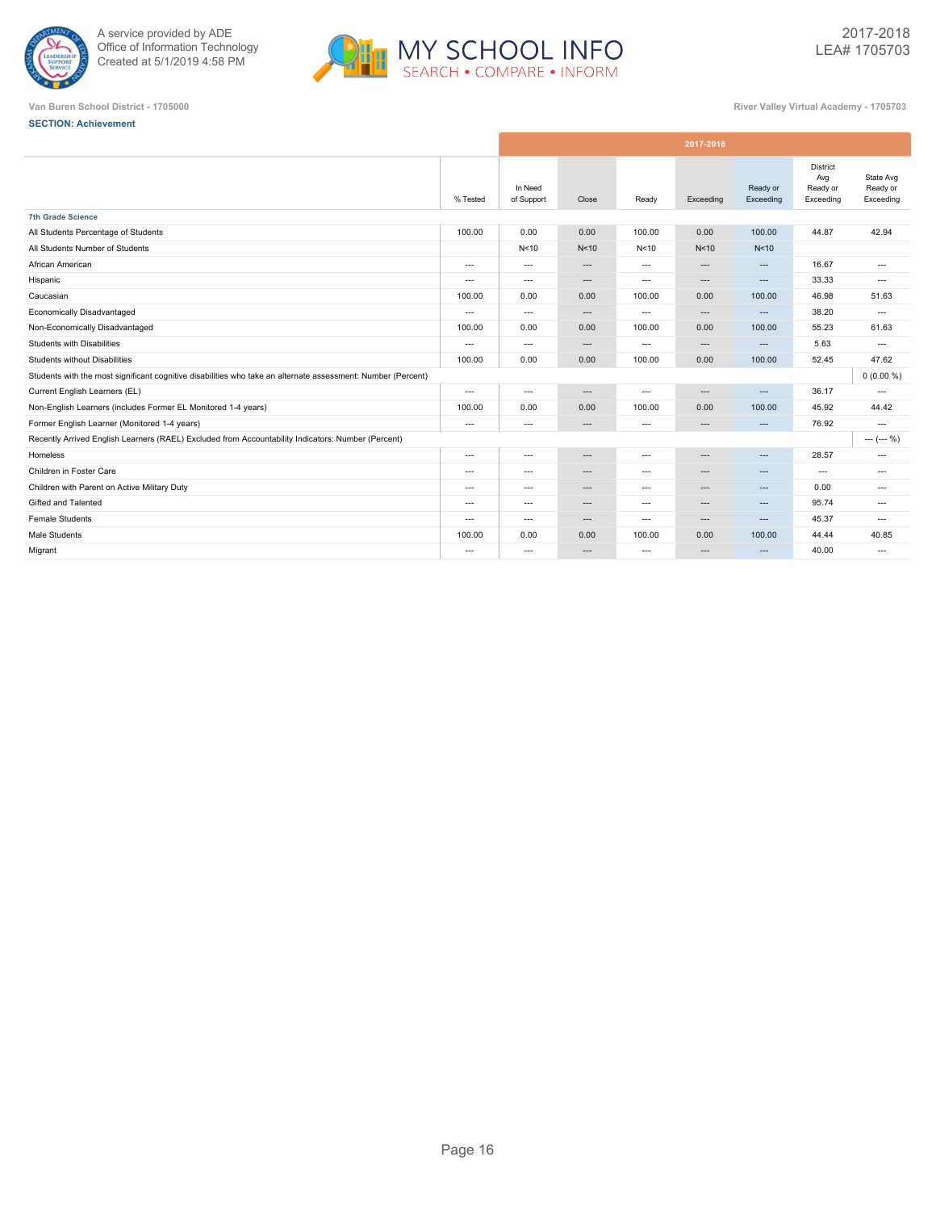



|                                                                                                              |                          |                          |                          |                          | 2017-2018 |                       |                                          |                                    |
|--------------------------------------------------------------------------------------------------------------|--------------------------|--------------------------|--------------------------|--------------------------|-----------|-----------------------|------------------------------------------|------------------------------------|
|                                                                                                              | % Tested                 | In Need<br>of Support    | Close                    | Ready                    | Exceeding | Ready or<br>Exceeding | District<br>Avg<br>Ready or<br>Exceeding | State Avg<br>Ready or<br>Exceeding |
| <b>7th Grade Science</b>                                                                                     |                          |                          |                          |                          |           |                       |                                          |                                    |
| All Students Percentage of Students                                                                          | 100.00                   | 0.00                     | 0.00                     | 100.00                   | 0.00      | 100.00                | 44.87                                    | 42.94                              |
| All Students Number of Students                                                                              |                          | N <sub>10</sub>          | N <sub>10</sub>          | N<10                     | N<10      | N <sub>10</sub>       |                                          |                                    |
| African American                                                                                             | ---                      | $\hspace{0.05cm} \ldots$ | $\cdots$                 | $---$                    | $---$     | $\cdots$              | 16.67                                    | $---$                              |
| Hispanic                                                                                                     | $\overline{\phantom{a}}$ | $\overline{\phantom{a}}$ | $\hspace{0.05cm} \ldots$ | ---                      | ---       | ---                   | 33.33                                    | ---                                |
| Caucasian                                                                                                    | 100.00                   | 0.00                     | 0.00                     | 100.00                   | 0.00      | 100.00                | 46.98                                    | 51.63                              |
| Economically Disadvantaged                                                                                   | $\hspace{0.05cm} \ldots$ | $\hspace{0.05cm} \ldots$ | $\cdots$                 | ---                      | $\cdots$  | ---                   | 38.20                                    | ---                                |
| Non-Economically Disadvantaged                                                                               | 100.00                   | 0.00                     | 0.00                     | 100.00                   | 0.00      | 100.00                | 55.23                                    | 61.63                              |
| Students with Disabilities                                                                                   | $\hspace{0.05cm} \ldots$ | $---$                    | $\cdots$                 | $---$                    | $---$     | $---$                 | 5.63                                     | $---$                              |
| Students without Disabilities                                                                                | 100.00                   | 0.00                     | 0.00                     | 100.00                   | 0.00      | 100.00                | 52.45                                    | 47.62                              |
| Students with the most significant cognitive disabilities who take an alternate assessment: Number (Percent) |                          |                          |                          |                          |           |                       |                                          | $0(0.00\%)$                        |
| Current English Learners (EL)                                                                                | $\overline{\phantom{a}}$ | $\overline{\phantom{a}}$ | $\qquad \qquad -$        | ---                      | $\cdots$  | $\cdots$              | 36.17                                    | $---$                              |
| Non-English Learners (includes Former EL Monitored 1-4 years)                                                | 100.00                   | 0.00                     | 0.00                     | 100.00                   | 0.00      | 100.00                | 45.92                                    | 44.42                              |
| Former English Learner (Monitored 1-4 years)                                                                 | $\hspace{0.05cm} \ldots$ | $\hspace{0.05cm} \ldots$ | $\cdots$                 | $\hspace{0.05cm} \ldots$ | $\cdots$  | $\cdots$              | 76.92                                    | ---                                |
| Recently Arrived English Learners (RAEL) Excluded from Accountability Indicators: Number (Percent)           |                          |                          |                          |                          |           |                       |                                          | $--- (-0)$                         |
| Homeless                                                                                                     | $\overline{a}$           | $\overline{\phantom{a}}$ | $---$                    | $---$                    | $---$     | $\cdots$              | 28.57                                    | $---$                              |
| Children in Foster Care                                                                                      | $---$                    | $---$                    | $---$                    | $---$                    | $---$     | $---$                 | $---$                                    | $---$                              |
| Children with Parent on Active Military Duty                                                                 | $---$                    | $---$                    | $---$                    | $---$                    | $---$     | $---$                 | 0.00                                     | $---$                              |
| Gifted and Talented                                                                                          | $---$                    | $---$                    | $---$                    | $---$                    | $---$     | $---$                 | 95.74                                    | $---$                              |
| <b>Female Students</b>                                                                                       | $---$                    | $---$                    | $---$                    | $---$                    | $---$     | $---$                 | 45.37                                    | $---$                              |
| Male Students                                                                                                | 100.00                   | 0.00                     | 0.00                     | 100.00                   | 0.00      | 100.00                | 44.44                                    | 40.85                              |
| Migrant                                                                                                      | $\hspace{0.05cm} \ldots$ | $\hspace{0.05cm} \ldots$ | $\cdots$                 | $\sim$ $\sim$            | $\cdots$  | $\cdots$              | 40.00                                    | $---$                              |
|                                                                                                              |                          |                          |                          |                          |           |                       |                                          |                                    |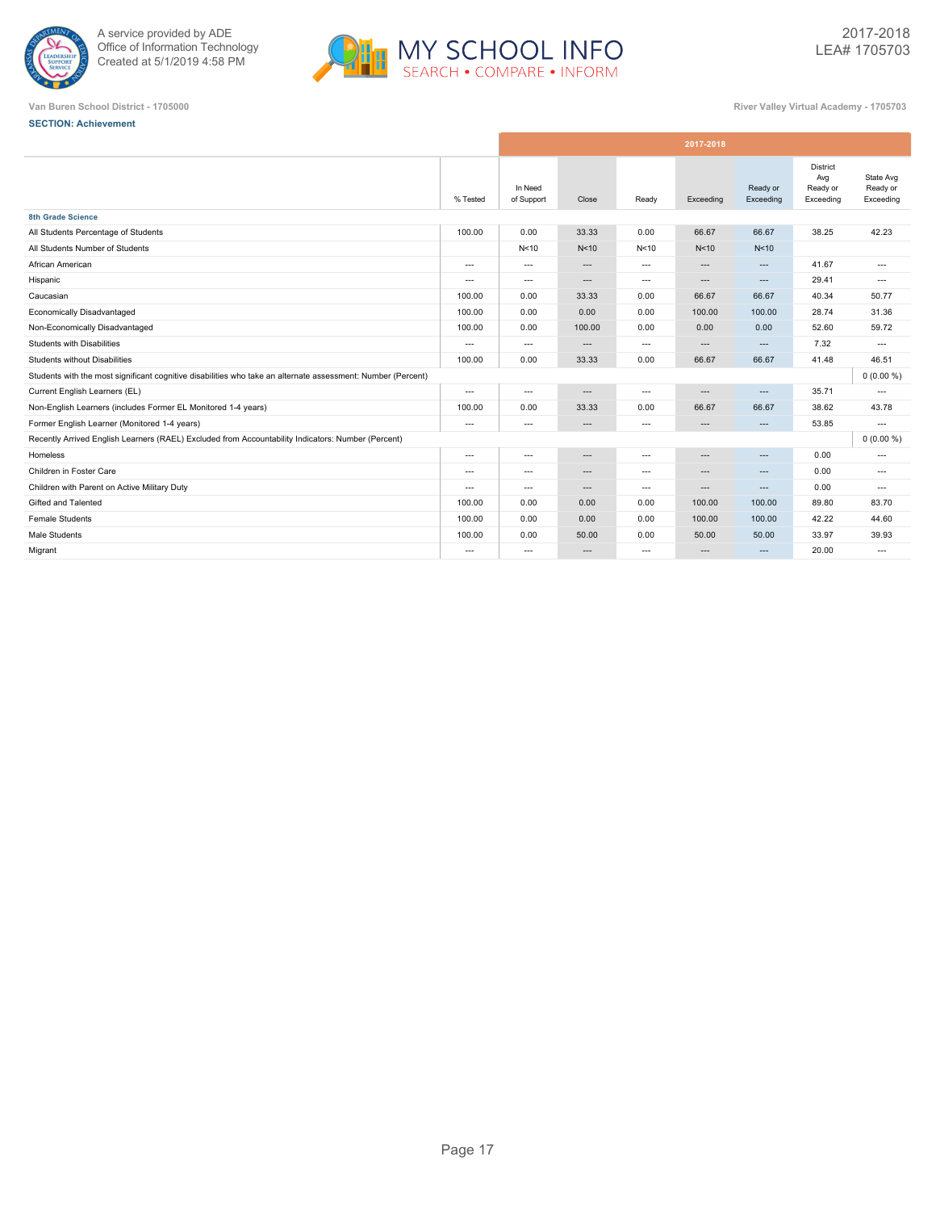

í,



## **Van Buren School District - 1705000 River Valley Virtual Academy - 1705703**

|                                                                                                              |                          |                          |                          |                        | 2017-2018                |                               |                                          |                                    |
|--------------------------------------------------------------------------------------------------------------|--------------------------|--------------------------|--------------------------|------------------------|--------------------------|-------------------------------|------------------------------------------|------------------------------------|
|                                                                                                              | % Tested                 | In Need<br>of Support    | Close                    | Ready                  | Exceeding                | Ready or<br>Exceeding         | District<br>Avg<br>Ready or<br>Exceeding | State Avg<br>Ready or<br>Exceeding |
| <b>8th Grade Science</b>                                                                                     |                          |                          |                          |                        |                          |                               |                                          |                                    |
| All Students Percentage of Students                                                                          | 100.00                   | 0.00                     | 33.33                    | 0.00                   | 66.67                    | 66.67                         | 38.25                                    | 42.23                              |
| All Students Number of Students                                                                              |                          | N <sub>10</sub>          | N <sub>10</sub>          | N<10                   | N<10                     | N<10                          |                                          |                                    |
| African American                                                                                             | $---$                    | $---$                    | $\cdots$                 | $\cdots$               | $\cdots$                 | $\sim$ $\sim$                 | 41.67                                    | $---$                              |
| Hispanic                                                                                                     | $\hspace{0.05cm} \ldots$ | $\hspace{0.05cm} \cdots$ | $\hspace{0.05cm} \ldots$ | $\qquad \qquad \cdots$ | $\hspace{0.05cm} \ldots$ | $\hspace{1.5cm} \textbf{---}$ | 29.41                                    | $\hspace{0.05cm} \ldots$           |
| Caucasian                                                                                                    | 100.00                   | 0.00                     | 33.33                    | 0.00                   | 66.67                    | 66.67                         | 40.34                                    | 50.77                              |
| Economically Disadvantaged                                                                                   | 100.00                   | 0.00                     | 0.00                     | 0.00                   | 100.00                   | 100.00                        | 28.74                                    | 31.36                              |
| Non-Economically Disadvantaged                                                                               | 100.00                   | 0.00                     | 100.00                   | 0.00                   | 0.00                     | 0.00                          | 52.60                                    | 59.72                              |
| <b>Students with Disabilities</b>                                                                            | $---$                    | $---$                    | $\hspace{0.05cm} \ldots$ | $\cdots$               | $\cdots$                 | $\hspace{0.05cm} \ldots$      | 7.32                                     | $---$                              |
| <b>Students without Disabilities</b>                                                                         | 100.00                   | 0.00                     | 33.33                    | 0.00                   | 66.67                    | 66.67                         | 41.48                                    | 46.51                              |
| Students with the most significant cognitive disabilities who take an alternate assessment: Number (Percent) |                          |                          |                          |                        |                          |                               |                                          | $0(0.00\%)$                        |
| Current English Learners (EL)                                                                                | $---$                    | $---$                    | $\hspace{0.05cm} \ldots$ | $\cdots$               | $\cdots$                 | $\cdots$                      | 35.71                                    | $\cdots$                           |
| Non-English Learners (includes Former EL Monitored 1-4 years)                                                | 100.00                   | 0.00                     | 33.33                    | 0.00                   | 66.67                    | 66.67                         | 38.62                                    | 43.78                              |
| Former English Learner (Monitored 1-4 years)                                                                 | $---$                    | $---$                    | $\hspace{0.05cm} \ldots$ | $  -$                  | $\hspace{0.05cm} \ldots$ | $---$                         | 53.85                                    | $\cdots$                           |
| Recently Arrived English Learners (RAEL) Excluded from Accountability Indicators: Number (Percent)           |                          |                          |                          |                        |                          |                               |                                          | $0(0.00\%)$                        |
| Homeless                                                                                                     | $\sim$ $\sim$            | $---$                    | $\cdots$                 | $  -$                  | $\cdots$                 | $\sim$ $\sim$                 | 0.00                                     | $\cdots$                           |
| Children in Foster Care                                                                                      | $\sim$ $\sim$            | $---$                    | $\cdots$                 | $---$                  | $\sim$ $\sim$            | $  -$                         | 0.00                                     | $\cdots$                           |
| Children with Parent on Active Military Duty                                                                 | $---$                    | $---$                    | $\cdots$                 | $---$                  | $\hspace{0.05cm} \cdots$ | $\sim$ $\sim$                 | 0.00                                     | $  -$                              |
| Gifted and Talented                                                                                          | 100.00                   | 0.00                     | 0.00                     | 0.00                   | 100.00                   | 100.00                        | 89.80                                    | 83.70                              |
| <b>Female Students</b>                                                                                       | 100.00                   | 0.00                     | 0.00                     | 0.00                   | 100.00                   | 100.00                        | 42.22                                    | 44.60                              |
| Male Students                                                                                                | 100.00                   | 0.00                     | 50.00                    | 0.00                   | 50.00                    | 50.00                         | 33.97                                    | 39.93                              |
| Migrant                                                                                                      | $\hspace{0.05cm} \ldots$ | $\cdots$                 | $\cdots$                 | $\cdots$               | $\cdots$                 | $\cdots$                      | 20.00                                    | $\cdots$                           |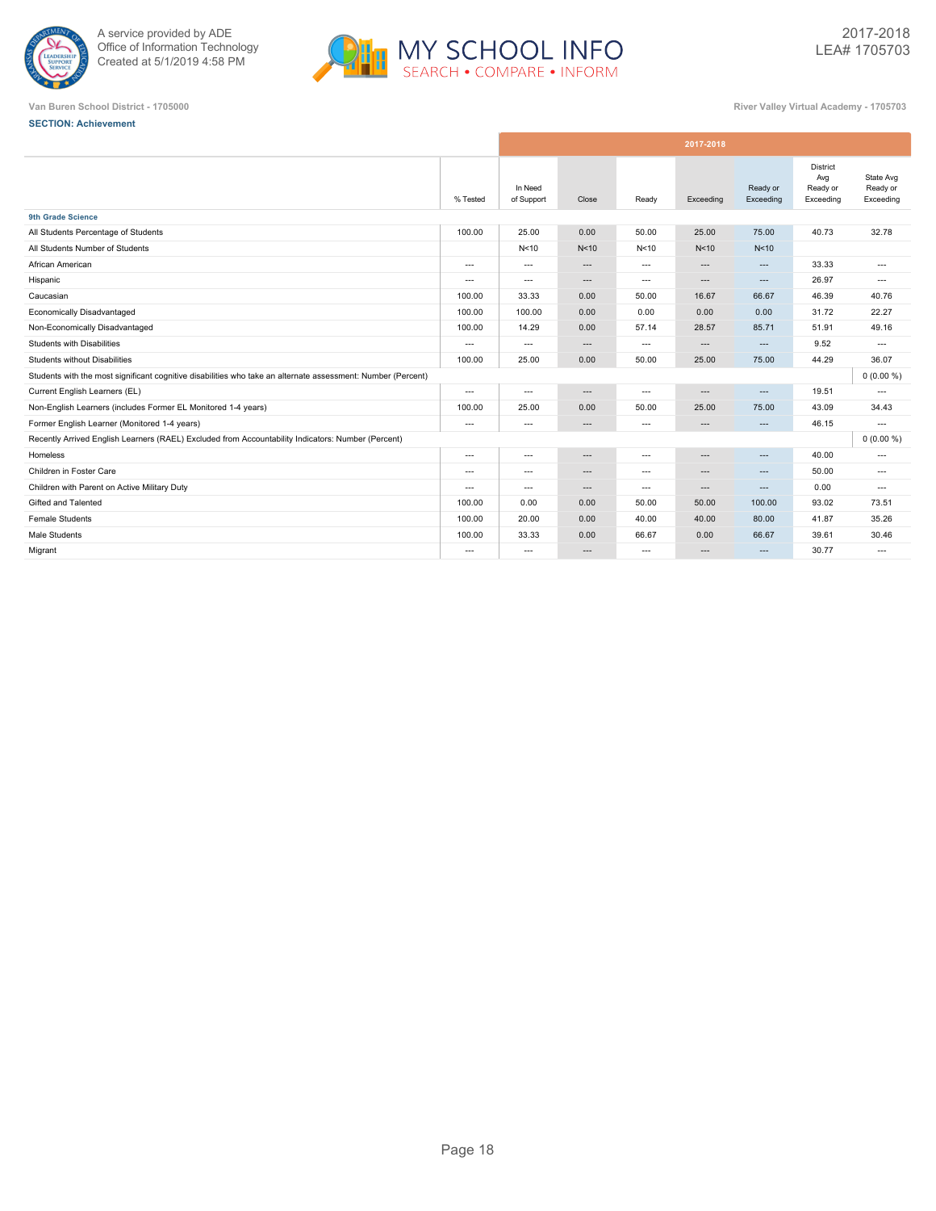



|                                                                                                              |                          |                          |                          |                          | 2017-2018                |                       |                                          |                                    |
|--------------------------------------------------------------------------------------------------------------|--------------------------|--------------------------|--------------------------|--------------------------|--------------------------|-----------------------|------------------------------------------|------------------------------------|
|                                                                                                              | % Tested                 | In Need<br>of Support    | Close                    | Ready                    | Exceeding                | Ready or<br>Exceeding | District<br>Avg<br>Ready or<br>Exceeding | State Avg<br>Ready or<br>Exceeding |
| 9th Grade Science                                                                                            |                          |                          |                          |                          |                          |                       |                                          |                                    |
| All Students Percentage of Students                                                                          | 100.00                   | 25.00                    | 0.00                     | 50.00                    | 25.00                    | 75.00                 | 40.73                                    | 32.78                              |
| All Students Number of Students                                                                              |                          | N <sub>10</sub>          | N <sub>10</sub>          | N<10                     | N<10                     | N<10                  |                                          |                                    |
| African American                                                                                             | $\hspace{0.05cm} \ldots$ | $\hspace{0.05cm} \ldots$ | $\cdots$                 | $  -$                    | $\cdots$                 | $\cdots$              | 33.33                                    | $\cdots$                           |
| Hispanic                                                                                                     | $\overline{\phantom{a}}$ | $\hspace{0.05cm} \ldots$ | $\hspace{0.05cm} \ldots$ | $\cdots$                 | ---                      | $\cdots$              | 26.97                                    | $\overline{\phantom{a}}$           |
| Caucasian                                                                                                    | 100.00                   | 33.33                    | 0.00                     | 50.00                    | 16.67                    | 66.67                 | 46.39                                    | 40.76                              |
| Economically Disadvantaged                                                                                   | 100.00                   | 100.00                   | 0.00                     | 0.00                     | 0.00                     | 0.00                  | 31.72                                    | 22.27                              |
| Non-Economically Disadvantaged                                                                               | 100.00                   | 14.29                    | 0.00                     | 57.14                    | 28.57                    | 85.71                 | 51.91                                    | 49.16                              |
| Students with Disabilities                                                                                   | $\hspace{0.05cm} \ldots$ | $\cdots$                 | $\hspace{0.05cm} \ldots$ | $\cdots$                 | $\hspace{0.05cm} \ldots$ | $---$                 | 9.52                                     | $\qquad \qquad -$                  |
| Students without Disabilities                                                                                | 100.00                   | 25.00                    | 0.00                     | 50.00                    | 25.00                    | 75.00                 | 44.29                                    | 36.07                              |
| Students with the most significant cognitive disabilities who take an alternate assessment: Number (Percent) |                          |                          |                          |                          |                          |                       |                                          | $0(0.00\%)$                        |
| Current English Learners (EL)                                                                                | $\overline{\phantom{a}}$ | $\hspace{0.05cm} \ldots$ | $\hspace{0.05cm} \ldots$ | $\cdots$                 | $---$                    | $---$                 | 19.51                                    | ---                                |
| Non-English Learners (includes Former EL Monitored 1-4 years)                                                | 100.00                   | 25.00                    | 0.00                     | 50.00                    | 25.00                    | 75.00                 | 43.09                                    | 34.43                              |
| Former English Learner (Monitored 1-4 years)                                                                 | $\hspace{0.05cm} \ldots$ | $\hspace{0.05cm} \ldots$ | $\hspace{0.05cm} \ldots$ | $\hspace{0.05cm} \ldots$ | $\hspace{0.05cm} \ldots$ | $---$                 | 46.15                                    | ---                                |
| Recently Arrived English Learners (RAEL) Excluded from Accountability Indicators: Number (Percent)           |                          |                          |                          |                          |                          |                       |                                          | $0(0.00\%)$                        |
| Homeless                                                                                                     | $\overline{\phantom{a}}$ | $\hspace{0.05cm} \ldots$ | $\hspace{0.05cm} \ldots$ | $\cdots$                 | $\cdots$                 | $\cdots$              | 40.00                                    | $\overline{\phantom{a}}$           |
| Children in Foster Care                                                                                      | $---$                    | $---$                    | $---$                    | $---$                    | $---$                    | $---$                 | 50.00                                    | $---$                              |
| Children with Parent on Active Military Duty                                                                 | $\hspace{0.05cm} \ldots$ | $\hspace{0.05cm} \ldots$ | $\cdots$                 | $\cdots$                 | $\sim$ $\sim$            | $\cdots$              | 0.00                                     | $\qquad \qquad -$                  |
| Gifted and Talented                                                                                          | 100.00                   | 0.00                     | 0.00                     | 50.00                    | 50.00                    | 100.00                | 93.02                                    | 73.51                              |
| <b>Female Students</b>                                                                                       | 100.00                   | 20.00                    | 0.00                     | 40.00                    | 40.00                    | 80.00                 | 41.87                                    | 35.26                              |
| Male Students                                                                                                | 100.00                   | 33.33                    | 0.00                     | 66.67                    | 0.00                     | 66.67                 | 39.61                                    | 30.46                              |
| Migrant                                                                                                      | $\hspace{0.05cm} \ldots$ | $\hspace{0.05cm} \ldots$ | $\hspace{0.05cm} \ldots$ | $\cdots$                 | $---$                    | $---$                 | 30.77                                    | $\overline{\phantom{a}}$           |
|                                                                                                              |                          |                          |                          |                          |                          |                       |                                          |                                    |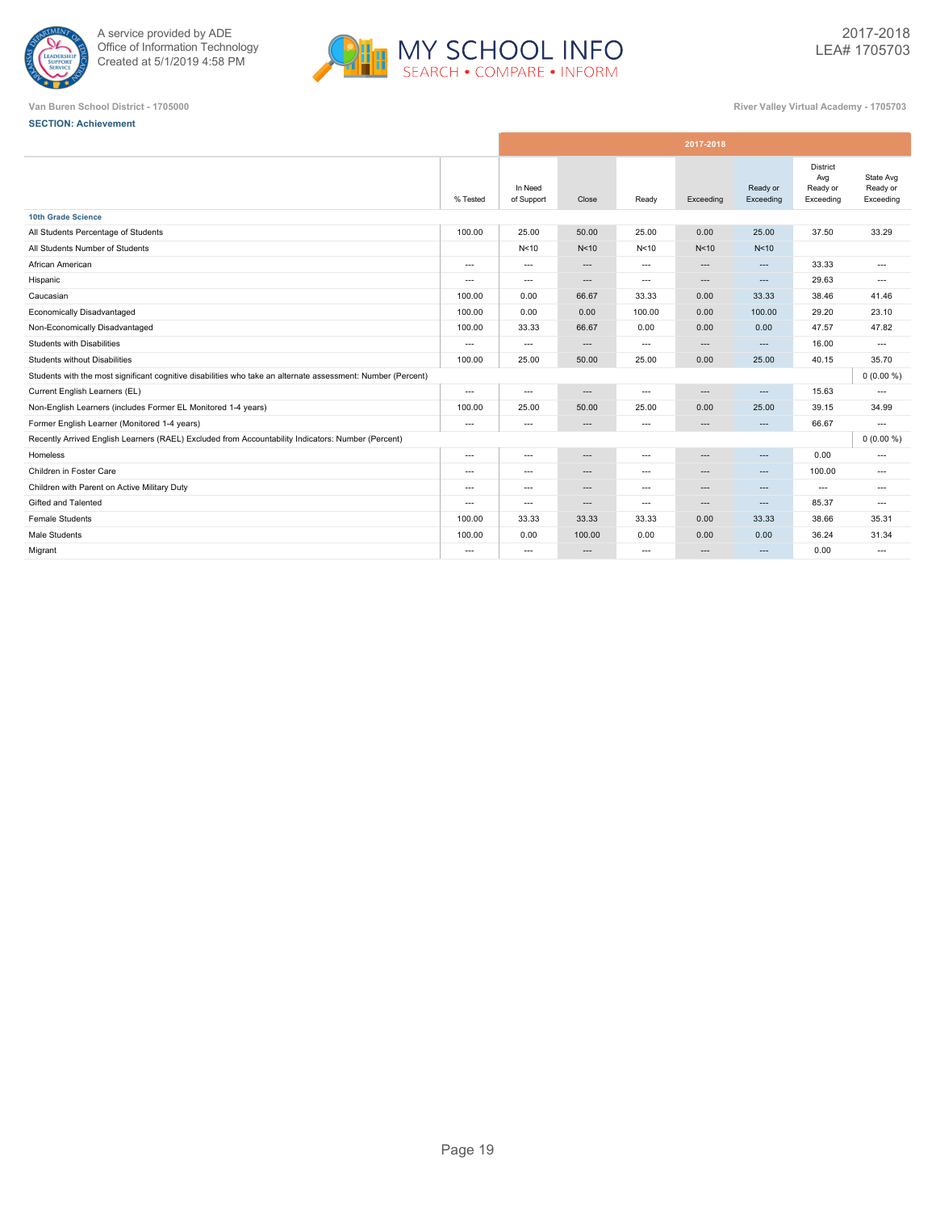

í,



## **Van Buren School District - 1705000 River Valley Virtual Academy - 1705703**

|                                                                                                              |                          |                          |                          |                          | 2017-2018                |                                          |                                          |                                    |
|--------------------------------------------------------------------------------------------------------------|--------------------------|--------------------------|--------------------------|--------------------------|--------------------------|------------------------------------------|------------------------------------------|------------------------------------|
|                                                                                                              | % Tested                 | In Need<br>of Support    | Close                    | Ready                    | Exceeding                | Ready or<br>Exceeding                    | District<br>Avg<br>Ready or<br>Exceeding | State Avg<br>Ready or<br>Exceeding |
| 10th Grade Science                                                                                           |                          |                          |                          |                          |                          |                                          |                                          |                                    |
| All Students Percentage of Students                                                                          | 100.00                   | 25.00                    | 50.00                    | 25.00                    | 0.00                     | 25.00                                    | 37.50                                    | 33.29                              |
| All Students Number of Students                                                                              |                          | N <sub>10</sub>          | N <sub>10</sub>          | N<10                     | N<10                     | N <sub>10</sub>                          |                                          |                                    |
| African American                                                                                             | $\sim$ $\sim$ $\sim$     | $\qquad \qquad \cdots$   | $\cdots$                 | $\hspace{0.05cm} \ldots$ | $\cdots$                 | $\sim$ $\sim$                            | 33.33                                    | $\cdots$                           |
| Hispanic                                                                                                     | $\sim$ $\sim$ $\sim$     | $---$                    | $\qquad \qquad \cdots$   | $  -$                    | $\hspace{0.05cm} \cdots$ | $\hspace{0.05cm} \ldots$                 | 29.63                                    | $\cdots$                           |
| Caucasian                                                                                                    | 100.00                   | 0.00                     | 66.67                    | 33.33                    | 0.00                     | 33.33                                    | 38.46                                    | 41.46                              |
| Economically Disadvantaged                                                                                   | 100.00                   | 0.00                     | 0.00                     | 100.00                   | 0.00                     | 100.00                                   | 29.20                                    | 23.10                              |
| Non-Economically Disadvantaged                                                                               | 100.00                   | 33.33                    | 66.67                    | 0.00                     | 0.00                     | 0.00                                     | 47.57                                    | 47.82                              |
| <b>Students with Disabilities</b>                                                                            | $---$                    | $\cdots$                 | $\hspace{0.05cm} \ldots$ | $\cdots$                 | $\cdots$                 | $\cdots$                                 | 16.00                                    | $---$                              |
| <b>Students without Disabilities</b>                                                                         | 100.00                   | 25.00                    | 50.00                    | 25.00                    | 0.00                     | 25.00                                    | 40.15                                    | 35.70                              |
| Students with the most significant cognitive disabilities who take an alternate assessment: Number (Percent) |                          |                          |                          |                          |                          |                                          |                                          | $0(0.00\%)$                        |
| Current English Learners (EL)                                                                                | $\hspace{0.05cm} \ldots$ | $\hspace{0.05cm} \ldots$ | $\hspace{0.05cm} \ldots$ | $  -$                    | $\hspace{0.05cm} \ldots$ | $\cdots$                                 | 15.63                                    | $\cdots$                           |
| Non-English Learners (includes Former EL Monitored 1-4 years)                                                | 100.00                   | 25.00                    | 50.00                    | 25.00                    | 0.00                     | 25.00                                    | 39.15                                    | 34.99                              |
| Former English Learner (Monitored 1-4 years)                                                                 | $\sim$ $\sim$            | $---$                    | $\cdots$                 | $  -$                    | $\cdots$                 | $\sim$ $\sim$                            | 66.67                                    | $---$                              |
| Recently Arrived English Learners (RAEL) Excluded from Accountability Indicators: Number (Percent)           |                          |                          |                          |                          |                          |                                          |                                          | $0(0.00\%)$                        |
| Homeless                                                                                                     | $\sim$ $\sim$            | $---$                    | $\cdots$                 | $  -$                    | $\cdots$                 | $\cdots$                                 | 0.00                                     | $\cdots$                           |
| Children in Foster Care                                                                                      | $\sim$ $\sim$            | $\hspace{0.05cm} \ldots$ | $---$                    | $\hspace{0.05cm} \ldots$ | $\cdots$                 | $  -$                                    | 100.00                                   | $---$                              |
| Children with Parent on Active Military Duty                                                                 | $\hspace{0.05cm} \ldots$ | $\hspace{0.05cm} \ldots$ | $\cdots$                 | $\cdots$                 | $\cdots$                 | $\cdots$                                 | $\hspace{0.05cm} \ldots$                 | $\cdots$                           |
| Gifted and Talented                                                                                          | $\hspace{0.05cm} \ldots$ | $\qquad \qquad \cdots$   | $\qquad \qquad \cdots$   | $\hspace{0.05cm} \ldots$ | $\hspace{0.05cm} \cdots$ | $\hspace{0.05cm} \ldots \hspace{0.05cm}$ | 85.37                                    | $\hspace{0.05cm} \ldots$           |
| Female Students                                                                                              | 100.00                   | 33.33                    | 33.33                    | 33.33                    | 0.00                     | 33.33                                    | 38.66                                    | 35.31                              |
| Male Students                                                                                                | 100.00                   | 0.00                     | 100.00                   | 0.00                     | 0.00                     | 0.00                                     | 36.24                                    | 31.34                              |
| Migrant                                                                                                      | $---$                    | $---$                    | $---$                    | $---$                    | $---$                    | $---$                                    | 0.00                                     | $---$                              |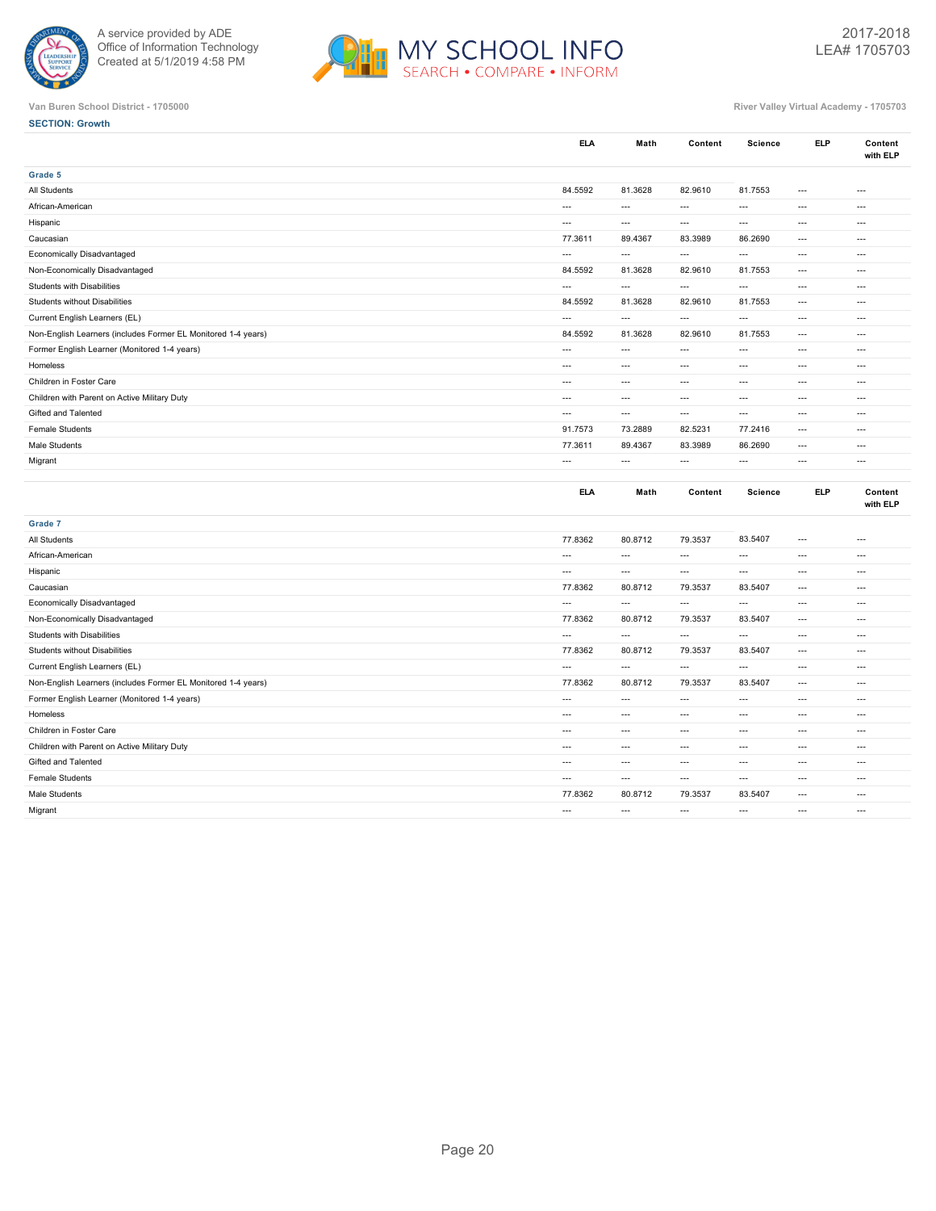

**SECTION: Growth**



**Van Buren School District - 1705000 River Valley Virtual Academy - 1705703**

|                                                               | <b>ELA</b>               | Math                     | Content                  | <b>Science</b>           | <b>ELP</b>               | Content<br>with ELP      |
|---------------------------------------------------------------|--------------------------|--------------------------|--------------------------|--------------------------|--------------------------|--------------------------|
| Grade 5                                                       |                          |                          |                          |                          |                          |                          |
| All Students                                                  | 84.5592                  | 81.3628                  | 82.9610                  | 81.7553                  | $\overline{\phantom{a}}$ | $\hspace{0.05cm} \cdots$ |
| African-American                                              | $\overline{\phantom{a}}$ | $\overline{\phantom{a}}$ | $\overline{\phantom{a}}$ | $\overline{\phantom{a}}$ | $\overline{\phantom{a}}$ | $---$                    |
| Hispanic                                                      | $\overline{\phantom{a}}$ | $\overline{\phantom{a}}$ | $\hspace{0.05cm} \ldots$ | $\overline{\phantom{a}}$ | $\cdots$                 | $\cdots$                 |
| Caucasian                                                     | 77.3611                  | 89.4367                  | 83.3989                  | 86.2690                  | $\cdots$                 | $\hspace{0.05cm} \cdots$ |
| Economically Disadvantaged                                    | $\overline{\phantom{a}}$ | $\overline{\phantom{a}}$ | $\overline{\phantom{a}}$ | $\overline{a}$           | $\overline{\phantom{a}}$ | $\cdots$                 |
| Non-Economically Disadvantaged                                | 84.5592                  | 81.3628                  | 82.9610                  | 81.7553                  | $\overline{\phantom{a}}$ | ---                      |
| Students with Disabilities                                    | $\overline{\phantom{a}}$ | $\overline{\phantom{a}}$ | $\hspace{0.05cm} \ldots$ | $\overline{\phantom{a}}$ | $\cdots$                 | $\hspace{0.05cm} \cdots$ |
| <b>Students without Disabilities</b>                          | 84.5592                  | 81.3628                  | 82.9610                  | 81.7553                  | $\cdots$                 | $\hspace{0.05cm} \cdots$ |
| Current English Learners (EL)                                 | $\overline{\phantom{a}}$ | $\cdots$                 | $\overline{\phantom{a}}$ | $\hspace{0.05cm} \ldots$ | $\overline{\phantom{a}}$ | $---$                    |
| Non-English Learners (includes Former EL Monitored 1-4 years) | 84.5592                  | 81.3628                  | 82.9610                  | 81.7553                  | $\overline{a}$           | ---                      |
| Former English Learner (Monitored 1-4 years)                  | $\overline{\phantom{a}}$ | $\hspace{0.05cm} \ldots$ | $\hspace{0.05cm} \ldots$ | $\hspace{0.05cm} \ldots$ | $\overline{\phantom{a}}$ | ---                      |
| Homeless                                                      | $---$                    | $\overline{\phantom{a}}$ | $---$                    | $\hspace{0.05cm} \ldots$ | $---$                    | $---$                    |
| Children in Foster Care                                       | $\overline{\phantom{a}}$ | $\overline{\phantom{a}}$ | $\hspace{0.05cm} \ldots$ | $\hspace{0.05cm} \ldots$ | $\cdots$                 | $\hspace{0.05cm} \cdots$ |
| Children with Parent on Active Military Duty                  | $\overline{\phantom{a}}$ | $\overline{\phantom{a}}$ | $\overline{\phantom{a}}$ | $\hspace{0.05cm} \ldots$ | $\overline{\phantom{a}}$ | $\cdots$                 |
| Gifted and Talented                                           | $---$                    | $\cdots$                 | $\overline{\phantom{a}}$ | $\hspace{0.05cm} \ldots$ | $\overline{\phantom{a}}$ | $---$                    |
| <b>Female Students</b>                                        | 91.7573                  | 73.2889                  | 82.5231                  | 77.2416                  | $\overline{\phantom{a}}$ | $\cdots$                 |
| Male Students                                                 | 77.3611                  | 89.4367                  | 83.3989                  | 86.2690                  | $\overline{\phantom{a}}$ | ---                      |
| Migrant                                                       | $\overline{\phantom{a}}$ | $\overline{\phantom{a}}$ | $\hspace{0.05cm} \ldots$ | $\overline{\phantom{a}}$ | $\cdots$                 | $\cdots$                 |
|                                                               |                          |                          |                          |                          |                          |                          |
|                                                               | <b>ELA</b>               | Math                     | Content                  | <b>Science</b>           | <b>ELP</b>               | Content<br>with ELP      |
| Grade 7                                                       |                          |                          |                          |                          |                          |                          |
| All Students                                                  | 77.8362                  | 80.8712                  | 79.3537                  | 83.5407                  | $\cdots$                 | $\hspace{0.05cm} \cdots$ |
| African-American                                              | $---$                    | $\cdots$                 | $\overline{\phantom{a}}$ | $\hspace{0.05cm} \ldots$ | $\overline{\phantom{a}}$ | $---$                    |
| Hispanic                                                      | $\overline{\phantom{a}}$ | $\hspace{0.05cm} \ldots$ | $\hspace{0.05cm} \ldots$ | $\hspace{0.05cm} \ldots$ | $\overline{\phantom{a}}$ | ---                      |
| Caucasian                                                     | 77.8362                  | 80.8712                  | 79.3537                  | 83.5407                  | $\cdots$                 | $\hspace{0.05cm} \cdots$ |
| Economically Disadvantaged                                    | $\overline{\phantom{a}}$ | $\cdots$                 | $\overline{\phantom{a}}$ | $\hspace{0.05cm} \ldots$ | $\overline{\phantom{a}}$ | $\cdots$                 |
| Non-Economically Disadvantaged                                | 77.8362                  | 80.8712                  | 79.3537                  | 83.5407                  | $\cdots$                 | ---                      |

Students with Disabilities --- --- --- --- --- --- Students without Disabilities 77.8362 80.8712 79.3537 83.5407 --- --- Current English Learners (EL) --- --- --- --- --- --- Non-English Learners (includes Former EL Monitored 1-4 years) 77.8362 77.8362 80.8712 79.3537 83.5407 --- ---Former English Learner (Monitored 1-4 years) --- --- --- --- --- --- Homeless --- --- --- --- --- --- Children in Foster Care --- --- --- --- --- --- Children with Parent on Active Military Duty --- --- --- --- --- --- Gifted and Talented --- --- --- --- --- --- Female Students --- --- --- --- --- --- Male Students 77.8362 80.8712 79.3537 83.5407 --- --- Migrant --- --- --- --- --- ---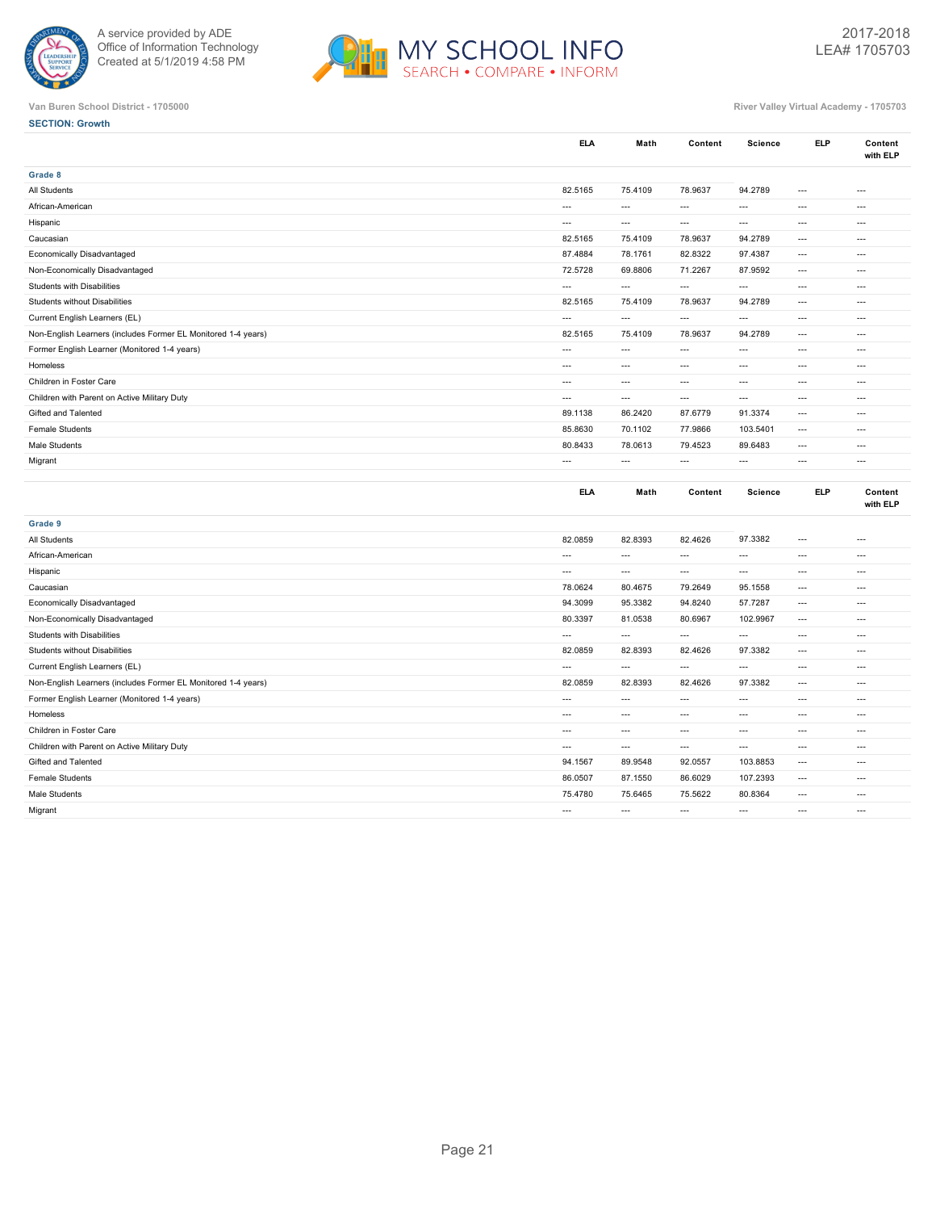



| <b>SECTION: Growth</b>                                        |                          |                          |                          |                          |                          |                          |
|---------------------------------------------------------------|--------------------------|--------------------------|--------------------------|--------------------------|--------------------------|--------------------------|
|                                                               | <b>ELA</b>               | Math                     | Content                  | <b>Science</b>           | <b>ELP</b>               | Content<br>with ELP      |
| Grade 8                                                       |                          |                          |                          |                          |                          |                          |
| All Students                                                  | 82.5165                  | 75.4109                  | 78.9637                  | 94.2789                  | $\hspace{0.05cm} \ldots$ | $\hspace{0.05cm} \ldots$ |
| African-American                                              | $\overline{a}$           | $---$                    | $\overline{\phantom{a}}$ | $---$                    | $\overline{\phantom{a}}$ | $---$                    |
| Hispanic                                                      | $---$                    | $---$                    | $---$                    | $---$                    | $---$                    | $---$                    |
| Caucasian                                                     | 82.5165                  | 75.4109                  | 78.9637                  | 94.2789                  | $\hspace{0.05cm} \ldots$ | $\hspace{0.05cm} \ldots$ |
| Economically Disadvantaged                                    | 87.4884                  | 78.1761                  | 82.8322                  | 97.4387                  | $\hspace{0.05cm} \ldots$ | $\cdots$                 |
| Non-Economically Disadvantaged                                | 72.5728                  | 69.8806                  | 71.2267                  | 87.9592                  | $\hspace{0.05cm} \ldots$ | $---$                    |
| Students with Disabilities                                    | $\overline{\phantom{a}}$ | $\hspace{0.05cm} \ldots$ | $\cdots$                 | $\overline{\phantom{a}}$ | $\overline{\phantom{a}}$ | $---$                    |
| <b>Students without Disabilities</b>                          | 82.5165                  | 75.4109                  | 78.9637                  | 94.2789                  | $\overline{\phantom{a}}$ | $\cdots$                 |
| Current English Learners (EL)                                 | $\overline{\phantom{a}}$ | $\overline{\phantom{a}}$ | $\overline{\phantom{a}}$ | $\overline{\phantom{a}}$ | $\overline{\phantom{a}}$ | $---$                    |
| Non-English Learners (includes Former EL Monitored 1-4 years) | 82.5165                  | 75.4109                  | 78.9637                  | 94.2789                  | $\hspace{0.05cm} \ldots$ | $\hspace{0.05cm} \ldots$ |
| Former English Learner (Monitored 1-4 years)                  | $\overline{a}$           | $\overline{\phantom{a}}$ | $\overline{\phantom{a}}$ | ---                      | $\overline{a}$           | $---$                    |
| Homeless                                                      | $---$                    | $\hspace{0.05cm} \ldots$ | $\hspace{0.05cm} \ldots$ | $\hspace{0.05cm} \ldots$ | $\hspace{0.05cm} \ldots$ | $\hspace{0.05cm} \ldots$ |
| Children in Foster Care                                       | $---$                    | $\overline{\phantom{a}}$ | $---$                    | $\overline{a}$           | $\overline{a}$           | $---$                    |
| Children with Parent on Active Military Duty                  | $---$                    | $\overline{\phantom{a}}$ | $\cdots$                 | $\overline{\phantom{a}}$ | $\hspace{0.05cm} \ldots$ | $\hspace{0.05cm} \ldots$ |
| Gifted and Talented                                           | 89.1138                  | 86.2420                  | 87.6779                  | 91.3374                  | $\hspace{0.05cm} \ldots$ | $\hspace{0.05cm} \ldots$ |
| <b>Female Students</b>                                        | 85.8630                  | 70.1102                  | 77.9866                  | 103.5401                 | $\overline{\phantom{a}}$ | $\hspace{0.05cm} \ldots$ |
| Male Students                                                 | 80.8433                  | 78.0613                  | 79.4523                  | 89.6483                  | $---$                    | $---$                    |
| Migrant                                                       | $\overline{a}$           | $\overline{\phantom{a}}$ | $\overline{\phantom{a}}$ | ---                      | $\overline{a}$           | $\overline{\phantom{a}}$ |
|                                                               |                          |                          |                          |                          |                          |                          |
|                                                               | <b>ELA</b>               | Math                     | Content                  | <b>Science</b>           | <b>ELP</b>               | Content<br>with ELP      |
| Grade 9                                                       |                          |                          |                          |                          |                          |                          |
| All Students                                                  | 82.0859                  | 82.8393                  | 82.4626                  | 97.3382                  | $\hspace{0.05cm} \ldots$ | $---$                    |
| African-American                                              | $\overline{\phantom{a}}$ | $\overline{\phantom{a}}$ | $\overline{\phantom{a}}$ | $\overline{\phantom{a}}$ | $\overline{\phantom{a}}$ | $\hspace{0.05cm} \ldots$ |
| Hispanic                                                      | $---$                    | $\hspace{0.05cm} \ldots$ | $\cdots$                 | $\overline{\phantom{a}}$ | $\hspace{0.05cm} \ldots$ | $---$                    |
| Caucasian                                                     | 78.0624                  | 80.4675                  | 79.2649                  | 95.1558                  | $\overline{\phantom{a}}$ | $\hspace{0.05cm} \ldots$ |
| Economically Disadvantaged                                    | 94.3099                  | 95.3382                  | 94.8240                  | 57.7287                  | $\cdots$                 | $---$                    |
| Non-Economically Disadvantaged                                | 80.3397                  | 81.0538                  | 80.6967                  | 102.9967                 | $\overline{\phantom{a}}$ | $\cdots$                 |
| Students with Disabilities                                    | $---$                    | $\overline{\phantom{a}}$ | ---                      | ---                      | $---$                    | $---$                    |
| Students without Disabilities                                 | 82.0859                  | 82.8393                  | 82.4626                  | 97.3382                  | $---$                    | $\hspace{0.05cm} \ldots$ |
| Current English Learners (EL)                                 | $\overline{\phantom{a}}$ | ---                      | ---                      | ---                      | $---$                    | $\cdots$                 |
| Non-English Learners (includes Former EL Monitored 1-4 years) | 82.0859                  | 82.8393                  | 82.4626                  | 97.3382                  | $---$                    | $---$                    |

Former English Learner (Monitored 1-4 years) --- --- --- --- --- --- Homeless --- --- --- --- --- --- Children in Foster Care --- --- --- --- --- --- Children with Parent on Active Military Duty --- --- --- --- --- --- Gifted and Talented 94.1567 89.9548 92.0557 103.8853 --- --- Female Students 86.0507 87.1550 86.6029 107.2393 --- --- Male Students 75.4780 75.6465 75.5622 80.8364 --- --- Migrant --- --- --- --- --- ---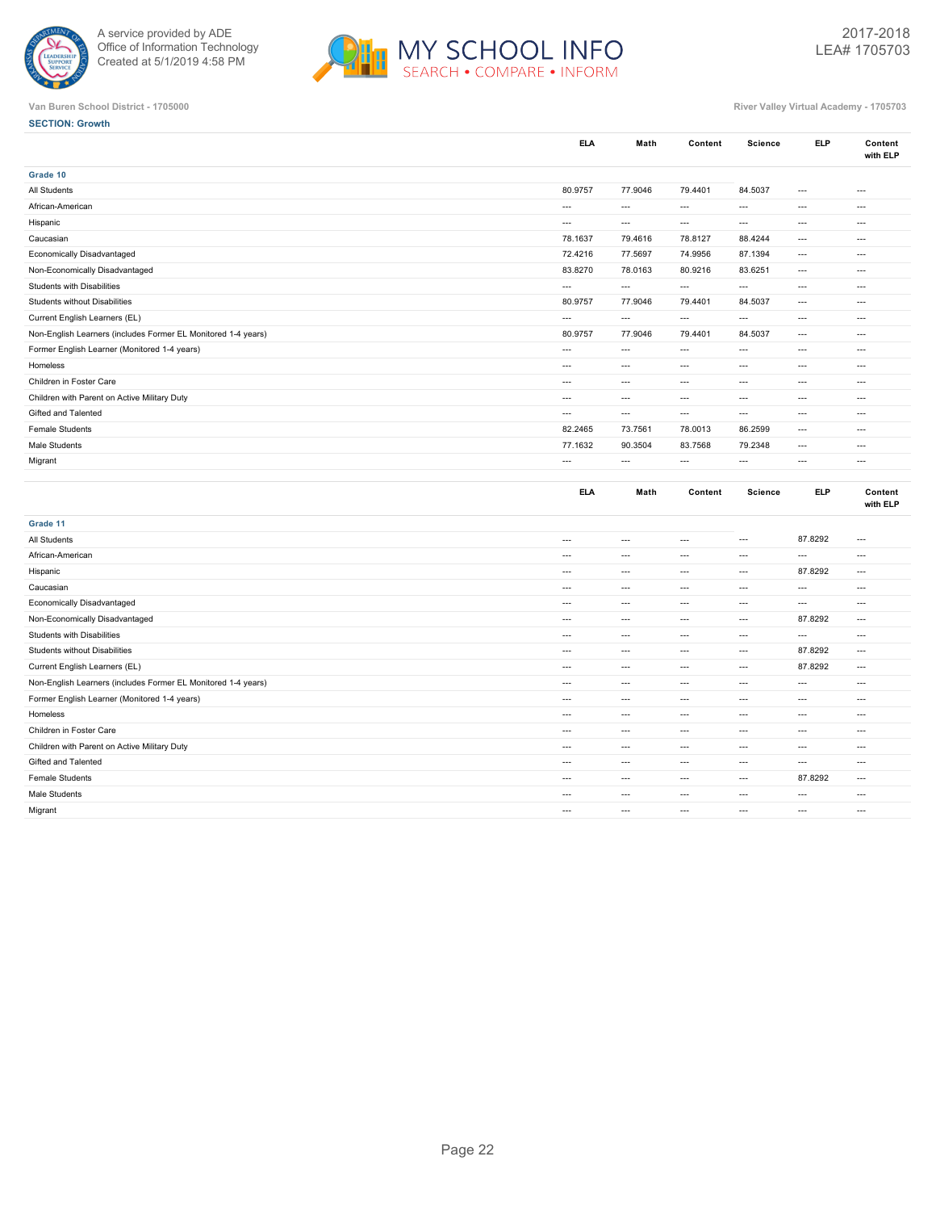

**SECTION: Growth**



**Van Buren School District - 1705000 River Valley Virtual Academy - 1705703**

|                                                               | <b>ELA</b>             | Math                     | Content                  | <b>Science</b>           | <b>ELP</b>        | Content<br>with ELP |
|---------------------------------------------------------------|------------------------|--------------------------|--------------------------|--------------------------|-------------------|---------------------|
| Grade 10                                                      |                        |                          |                          |                          |                   |                     |
| All Students                                                  | 80.9757                | 77.9046                  | 79.4401                  | 84.5037                  | $\cdots$          | $\cdots$            |
| African-American                                              | $---$                  | $\hspace{0.05cm} \ldots$ | $\sim$ $\sim$            | $\hspace{0.05cm} \ldots$ | $---$             | $---$               |
| Hispanic                                                      | $---$                  | $\sim$ $\sim$            | $\sim$ $\sim$            | $\hspace{0.05cm} \ldots$ | $---$             | $---$               |
| Caucasian                                                     | 78.1637                | 79.4616                  | 78.8127                  | 88.4244                  | $\cdots$          | $\qquad \qquad -$   |
| Economically Disadvantaged                                    | 72.4216                | 77.5697                  | 74.9956                  | 87.1394                  | $\cdots$          | $---$               |
| Non-Economically Disadvantaged                                | 83.8270                | 78.0163                  | 80.9216                  | 83.6251                  | $\cdots$          | ---                 |
| <b>Students with Disabilities</b>                             | $\qquad \qquad \cdots$ | $\sim$ $\sim$            | $\hspace{0.05cm} \ldots$ | $\hspace{0.05cm} \ldots$ | $\cdots$          | $\qquad \qquad -$   |
| <b>Students without Disabilities</b>                          | 80.9757                | 77.9046                  | 79.4401                  | 84.5037                  | $\qquad \qquad -$ | $---$               |
| Current English Learners (EL)                                 | $---$                  | $\sim$ $\sim$            | $\sim$ $\sim$            | $\hspace{0.05cm} \ldots$ | $---$             | $---$               |
| Non-English Learners (includes Former EL Monitored 1-4 years) | 80.9757                | 77.9046                  | 79.4401                  | 84.5037                  | $\cdots$          | ---                 |
| Former English Learner (Monitored 1-4 years)                  | $---$                  | $---$                    | $---$                    | $---$                    | $---$             | ---                 |
| Homeless                                                      | $---$                  | $\sim$ $\sim$            | $\hspace{0.05cm} \ldots$ | $\hspace{0.05cm} \ldots$ | $\cdots$          | $\cdots$            |
| Children in Foster Care                                       | $---$                  | $---$                    | $---$                    | $\cdots$                 | $---$             | ---                 |
| Children with Parent on Active Military Duty                  | $\cdots$               | $\sim$ $\sim$            | $\hspace{0.05cm} \ldots$ | $\hspace{0.05cm} \ldots$ | $\cdots$          | $\cdots$            |
| Gifted and Talented                                           | $---$                  | $\sim$ $\sim$            | $\sim$ $\sim$            | $\hspace{0.05cm} \ldots$ | $\cdots$          | $\cdots$            |
| Female Students                                               | 82.2465                | 73.7561                  | 78.0013                  | 86.2599                  | $\qquad \qquad -$ | ---                 |
| Male Students                                                 | 77.1632                | 90.3504                  | 83.7568                  | 79.2348                  | $\cdots$          | $\qquad \qquad -$   |
| Migrant                                                       | $---$                  | $---$                    | $---$                    | $---$                    | $---$             | $---$               |
|                                                               |                        |                          |                          |                          |                   |                     |

|                                                               | ELA               | Math                     | Content  | Science                  | <b>ELP</b>             | Content<br>with ELP |
|---------------------------------------------------------------|-------------------|--------------------------|----------|--------------------------|------------------------|---------------------|
| Grade 11                                                      |                   |                          |          |                          |                        |                     |
| All Students                                                  | $---$             | $\cdots$                 | $\cdots$ | $\hspace{0.05cm} \ldots$ | 87.8292                | $\cdots$            |
| African-American                                              | $\qquad \qquad -$ | $---$                    | $\cdots$ | $\hspace{0.05cm} \ldots$ | $\qquad \qquad \cdots$ | $\qquad \qquad -$   |
| Hispanic                                                      | $---$             | $---$                    | $---$    | $---$                    | 87.8292                | $---$               |
| Caucasian                                                     | $\qquad \qquad -$ | $\sim$ $\sim$            | $\sim$   | $\hspace{0.05cm} \ldots$ | $\cdots$               | $\qquad \qquad -$   |
| Economically Disadvantaged                                    | $---$             | $---$                    | $---$    | $---$                    | $---$                  | $---$               |
| Non-Economically Disadvantaged                                | $---$             | $---$                    | $---$    | $\hspace{0.05cm} \ldots$ | 87.8292                | $\cdots$            |
| Students with Disabilities                                    | $---$             | $---$                    | $---$    | $---$                    | $\cdots$               | $\qquad \qquad -$   |
| <b>Students without Disabilities</b>                          | $\qquad \qquad -$ | $\hspace{0.05cm} \ldots$ | $---$    | $\hspace{0.05cm} \ldots$ | 87.8292                | $\cdots$            |
| Current English Learners (EL)                                 | $---$             | $---$                    | $---$    | $---$                    | 87.8292                | $\cdots$            |
| Non-English Learners (includes Former EL Monitored 1-4 years) | $\qquad \qquad -$ | $\cdots$                 | $\cdots$ | $\hspace{0.05cm} \ldots$ | $\cdots$               | $\qquad \qquad -$   |
| Former English Learner (Monitored 1-4 years)                  | $---$             | $---$                    | $---$    | $---$                    | $---$                  | $---$               |
| Homeless                                                      | $---$             | $---$                    | $---$    | $---$                    | $---$                  | $---$               |
| Children in Foster Care                                       | $---$             | $---$                    | $---$    | $---$                    | $---$                  | $---$               |
| Children with Parent on Active Military Duty                  | $---$             | $---$                    | $\cdots$ | $\hspace{0.05cm} \ldots$ | $\qquad \qquad \cdots$ | $\qquad \qquad -$   |
| Gifted and Talented                                           | $---$             | $---$                    | $---$    | $---$                    | $---$                  | $---$               |
| Female Students                                               | $---$             | $---$                    | $---$    | $---$                    | 87.8292                | $\qquad \qquad -$   |
| Male Students                                                 | $---$             | $---$                    | $---$    | $---$                    | $\qquad \qquad \cdots$ | $\qquad \qquad -$   |
|                                                               |                   |                          |          |                          |                        |                     |

Migrant --- --- --- --- --- ---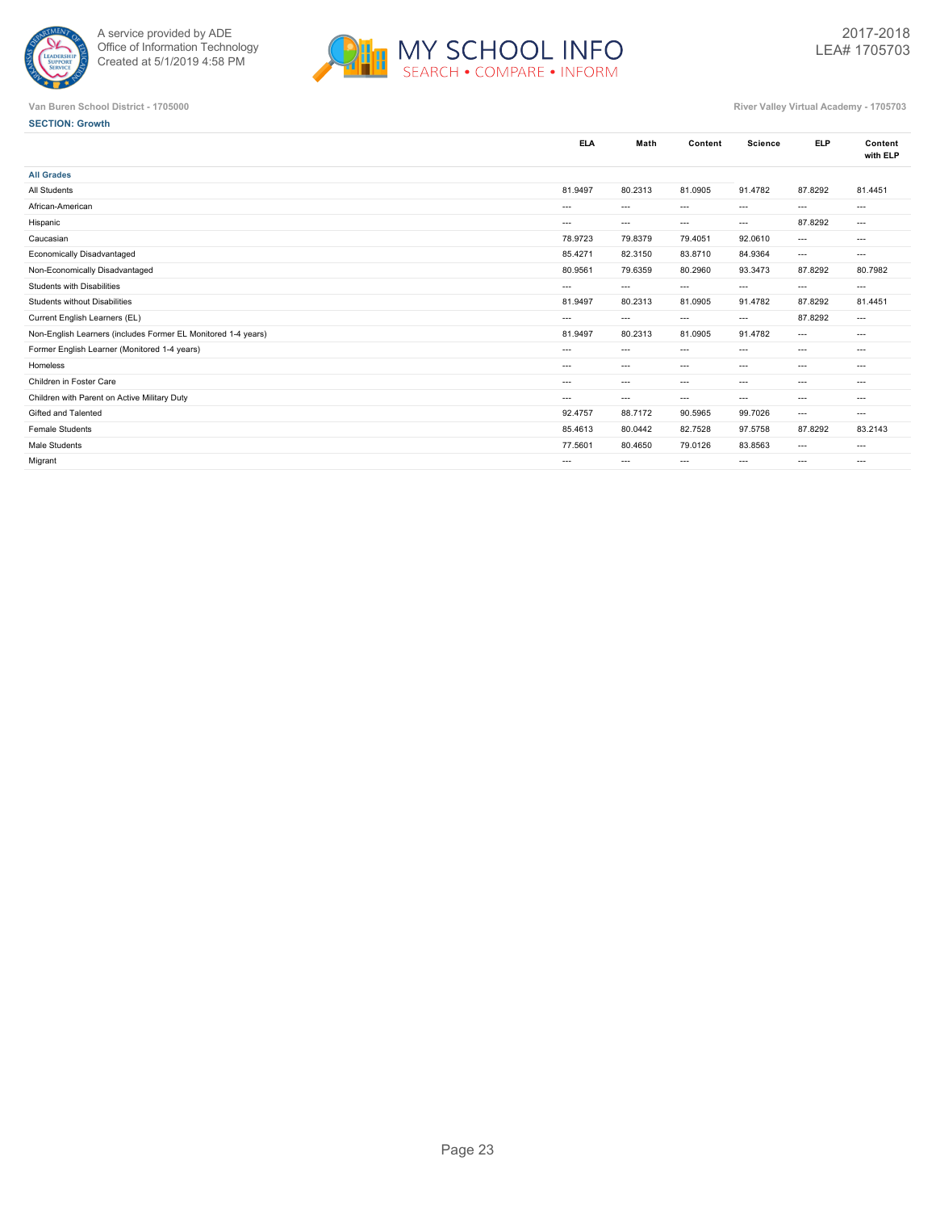

**SECTION: Growth**



|                                                               | <b>ELA</b> | Math          | Content       | <b>Science</b> | <b>ELP</b>             | Content<br>with ELP |
|---------------------------------------------------------------|------------|---------------|---------------|----------------|------------------------|---------------------|
| <b>All Grades</b>                                             |            |               |               |                |                        |                     |
| All Students                                                  | 81.9497    | 80.2313       | 81.0905       | 91.4782        | 87.8292                | 81.4451             |
| African-American                                              | $---$      | $\cdots$      | $---$         | $\sim$ $\sim$  | $---$                  | $\cdots$            |
| Hispanic                                                      | $---$      | $\cdots$      | $\cdots$      | $\cdots$       | 87.8292                | $---$               |
| Caucasian                                                     | 78.9723    | 79.8379       | 79.4051       | 92.0610        | $\cdots$               | $---$               |
| Economically Disadvantaged                                    | 85.4271    | 82.3150       | 83.8710       | 84.9364        | $---$                  | $---$               |
| Non-Economically Disadvantaged                                | 80.9561    | 79.6359       | 80.2960       | 93.3473        | 87.8292                | 80.7982             |
| Students with Disabilities                                    | $---$      | $---$         | $\sim$ $\sim$ | $\sim$ $\sim$  | $\cdots$               | $\cdots$            |
| <b>Students without Disabilities</b>                          | 81.9497    | 80.2313       | 81.0905       | 91.4782        | 87.8292                | 81.4451             |
| Current English Learners (EL)                                 | $\cdots$   | $\cdots$      | $\cdots$      | $\cdots$       | 87.8292                | $\cdots$            |
| Non-English Learners (includes Former EL Monitored 1-4 years) | 81.9497    | 80.2313       | 81.0905       | 91.4782        | $\cdots$               | $\cdots$            |
| Former English Learner (Monitored 1-4 years)                  | $---$      | $\cdots$      | $---$         | $---$          | $\qquad \qquad -$      | $\qquad \qquad -$   |
| Homeless                                                      | $---$      | $\cdots$      | $\cdots$      | $\sim$ $\sim$  | $\qquad \qquad \cdots$ | $\qquad \qquad -$   |
| Children in Foster Care                                       | $---$      | $\cdots$      | $---$         | $---$          | $\qquad \qquad -$      | $---$               |
| Children with Parent on Active Military Duty                  | $---$      | $\sim$ $\sim$ | $---$         | $---$          | $---$                  | $\qquad \qquad -$   |
| Gifted and Talented                                           | 92.4757    | 88.7172       | 90.5965       | 99.7026        | $\cdots$               | $---$               |
| <b>Female Students</b>                                        | 85.4613    | 80.0442       | 82.7528       | 97.5758        | 87.8292                | 83.2143             |
| Male Students                                                 | 77.5601    | 80.4650       | 79.0126       | 83.8563        | $\qquad \qquad \cdots$ | $\qquad \qquad -$   |
| Migrant                                                       | $- - -$    | $---$         | $---$         | $---$          | $---$                  | $---$               |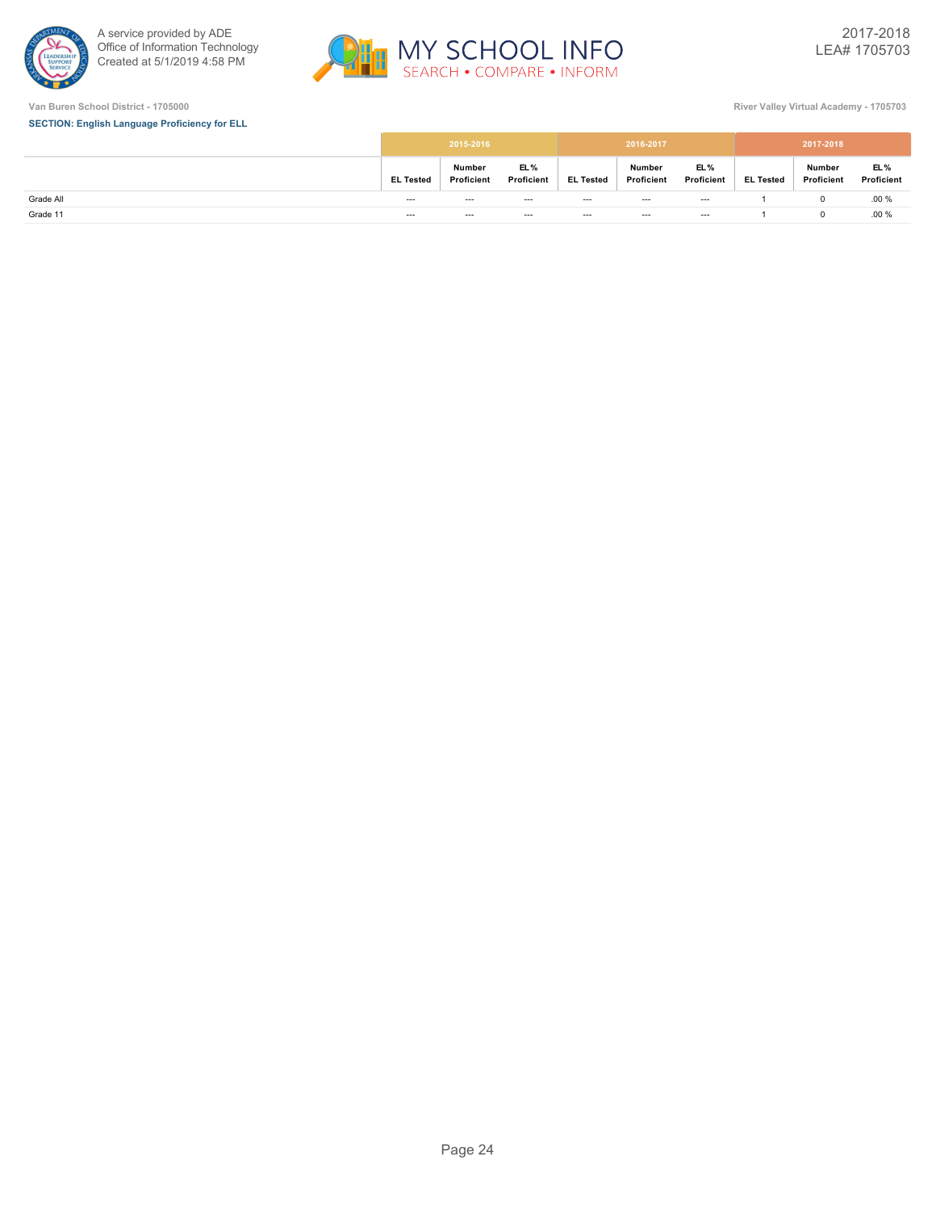



## **SECTION: English Language Proficiency for ELL**

|           |                          | 2015-2016                   |                          |                          | 2016-2017                |                          | 2017-2018        |                      |                   |  |
|-----------|--------------------------|-----------------------------|--------------------------|--------------------------|--------------------------|--------------------------|------------------|----------------------|-------------------|--|
|           | <b>EL Tested</b>         | <b>Number</b><br>Proficient | EL%<br>Proficient        | <b>EL Tested</b>         | Number<br>Proficient     | EL %<br>Proficient       | <b>EL Tested</b> | Number<br>Proficient | EL%<br>Proficient |  |
| Grade All | $---$                    | $---$                       | $---$                    | $ -$                     | $---$                    | $\hspace{0.05cm} \ldots$ |                  |                      | .00%              |  |
| Grade 11  | $\hspace{0.05cm} \ldots$ | $\hspace{0.05cm} \ldots$    | $\hspace{0.05cm} \ldots$ | $\hspace{0.05cm} \ldots$ | $\hspace{0.05cm} \ldots$ | $\sim$                   |                  | $\Omega$             | .00%              |  |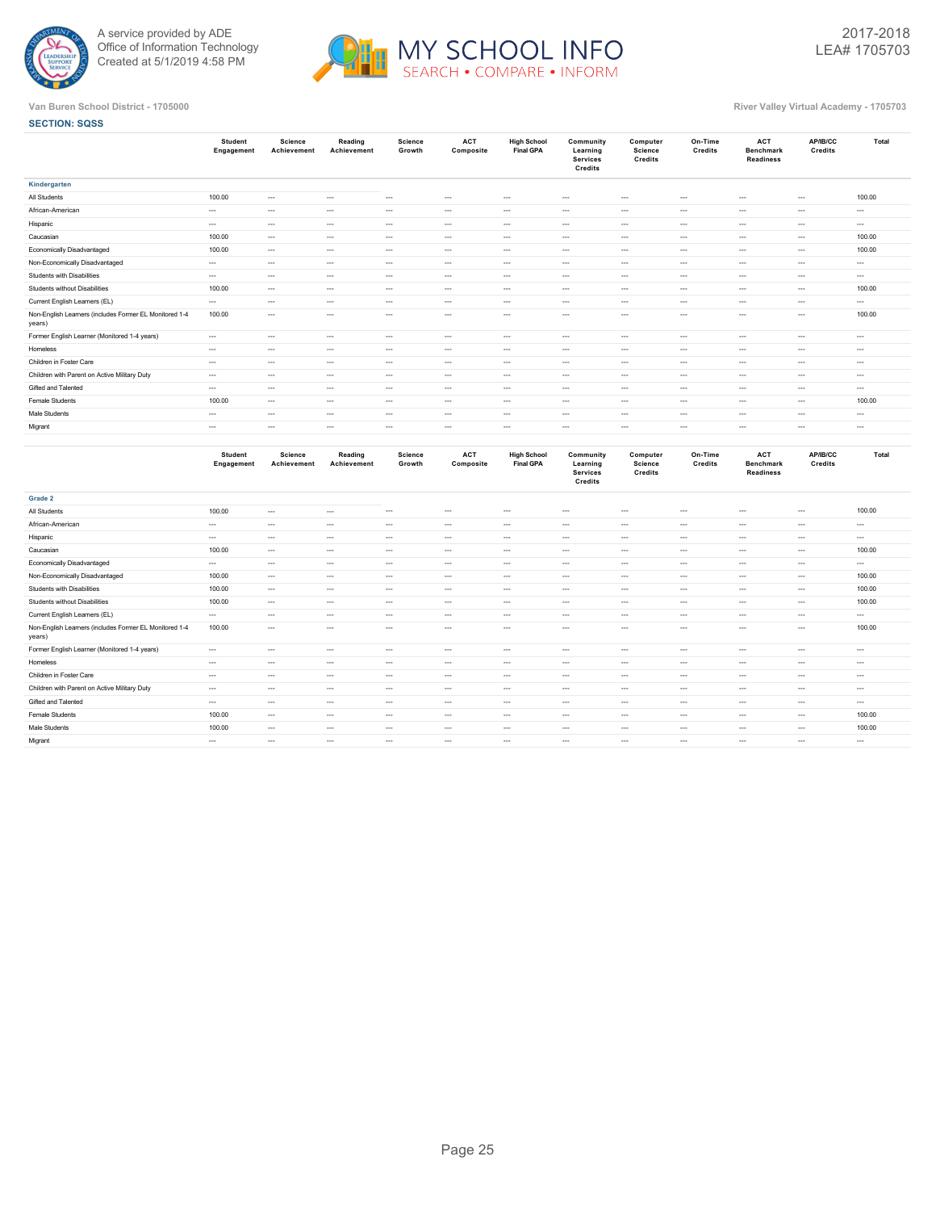



|                                                                  | <b>Student</b><br>Engagement | Science<br>Achievement | Reading<br>Achievement | Science<br>Growth | <b>ACT</b><br>Composite | <b>High School</b><br><b>Final GPA</b> | Community<br>Learning<br><b>Services</b><br>Credits | Computer<br>Science<br>Credits | On-Time<br>Credits | <b>ACT</b><br>Benchmark<br>Readiness | AP/IB/CC<br>Credits | Total    |
|------------------------------------------------------------------|------------------------------|------------------------|------------------------|-------------------|-------------------------|----------------------------------------|-----------------------------------------------------|--------------------------------|--------------------|--------------------------------------|---------------------|----------|
| Kindergarten                                                     |                              |                        |                        |                   |                         |                                        |                                                     |                                |                    |                                      |                     |          |
| All Students                                                     | 100.00                       | $\cdots$               | $\cdots$               | $\cdots$          | $\cdots$                |                                        | $---$                                               | $\cdots$                       |                    |                                      | $---$               | 100.00   |
| African-American                                                 | $\sim$                       | $---$                  | $\cdots$               | $\cdots$          | $---$                   |                                        | $---$                                               | $\cdots$                       |                    | $---$                                | $---$               | $---$    |
| Hispanic                                                         | $\sim$                       | $---$                  | $\cdots$               | $\cdots$          |                         |                                        | $---$                                               | $---$                          |                    |                                      |                     | $---$    |
| Caucasian                                                        | 100.00                       | $\cdots$               | $\cdots$               | $\cdots$          | $---$                   | $---$                                  | $---$                                               | $\cdots$                       |                    | $\cdots$                             | $---$               | 100.00   |
| Economically Disadvantaged                                       | 100.00                       | $\cdots$               | $\cdots$               | $---$             |                         |                                        | $---$                                               | $---$                          |                    |                                      |                     | 100.00   |
| Non-Economically Disadvantaged                                   | $\sim$                       | $---$                  | $\cdots$               | $\cdots$          | $---$                   |                                        | $---$                                               | $\cdots$                       |                    | $\cdots$                             | $---$               | $---$    |
| Students with Disabilities                                       | $\sim$ $\sim$                | $---$                  | $\cdots$               | $\cdots$          | $---$                   |                                        | $---$                                               | $\cdots$                       |                    | $---$                                | $---$               | $---$    |
| Students without Disabilities                                    | 100.00                       | $\cdots$               | $\cdots$               | $---$             |                         |                                        | $---$                                               | $---$                          |                    | $\cdots$                             | $---$               | 100.00   |
| Current English Learners (EL)                                    | $\cdots$                     | $---$                  | $\cdots$               |                   |                         |                                        | $---$                                               | $---$                          |                    |                                      |                     | $---$    |
| Non-English Learners (includes Former EL Monitored 1-4<br>years) | 100.00                       | $---$                  | $\cdots$               | $\cdots$          | $---$                   | $---$                                  | $\cdots$                                            | $\cdots$                       | $\cdots$           | $---$                                |                     | 100.00   |
| Former English Learner (Monitored 1-4 years)                     | $\sim$                       | $\cdots$               | $\cdots$               | $\cdots$          | $---$                   | $\cdots$                               | $\cdots$                                            | $\cdots$                       |                    | $- - -$                              | $---$               | $\cdots$ |
| Homeless                                                         | $\cdots$                     | $\cdots$               | $\cdots$               | $\cdots$          | $\cdots$                | $---$                                  | $\cdots$                                            | $- - -$                        | $\cdots$           | $\cdots$                             | $\cdots$            | $\cdots$ |
| Children in Foster Care                                          | $\cdots$                     | $\cdots$               | $\cdots$               | $\cdots$          | $---$                   | $---$                                  | $---$                                               | $\cdots$                       |                    | $---$                                | $---$               | $\cdots$ |
| Children with Parent on Active Military Duty                     | $\cdots$                     | $\cdots$               | $\cdots$               | $\cdots$          | $\cdots$                | $- - -$                                | $\cdots$                                            | $\cdots$                       | $\cdots$           | $\cdots$                             | $\cdots$            | $\cdots$ |
| Gifted and Talented                                              | $---$                        | $\cdots$               | $\cdots$               | $\cdots$          | $---$                   | $---$                                  | $\cdots$                                            | $\cdots$                       | $\cdots$           | $---$                                | $---$               | $\cdots$ |
| Female Students                                                  | 100.00                       | $\cdots$               | $\cdots$               | $\cdots$          | $---$                   | $\cdots$                               | $---$                                               | $\cdots$                       |                    | $\cdots$                             | $---$               | 100.00   |
| Male Students                                                    | $\sim$                       | $\cdots$               | $\cdots$               | $\cdots$          | $---$                   | $---$                                  | $\cdots$                                            | $\cdots$                       | $\cdots$           | $---$                                | $---$               | $\cdots$ |
| Migrant                                                          | $\cdots$                     | $\cdots$               | $\cdots$               | $\cdots$          | $- - -$                 | $\cdots$                               | $\cdots$                                            | $\cdots$                       | $\cdots$           | $- - -$                              | $---$               | $\cdots$ |
|                                                                  |                              |                        |                        |                   |                         |                                        |                                                     |                                |                    |                                      |                     |          |

|                                                                  | <b>Student</b><br>Engagement | Science<br>Achievement | Reading<br>Achievement | Science<br>Growth | <b>ACT</b><br>Composite | <b>High School</b><br><b>Final GPA</b> | Community<br>Learning<br><b>Services</b><br>Credits | Computer<br><b>Science</b><br>Credits | On-Time<br>Credits | <b>ACT</b><br><b>Benchmark</b><br><b>Readiness</b> | <b>AP/IB/CC</b><br>Credits | Total    |
|------------------------------------------------------------------|------------------------------|------------------------|------------------------|-------------------|-------------------------|----------------------------------------|-----------------------------------------------------|---------------------------------------|--------------------|----------------------------------------------------|----------------------------|----------|
| Grade 2                                                          |                              |                        |                        |                   |                         |                                        |                                                     |                                       |                    |                                                    |                            |          |
| All Students                                                     | 100.00                       | $---$                  | $\cdots$               | $\cdots$          | $\cdots$                |                                        | $\cdots$                                            | $\cdots$                              | $\sim$             | $\sim$ $\sim$                                      | $\cdots$                   | 100.00   |
| African-American                                                 | $\sim$ $\sim$                | $---$                  | $\cdots$               | $\sim$ $\sim$     | $\cdots$                |                                        | $\cdots$                                            | $\cdots$                              | $\sim$             | $- - -$                                            | $\cdots$                   | $---$    |
| Hispanic                                                         | $\cdots$                     | $\cdots$               | $\cdots$               | $\cdots$          | $\cdots$                | $\cdots$                               | $\cdots$                                            | $\cdots$                              | $\cdots$           | $\sim$                                             | $- - -$                    | $\cdots$ |
| Caucasian                                                        | 100.00                       | $\cdots$               | $\cdots$               | $\sim$ $\sim$     | $\cdots$                | $\cdots$                               | $\cdots$                                            | $\sim$                                | $\sim$             | $-1$                                               | $\cdots$                   | 100.00   |
| Economically Disadvantaged                                       | $- - -$                      | $\cdots$               | $\cdots$               | $\cdots$          | $\cdots$                |                                        | $\cdots$                                            | $\cdots$                              | $\sim$             | $-1$                                               | $\cdots$                   | $---$    |
| Non-Economically Disadvantaged                                   | 100.00                       | $---$                  | $\cdots$               | $\sim$ $\sim$     | $\cdots$                |                                        | $\cdots$                                            | $\cdots$                              | $\sim$             | $-1$                                               | $\cdots$                   | 100.00   |
| Students with Disabilities                                       | 100.00                       | $\cdots$               | $\cdots$               | $\sim$ $\sim$     | $\cdots$                | $---$                                  | $\cdots$                                            | $\cdots$                              | $\sim$             | $-1$                                               | $\cdots$                   | 100.00   |
| Students without Disabilities                                    | 100.00                       | $---$                  | $\cdots$               | $\sim$ $\sim$     | $\cdots$                |                                        | $\cdots$                                            | $\cdots$                              | $\sim$             | $-1$                                               | $\cdots$                   | 100.00   |
| Current English Learners (EL)                                    | $\cdots$                     | $\cdots$               | $\cdots$               | $\sim$ $\sim$     | $\cdots$                | $\cdots$                               | $\cdots$                                            | $\sim$                                | $\sim$             | $-1$                                               | $\cdots$                   | $\cdots$ |
| Non-English Learners (includes Former EL Monitored 1-4<br>years) | 100.00                       | $---$                  | $\cdots$               | $- - -$           | $\cdots$                |                                        | $---$                                               | $\cdots$                              | $\sim$             | $-1$                                               | $\cdots$                   | 100.00   |
| Former English Learner (Monitored 1-4 years)                     | $\cdots$                     | $---$                  | $\cdots$               | $\sim$ $\sim$     | $\cdots$                |                                        | $\cdots$                                            | $\cdots$                              | $\sim$             | $-1$                                               | $\cdots$                   | $\cdots$ |
| Homeless                                                         | $\sim$                       | $---$                  | $\cdots$               | $\sim$ $\sim$     | $\cdots$                |                                        | $\cdots$                                            | $\cdots$                              | $\sim$             | $-1$                                               | $\cdots$                   | $---$    |
| Children in Foster Care                                          | $\cdots$                     | $---$                  | $\cdots$               | $\sim$ $\sim$     | $\cdots$                |                                        | $\cdots$                                            | $\cdots$                              | $\sim$             | $-1$                                               | $\cdots$                   | $---$    |
| Children with Parent on Active Military Duty                     | $\sim$                       | $\cdots$               | $\cdots$               | $\cdots$          | $\cdots$                | $---$                                  | $\cdots$                                            | $\cdots$                              | $\cdots$           | $\sim$                                             | $---$                      | $\cdots$ |
| Gifted and Talented                                              | $\sim$ $\sim$                | $\cdots$               | $\cdots$               | $\sim$ $\sim$     | $\cdots$                |                                        | $\cdots$                                            | $\cdots$                              | $\sim$             | $\sim$                                             | $\cdots$                   | $---$    |
| Female Students                                                  | 100.00                       | $---$                  | $\cdots$               | $\sim$ $\sim$     | $\cdots$                |                                        | $\cdots$                                            | $\cdots$                              | $\sim$             | $\sim$ $\sim$                                      | $\cdots$                   | 100.00   |
| Male Students                                                    | 100.00                       | $---$                  | $\cdots$               | $\sim$ $\sim$     | $\cdots$                |                                        | $\cdots$                                            | $\cdots$                              | $\sim$             | $\sim$ $\sim$                                      | $\cdots$                   | 100.00   |
| Migrant                                                          | $- - -$                      | $---$                  | $\cdots$               | $\sim$ $\sim$     | $\cdots$                | $---$                                  | $\cdots$                                            | $\cdots$                              | $\sim$             | $\sim$ $\sim$                                      | $\cdots$                   | $---$    |
|                                                                  |                              |                        |                        |                   |                         |                                        |                                                     |                                       |                    |                                                    |                            |          |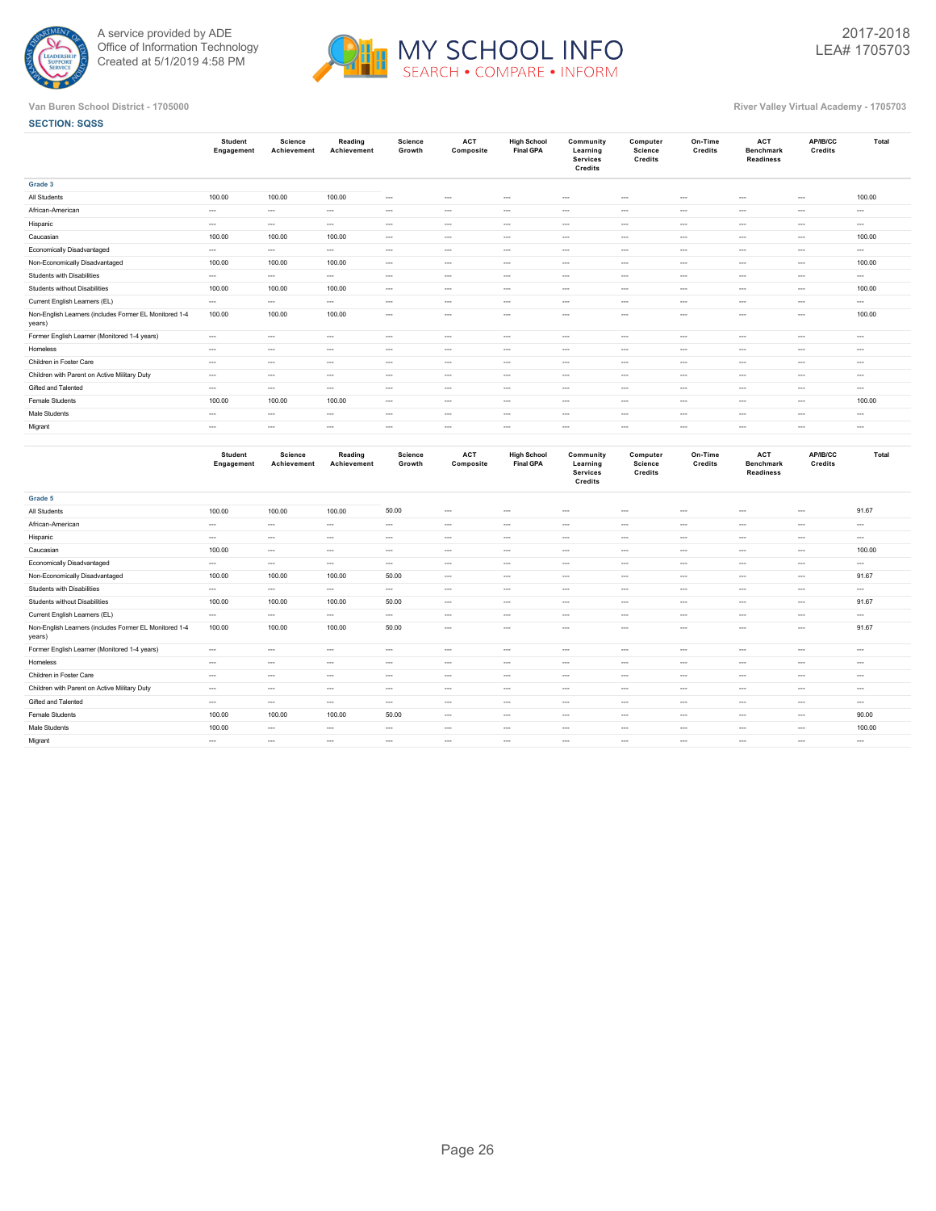



|                                                                  | <b>Student</b><br>Engagement | Science<br>Achievement | Reading<br>Achievement | Science<br>Growth | <b>ACT</b><br>Composite | <b>High School</b><br><b>Final GPA</b> | Community<br>Learning<br><b>Services</b><br>Credits | Computer<br>Science<br>Credits | On-Time<br>Credits | <b>ACT</b><br><b>Benchmark</b><br><b>Readiness</b> | AP/IB/CC<br>Credits | Total    |
|------------------------------------------------------------------|------------------------------|------------------------|------------------------|-------------------|-------------------------|----------------------------------------|-----------------------------------------------------|--------------------------------|--------------------|----------------------------------------------------|---------------------|----------|
| Grade 3                                                          |                              |                        |                        |                   |                         |                                        |                                                     |                                |                    |                                                    |                     |          |
| All Students                                                     | 100.00                       | 100.00                 | 100.00                 | $\cdots$          | $\sim$                  | $---$                                  | $\cdots$                                            | $---$                          |                    | $\cdots$                                           | $---$               | 100.00   |
| African-American                                                 | $\cdots$                     | $\cdots$               | $\cdots$               | $\cdots$          | $\sim$                  | $\cdots$                               | $\cdots$                                            | $\cdots$                       |                    | $\sim$                                             | $\cdots$            | $---$    |
| Hispanic                                                         | $\cdots$                     | $\cdots$               | $\cdots$               | $\cdots$          | $\sim$                  |                                        |                                                     | $---$                          |                    | $---$                                              | $\cdots$            | $\cdots$ |
| Caucasian                                                        | 100.00                       | 100.00                 | 100.00                 | $\cdots$          | $\sim$                  |                                        |                                                     | $---$                          |                    | $\cdots$                                           | $\cdots$            | 100.00   |
| Economically Disadvantaged                                       | $\cdots$                     | $---$                  | $\cdots$               | $\cdots$          | $\sim$                  | $---$                                  | $\cdots$                                            | $\cdots$                       |                    | $\cdots$                                           | $---$               | $\cdots$ |
| Non-Economically Disadvantaged                                   | 100.00                       | 100.00                 | 100.00                 | $\cdots$          | $\sim$                  | $---$                                  | $\cdots$                                            | $\cdots$                       |                    | $\cdots$                                           | $\cdots$            | 100.00   |
| <b>Students with Disabilities</b>                                | $\cdots$                     | $\cdots$               | $\cdots$               | $\cdots$          | $\sim$                  | $---$                                  | $\cdots$                                            | $\cdots$                       |                    | $\sim$                                             | $---$               | $\cdots$ |
| <b>Students without Disabilities</b>                             | 100.00                       | 100.00                 | 100.00                 | $\cdots$          | $\sim$                  | $---$                                  | $\cdots$                                            | $\cdots$                       |                    | $\cdots$                                           | $---$               | 100.00   |
| Current English Learners (EL)                                    | $\cdots$                     | $\cdots$               | $\cdots$               | $\cdots$          | $\sim$                  | $---$                                  | $\cdots$                                            | $---$                          |                    | $---$                                              | $\cdots$            | $\cdots$ |
| Non-English Learners (includes Former EL Monitored 1-4<br>years) | 100.00                       | 100.00                 | 100.00                 | $\cdots$          | $\cdots$                |                                        |                                                     | $---$                          |                    | $\cdots$                                           | $---$               | 100.00   |
| Former English Learner (Monitored 1-4 years)                     | $\cdots$                     | $\cdots$               | $\cdots$               | $\cdots$          | $\sim$                  | $---$                                  | $\cdots$                                            | $\cdots$                       |                    | $\cdots$                                           | $\cdots$            | $\cdots$ |
| Homeless                                                         | $\cdots$                     | $\cdots$               | $\cdots$               | $\cdots$          | $\sim$                  | $---$                                  | $---$                                               | $\cdots$                       |                    | $---$                                              | $\cdots$            | $\cdots$ |
| Children in Foster Care                                          | $\cdots$                     | $\cdots$               | $\cdots$               | $\cdots$          | $\sim$                  | $---$                                  |                                                     | $- - -$                        |                    | $\cdots$                                           | $\cdots$            | $\cdots$ |
| Children with Parent on Active Military Duty                     | $\cdots$                     | $\cdots$               | $\cdots$               | $\cdots$          | $\sim$                  | $---$                                  | $---$                                               | $\cdots$                       |                    | $\cdots$                                           | $---$               | $\cdots$ |
| Gifted and Talented                                              | $\cdots$                     | $\cdots$               | $\cdots$               | $\cdots$          | $\sim$                  | $\cdots$                               | $---$                                               | $---$                          |                    | $\cdots$                                           | $---$               | $---$    |
| Female Students                                                  | 100.00                       | 100.00                 | 100.00                 | $\cdots$          | $\cdots$                | $\cdots$                               | $---$                                               | $\cdots$                       |                    | $\sim$                                             | $\cdots$            | 100.00   |
| Male Students                                                    | $\cdots$                     | $\cdots$               | $\cdots$               | $\cdots$          | $\sim$                  | $---$                                  | $---$                                               | $\cdots$                       |                    | $\sim$                                             | $\cdots$            | $\cdots$ |
| Migrant                                                          | $\cdots$                     | $\cdots$               | $\cdots$               | $\cdots$          | $\sim$                  | $\cdots$                               | $\cdots$                                            | $\cdots$                       | $\cdots$           | $\sim$                                             | $\cdots$            | $\cdots$ |
|                                                                  |                              |                        |                        |                   |                         |                                        |                                                     |                                |                    |                                                    |                     |          |

| <b>Student</b><br>Engagement | Science<br>Achievement | Reading<br>Achievement | Science<br>Growth | <b>ACT</b><br>Composite | <b>High School</b><br><b>Final GPA</b> | Community<br>Learning<br><b>Services</b><br>Credits | Computer<br>Science<br>Credits | On-Time<br>Credits | <b>ACT</b><br><b>Benchmark</b><br><b>Readiness</b> | AP/IB/CC<br>Credits | Total    |
|------------------------------|------------------------|------------------------|-------------------|-------------------------|----------------------------------------|-----------------------------------------------------|--------------------------------|--------------------|----------------------------------------------------|---------------------|----------|
|                              |                        |                        |                   |                         |                                        |                                                     |                                |                    |                                                    |                     |          |
| 100.00                       | 100.00                 | 100.00                 | 50.00             | $\cdots$                | $---$                                  | $\cdots$                                            | $\sim$                         | $\sim$             | $\cdots$                                           | $---$               | 91.67    |
| $-1$                         | $---$                  | $\cdots$               | $\sim$            | $\cdots$                | $\cdots$                               | $---$                                               | $\sim$                         | $\sim$             | $-1$                                               | $---$               | $---$    |
| $\cdots$                     | $\cdots$               | $\cdots$               | $- - -$           | $\cdots$                | $---$                                  | $---$                                               | $\cdots$                       | $\sim$             | $\cdots$                                           | $---$               | $---$    |
| 100.00                       | $---$                  | $\cdots$               | $- - -$           | $\cdots$                | $\cdots$                               | $---$                                               | $\cdots$                       | $\sim$             | $\sim$                                             | $---$               | 100.00   |
| $\cdots$                     | $---$                  | $\cdots$               | $\sim$            | $\cdots$                | $---$                                  | $\cdots$                                            | $\sim$                         | $\sim$             | $\cdots$                                           | $---$               | $\cdots$ |
| 100.00                       | 100.00                 | 100.00                 | 50.00             | $\cdots$                | $\cdots$                               | $---$                                               | $\sim$                         | $\sim$             | $\cdots$                                           | $---$               | 91.67    |
| $-1$                         | $---$                  | $\cdots$               | $\sim$            | $\cdots$                | $\cdots$                               | $---$                                               | $\sim$                         | $\sim$             | $\cdots$                                           | $---$               | $---$    |
| 100.00                       | 100.00                 | 100.00                 | 50.00             | $\cdots$                | $---$                                  | $---$                                               | $\sim$                         | $\sim$             | $\cdots$                                           | $---$               | 91.67    |
| $\cdots$                     | $---$                  | $\cdots$               | $\sim$ $\sim$     | $\cdots$                | $---$                                  | $---$                                               | $\sim$                         | $\sim$             | $\cdots$                                           | $\cdots$            | $---$    |
| 100.00                       | 100.00                 | 100.00                 | 50.00             | $\cdots$                | $---$                                  | $---$                                               | $\sim$                         | $\sim$             | $\cdots$                                           | $\cdots$            | 91.67    |
| $\cdots$                     | $\cdots$               | $\cdots$               | $\cdots$          | $\sim$                  | $- - -$                                | $\cdots$                                            | $\cdots$                       | $\sim$             | $\cdots$                                           | $---$               | $\cdots$ |
| $\cdots$                     | $\cdots$               | $\cdots$               | $- - -$           | $\cdots$                | $\cdots$                               | $\cdots$                                            | $\cdots$                       | $\cdots$           | $\cdots$                                           | $\cdots$            | $\cdots$ |
| $\cdots$                     | $\cdots$               | $\cdots$               | $\sim$            | $\cdots$                | $---$                                  | $---$                                               | $\sim$                         | $\sim$             | $\cdots$                                           | $---$               | $\cdots$ |
| $\cdots$                     | $\cdots$               | $\cdots$               | $\sim$            | $\cdots$                | $---$                                  | $---$                                               | $\sim$                         | $\sim$             | $\cdots$                                           | $---$               | $\cdots$ |
| $-1$                         | $---$                  | $\cdots$               | $\sim$            | $\cdots$                | $\cdots$                               | $---$                                               | $\sim$                         | $\sim$             | $-1$                                               | $---$               | $---$    |
| 100.00                       | 100.00                 | 100.00                 | 50.00             | $\cdots$                | $---$                                  | $---$                                               | $\sim$                         | $\sim$             | $\cdots$                                           | $---$               | 90.00    |
| 100.00                       | $---$                  | $- - -$                | $\sim$            | $\cdots$                | $\cdots$                               | $\cdots$                                            | $\cdots$                       | $\sim$             | $\cdots$                                           | $\cdots$            | 100.00   |
| $\cdots$                     | $---$                  | $\cdots$               | $\sim$            | $\cdots$                | $\cdots$                               | $\cdots$                                            | $\sim$                         | $\sim$             | $\cdots$                                           | $---$               | $\cdots$ |
|                              |                        |                        |                   |                         |                                        |                                                     |                                |                    |                                                    |                     |          |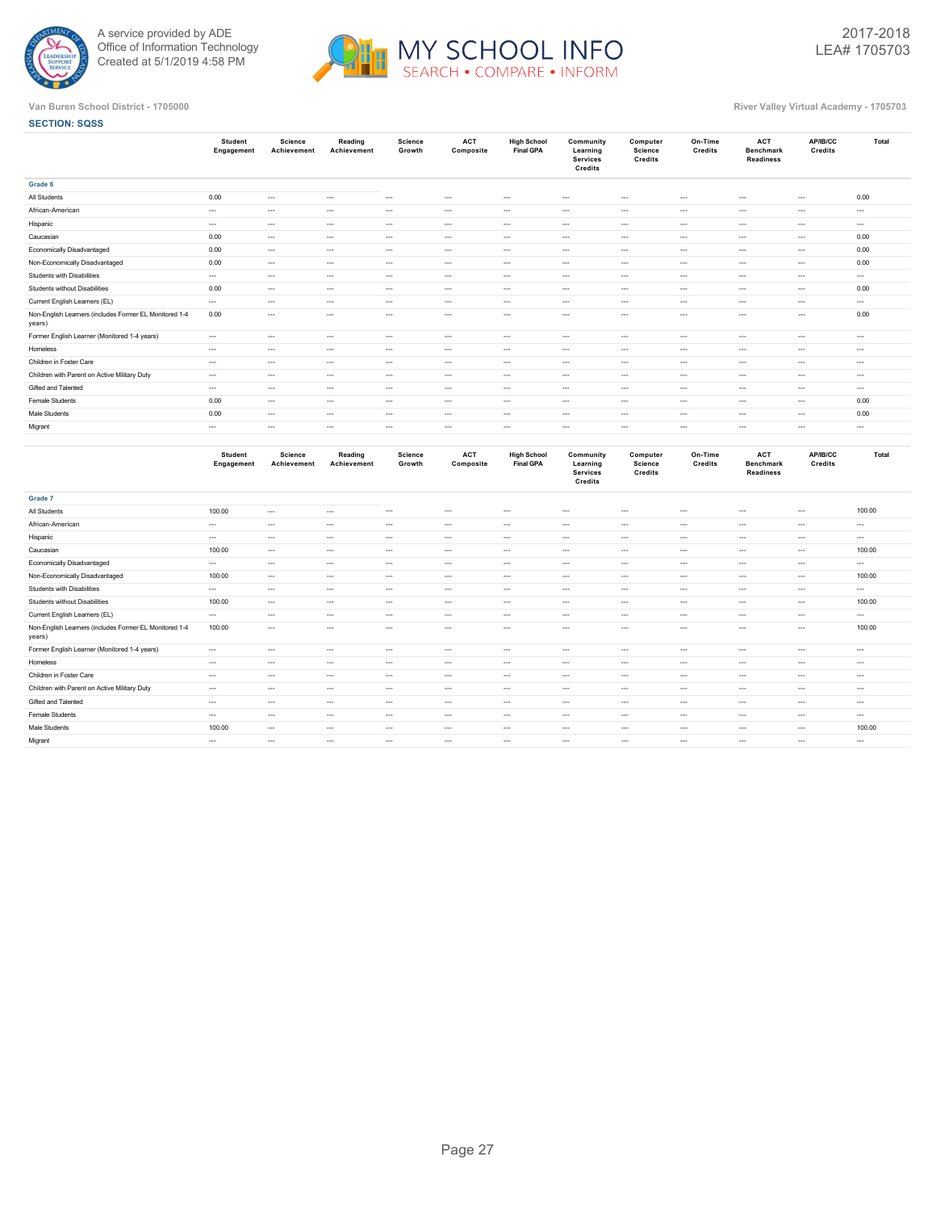



|                                                                  | <b>Student</b><br>Engagement | Science<br>Achievement | Reading<br>Achievement | Science<br>Growth | <b>ACT</b><br>Composite | <b>High School</b><br><b>Final GPA</b> | Community<br>Learning<br><b>Services</b><br>Credits | Computer<br>Science<br>Credits | On-Time<br>Credits | <b>ACT</b><br><b>Benchmark</b><br><b>Readiness</b> | AP/IB/CC<br>Credits | Total    |
|------------------------------------------------------------------|------------------------------|------------------------|------------------------|-------------------|-------------------------|----------------------------------------|-----------------------------------------------------|--------------------------------|--------------------|----------------------------------------------------|---------------------|----------|
| Grade 6                                                          |                              |                        |                        |                   |                         |                                        |                                                     |                                |                    |                                                    |                     |          |
| All Students                                                     | 0.00                         | $---$                  | $\cdots$               |                   | $\cdots$                | ---                                    | $\cdots$                                            | $\cdots$                       |                    | $\cdots$                                           | $\cdots$            | 0.00     |
| African-American                                                 | $\cdots$                     | $\cdots$               |                        | $\cdots$          | $\cdots$                | ---                                    | $\cdots$                                            | $\cdots$                       |                    | $\cdots$                                           | $\cdots$            | $\cdots$ |
| Hispanic                                                         | $\sim$                       | $\cdots$               | $\cdots$               | $\cdots$          | $---$                   | $---$                                  | $\cdots$                                            | $\cdots$                       | $\cdots$           | $---$                                              | $---$               | $\cdots$ |
| Caucasian                                                        | 0.00                         | $\cdots$               |                        | $\sim$ $ -$       | $\cdots$                |                                        | $\cdots$                                            | $\cdots$                       |                    | $\cdots$                                           | $\cdots$            | 0.00     |
| Economically Disadvantaged                                       | 0.00                         | $\cdots$               | $\cdots$               | $\cdots$          | $---$                   |                                        | $\cdots$                                            | $\cdots$                       |                    | $---$                                              | $---$               | 0.00     |
| Non-Economically Disadvantaged                                   | 0.00                         | $\cdots$               | $\cdots$               | $\cdots$          | $---$                   | $\cdots$                               | $---$                                               | $\cdots$                       |                    | $\cdots$                                           | $---$               | 0.00     |
| Students with Disabilities                                       | $-1$                         | $\cdots$               | $\cdots$               | $\cdots$          | $---$                   | $\cdots$                               | $---$                                               | $\cdots$                       |                    | $---$                                              | $---$               | $\cdots$ |
| Students without Disabilities                                    | 0.00                         | $\cdots$               | $\cdots$               | $\cdots$          | $---$                   |                                        | $---$                                               | $---$                          |                    | $\cdots$                                           | $---$               | 0.00     |
| Current English Learners (EL)                                    | $-1$                         | $\cdots$               | $\cdots$               | $\cdots$          | $---$                   | $---$                                  | $\cdots$                                            | $\cdots$                       | $\cdots$           | $---$                                              | $---$               | $\cdots$ |
| Non-English Learners (includes Former EL Monitored 1-4<br>years) | 0.00                         |                        | $\cdots$               |                   |                         |                                        | $---$                                               | $---$                          |                    |                                                    |                     | 0.00     |
| Former English Learner (Monitored 1-4 years)                     | $\cdots$                     | $\cdots$               |                        | $\cdots$          | $\cdots$                |                                        | $\cdots$                                            | $\cdots$                       |                    | $\cdots$                                           | $\cdots$            |          |
| Homeless                                                         | $\sim$                       | $\cdots$               | $---$                  | $\cdots$          | $\cdots$                | $---$                                  | $\cdots$                                            | $\cdots$                       |                    | $\cdots$                                           | $---$               | $---$    |
| Children in Foster Care                                          | $\sim$                       | $\cdots$               | $\cdots$               | $\cdots$          | $---$                   | $\cdots$                               | $---$                                               | $\cdots$                       |                    | $\cdots$                                           | $\cdots$            | $\cdots$ |
| Children with Parent on Active Military Duty                     | $\sim$                       | $\cdots$               | $\cdots$               | $\sim$            | $---$                   | $\cdots$                               | $---$                                               | $\cdots$                       | $\sim$             | $\cdots$                                           | $---$               | $\cdots$ |
| Gifted and Talented                                              | $\sim$                       | $---$                  | $\cdots$               |                   |                         |                                        | $---$                                               | $---$                          |                    |                                                    | $---$               | $---$    |
| Female Students                                                  | 0.00                         | $\cdots$               | $\cdots$               | $\cdots$          | ---                     | ---                                    | $\cdots$                                            | $\cdots$                       |                    | ---                                                | ---                 | 0.00     |
| Male Students                                                    | 0.00                         | $---$                  | $\cdots$               |                   |                         |                                        | $---$                                               | $---$                          |                    |                                                    |                     | 0.00     |
| Migrant                                                          | $\sim$                       | $\cdots$               | $\cdots$               | $- - -$           | $---$                   | $---$                                  | $\cdots$                                            | $\cdots$                       | $\cdots$           | $---$                                              | $---$               |          |
|                                                                  |                              |                        |                        |                   |                         |                                        |                                                     |                                |                    |                                                    |                     |          |

|                                                                  | Student<br>Engagement | Science<br>Achievement | Reading<br>Achievement | Science<br>Growth | ACT<br>Composite | <b>High School</b><br><b>Final GPA</b> | Community<br>Learning<br><b>Services</b><br>Credits | Computer<br>Science<br>Credits | On-Time<br>Credits | <b>ACT</b><br><b>Benchmark</b><br><b>Readiness</b> | AP/IB/CC<br>Credits | Total    |
|------------------------------------------------------------------|-----------------------|------------------------|------------------------|-------------------|------------------|----------------------------------------|-----------------------------------------------------|--------------------------------|--------------------|----------------------------------------------------|---------------------|----------|
| Grade 7                                                          |                       |                        |                        |                   |                  |                                        |                                                     |                                |                    |                                                    |                     |          |
| All Students                                                     | 100.00                | $\cdots$               | $- - -$                | $\cdots$          | $\cdots$         | $---$                                  | $\cdots$                                            | $\cdots$                       | $\sim$             | $\cdots$                                           | $\cdots$            | 100.00   |
| African-American                                                 | $\sim$                | $\cdots$               | $- - -$                | $\cdots$          | $\sim$ $\sim$    | $---$                                  | $\cdots$                                            | $\cdots$                       | $\sim$             | $- - -$                                            | $\cdots$            | $---$    |
| Hispanic                                                         | $- - -$               | $\cdots$               | $\cdots$               | $\cdots$          | $\cdots$         | $- - -$                                | $\cdots$                                            | $\cdots$                       | $\cdots$           | $\cdots$                                           | $\cdots$            | $-1$     |
| Caucasian                                                        | 100.00                | $\cdots$               | $- - -$                | $\cdots$          | $\cdots$         | $---$                                  | $\cdots$                                            | $\cdots$                       | $\sim$             | $\cdots$                                           | $\cdots$            | 100.00   |
| Economically Disadvantaged                                       | $- - -$               | $\cdots$               | $- - -$                | $\cdots$          | $\cdots$         | $---$                                  | $---$                                               | $\cdots$                       | $\cdots$           | $\cdots$                                           | $\cdots$            | $---$    |
| Non-Economically Disadvantaged                                   | 100.00                | $---$                  | $- - -$                | $\cdots$          | $\sim$ $\sim$    | $---$                                  | $---$                                               | $\cdots$                       | $\cdots$           | $\cdots$                                           | $\cdots$            | 100.00   |
| Students with Disabilities                                       | $\cdots$              | $---$                  | $- - -$                | $\cdots$          | $\sim$ $\sim$    | $---$                                  | $\cdots$                                            | $\cdots$                       | $\sim$             | $- - -$                                            | $\cdots$            | $\cdots$ |
| Students without Disabilities                                    | 100.00                | $---$                  | $- - -$                | $\cdots$          | $\sim$ $\sim$    | $---$                                  | $\cdots$                                            | $\cdots$                       | $\sim$             | $\cdots$                                           | $\cdots$            | 100.00   |
| Current English Learners (EL)                                    | $\cdots$              | $\cdots$               | $- - -$                | $\cdots$          | $\sim$ $\sim$    | $---$                                  | $---$                                               | $\cdots$                       | $\sim$             | $\cdots$                                           | $\cdots$            | $---$    |
| Non-English Learners (includes Former EL Monitored 1-4<br>years) | 100.00                | $\cdots$               | $\cdots$               | $\cdots$          | $\cdots$         | $\cdots$                               | $---$                                               | $\cdots$                       | $\cdots$           | $\cdots$                                           | $\cdots$            | 100.00   |
| Former English Learner (Monitored 1-4 years)                     | $- - -$               | $\cdots$               | $- - -$                | $\cdots$          | $\sim$ $\sim$    | $---$                                  | $\cdots$                                            | $\cdots$                       | $\sim$             | $\cdots$                                           | $\cdots$            | $\cdots$ |
| Homeless                                                         | $- - -$               | $\cdots$               | $- - -$                | $\cdots$          | $\cdots$         | $\cdots$                               | $---$                                               | $\cdots$                       | $\sim$             | $\cdots$                                           | $\cdots$            | $\cdots$ |
| Children in Foster Care                                          | $\sim$                | $\cdots$               | $- - -$                | $\cdots$          | $\cdots$         | $---$                                  | $---$                                               | $\cdots$                       | $\sim$             | $\cdots$                                           | $\cdots$            | $\cdots$ |
| Children with Parent on Active Military Duty                     | $- - -$               | $---$                  | $- - -$                | $\sim$ $\sim$     | $-1$             | $---$                                  | $\cdots$                                            | $\cdots$                       | $\sim$             | $- - -$                                            | $\cdots$            | $\cdots$ |
| Gifted and Talented                                              | $\sim$ $\sim$         | $\cdots$               | $- - -$                | $\cdots$          | $-1$             | $---$                                  | $\cdots$                                            | $\cdots$                       | $\sim$             | $\cdots$                                           | $\cdots$            | $---$    |
| Female Students                                                  | $- - -$               | $\cdots$               | $- - -$                | $\cdots$          | $-1$             | $---$                                  | $---$                                               | $\cdots$                       | $\sim$             | $- - -$                                            | $\cdots$            | $---$    |
| Male Students                                                    | 100.00                | $\cdots$               | $\cdots$               | $\cdots$          | $\cdots$         | $- - -$                                | $\cdots$                                            | $\cdots$                       | $\cdots$           | $\cdots$                                           | $\cdots$            | 100.00   |
| Migrant                                                          | $\cdots$              | $---$                  | $- - -$                | $\cdots$          | $-1$             | $---$                                  | $\cdots$                                            | $\cdots$                       | $\cdots$           | $\cdots$                                           | $\cdots$            | $\cdots$ |
|                                                                  |                       |                        |                        |                   |                  |                                        |                                                     |                                |                    |                                                    |                     |          |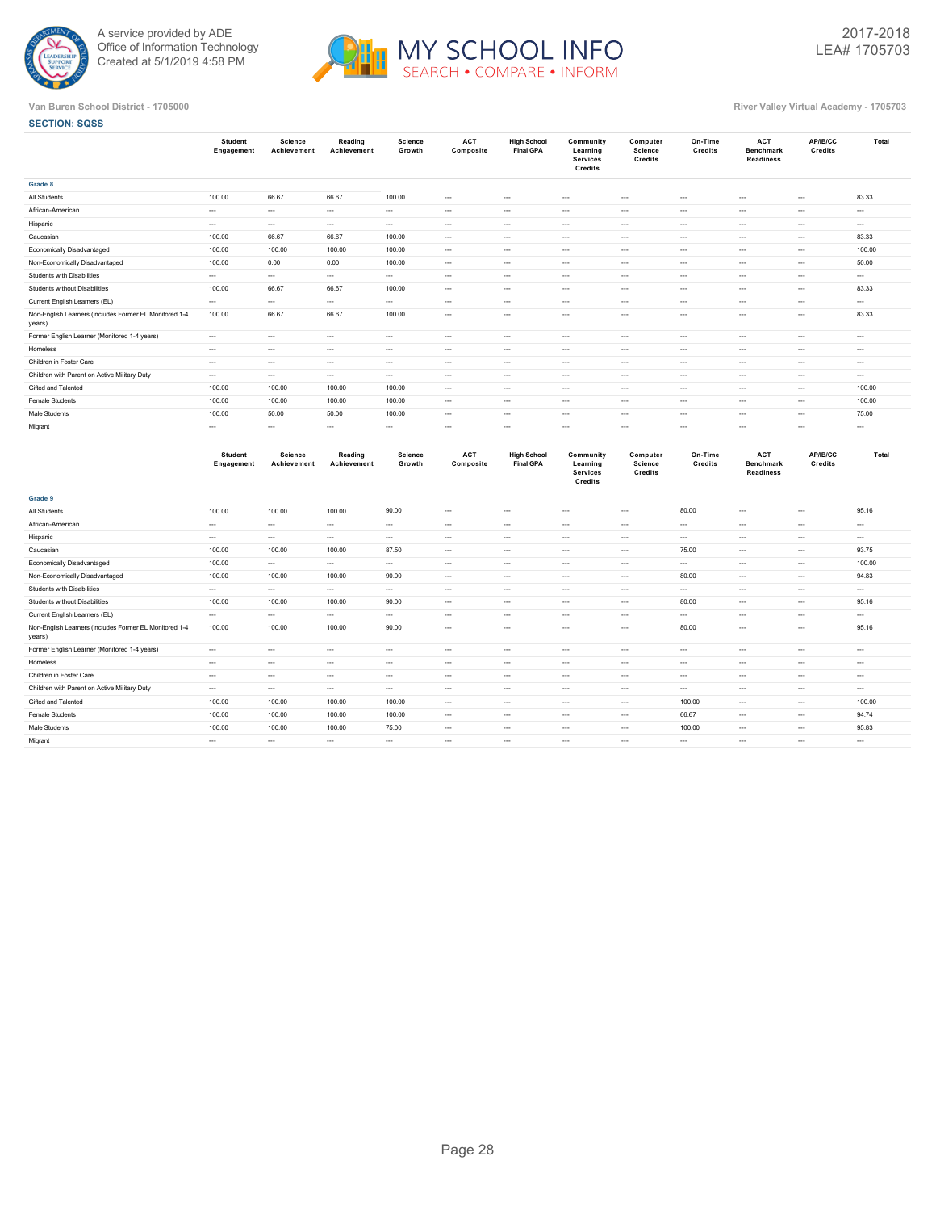



|                                                                  | <b>Student</b><br>Engagement | Science<br>Achievement | Reading<br>Achievement | Science<br>Growth | <b>ACT</b><br>Composite | <b>High School</b><br><b>Final GPA</b> | Community<br>Learning<br><b>Services</b><br>Credits | Computer<br>Science<br>Credits | On-Time<br>Credits | <b>ACT</b><br><b>Benchmark</b><br>Readiness | AP/IB/CC<br>Credits | Total    |
|------------------------------------------------------------------|------------------------------|------------------------|------------------------|-------------------|-------------------------|----------------------------------------|-----------------------------------------------------|--------------------------------|--------------------|---------------------------------------------|---------------------|----------|
| Grade 8                                                          |                              |                        |                        |                   |                         |                                        |                                                     |                                |                    |                                             |                     |          |
| All Students                                                     | 100.00                       | 66.67                  | 66.67                  | 100.00            | $\sim$                  | $\cdots$                               | $\cdots$                                            | $\cdots$                       | $\cdots$           | $\cdots$                                    | $---$               | 83.33    |
| African-American                                                 | $\sim$                       | $\cdots$               |                        | $\cdots$          | $\cdots$                | $\cdots$                               | $\cdots$                                            | $\cdots$                       | $\cdots$           | $\cdots$                                    | $---$               | $---$    |
| Hispanic                                                         | $\cdots$                     | $\cdots$               | $\cdots$               | $\cdots$          | $\cdots$                | $\cdots$                               | $\cdots$                                            | $\cdots$                       | $\cdots$           | $\sim$                                      | $\cdots$            | $- - -$  |
| Caucasian                                                        | 100.00                       | 66.67                  | 66.67                  | 100.00            | $\cdots$                | $\cdots$                               | $\cdots$                                            | $\cdots$                       | $\cdots$           | $\cdots$                                    | $---$               | 83.33    |
| Economically Disadvantaged                                       | 100.00                       | 100.00                 | 100.00                 | 100.00            | $\sim$                  | $\cdots$                               | $\cdots$                                            | $\cdots$                       | $\sim$             | $\cdots$                                    | $\cdots$            | 100.00   |
| Non-Economically Disadvantaged                                   | 100.00                       | 0.00                   | 0.00                   | 100.00            | $\cdots$                | $\cdots$                               | $\cdots$                                            | $\cdots$                       | $\cdots$           | $\cdots$                                    | $---$               | 50.00    |
| Students with Disabilities                                       | $\cdots$                     | $\cdots$               | $\cdots$               | $\sim$ $\sim$     | $\cdots$                | $\cdots$                               | $\cdots$                                            | $\sim$ $\sim$                  | $\cdots$           | $\cdots$                                    | $\cdots$            | $\cdots$ |
| Students without Disabilities                                    | 100.00                       | 66.67                  | 66.67                  | 100.00            | $\cdots$                | $\cdots$                               | $\cdots$                                            | $\cdots$                       | $\cdots$           | $\sim$                                      | $\cdots$            | 83.33    |
| Current English Learners (EL)                                    | $\cdots$                     | $\cdots$               | $\cdots$               | $\cdots$          | $\cdots$                | $\cdots$                               | $\cdots$                                            | $\cdots$                       | $\cdots$           | $\sim$                                      | $\cdots$            | $---$    |
| Non-English Learners (includes Former EL Monitored 1-4<br>years) | 100.00                       | 66.67                  | 66.67                  | 100.00            | $\sim$                  | $\cdots$                               | $\cdots$                                            | $\cdots$                       | $\sim$             | $\sim$                                      | $\cdots$            | 83.33    |
| Former English Learner (Monitored 1-4 years)                     | $\cdots$                     | $---$                  |                        | $\cdots$          | $\sim$                  | $\cdots$                               | $\cdots$                                            | $\cdots$                       | $\cdots$           | $\cdots$                                    | $---$               | $\cdots$ |
| Homeless                                                         | $\sim$                       | $\cdots$               | $\cdots$               | $\cdots$          | $\cdots$                | $\cdots$                               | $\cdots$                                            | $\cdots$                       | $\cdots$           | $\cdots$                                    | $\cdots$            | $\cdots$ |
| Children in Foster Care                                          | $\sim$                       | $---$                  | $\cdots$               | $\cdots$          | $\cdots$                | $\cdots$                               | $\cdots$                                            | $\cdots$                       | $\sim$             | $\cdots$                                    | $\cdots$            | $\cdots$ |
| Children with Parent on Active Military Duty                     | $\cdots$                     | $\cdots$               | $\cdots$               | $\cdots$          | $\cdots$                | $\cdots$                               | $\cdots$                                            | $\sim$ $\sim$                  | $\sim$             | $\cdots$                                    | $\cdots$            | $\cdots$ |
| Gifted and Talented                                              | 100.00                       | 100.00                 | 100.00                 | 100.00            | $\sim$                  | $\cdots$                               | $\cdots$                                            | $\cdots$                       | $\cdots$           | $\cdots$                                    | $---$               | 100.00   |
| Female Students                                                  | 100.00                       | 100.00                 | 100.00                 | 100.00            | $\sim$                  | $\cdots$                               | $\cdots$                                            | $\cdots$                       | $\sim$             | $\cdots$                                    | $\cdots$            | 100.00   |
| Male Students                                                    | 100.00                       | 50.00                  | 50.00                  | 100.00            | $\cdots$                | $\cdots$                               | $\cdots$                                            | $\cdots$                       | $\cdots$           | $\sim$                                      | $---$               | 75.00    |
| Migrant                                                          | $\cdots$                     |                        | ---                    | $\cdots$          | $\cdots$                | $\cdots$                               | $\cdots$                                            | $\cdots$                       | $\cdots$           | $\cdots$                                    | $\cdots$            | $\cdots$ |
|                                                                  |                              |                        |                        |                   |                         |                                        |                                                     |                                |                    |                                             |                     |          |

|                                                                  | Student<br>Engagement | Science<br>Achievement | Reading<br>Achievement | Science<br>Growth | <b>ACT</b><br>Composite | <b>High School</b><br><b>Final GPA</b> | Community<br>Learning<br><b>Services</b><br>Credits | Computer<br>Science<br>Credits | On-Time<br>Credits | <b>ACT</b><br><b>Benchmark</b><br><b>Readiness</b> | AP/IB/CC<br>Credits | Total    |
|------------------------------------------------------------------|-----------------------|------------------------|------------------------|-------------------|-------------------------|----------------------------------------|-----------------------------------------------------|--------------------------------|--------------------|----------------------------------------------------|---------------------|----------|
| Grade 9                                                          |                       |                        |                        |                   |                         |                                        |                                                     |                                |                    |                                                    |                     |          |
| All Students                                                     | 100.00                | 100.00                 | 100.00                 | 90.00             | $\cdots$                | $\cdots$                               | $---$                                               | $\sim$                         | 80.00              | $\sim$ $\sim$                                      | $\cdots$            | 95.16    |
| African-American                                                 | $\cdots$              | $---$                  | $---$                  | $\sim$ $\sim$     | $\sim$                  | $-1$                                   | $---$                                               | $\sim$                         | $\sim$             | $-1$                                               | $---$               | $\cdots$ |
| Hispanic                                                         | $\cdots$              | $---$                  | $- - -$                | $\cdots$          | $\cdots$                | $\cdots$                               | $\cdots$                                            | $\cdots$                       | $\cdots$           | $\sim$                                             | $\cdots$            | $\cdots$ |
| Caucasian                                                        | 100.00                | 100.00                 | 100.00                 | 87.50             | $\cdots$                | $\cdots$                               | $---$                                               | $\sim$                         | 75.00              | $-1$                                               | $\cdots$            | 93.75    |
| Economically Disadvantaged                                       | 100.00                | $---$                  | $\cdots$               | $\sim$ $\sim$     | $\cdots$                | $\cdots$                               | $---$                                               | $\cdots$                       | $\sim$             | $-1$                                               | $---$               | 100.00   |
| Non-Economically Disadvantaged                                   | 100.00                | 100.00                 | 100.00                 | 90.00             | $\cdots$                | $\cdots$                               | $\cdots$                                            | $\cdots$                       | 80.00              | $-1$                                               | $\cdots$            | 94.83    |
| Students with Disabilities                                       | $\sim$ $\sim$         | $\cdots$               | $---$                  | $\cdots$          | $\cdots$                | $-1$                                   | $---$                                               | $\cdots$                       | $\sim$             | $\cdots$                                           | $\cdots$            | $\cdots$ |
| Students without Disabilities                                    | 100.00                | 100.00                 | 100.00                 | 90.00             | $\cdots$                | $\cdots$                               | $---$                                               | $\sim$                         | 80.00              | $-1$                                               | $\cdots$            | 95.16    |
| Current English Learners (EL)                                    | $\cdots$              | $---$                  | $\cdots$               | $\cdots$          | $\cdots$                | $-1$                                   | $---$                                               | $\sim$                         | $\sim$             | $-1$                                               | $\cdots$            | $---$    |
| Non-English Learners (includes Former EL Monitored 1-4<br>years) | 100.00                | 100.00                 | 100.00                 | 90.00             | $\cdots$                | $\cdots$                               | $---$                                               | $\cdots$                       | 80.00              | $-1$                                               | $---$               | 95.16    |
| Former English Learner (Monitored 1-4 years)                     | $\cdots$              | $\cdots$               | $---$                  | $\cdots$          | $\cdots$                | $\cdots$                               | $---$                                               | $\sim$                         | $\cdots$           | $-1$                                               | $---$               | $---$    |
| Homeless                                                         | $\cdots$              | $\cdots$               | $\cdots$               | $\cdots$          | $\cdots$                | $\cdots$                               | $---$                                               | $\sim$                         | $\cdots$           | $\sim$ $\sim$                                      | $\cdots$            | $\cdots$ |
| Children in Foster Care                                          | $\cdots$              | $\cdots$               | $\cdots$               | $\cdots$          | $\cdots$                | $\cdots$                               | $---$                                               | $\sim$                         | $\cdots$           | $\sim$ $\sim$                                      | $\cdots$            | $\cdots$ |
| Children with Parent on Active Military Duty                     | $\sim$ $\sim$         | $\cdots$               | $\cdots$               | $\cdots$          | $\cdots$                | $-1$                                   | $---$                                               | $\cdots$                       | $\sim$             | $\cdots$                                           | $\cdots$            | $\cdots$ |
| Gifted and Talented                                              | 100.00                | 100.00                 | 100.00                 | 100.00            | $\cdots$                | $\cdots$                               | $---$                                               | $\sim$                         | 100.00             | $\sim$ $\sim$                                      | $---$               | 100.00   |
| Female Students                                                  | 100.00                | 100.00                 | 100.00                 | 100.00            | $\cdots$                | $\cdots$                               | $---$                                               | $\cdots$                       | 66.67              | $\sim$ $\sim$                                      | $\cdots$            | 94.74    |
| Male Students                                                    | 100.00                | 100.00                 | 100.00                 | 75.00             | $\cdots$                | $\cdots$                               | $---$                                               | $\cdots$                       | 100.00             | $\cdots$                                           | $---$               | 95.83    |
| Migrant                                                          | $\cdots$              | $---$                  | $- - -$                | $\cdots$          | $\cdots$                | $\cdots$                               | $---$                                               | $\cdots$                       | $\sim$             | $\sim$                                             | $---$               | $\cdots$ |
|                                                                  |                       |                        |                        |                   |                         |                                        |                                                     |                                |                    |                                                    |                     |          |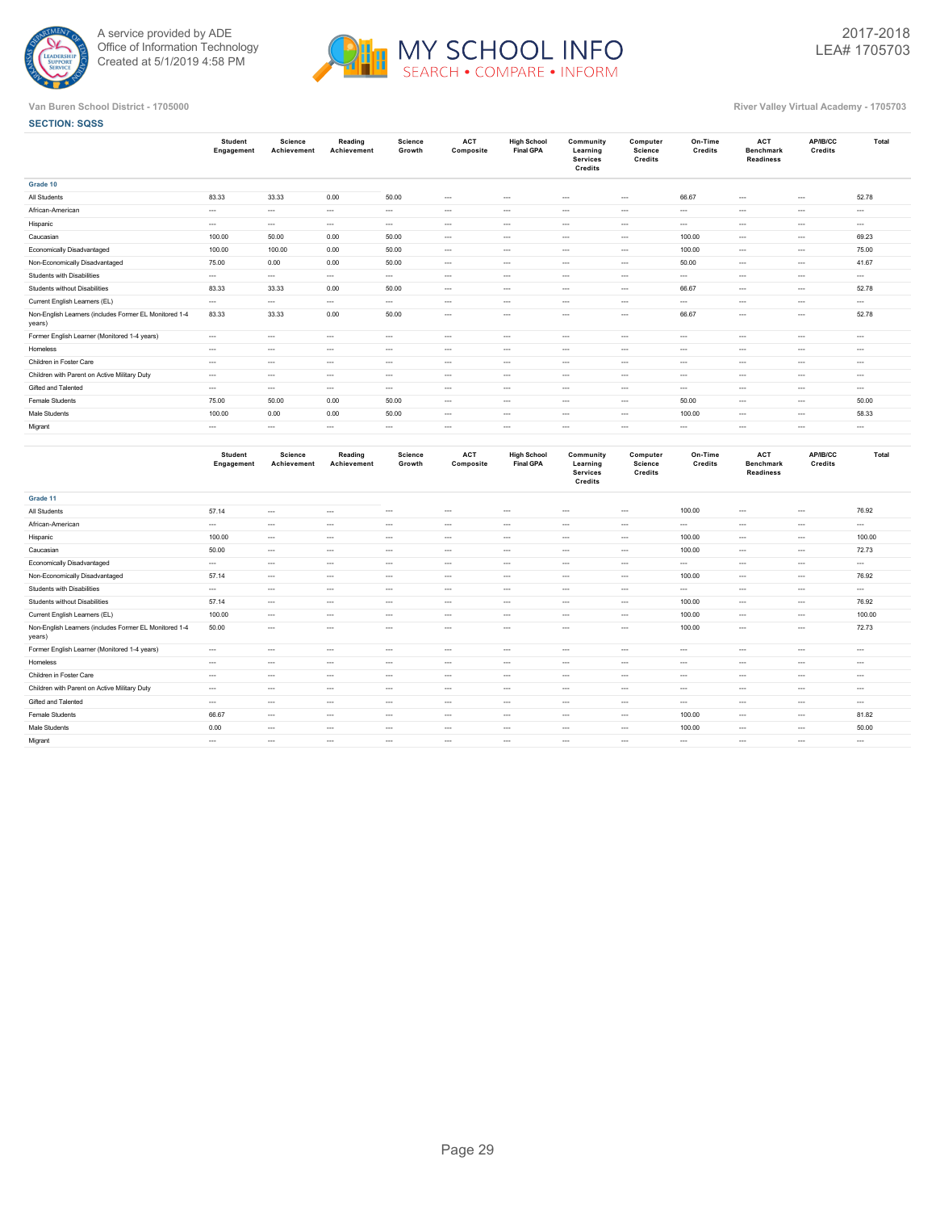



|                                                                  | <b>Student</b><br>Engagement | Science<br>Achievement | Reading<br>Achievement | Science<br>Growth | <b>ACT</b><br>Composite | <b>High School</b><br><b>Final GPA</b> | Community<br>Learning<br><b>Services</b><br>Credits | Computer<br>Science<br>Credits | On-Time<br>Credits | <b>ACT</b><br><b>Benchmark</b><br><b>Readiness</b> | AP/IB/CC<br>Credits | Total    |
|------------------------------------------------------------------|------------------------------|------------------------|------------------------|-------------------|-------------------------|----------------------------------------|-----------------------------------------------------|--------------------------------|--------------------|----------------------------------------------------|---------------------|----------|
| Grade 10                                                         |                              |                        |                        |                   |                         |                                        |                                                     |                                |                    |                                                    |                     |          |
| All Students                                                     | 83.33                        | 33.33                  | 0.00                   | 50.00             | $---$                   |                                        | $---$                                               | $\cdots$                       | 66.67              | $\sim$                                             | $\cdots$            | 52.78    |
| African-American                                                 | $---$                        | $\cdots$               | $\cdots$               | $\cdots$          | $\cdots$                | $---$                                  | $---$                                               | $\cdots$                       | $\sim$             | $-1$                                               | $\cdots$            | $\cdots$ |
| Hispanic                                                         | $---$                        | $\cdots$               | $\cdots$               | $\cdots$          | $\cdots$                | $- - -$                                | $\cdots$                                            | $\cdots$                       | $\cdots$           | $\sim$                                             | $\cdots$            | $\cdots$ |
| Caucasian                                                        | 100.00                       | 50.00                  | 0.00                   | 50.00             | $\cdots$                | $\cdots$                               | $\cdots$                                            | $\cdots$                       | 100.00             | $\sim$                                             | $---$               | 69.23    |
| Economically Disadvantaged                                       | 100.00                       | 100.00                 | 0.00                   | 50.00             | $---$                   | ---                                    | $\cdots$                                            | $\cdots$                       | 100.00             | $\sim$                                             | $---$               | 75.00    |
| Non-Economically Disadvantaged                                   | 75.00                        | 0.00                   | 0.00                   | 50.00             | $---$                   | $- - -$                                | $\cdots$                                            | $\cdots$                       | 50.00              | $\sim$                                             | $\cdots$            | 41.67    |
| Students with Disabilities                                       | $\sim$                       | $---$                  | $---$                  | $\cdots$          | $\sim$                  | $---$                                  | $\cdots$                                            | $\cdots$                       | $\sim$             | $-1$                                               | $\cdots$            | $---$    |
| Students without Disabilities                                    | 83.33                        | 33.33                  | 0.00                   | 50.00             | $\cdots$                | $\cdots$                               | $\cdots$                                            | $\sim$ $ -$                    | 66.67              | $\cdots$                                           | $\cdots$            | 52.78    |
| Current English Learners (EL)                                    | $\cdots$                     | $\cdots$               |                        | $\cdots$          | $\cdots$                | $\cdots$                               | $---$                                               | $\cdots$                       | $\cdots$           | $\cdots$                                           | $\cdots$            | $\cdots$ |
| Non-English Learners (includes Former EL Monitored 1-4<br>years) | 83.33                        | 33.33                  | 0.00                   | 50.00             | $---$                   |                                        | $---$                                               | $\cdots$                       | 66.67              | $\sim$                                             | $\cdots$            | 52.78    |
| Former English Learner (Monitored 1-4 years)                     | $---$                        | $---$                  | $\cdots$               | $\cdots$          | $---$                   |                                        |                                                     | $\cdots$                       | $\sim$             | $\sim$                                             | $---$               | $\cdots$ |
| Homeless                                                         | $\sim$                       |                        | $\cdots$               |                   | $---$                   |                                        |                                                     | $\cdots$                       |                    | $\sim$                                             | $---$               | $\cdots$ |
| Children in Foster Care                                          | $---$                        | $---$                  | $\cdots$               | $\cdots$          | $\cdots$                | $---$                                  | $---$                                               | $\cdots$                       | $\cdots$           | $\sim$                                             | $\cdots$            | $\cdots$ |
| Children with Parent on Active Military Duty                     | $\sim$                       | $\cdots$               | $---$                  | $\cdots$          | $\cdots$                | $\cdots$                               | $\cdots$                                            | $\cdots$                       | $\sim$             | $-1$                                               | $\cdots$            | $\cdots$ |
| Gifted and Talented                                              | $\cdots$                     | $\cdots$               | $\cdots$               | $\cdots$          | $---$                   | $---$                                  | $\cdots$                                            | $\cdots$                       | $\sim$             | $-1$                                               | $\cdots$            | $\cdots$ |
| Female Students                                                  | 75.00                        | 50.00                  | 0.00                   | 50.00             | $\sim$                  | $---$                                  | $\cdots$                                            | $\cdots$                       | 50.00              | $-1$                                               | $\cdots$            | 50.00    |
| Male Students                                                    | 100.00                       | 0.00                   | 0.00                   | 50.00             | $---$                   | $\cdots$                               | $---$                                               | $\cdots$                       | 100.00             | $\sim$                                             | $\cdots$            | 58.33    |
| Migrant                                                          | $\cdots$                     | $---$                  | $---$                  | $\cdots$          | $\cdots$                | $\cdots$                               | $\cdots$                                            | $\cdots$                       | $\sim$             | $-1$                                               | $\cdots$            | $\cdots$ |
|                                                                  |                              |                        |                        |                   |                         |                                        |                                                     |                                |                    |                                                    |                     |          |

|                                                                  | <b>Student</b><br>Engagement | Science<br>Achievement | Reading<br>Achievement | Science<br>Growth | <b>ACT</b><br>Composite | <b>High School</b><br><b>Final GPA</b> | Community<br>Learning<br><b>Services</b><br>Credits | Computer<br>Science<br><b>Credits</b> | On-Time<br>Credits | <b>ACT</b><br><b>Benchmark</b><br><b>Readiness</b> | AP/IB/CC<br>Credits | Total    |
|------------------------------------------------------------------|------------------------------|------------------------|------------------------|-------------------|-------------------------|----------------------------------------|-----------------------------------------------------|---------------------------------------|--------------------|----------------------------------------------------|---------------------|----------|
| Grade 11                                                         |                              |                        |                        |                   |                         |                                        |                                                     |                                       |                    |                                                    |                     |          |
| All Students                                                     | 57.14                        | $\cdots$               | $\cdots$               | $\cdots$          | $\cdots$                | $\cdots$                               | $\cdots$                                            | $\sim$                                | 100.00             | $\cdots$                                           | $---$               | 76.92    |
| African-American                                                 | $-1$                         | $\cdots$               | $\cdots$               | $- - -$           | $\sim$                  | $---$                                  | $---$                                               | $\sim$                                | $\sim$             | $\cdots$                                           | $---$               | $---$    |
| Hispanic                                                         | 100.00                       | $---$                  | $\cdots$               | $\sim$            | $\cdots$                | $\cdots$                               | $---$                                               | $\sim$                                | 100.00             | $-1$                                               | $---$               | 100.00   |
| Caucasian                                                        | 50.00                        | $\cdots$               | $\cdots$               | $\sim$            | $\cdots$                | $\cdots$                               | $\cdots$                                            | $\sim$                                | 100.00             | $-1$                                               | $---$               | 72.73    |
| <b>Economically Disadvantaged</b>                                | $-1$                         | $\cdots$               | $\cdots$               | $\sim$            | $\cdots$                | $---$                                  | $\cdots$                                            | $\sim$                                | $\sim$             | $-1$                                               | $---$               | $-1$     |
| Non-Economically Disadvantaged                                   | 57.14                        | $\cdots$               | $\cdots$               | $\cdots$          | $\sim$                  | $---$                                  | $---$                                               | $\sim$                                | 100.00             | $-1$                                               | $---$               | 76.92    |
| Students with Disabilities                                       | $\cdots$                     | $- - -$                | $\cdots$               | $- - -$           | $\cdots$                | $---$                                  | $---$                                               | $\sim$                                | $\sim$             | $\cdots$                                           | $---$               | $---$    |
| Students without Disabilities                                    | 57.14                        | $---$                  | $\cdots$               | $\sim$            | $\cdots$                | $\cdots$                               | $---$                                               | $\sim$                                | 100.00             | $\cdots$                                           | $---$               | 76.92    |
| Current English Learners (EL)                                    | 100.00                       | $---$                  | $\cdots$               | $\sim$ $\sim$     | $\cdots$                | $\cdots$                               | $\cdots$                                            | $\sim$                                | 100.00             | $\cdots$                                           | $---$               | 100.00   |
| Non-English Learners (includes Former EL Monitored 1-4<br>years) | 50.00                        | $\cdots$               | $\cdots$               | $\sim$            | $\cdots$                | $---$                                  | $\cdots$                                            | $\sim$                                | 100.00             | $\cdots$                                           | $---$               | 72.73    |
| Former English Learner (Monitored 1-4 years)                     | $\cdots$                     | $---$                  | $\cdots$               | $\cdots$          | $\sim$                  |                                        | $---$                                               | $\sim$                                | $\sim$             | $\cdots$                                           | $---$               | $---$    |
| Homeless                                                         | $\cdots$                     | $\cdots$               | $\cdots$               | $\cdots$          | $\cdots$                | $\cdots$                               | $\cdots$                                            | $\cdots$                              | $\cdots$           | $\cdots$                                           | $\cdots$            | $\cdots$ |
| Children in Foster Care                                          | $\cdots$                     | $\cdots$               | $\cdots$               | $\cdots$          | $\sim$                  | $---$                                  | $---$                                               | $\cdots$                              | $\sim$             | $\cdots$                                           | $\cdots$            | $\cdots$ |
| Children with Parent on Active Military Duty                     | $\cdots$                     | $\cdots$               | $\cdots$               | $\sim$            | $\cdots$                | $\cdots$                               | $\cdots$                                            | $\sim$ $\sim$                         | $\sim$             | $\cdots$                                           | $---$               | $---$    |
| Gifted and Talented                                              | $-1$                         | $\cdots$               | $\cdots$               | $\sim$            | $\cdots$                | $\cdots$                               | $---$                                               | $\sim$                                | $\sim$             | $\sim$ $\sim$                                      | $---$               | $\cdots$ |
| Female Students                                                  | 66.67                        | $---$                  | $\cdots$               | $\sim$            | $\sim$                  | $---$                                  | $---$                                               | $\sim$                                | 100.00             | $\sim$ $\sim$                                      | $---$               | 81.82    |
| Male Students                                                    | 0.00                         | $---$                  | $\cdots$               | $\sim$            | $\cdots$                | $\cdots$                               | $---$                                               | $\sim$                                | 100.00             | $\sim$ $\sim$                                      | $---$               | 50.00    |
| Migrant                                                          | $\cdots$                     | $---$                  | $\cdots$               | $\sim$ $\sim$     | $\cdots$                | $\cdots$                               | $---$                                               | $\sim$                                | $\sim$             | $\cdots$                                           | $---$               | $\cdots$ |
|                                                                  |                              |                        |                        |                   |                         |                                        |                                                     |                                       |                    |                                                    |                     |          |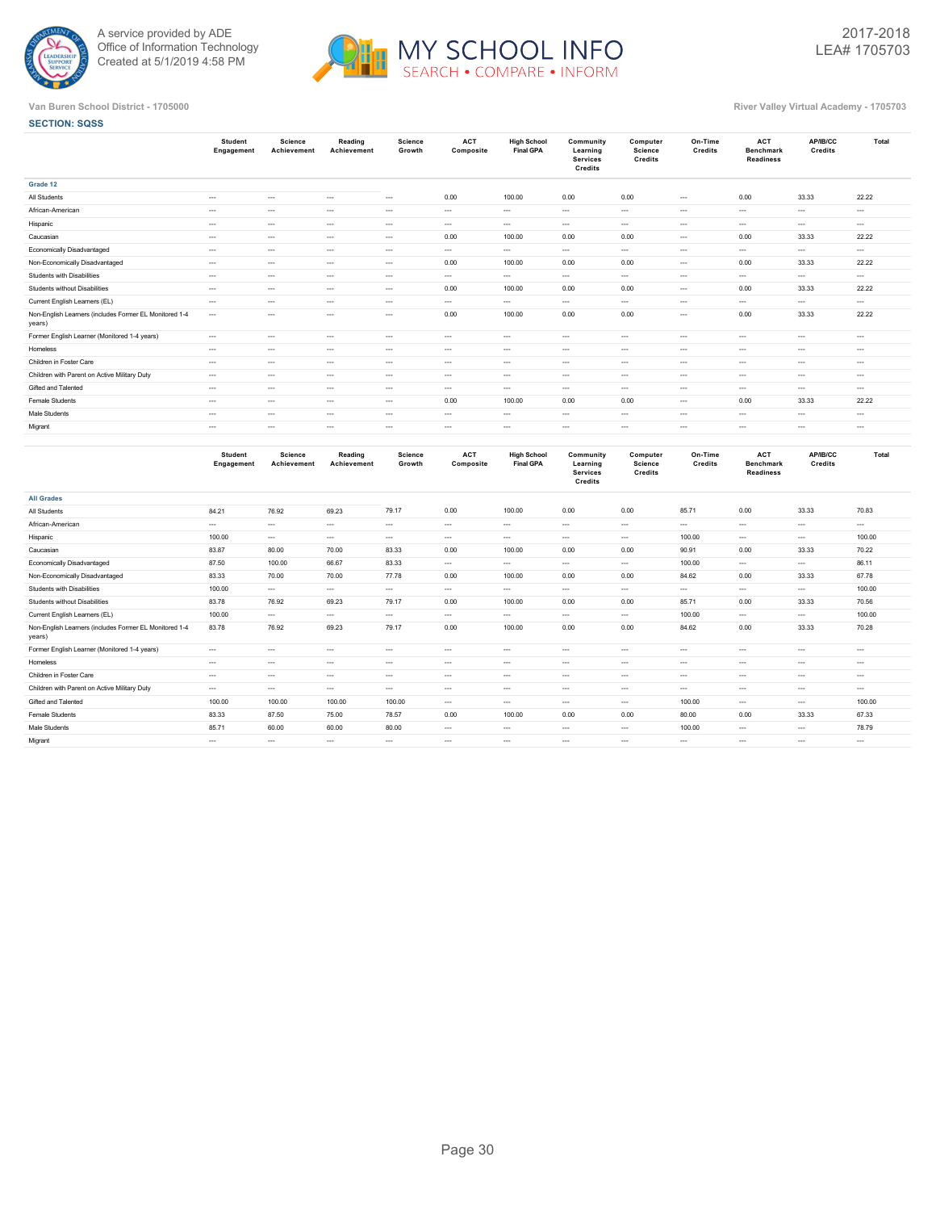



# **SECTION: SQSS**

|                                                                  | Student<br>Engagement | Science<br>Achievement | Reading<br>Achievement | Science<br>Growth | <b>ACT</b><br>Composite | <b>High School</b><br><b>Final GPA</b> | Community<br>Learning<br><b>Services</b><br>Credits | Computer<br>Science<br>Credits | On-Time<br>Credits | <b>ACT</b><br><b>Benchmark</b><br><b>Readiness</b> | AP/IB/CC<br>Credits | Total    |
|------------------------------------------------------------------|-----------------------|------------------------|------------------------|-------------------|-------------------------|----------------------------------------|-----------------------------------------------------|--------------------------------|--------------------|----------------------------------------------------|---------------------|----------|
| Grade 12                                                         |                       |                        |                        |                   |                         |                                        |                                                     |                                |                    |                                                    |                     |          |
| All Students                                                     | $\cdots$              | $\cdots$               | $\cdots$               | $\cdots$          | 0.00                    | 100.00                                 | 0.00                                                | 0.00                           | $\cdots$           | 0.00                                               | 33.33               | 22.22    |
| African-American                                                 | $\cdots$              | $\cdots$               | $\cdots$               | $\cdots$          | $\cdots$                | $\cdots$                               | $---$                                               | $\cdots$                       | $\sim$             | $\cdots$                                           | $\cdots$            | $-1$     |
| Hispanic                                                         | $\cdots$              | $\cdots$               | $\cdots$               | $\cdots$          | $\cdots$                | $\cdots$                               | $\cdots$                                            | $\cdots$                       | $\sim$             | $\cdots$                                           | $\cdots$            | $\cdots$ |
| Caucasian                                                        | $\cdots$              | $\cdots$               | $\cdots$               | $- - -$           | 0.00                    | 100.00                                 | 0.00                                                | 0.00                           | $\cdots$           | 0.00                                               | 33.33               | 22.22    |
| <b>Economically Disadvantaged</b>                                | $\cdots$              | $\cdots$               | $\cdots$               | $\cdots$          | $\cdots$                | $\cdots$                               | $---$                                               | $\cdots$                       | $\cdots$           | $\cdots$                                           | $\cdots$            | $-1$     |
| Non-Economically Disadvantaged                                   | $\cdots$              | $---$                  | $\cdots$               | $\cdots$          | 0.00                    | 100.00                                 | 0.00                                                | 0.00                           | $\cdots$           | 0.00                                               | 33.33               | 22.22    |
| Students with Disabilities                                       | $\cdots$              | $\cdots$               | $\cdots$               | $\cdots$          | $\cdots$                | $\cdots$                               | $---$                                               | $\cdots$                       | $\cdots$           | $\cdots$                                           | $\cdots$            | $-1$     |
| Students without Disabilities                                    | $\cdots$              | $---$                  | $\cdots$               | $\cdots$          | 0.00                    | 100.00                                 | 0.00                                                | 0.00                           | $\cdots$           | 0.00                                               | 33.33               | 22.22    |
| Current English Learners (EL)                                    | $\cdots$              | $\cdots$               | $\cdots$               | $\cdots$          | $\cdots$                | $\cdots$                               | $\cdots$                                            | $\cdots$                       | $\cdots$           | $\cdots$                                           | $\cdots$            | $\cdots$ |
| Non-English Learners (includes Former EL Monitored 1-4<br>years) | $\cdots$              | $\cdots$               | $\cdots$               | $\cdots$          | 0.00                    | 100.00                                 | 0.00                                                | 0.00                           | $\sim$             | 0.00                                               | 33.33               | 22.22    |
| Former English Learner (Monitored 1-4 years)                     | $\cdots$              | $---$                  | $\cdots$               | $\cdots$          | $\cdots$                | $\cdots$                               | $---$                                               | $\cdots$                       | $\sim$             | $\cdots$                                           | $\cdots$            | $- - -$  |
| Homeless                                                         | $\cdots$              | $---$                  | $\cdots$               | $\cdots$          | $\cdots$                | $\cdots$                               | $---$                                               | $\cdots$                       | $\sim$             | $\cdots$                                           | $\cdots$            | $- - -$  |
| Children in Foster Care                                          | $\cdots$              | $---$                  | $\cdots$               | $\cdots$          | $\cdots$                | $\cdots$                               | $---$                                               | $\cdots$                       | $\sim$             | $\cdots$                                           | $\cdots$            | $\cdots$ |
| Children with Parent on Active Military Duty                     | $\cdots$              | $---$                  | $\cdots$               | $\cdots$          | $\cdots$                | $\cdots$                               | $---$                                               | $\cdots$                       | $\sim$             | $\cdots$                                           | $\cdots$            | $- - -$  |
| Gifted and Talented                                              | $\cdots$              | $\cdots$               | $\cdots$               | $\cdots$          | $\cdots$                | $\cdots$                               | $---$                                               | $\cdots$                       | $\sim$             | $\cdots$                                           | $\cdots$            | $- - -$  |
| Female Students                                                  | $\cdots$              | $---$                  | $\cdots$               | $\cdots$          | 0.00                    | 100.00                                 | 0.00                                                | 0.00                           | $\cdots$           | 0.00                                               | 33.33               | 22.22    |
| Male Students                                                    | $\cdots$              | $---$                  | $\cdots$               | $\cdots$          | $\cdots$                | $\cdots$                               | $---$                                               | $\cdots$                       | $\cdots$           | $\cdots$                                           | $\cdots$            | $- - -$  |
| Migrant                                                          | $\cdots$              | $---$                  | $\cdots$               | $\cdots$          | $\cdots$                | $\cdots$                               | $---$                                               | $\cdots$                       | $\sim$             | $\cdots$                                           | $\cdots$            | $- - -$  |
|                                                                  |                       |                        |                        |                   |                         |                                        |                                                     |                                |                    |                                                    |                     |          |

|                                                                  | Student<br>Engagement | Science<br>Achievement | Reading<br>Achievement | Science<br>Growth | <b>ACT</b><br>Composite | <b>High School</b><br><b>Final GPA</b> | Community<br>Learning<br><b>Services</b><br>Credits | Computer<br>Science<br>Credits | On-Time<br>Credits | <b>ACT</b><br><b>Benchmark</b><br><b>Readiness</b> | AP/IB/CC<br>Credits | Total    |
|------------------------------------------------------------------|-----------------------|------------------------|------------------------|-------------------|-------------------------|----------------------------------------|-----------------------------------------------------|--------------------------------|--------------------|----------------------------------------------------|---------------------|----------|
| <b>All Grades</b>                                                |                       |                        |                        |                   |                         |                                        |                                                     |                                |                    |                                                    |                     |          |
| All Students                                                     | 84.21                 | 76.92                  | 69.23                  | 79.17             | 0.00                    | 100.00                                 | 0.00                                                | 0.00                           | 85.71              | 0.00                                               | 33.33               | 70.83    |
| African-American                                                 | $\cdots$              | $\cdots$               | $---$                  | $\sim$ $\sim$     | $\cdots$                | $-1$                                   | $\cdots$                                            | $- - -$                        | $\cdots$           | $\sim$                                             | $---$               | $\cdots$ |
| Hispanic                                                         | 100.00                | $\cdots$               | $---$                  | $\sim$ $\sim$     | $\cdots$                | $-1$                                   | $\cdots$                                            | $- - -$                        | 100.00             | $\cdots$                                           | $---$               | 100.00   |
| Caucasian                                                        | 83.87                 | 80.00                  | 70.00                  | 83.33             | 0.00                    | 100.00                                 | 0.00                                                | 0.00                           | 90.91              | 0.00                                               | 33.33               | 70.22    |
| <b>Economically Disadvantaged</b>                                | 87.50                 | 100.00                 | 66.67                  | 83.33             | $\cdots$                | $\cdots$                               | $\cdots$                                            | $\cdots$                       | 100.00             | $\cdots$                                           | $\cdots$            | 86.11    |
| Non-Economically Disadvantaged                                   | 83.33                 | 70.00                  | 70.00                  | 77.78             | 0.00                    | 100.00                                 | 0.00                                                | 0.00                           | 84.62              | 0.00                                               | 33.33               | 67.78    |
| Students with Disabilities                                       | 100.00                | $\cdots$               | $---$                  | $- - -$           | $\cdots$                | $-1$                                   | $\cdots$                                            | $- - -$                        |                    | $\sim$                                             | $---$               | 100.00   |
| Students without Disabilities                                    | 83.78                 | 76.92                  | 69.23                  | 79.17             | 0.00                    | 100.00                                 | 0.00                                                | 0.00                           | 85.71              | 0.00                                               | 33.33               | 70.56    |
| Current English Learners (EL)                                    | 100.00                | $\cdots$               | $---$                  | $\sim$ $\sim$     | $\cdots$                | $-1$                                   | $\cdots$                                            | $- - -$                        | 100.00             | $\sim$                                             | $---$               | 100.00   |
| Non-English Learners (includes Former EL Monitored 1-4<br>years) | 83.78                 | 76.92                  | 69.23                  | 79.17             | 0.00                    | 100.00                                 | 0.00                                                | 0.00                           | 84.62              | 0.00                                               | 33.33               | 70.28    |
| Former English Learner (Monitored 1-4 years)                     | $\cdots$              | $\cdots$               | $\cdots$               | $\sim$            | $\cdots$                | $\cdots$                               | $\cdots$                                            | $\cdots$                       |                    | $\sim$                                             | $\cdots$            | $\cdots$ |
| Homeless                                                         | $-1$                  | $\cdots$               | $\cdots$               | $\sim$            | $\cdots$                | $\cdots$                               | $\cdots$                                            | $\cdots$                       |                    | $\cdots$                                           | $---$               | $\cdots$ |
| Children in Foster Care                                          | $-1$                  | $---$                  | $\cdots$               | $\cdots$          | $\cdots$                | $\cdots$                               | $\cdots$                                            | $\cdots$                       |                    | $\sim$                                             | $---$               | $\cdots$ |
| Children with Parent on Active Military Duty                     | $\cdots$              | $\cdots$               | $---$                  | $\sim$            | $\cdots$                | $\cdots$                               | $\cdots$                                            | $\cdots$                       |                    | $\sim$                                             | $---$               | $\cdots$ |
| Gifted and Talented                                              | 100.00                | 100.00                 | 100.00                 | 100.00            | $\cdots$                | $-1$                                   | $\cdots$                                            | $- - -$                        | 100.00             | $\cdots$                                           | $---$               | 100.00   |
| <b>Female Students</b>                                           | 83.33                 | 87.50                  | 75.00                  | 78.57             | 0.00                    | 100.00                                 | 0.00                                                | 0.00                           | 80.00              | 0.00                                               | 33.33               | 67.33    |
| Male Students                                                    | 85.71                 | 60.00                  | 60.00                  | 80.00             | $\cdots$                | $-1$                                   | $\cdots$                                            | $- - -$                        | 100.00             | $\cdots$                                           | $---$               | 78.79    |
| Migrant                                                          | $\cdots$              | $\cdots$               | $---$                  | $\sim$ $\sim$     | $\cdots$                | $\cdots$                               | $\cdots$                                            | $\cdots$                       |                    | $\cdots$                                           | $---$               | $\cdots$ |
|                                                                  |                       |                        |                        |                   |                         |                                        |                                                     |                                |                    |                                                    |                     |          |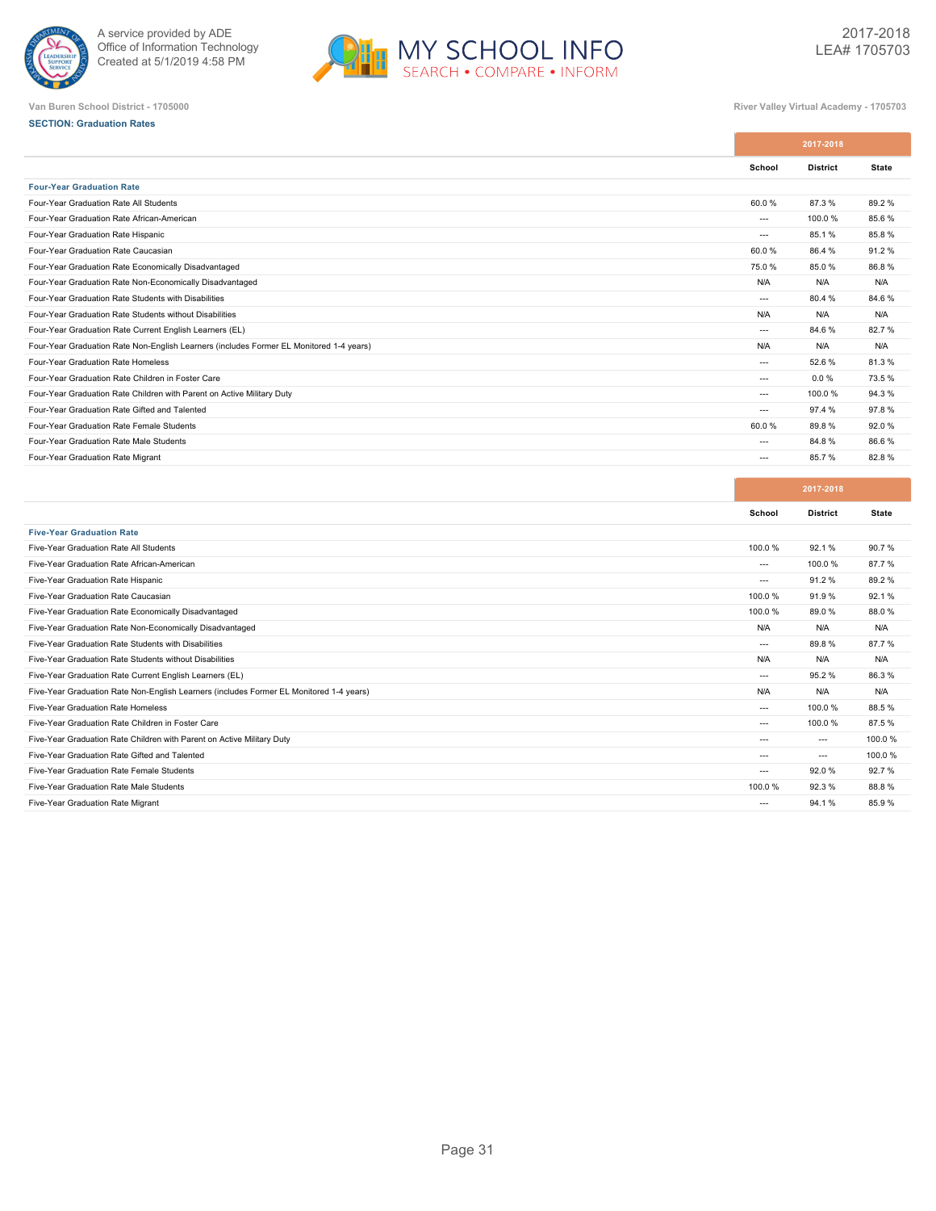



**SECTION: Graduation Rates**

|                                                                                         |               | 2017-2018       |              |
|-----------------------------------------------------------------------------------------|---------------|-----------------|--------------|
|                                                                                         | School        | <b>District</b> | <b>State</b> |
| <b>Four-Year Graduation Rate</b>                                                        |               |                 |              |
| Four-Year Graduation Rate All Students                                                  | 60.0%         | 87.3%           | 89.2%        |
| Four-Year Graduation Rate African-American                                              | $---$         | 100.0%          | 85.6%        |
| Four-Year Graduation Rate Hispanic                                                      | $\sim$ $\sim$ | 85.1%           | 85.8%        |
| Four-Year Graduation Rate Caucasian                                                     | 60.0%         | 86.4%           | 91.2%        |
| Four-Year Graduation Rate Economically Disadvantaged                                    | 75.0%         | 85.0%           | 86.8%        |
| Four-Year Graduation Rate Non-Economically Disadvantaged                                | N/A           | N/A             | N/A          |
| Four-Year Graduation Rate Students with Disabilities                                    | $\cdots$      | 80.4%           | 84.6%        |
| Four-Year Graduation Rate Students without Disabilities                                 | N/A           | N/A             | N/A          |
| Four-Year Graduation Rate Current English Learners (EL)                                 | $---$         | 84.6%           | 82.7%        |
| Four-Year Graduation Rate Non-English Learners (includes Former EL Monitored 1-4 years) | N/A           | N/A             | N/A          |
| Four-Year Graduation Rate Homeless                                                      | $\cdots$      | 52.6%           | 81.3%        |
| Four-Year Graduation Rate Children in Foster Care                                       | $\cdots$      | 0.0%            | 73.5 %       |
| Four-Year Graduation Rate Children with Parent on Active Military Duty                  | $\sim$ $\sim$ | 100.0%          | 94.3%        |
| Four-Year Graduation Rate Gifted and Talented                                           | $---$         | 97.4 %          | 97.8%        |
| Four-Year Graduation Rate Female Students                                               | 60.0%         | 89.8%           | 92.0%        |
| Four-Year Graduation Rate Male Students                                                 | $\cdots$      | 84.8%           | 86.6%        |
| Four-Year Graduation Rate Migrant                                                       | $---$         | 85.7%           | 82.8%        |
|                                                                                         |               |                 |              |

|                                                                                         |                          | 2017-2018       |              |  |
|-----------------------------------------------------------------------------------------|--------------------------|-----------------|--------------|--|
|                                                                                         | School                   | <b>District</b> | <b>State</b> |  |
| <b>Five-Year Graduation Rate</b>                                                        |                          |                 |              |  |
| Five-Year Graduation Rate All Students                                                  | 100.0%                   | 92.1%           | 90.7%        |  |
| Five-Year Graduation Rate African-American                                              | $---$                    | 100.0%          | 87.7%        |  |
| Five-Year Graduation Rate Hispanic                                                      | $\hspace{0.05cm} \ldots$ | 91.2%           | 89.2%        |  |
| Five-Year Graduation Rate Caucasian                                                     | 100.0%                   | 91.9%           | 92.1%        |  |
| Five-Year Graduation Rate Economically Disadvantaged                                    | 100.0%                   | 89.0%           | 88.0%        |  |
| Five-Year Graduation Rate Non-Economically Disadvantaged                                | N/A                      | N/A             | N/A          |  |
| Five-Year Graduation Rate Students with Disabilities                                    | $---$                    | 89.8%           | 87.7%        |  |
| Five-Year Graduation Rate Students without Disabilities                                 | N/A                      | N/A             | N/A          |  |
| Five-Year Graduation Rate Current English Learners (EL)                                 | $---$                    | 95.2%           | 86.3%        |  |
| Five-Year Graduation Rate Non-English Learners (includes Former EL Monitored 1-4 years) | N/A                      | N/A             | N/A          |  |
| Five-Year Graduation Rate Homeless                                                      | $---$                    | 100.0%          | 88.5%        |  |
| Five-Year Graduation Rate Children in Foster Care                                       | $---$                    | 100.0%          | 87.5%        |  |
| Five-Year Graduation Rate Children with Parent on Active Military Duty                  | $---$                    | $---$           | 100.0%       |  |
| Five-Year Graduation Rate Gifted and Talented                                           | $---$                    | $---$           | 100.0%       |  |
| Five-Year Graduation Rate Female Students                                               | $\hspace{0.05cm} \ldots$ | 92.0%           | 92.7%        |  |
| Five-Year Graduation Rate Male Students                                                 | 100.0%                   | 92.3%           | 88.8%        |  |
| Five-Year Graduation Rate Migrant                                                       | $---$                    | 94.1%           | 85.9%        |  |
|                                                                                         |                          |                 |              |  |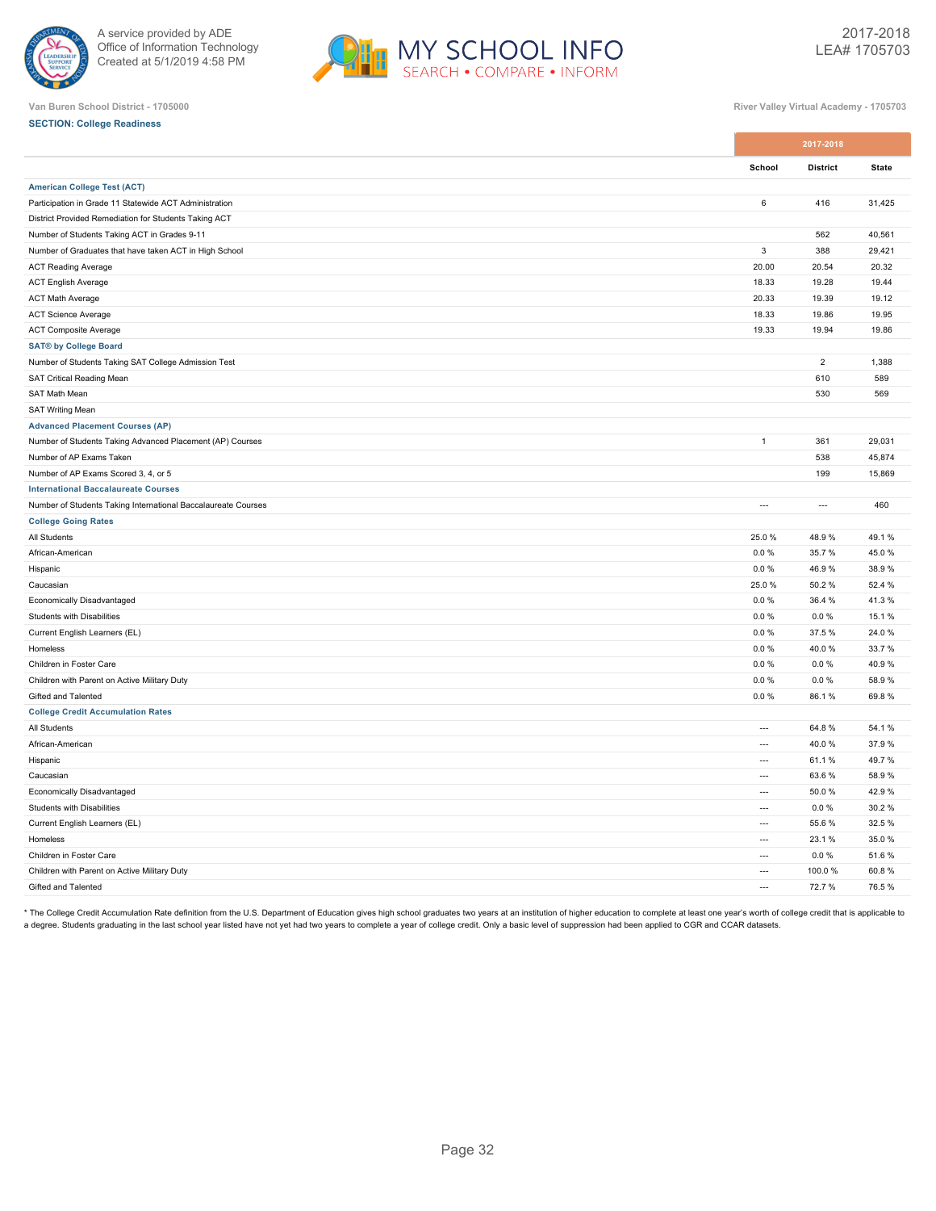

**SECTION: College Readiness**



**Van Buren School District - 1705000 River Valley Virtual Academy - 1705703**

### **School District State American College Test (ACT)** Participation in Grade 11 Statewide ACT Administration 6 31,425 District Provided Remediation for Students Taking ACT Number of Students Taking ACT in Grades 9-11 662 40,561 and the Students Taking ACT in Grades 9-11 562 40,561 Number of Graduates that have taken ACT in High School 3 388 29,421 ACT Reading Average 20.00 20.54 20.32 ACT English Average 18.33 19.28 19.44 ACT Math Average 20.33 19.39 19.12 ACT Science Average 18.33 19.86 19.95 ACT Composite Average 2002 19.94 19.86 19.94 19.86 19.94 19.94 19.94 19.94 19.94 19.94 19.95 **SAT® by College Board** Number of Students Taking SAT College Admission Test 2 1,388 SAT Critical Reading Mean 610 589 SAT Math Mean 530 569 SAT Writing Mean **Advanced Placement Courses (AP)** Number of Students Taking Advanced Placement (AP) Courses 1 361 29,031 29,031 29,031 29,031 29,031 29,031 29,031 29,031 29,031 29,031 29,031 29,031 29,031 29,031 29,031 29,031 29,031 29,031 29,031 29,031 29,031 29,031 29,0 Number of AP Exams Taken 538 the state of the state of the state of the state of the state of the state of the state of the state of the state of the state of the state of the state of the state of the state of the state o Number of AP Exams Scored 3, 4, or 5 199 15,869 **International Baccalaureate Courses** Number of Students Taking International Baccalaureate Courses --- 460 **College Going Rates** All Students 25.0 % 48.9 % 49.1 % African-American 0.0 % 35.7 % 45.0 % Hispanic 0.0 % 46.9 % 38.9 % Caucasian 25.0 % 50.2 % 52.4 % 52.4 % 52.4 % 52.4 % 52.5 % 52.4 % 52.5 % 52.4 % 52.5 % 52.4 % 52.4 % 52.4 % 52.5 % 52.4 % 52.4 % 52.4 % 52.5 % 52.4 % 52.5 % 52.4 % 52.5 % 52.4 % 52.5 % 52.4 % 52.5 % 52.4 % 52.5 % 52.5 % 5 Economically Disadvantaged and the state of the state of the state of the state of the state of the state of the state of the state of the state of the state of the state of the state of the state of the state of the state Students with Disabilities  $0.0\%$   $0.0\%$   $0.0\%$   $0.1\%$ Current English Learners (EL) 88 24.0 % 24.0 % 37.5 % 24.0 % 37.5 % 24.0 % 37.5 % 24.0 % 37.5 % 24.0 % 37.5 % 25.5 % 25.0 % 37.5 % 24.0 % 37.5 % 25.0 % 25.5 % 25.0 % 37.5 % 25.0 % 25.0 % 25.0 % 25.0 % 25.0 % 25.0 % 25.0 % Homeless  $0.0\,\% \phantom{0000000000000} \phantom{00000000000000000} \phantom{0000000000000000000} \phantom{000000000000000000} \phantom{000000000000000000} \phantom{000000000000000000} \phantom{00000000000000000} \phantom{00000000000000000} \phantom{000000000000000000} \phantom{0$ Children in Foster Care 0.0 % 0.0 % 40.9 % Children with Parent on Active Military Duty 0.0 % 0.0 % 58.9 % 0.0 % 58.9 % 0.0 % 58.9 % 0.0 % 58.9 % 0.0 % 58.9 % 0.0 % 58.9 % 0.0 % 58.9 % 0.0 % 58.9 % 0.0 % 58.9 % 0.0 % 58.9 % 0.0 % 58.9 % 0.0 % 0.0 % 0.0 % 0.0 % 0.0 Gifted and Talented  $0.0\,\%$  86.1  $\%$  69.8  $\%$ **College Credit Accumulation Rates** All Students --- 64.8 % 54.1 % African-American --- 40.0 % 37.9 % Hispanic --- 61.1 % 49.7 % Caucasian --- 63.6 % 58.9 % Economically Disadvantaged and the state of the state of the state of the state of the state of the state of the state of the state of the state of the state of the state of the state of the state of the state of the state Students with Disabilities **2008** 10.0 % 30.2 % 30.2 % 30.2 % 30.2 % 30.2 % 30.2 % 30.2 % 30.2 % 30.2 % 30.2 % 30.2 % 30.2 % 30.2 % 30.2 % 30.2 % 30.2 % 30.2 % 30.2 % 30.2 % 30.2 % 30.2 % 30.2 % 30.2 % 30.3 % 30.3 % 30.3 % Current English Learners (EL) 32.5 % 32.5 % 32.5 % 32.5 % 32.5 % 32.5 % 32.5 % 32.5 % 32.5 % 32.5 % 32.5 % 32.5 % 32.5 % 32.5 % 32.5 % 32.5 % 32.5 % 32.5 % 32.5 % 32.5 % 32.5 % 32.5 % 32.5 % 32.5 % 32.5 % 32.5 % 32.5 % 32. Homeless --- 23.1 % 35.0 % Children in Foster Care --- 0.0 % 51.6 %

\* The College Credit Accumulation Rate definition from the U.S. Department of Education gives high school graduates two years at an institution of higher education to complete at least one year's worth of college credit th a degree. Students graduating in the last school year listed have not yet had two years to complete a year of college credit. Only a basic level of suppression had been applied to CGR and CCAR datasets.

Children with Parent on Active Military Duty --- 100.0 % 60.8 % Gifted and Talented --- 72.7 % 76.5 %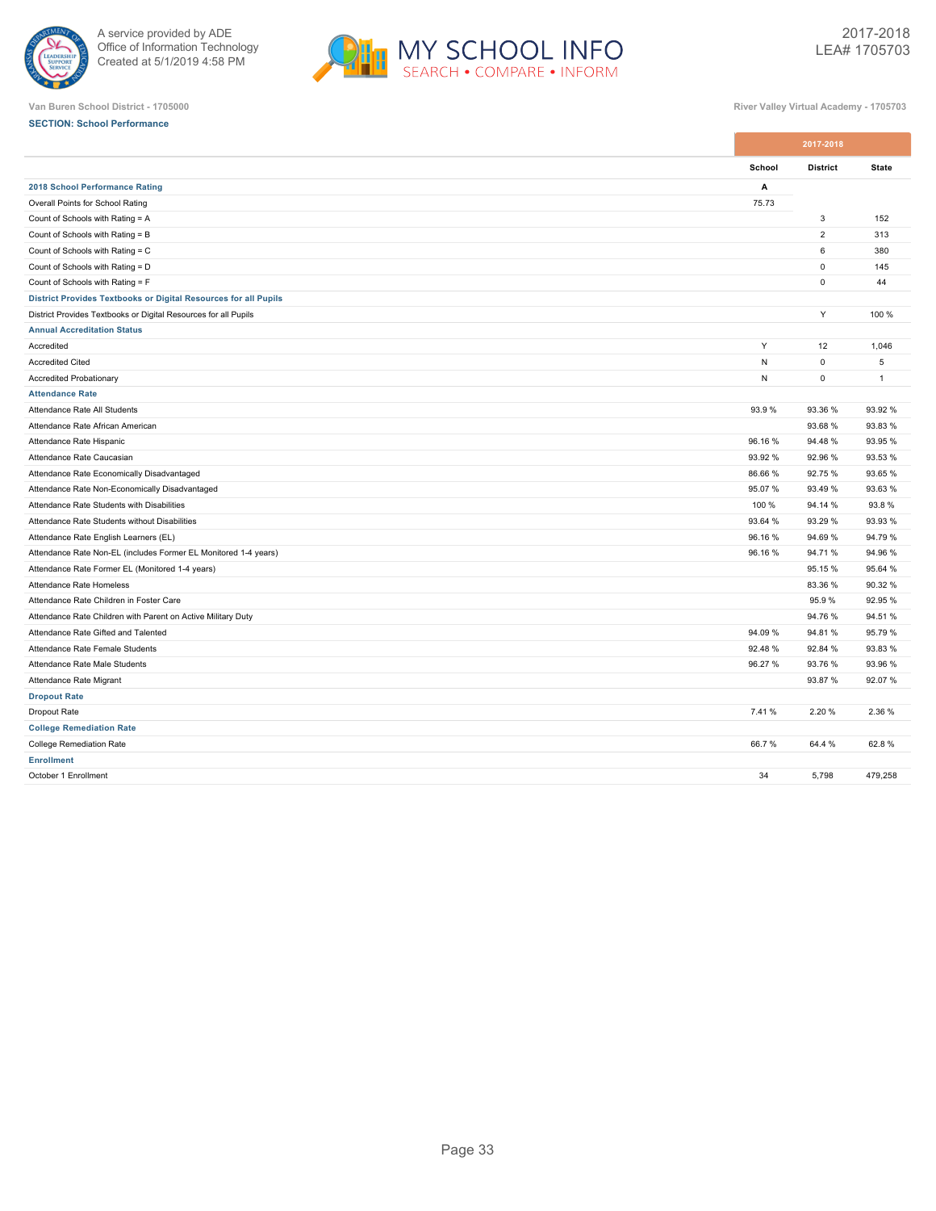



**SECTION: School Performance**

|                                                                 | 2017-2018 |                 |              |
|-----------------------------------------------------------------|-----------|-----------------|--------------|
|                                                                 | School    | <b>District</b> | <b>State</b> |
| 2018 School Performance Rating                                  | А         |                 |              |
| Overall Points for School Rating                                | 75.73     |                 |              |
| Count of Schools with Rating = A                                |           | 3               | 152          |
| Count of Schools with Rating = B                                |           | $\overline{2}$  | 313          |
| Count of Schools with Rating = C                                |           | 6               | 380          |
| Count of Schools with Rating = D                                |           | $\mathbf 0$     | 145          |
| Count of Schools with Rating = F                                |           | $\mathbf 0$     | 44           |
| District Provides Textbooks or Digital Resources for all Pupils |           |                 |              |
| District Provides Textbooks or Digital Resources for all Pupils |           | Y               | 100 %        |
| <b>Annual Accreditation Status</b>                              |           |                 |              |
| Accredited                                                      | Y         | 12              | 1,046        |
| <b>Accredited Cited</b>                                         | ${\sf N}$ | 0               | 5            |
| <b>Accredited Probationary</b>                                  | N         | 0               | $\mathbf{1}$ |
| <b>Attendance Rate</b>                                          |           |                 |              |
| Attendance Rate All Students                                    | 93.9%     | 93.36 %         | 93.92 %      |
| Attendance Rate African American                                |           | 93.68 %         | 93.83 %      |
| Attendance Rate Hispanic                                        | 96.16%    | 94.48%          | 93.95 %      |
| Attendance Rate Caucasian                                       | 93.92%    | 92.96 %         | 93.53 %      |
| Attendance Rate Economically Disadvantaged                      | 86.66%    | 92.75 %         | 93.65 %      |
| Attendance Rate Non-Economically Disadvantaged                  | 95.07%    | 93.49 %         | 93.63%       |
| Attendance Rate Students with Disabilities                      | 100 %     | 94.14 %         | 93.8%        |
| Attendance Rate Students without Disabilities                   | 93.64 %   | 93.29 %         | 93.93 %      |
| Attendance Rate English Learners (EL)                           | 96.16%    | 94.69%          | 94.79%       |
| Attendance Rate Non-EL (includes Former EL Monitored 1-4 years) | 96.16%    | 94.71%          | 94.96 %      |
| Attendance Rate Former EL (Monitored 1-4 years)                 |           | 95.15 %         | 95.64 %      |
| Attendance Rate Homeless                                        |           | 83.36 %         | 90.32 %      |
| Attendance Rate Children in Foster Care                         |           | 95.9%           | 92.95 %      |
| Attendance Rate Children with Parent on Active Military Duty    |           | 94.76 %         | 94.51%       |
| Attendance Rate Gifted and Talented                             | 94.09%    | 94.81%          | 95.79 %      |
| Attendance Rate Female Students                                 | 92.48%    | 92.84 %         | 93.83 %      |
| Attendance Rate Male Students                                   | 96.27%    | 93.76 %         | 93.96 %      |
| Attendance Rate Migrant                                         |           | 93.87 %         | 92.07%       |
| <b>Dropout Rate</b>                                             |           |                 |              |
| Dropout Rate                                                    | 7.41 %    | 2.20%           | 2.36 %       |
| <b>College Remediation Rate</b>                                 |           |                 |              |
| College Remediation Rate                                        | 66.7%     | 64.4 %          | 62.8%        |
| <b>Enrollment</b>                                               |           |                 |              |
| October 1 Enrollment                                            | 34        | 5,798           | 479,258      |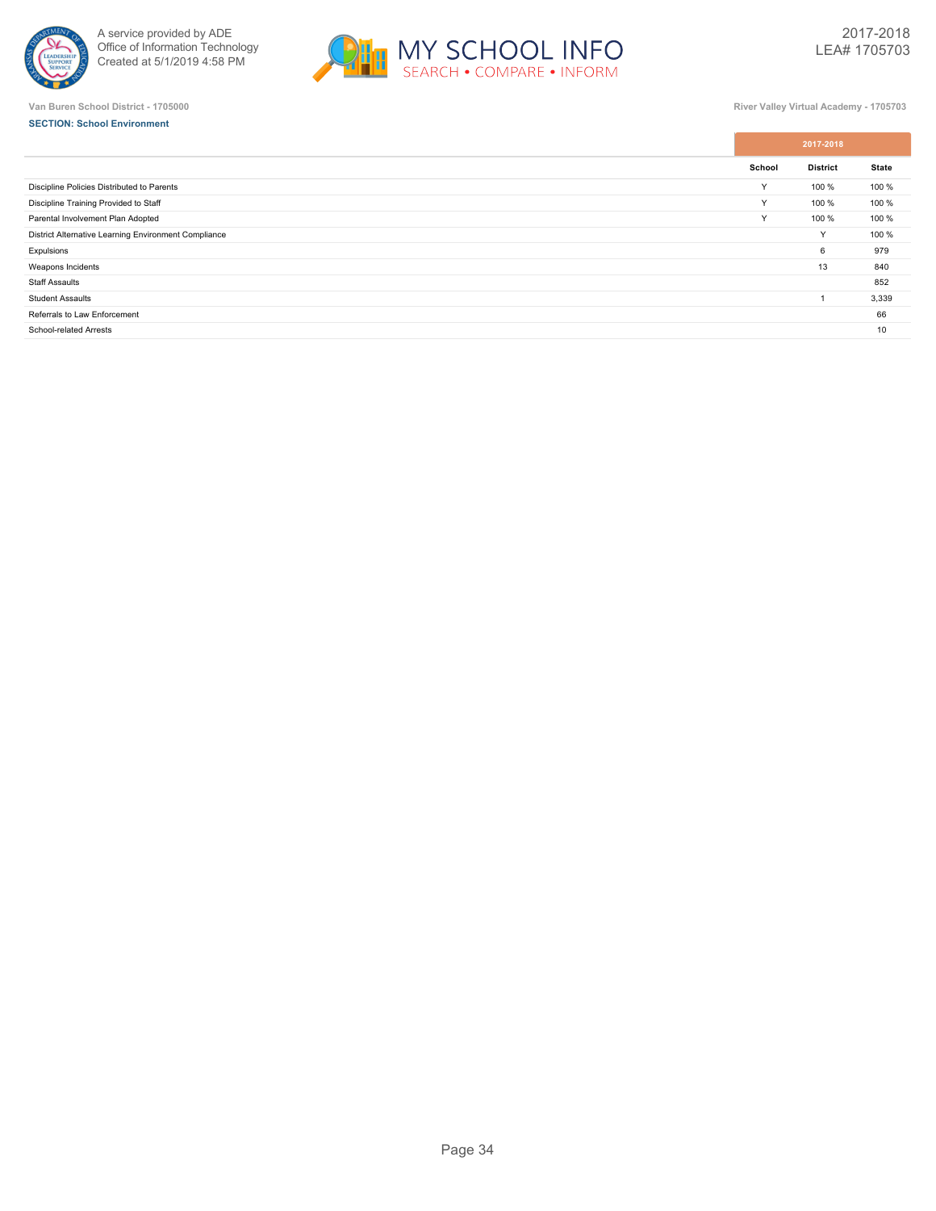



# **SECTION: School Environment**

|                                                      | School | <b>District</b> | <b>State</b> |
|------------------------------------------------------|--------|-----------------|--------------|
| Discipline Policies Distributed to Parents           | Y      | 100 %           | 100 %        |
| Discipline Training Provided to Staff                | Y      | 100 %           | 100 %        |
| Parental Involvement Plan Adopted                    | Y      | 100 %           | 100 %        |
| District Alternative Learning Environment Compliance |        | v               | 100 %        |
| Expulsions                                           |        | 6               | 979          |
| Weapons Incidents                                    |        | 13              | 840          |
| <b>Staff Assaults</b>                                |        |                 | 852          |
| <b>Student Assaults</b>                              |        |                 | 3,339        |
| Referrals to Law Enforcement                         |        |                 | 66           |
| School-related Arrests                               |        |                 | 10           |
|                                                      |        |                 |              |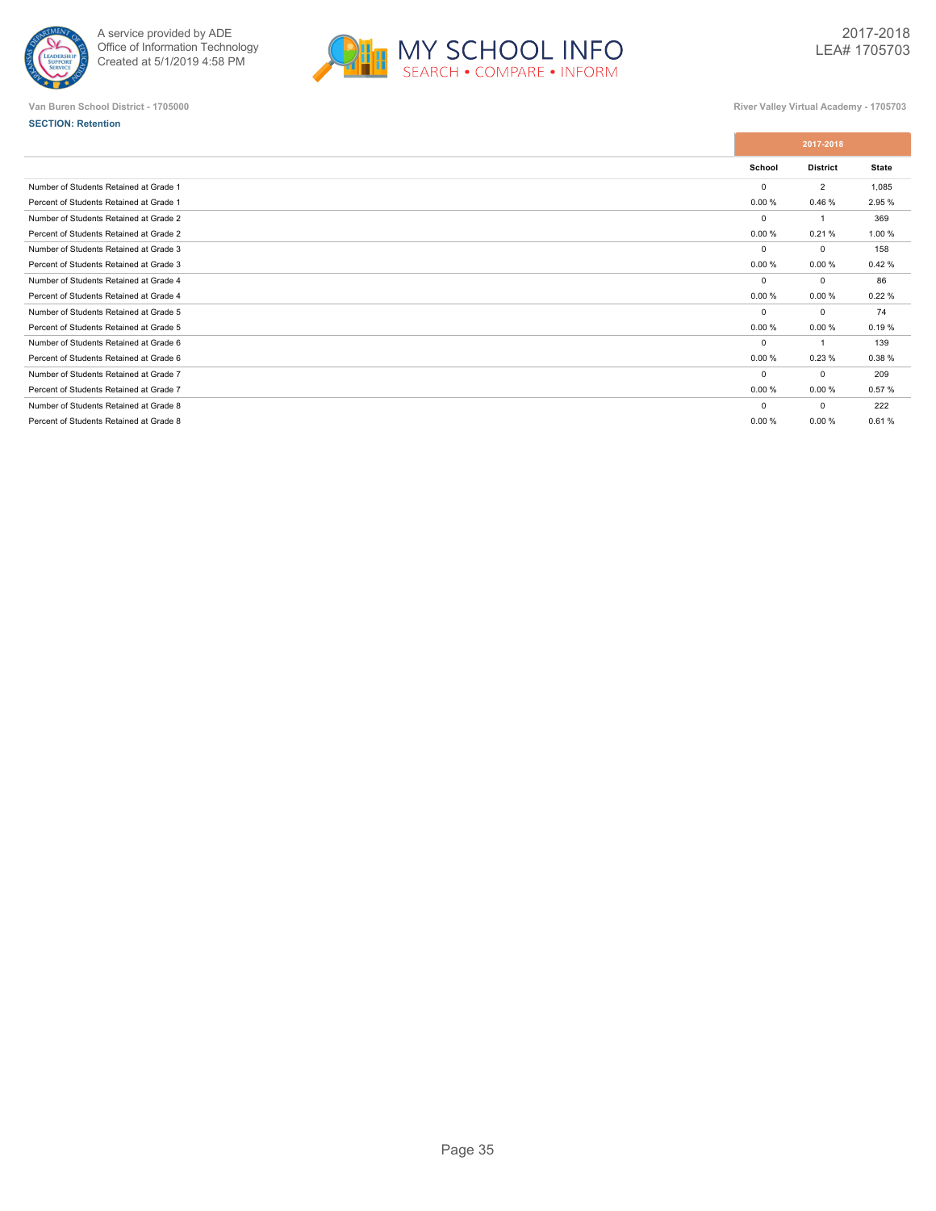

**SECTION: Retention**



**Van Buren School District - 1705000 River Valley Virtual Academy - 1705703**

#### **School District State** Number of Students Retained at Grade 1 0 2 1,085 Percent of Students Retained at Grade 1 0.00 % 0.46 % 2.95 % 0.46 % 0.00 % 0.46 % 2.95 % 0.46 % 0.00 % 0.46 % 2.95 % 0.46 % 2.95 % 0.46 % 0.00 % 0.46 % 0.46 % 0.2.95 % 0.46 % 0.2.95 % 0.46 % 0.46 % 0.46 % 0.46 % 0.46 % 0.4 Number of Students Retained at Grade 2 0 1 369 Percent of Students Retained at Grade 2 0.00 % 0.21 % 1.00 % 0.21 % 1.00 % 0.21 % 1.00 % 0.21 % 1.00 % 0.21 % 1.00 % 0.21 % 1.00 % 0.21 % 1.00 % 0.21 % 1.00 % 0.21 % 1.00 % 0.21 % 1.00 % 0.21 % 1.00 % 0.21 % 0.00 % 0.21 % Number of Students Retained at Grade 3  $\overline{0}$  $\overline{0}$ 158 Percent of Students Retained at Grade 3 0.00 % 0.42 % 0.00 % 0.42 % 0.00 % 0.42 % 0.00 % 0.42 % 0.00 % 0.42 % 0.00 % 0.42 % 0.42 % 0.42 % 0.42 % 0.42 % 0.42 % 0.42 % 0.42 % 0.42 % 0.42 % 0.42 % 0.42 % 0.42 % 0.42 % 0.42 % Number of Students Retained at Grade 4 0 0 0 86 Percent of Students Retained at Grade 4 0.00 % 0.00 % 0.00 % 0.22 % Number of Students Retained at Grade 5 0 0 74 Percent of Students Retained at Grade 5 0.00 % 0.19 % 0.00 % 0.00 % 0.19 % 0.00 % 0.19 % Number of Students Retained at Grade 6 0 1 1 139 Percent of Students Retained at Grade 6 0.00 % 0.23 % 0.38 % 0.38 % 0.38 % 0.38 % 0.38 % 0.38 % 0.38 % 0.38 % 0.38 % 0.38 % 0.38 % 0.38 % 0.38 % 0.38 % 0.38 % 0.38 % 0.38 % 0.38 % 0.38 % 0.38 % 0.38 % 0.38 % 0.38 % 0.38 % Number of Students Retained at Grade 7 0 0 209 Percent of Students Retained at Grade 7 0.00 % 0.00 % 0.00 % 0.00 % 0.00 % 0.00 % 0.00 % 0.00 % 0.00 % 0.00 % 0.00 % 0.57 % 0.00 % 0.00 % 0.57 % 0.00 % 0.57 % 0.00 % 0.00 % 0.57 % 0.00 % 0.57 % 0.00 % 0.00 % 0.57 % 0.00 % Number of Students Retained at Grade 8 0 0 222 Percent of Students Retained at Grade 8 0.00 % 0.00 % 0.00 % 0.00 % 0.00 % 0.00 % 0.00 % 0.00 % 0.00 % 0.00 % 0.00 % 0.61 %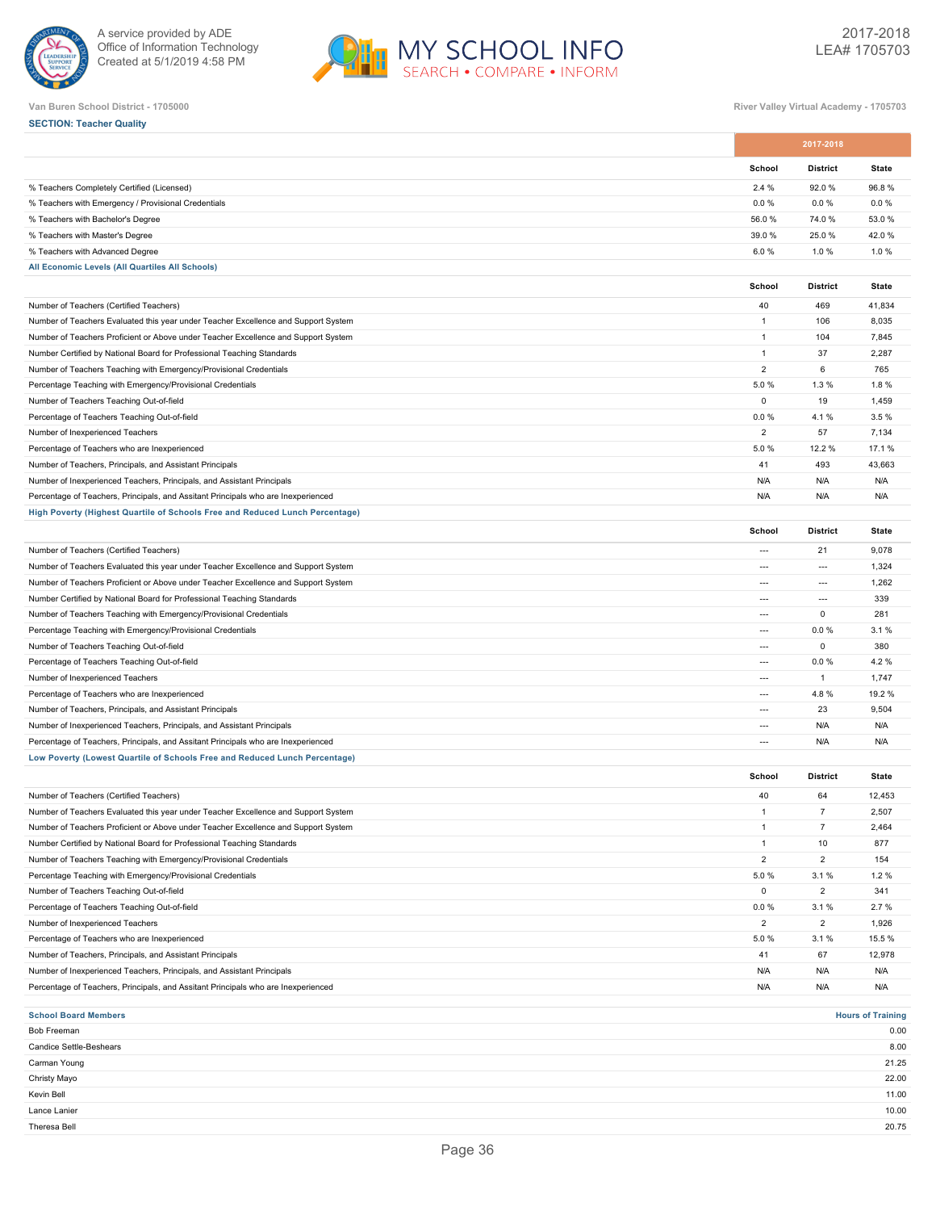



**SECTION: Teacher Quality**

|                                                                                    | School                   | District                 | State                    |
|------------------------------------------------------------------------------------|--------------------------|--------------------------|--------------------------|
| % Teachers Completely Certified (Licensed)                                         | 2.4%                     | 92.0%                    | 96.8%                    |
| % Teachers with Emergency / Provisional Credentials                                | 0.0%                     | 0.0%                     | 0.0 %                    |
| % Teachers with Bachelor's Degree                                                  | 56.0%                    | 74.0%                    | 53.0%                    |
| % Teachers with Master's Degree                                                    | 39.0 %                   | 25.0%                    | 42.0%                    |
| % Teachers with Advanced Degree                                                    | 6.0%                     | 1.0%                     | 1.0%                     |
| All Economic Levels (All Quartiles All Schools)                                    |                          |                          |                          |
|                                                                                    | School                   | <b>District</b>          | State                    |
| Number of Teachers (Certified Teachers)                                            | 40                       | 469                      | 41,834                   |
| Number of Teachers Evaluated this year under Teacher Excellence and Support System | $\mathbf{1}$             | 106                      | 8,035                    |
| Number of Teachers Proficient or Above under Teacher Excellence and Support System | $\mathbf{1}$             | 104                      | 7,845                    |
| Number Certified by National Board for Professional Teaching Standards             | $\mathbf{1}$             | 37                       | 2,287                    |
| Number of Teachers Teaching with Emergency/Provisional Credentials                 | $\overline{2}$           | 6                        | 765                      |
| Percentage Teaching with Emergency/Provisional Credentials                         | 5.0%                     | 1.3%                     | 1.8%                     |
| Number of Teachers Teaching Out-of-field                                           | $\mathsf 0$              | 19                       | 1,459                    |
| Percentage of Teachers Teaching Out-of-field                                       | 0.0%                     | 4.1%                     | 3.5%                     |
| Number of Inexperienced Teachers                                                   | $\overline{2}$           | 57                       | 7,134                    |
| Percentage of Teachers who are Inexperienced                                       | 5.0%                     | 12.2%                    | 17.1 %                   |
| Number of Teachers, Principals, and Assistant Principals                           | 41                       | 493                      | 43,663                   |
| Number of Inexperienced Teachers, Principals, and Assistant Principals             | N/A                      | N/A                      | N/A                      |
| Percentage of Teachers, Principals, and Assitant Principals who are Inexperienced  | N/A                      | N/A                      | N/A                      |
| High Poverty (Highest Quartile of Schools Free and Reduced Lunch Percentage)       |                          |                          |                          |
|                                                                                    | School                   | <b>District</b>          | State                    |
| Number of Teachers (Certified Teachers)                                            | $\overline{a}$           | 21                       | 9,078                    |
| Number of Teachers Evaluated this year under Teacher Excellence and Support System | $\hspace{0.05cm} \ldots$ | $\overline{\phantom{a}}$ | 1,324                    |
| Number of Teachers Proficient or Above under Teacher Excellence and Support System | ---                      | $\overline{a}$           | 1,262                    |
| Number Certified by National Board for Professional Teaching Standards             | $\hspace{0.05cm} \ldots$ | $\overline{\phantom{a}}$ | 339                      |
| Number of Teachers Teaching with Emergency/Provisional Credentials                 | ---                      | 0                        | 281                      |
| Percentage Teaching with Emergency/Provisional Credentials                         | $\overline{a}$           | 0.0%                     | 3.1%                     |
| Number of Teachers Teaching Out-of-field                                           | ---                      | $\mathsf 0$              | 380                      |
| Percentage of Teachers Teaching Out-of-field                                       | $\overline{a}$           | 0.0%                     | 4.2%                     |
| Number of Inexperienced Teachers                                                   | ---                      | $\mathbf{1}$             | 1,747                    |
| Percentage of Teachers who are Inexperienced                                       | $\overline{\phantom{a}}$ | 4.8%                     | 19.2 %                   |
| Number of Teachers, Principals, and Assistant Principals                           | $---$                    | 23                       | 9,504                    |
| Number of Inexperienced Teachers, Principals, and Assistant Principals             | $\overline{a}$           | N/A                      | N/A                      |
| Percentage of Teachers, Principals, and Assitant Principals who are Inexperienced  | ---                      | N/A                      | N/A                      |
| Low Poverty (Lowest Quartile of Schools Free and Reduced Lunch Percentage)         |                          |                          |                          |
|                                                                                    | School                   | <b>District</b>          | State                    |
| Number of Teachers (Certified Teachers)                                            | 40                       | 64                       | 12,453                   |
| Number of Teachers Evaluated this year under Teacher Excellence and Support System | $\mathbf{1}$             | 7                        | 2,507                    |
| Number of Teachers Proficient or Above under Teacher Excellence and Support System | $\mathbf{1}$             | $\overline{7}$           | 2,464                    |
| Number Certified by National Board for Professional Teaching Standards             | $\mathbf{1}$             | 10                       | 877                      |
| Number of Teachers Teaching with Emergency/Provisional Credentials                 | $\overline{2}$           | $\mathbf 2$              | 154                      |
| Percentage Teaching with Emergency/Provisional Credentials                         | 5.0%                     | 3.1%                     | 1.2%                     |
| Number of Teachers Teaching Out-of-field                                           | 0                        | $\mathbf 2$              | 341                      |
| Percentage of Teachers Teaching Out-of-field                                       | $0.0 \%$                 | 3.1%                     | 2.7%                     |
| Number of Inexperienced Teachers                                                   | $\overline{2}$           | $\mathbf 2$              | 1,926                    |
| Percentage of Teachers who are Inexperienced                                       | 5.0%                     | 3.1%                     | 15.5 %                   |
| Number of Teachers, Principals, and Assistant Principals                           | 41                       | 67                       | 12,978                   |
| Number of Inexperienced Teachers, Principals, and Assistant Principals             | N/A                      | N/A                      | N/A                      |
| Percentage of Teachers, Principals, and Assitant Principals who are Inexperienced  | N/A                      | N/A                      | N/A                      |
| <b>School Board Members</b>                                                        |                          |                          | <b>Hours of Training</b> |
| Bob Freeman                                                                        |                          |                          | 0.00                     |
| Candice Settle-Beshears                                                            |                          |                          | 8.00                     |
| Carman Young                                                                       |                          |                          | 21.25                    |
| Christy Mayo                                                                       |                          |                          | 22.00                    |
| Kevin Bell                                                                         |                          |                          | 11.00                    |
| Lance Lanier                                                                       |                          |                          | 10.00                    |
|                                                                                    |                          |                          | 20.75                    |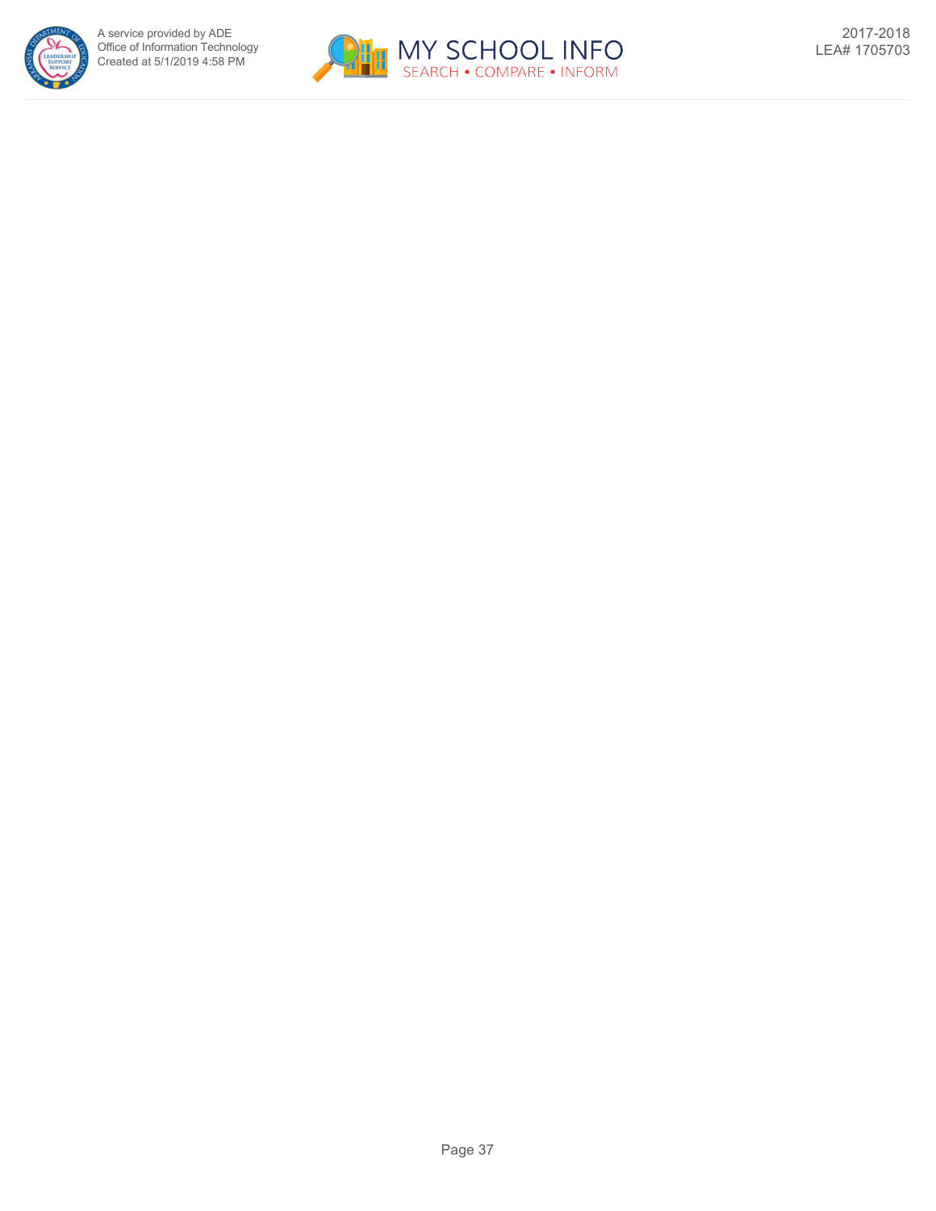

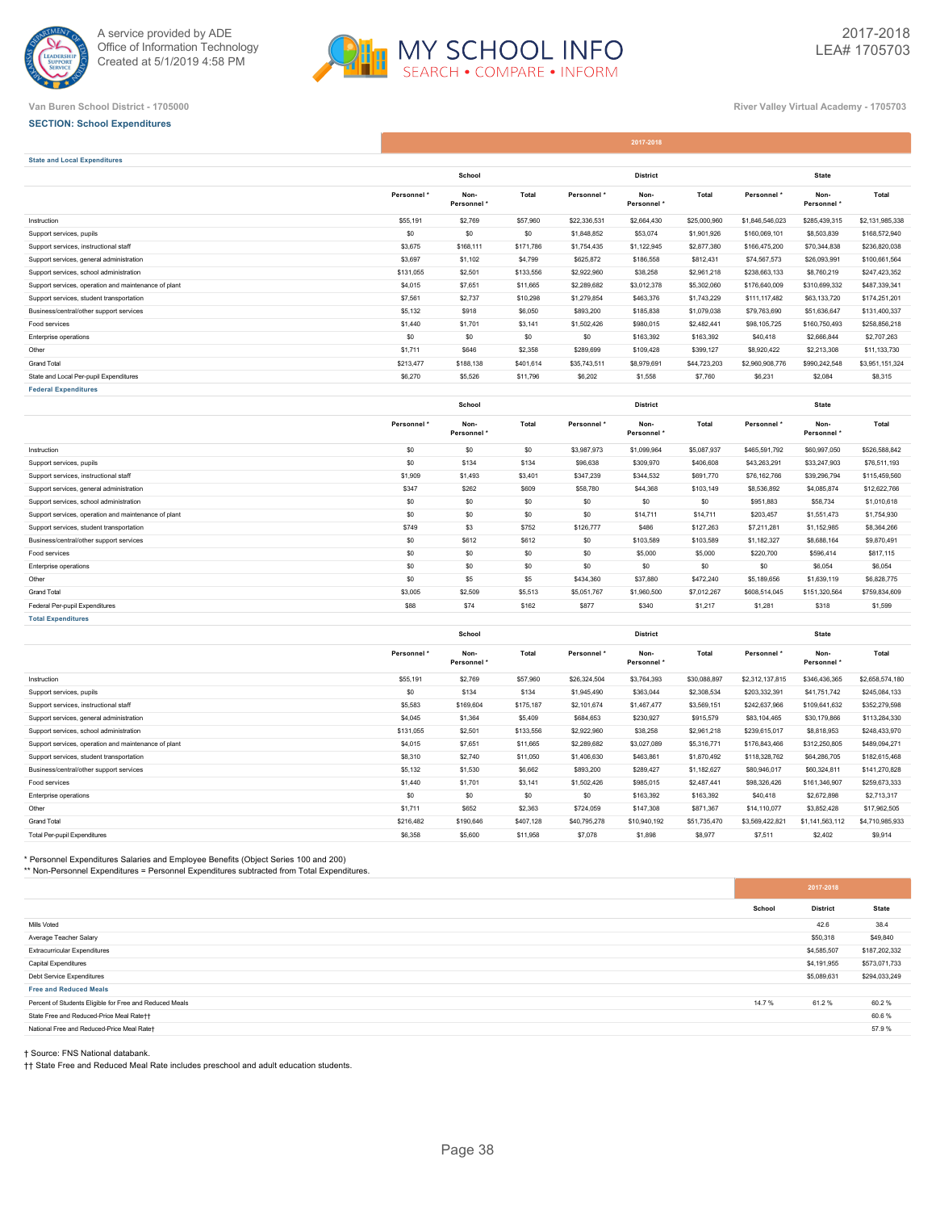



### **SECTION: School Expenditures**

|                                                      |                |                     |           |              | 2017-2018           |              |                 |                     |                 |
|------------------------------------------------------|----------------|---------------------|-----------|--------------|---------------------|--------------|-----------------|---------------------|-----------------|
| <b>State and Local Expenditures</b>                  |                |                     |           |              |                     |              |                 |                     |                 |
|                                                      |                | School              |           |              | <b>District</b>     |              |                 | <b>State</b>        |                 |
|                                                      | Personnel *    | Non-<br>Personnel * | Total     | Personnel *  | Non-<br>Personnel * | Total        | Personnel *     | Non-<br>Personnel * | Total           |
| Instruction                                          | \$55,191       | \$2,769             | \$57,960  | \$22,336,531 | \$2,664,430         | \$25,000,960 | \$1,846,546,023 | \$285,439,315       | \$2,131,985,338 |
| Support services, pupils                             | \$0            | \$0                 | \$0       | \$1,848,852  | \$53,074            | \$1,901,926  | \$160,069,101   | \$8,503,839         | \$168,572,940   |
| Support services, instructional staff                | \$3,675        | \$168,111           | \$171,786 | \$1,754,435  | \$1,122,945         | \$2,877,380  | \$166,475,200   | \$70,344,838        | \$236,820,038   |
| Support services, general administration             | \$3,697        | \$1,102             | \$4,799   | \$625,872    | \$186,558           | \$812,431    | \$74,567,573    | \$26,093,991        | \$100,661,564   |
| Support services, school administration              | \$131,055      | \$2,501             | \$133,556 | \$2,922,960  | \$38,258            | \$2,961,218  | \$238,663,133   | \$8,760,219         | \$247,423,352   |
| Support services, operation and maintenance of plant | \$4,015        | \$7,651             | \$11,665  | \$2,289,682  | \$3,012,378         | \$5,302,060  | \$176,640,009   | \$310,699,332       | \$487,339,341   |
| Support services, student transportation             | \$7,561        | \$2,737             | \$10,298  | \$1,279,854  | \$463,376           | \$1,743,229  | \$111,117,482   | \$63,133,720        | \$174,251,201   |
| Business/central/other support services              | \$5,132        | \$918               | \$6,050   | \$893,200    | \$185,838           | \$1,079,038  | \$79,763,690    | \$51,636,647        | \$131,400,337   |
| Food services                                        | \$1,440        | \$1,701             | \$3,141   | \$1,502,426  | \$980,015           | \$2,482.441  | \$98,105,725    | \$160.750.493       | \$258,856,218   |
| Enterprise operations                                | \$0            | \$0                 | \$0       | \$0          | \$163,392           | \$163,392    | \$40,418        | \$2,666,844         | \$2,707,263     |
| Other                                                | \$1,711        | \$646               | \$2,358   | \$289,699    | \$109,428           | \$399,127    | \$8,920,422     | \$2,213,308         | \$11,133,730    |
| <b>Grand Total</b>                                   | \$213,477      | \$188,138           | \$401,614 | \$35,743,511 | \$8,979,691         | \$44,723,203 | \$2,960,908,776 | \$990,242,548       | \$3,951,151,324 |
| State and Local Per-pupil Expenditures               | \$6,270        | \$5,526             | \$11,796  | \$6,202      | \$1,558             | \$7,760      | \$6,231         | \$2,084             | \$8,315         |
| <b>Federal Expenditures</b>                          |                |                     |           |              |                     |              |                 |                     |                 |
|                                                      |                |                     |           |              |                     |              |                 |                     |                 |
|                                                      |                | School              |           |              | <b>District</b>     |              |                 | <b>State</b>        |                 |
|                                                      | Personnel *    | Non-<br>Personnel * | Total     | Personnel *  | Non-<br>Personnel*  | Total        | Personnel *     | Non-<br>Personnel * | Total           |
| Instruction                                          | S <sub>0</sub> | \$0                 | \$0       | \$3,987,973  | \$1,099,964         | \$5,087,937  | \$465,591,792   | \$60,997,050        | \$526,588,842   |
| Support services, pupils                             | \$0            | \$134               | \$134     | \$96,638     | \$309,970           | \$406,608    | \$43,263,291    | \$33,247,903        | \$76,511,193    |
| Support services, instructional staff                | \$1,909        | \$1,493             | \$3,401   | \$347,239    | \$344,532           | \$691,770    | \$76,162,766    | \$39,296,794        | \$115,459,560   |
| Support services, general administration             | \$347          | \$262               | \$609     | \$58,780     | \$44,368            | \$103,149    | \$8,536,892     | \$4,085,874         | \$12,622,766    |
| Support services, school administration              | \$0            | \$0                 | \$0       | \$0          | \$0                 | \$0          | \$951,883       | \$58,734            | \$1,010,618     |
| Support services, operation and maintenance of plant | \$0            | \$0                 | \$0       | \$0          | \$14,711            | \$14,711     | \$203,457       | \$1,551,473         | \$1,754,930     |
| Support services, student transportation             | \$749          | \$3                 | \$752     | \$126,777    | \$486               | \$127,263    | \$7,211,281     | \$1,152,985         | \$8,364,266     |
| Business/central/other support services              | \$0            | \$612               | \$612     | \$0          | \$103,589           | \$103,589    | \$1,182,327     | \$8,688,164         | \$9,870,491     |
| Food services                                        | \$0            | \$0                 | \$0       | \$0          | \$5,000             | \$5,000      | \$220,700       | \$596,414           | \$817,115       |
| Enterprise operations                                | \$0            | \$0                 | \$0       | \$0          | \$0                 | \$0          | \$0             | \$6,054             | \$6,054         |
| Other                                                | \$0            | \$5                 | \$5       | \$434,360    | \$37,880            | \$472,240    | \$5,189,656     | \$1,639,119         | \$6,828,775     |
| <b>Grand Total</b>                                   | \$3,005        | \$2,509             | \$5,513   | \$5,051,767  | \$1,960,500         | \$7,012,267  | \$608,514,045   | \$151,320,564       | \$759,834,609   |
| Federal Per-pupil Expenditures                       | <b>S88</b>     | \$74                | \$162     | <b>\$877</b> | \$340               | \$1,217      | \$1,281         | \$318               | \$1,599         |
| <b>Total Expenditures</b>                            |                |                     |           |              |                     |              |                 |                     |                 |

|                                                      | Personnel * | Non-<br>Personnel * | Total     | Personnel *  | Non-<br>Personnel * | Total        | Personnel *     | Non-<br>Personnel * | Total           |
|------------------------------------------------------|-------------|---------------------|-----------|--------------|---------------------|--------------|-----------------|---------------------|-----------------|
| Instruction                                          | \$55,191    | \$2,769             | \$57,960  | \$26,324,504 | \$3,764,393         | \$30,088,897 | \$2,312,137,815 | \$346,436,365       | \$2,658,574,180 |
| Support services, pupils                             | \$0         | \$134               | \$134     | \$1,945,490  | \$363,044           | \$2,308,534  | \$203,332,391   | \$41,751,742        | \$245,084,133   |
| Support services, instructional staff                | \$5,583     | \$169,604           | \$175,187 | \$2,101,674  | \$1,467,477         | \$3,569,151  | \$242,637,966   | \$109,641,632       | \$352,279,598   |
| Support services, general administration             | \$4,045     | \$1,364             | \$5,409   | \$684,653    | \$230,927           | \$915,579    | \$83,104,465    | \$30,179,866        | \$113,284,330   |
| Support services, school administration              | \$131,055   | \$2,501             | \$133,556 | \$2,922,960  | \$38,258            | \$2,961,218  | \$239,615,017   | \$8,818,953         | \$248,433,970   |
| Support services, operation and maintenance of plant | \$4,015     | \$7,651             | \$11,665  | \$2,289,682  | \$3,027,089         | \$5,316,771  | \$176,843,466   | \$312,250,805       | \$489,094,271   |
| Support services, student transportation             | \$8,310     | \$2,740             | \$11,050  | \$1,406,630  | \$463,861           | \$1,870,492  | \$118,328,762   | \$64,286,705        | \$182,615,468   |
| Business/central/other support services              | \$5,132     | \$1,530             | \$6,662   | \$893,200    | \$289,427           | \$1,182,627  | \$80,946,017    | \$60,324,811        | \$141,270,828   |
| Food services                                        | \$1,440     | \$1,701             | \$3,141   | \$1,502,426  | \$985,015           | \$2,487,441  | \$98,326,426    | \$161,346,907       | \$259,673,333   |
| Enterprise operations                                | \$0         | \$0                 | \$0       | \$0          | \$163,392           | \$163,392    | \$40,418        | \$2,672,898         | \$2,713,317     |
| Other                                                | \$1,711     | \$652               | \$2,363   | \$724,059    | \$147,308           | \$871,367    | \$14,110,077    | \$3,852,428         | \$17,962,505    |
| Grand Total                                          | \$216,482   | \$190,646           | \$407,128 | \$40,795,278 | \$10,940,192        | \$51,735,470 | \$3,569,422,821 | \$1,141,563,112     | \$4,710,985,933 |
| <b>Total Per-pupil Expenditures</b>                  | \$6,358     | \$5,600             | \$11,958  | \$7,078      | \$1,898             | \$8,977      | \$7,511         | \$2,402             | \$9,914         |

\* Personnel Expenditures Salaries and Employee Benefits (Object Series 100 and 200)

\*\* Non-Personnel Expenditures = Personnel Expenditures subtracted from Total Expenditures.

|                                                         |        | 2017-2018       |               |
|---------------------------------------------------------|--------|-----------------|---------------|
|                                                         | School | <b>District</b> | State         |
| Mills Voted                                             |        | 42.6            | 38.4          |
| Average Teacher Salary                                  |        | \$50,318        | \$49,840      |
| <b>Extracurricular Expenditures</b>                     |        | \$4,585,507     | \$187,202,332 |
| Capital Expenditures                                    |        | \$4,191,955     | \$573,071,733 |
| Debt Service Expenditures                               |        | \$5,089,631     | \$294,033,249 |
| <b>Free and Reduced Meals</b>                           |        |                 |               |
| Percent of Students Eligible for Free and Reduced Meals | 14.7%  | 61.2%           | 60.2%         |
| State Free and Reduced-Price Meal Ratett                |        |                 | 60.6%         |
| National Free and Reduced-Price Meal Rate+              |        |                 | 57.9%         |
|                                                         |        |                 |               |

† Source: FNS National databank.

†† State Free and Reduced Meal Rate includes preschool and adult education students.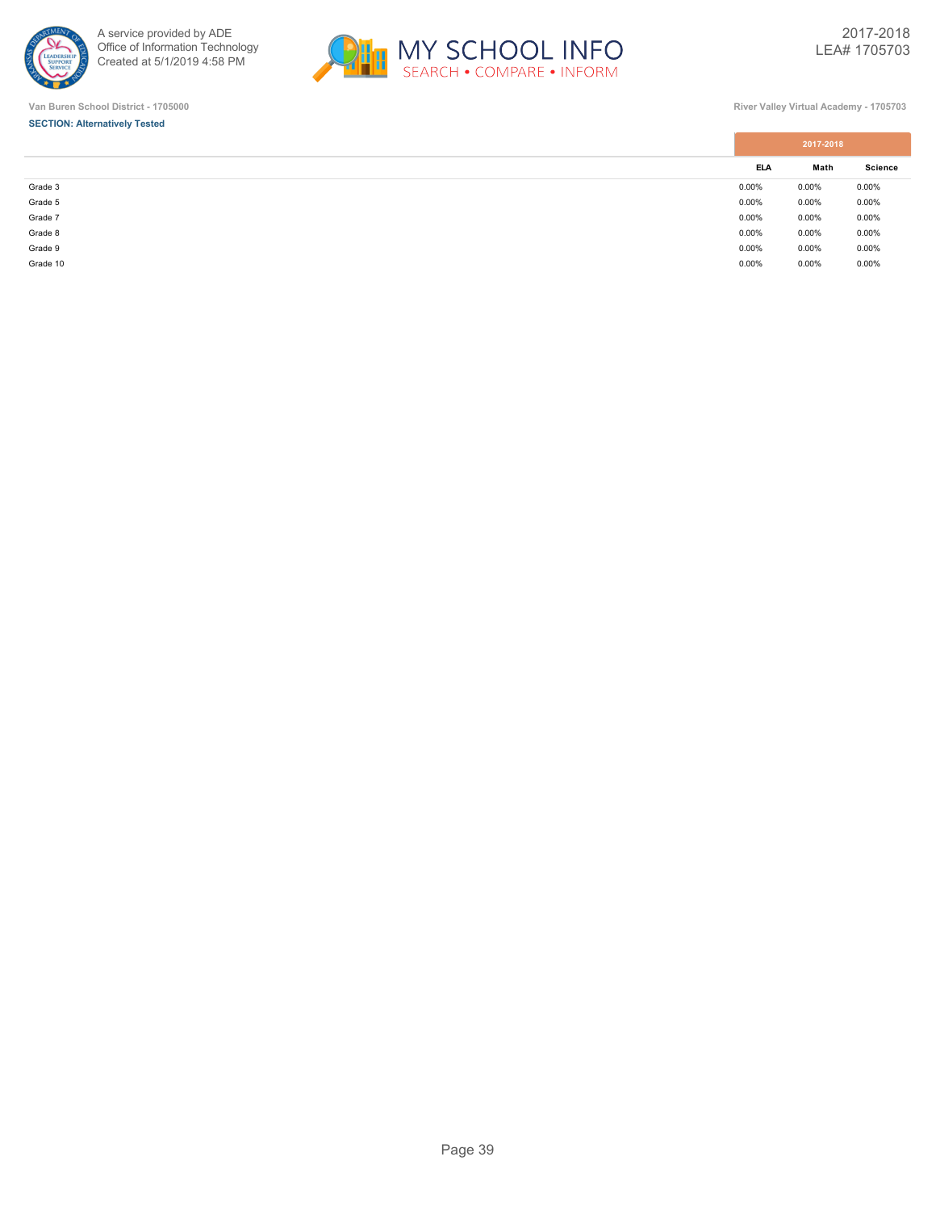





|          |            | 2017-2018 |                |  |  |
|----------|------------|-----------|----------------|--|--|
|          | <b>ELA</b> | Math      | <b>Science</b> |  |  |
| Grade 3  | 0.00%      | $0.00\%$  | 0.00%          |  |  |
| Grade 5  | 0.00%      | $0.00\%$  | 0.00%          |  |  |
| Grade 7  | 0.00%      | 0.00%     | 0.00%          |  |  |
| Grade 8  | 0.00%      | $0.00\%$  | 0.00%          |  |  |
| Grade 9  | 0.00%      | 0.00%     | 0.00%          |  |  |
| Grade 10 | 0.00%      | 0.00%     | 0.00%          |  |  |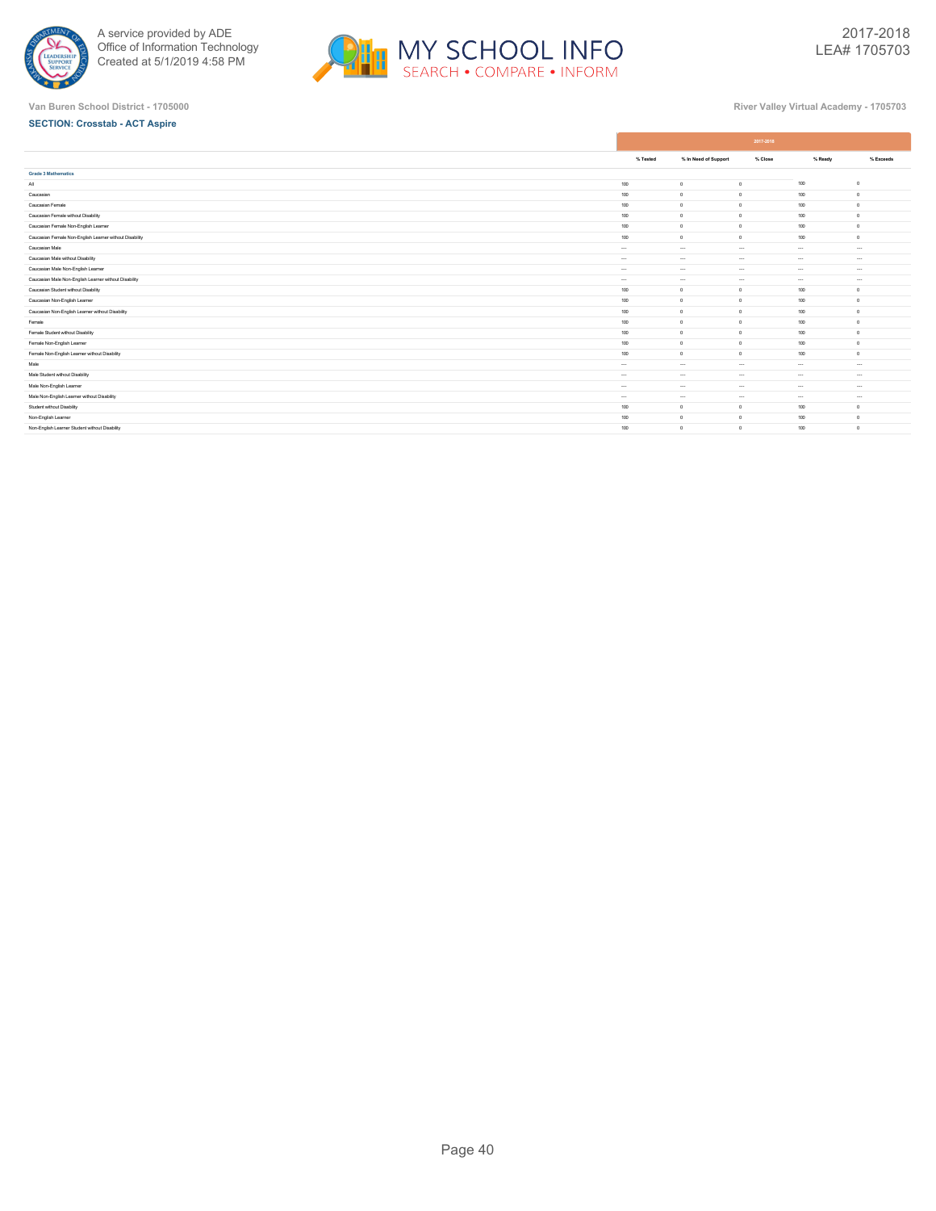



|                                                         | 2017-2018 |                      |                |          |                |
|---------------------------------------------------------|-----------|----------------------|----------------|----------|----------------|
|                                                         | % Tested  | % In Need of Support | % Close        | % Ready  | % Exceeds      |
| <b>Grade 3 Mathematics</b>                              |           |                      |                |          |                |
| All                                                     | 100       | $^{\circ}$           | $\overline{0}$ | 100      | $\circ$        |
| Caucasian                                               | 100       | $\Omega$             | $\circ$        | 100      | $\circ$        |
| Caucasian Female                                        | 100       | $\Omega$             | $\Omega$       | 100      | $^{\circ}$     |
| Caucasian Female without Disability                     | 100       | $\Omega$             | $\Omega$       | 100      | $^{\circ}$     |
| Caucasian Female Non-English Learner                    | 100       | $\Omega$             | $\Omega$       | 100      | $\circ$        |
| Caucasian Female Non-English Learner without Disability | 100       | $^{\circ}$           | $\overline{0}$ | 100      | $^{\circ}$     |
| Caucasian Male                                          | $\cdots$  | $\sim$               | $\sim$         | $\cdots$ | $\cdots$       |
| Caucasian Male without Disability                       | $\cdots$  | $\sim$               | $\sim$         | $\cdots$ | $\cdots$       |
| Caucasian Male Non-English Learner                      | $\cdots$  | $-$                  | 1.11           | $\cdots$ |                |
| Caucasian Male Non-English Learner without Disability   | $\cdots$  | $\cdots$             | $\cdots$       | $\cdots$ | $\cdots$       |
| Caucasian Student without Disability                    | 100       | $\overline{0}$       | $\overline{0}$ | 100      | $\overline{0}$ |
| Caucasian Non-English Learner                           | 100       | $^{\circ}$           | $\overline{0}$ | 100      | $^{\circ}$     |
| Caucasian Non-English Learner without Disability        | 100       | $\Omega$             | $\Omega$       | 100      | $^{\circ}$     |
| Female                                                  | 100       | $\Omega$             | $\circ$        | 100      | $\circ$        |
| Female Student without Disability                       | 100       | $\Omega$             | $\Omega$       | 100      | $^{\circ}$     |
| Female Non-English Learner                              | 100       | $\Omega$             | $\Omega$       | 100      | $^{\circ}$     |
| Female Non-English Learner without Disability           | 100       | $\circ$              | $\circ$        | 100      | $\circ$        |
| Male                                                    | $\cdots$  | $\cdots$             | $\sim$         | $\cdots$ | $\cdots$       |
| Male Student without Disability                         | $\cdots$  | $\sim$               | $\cdots$       | $\cdots$ | $\cdots$       |
| Male Non-English Learner                                | $\cdots$  | $\sim$               | $\cdots$       | $\cdots$ | $\cdots$       |
| Male Non-English Learner without Disability             |           | $\cdots$             | $\cdots$       |          |                |
| Student without Disability                              | 100       | $\sqrt{2}$           | $\Omega$       | 100      | $^{\circ}$     |
| Non-English Learner                                     | 100       | $\Omega$             | $\Omega$       | 100      | $\overline{0}$ |
| Non-English Learner Student without Disability          | 100       | $^{\circ}$           | $\Omega$       | 100      | $^{\circ}$     |
|                                                         |           |                      |                |          |                |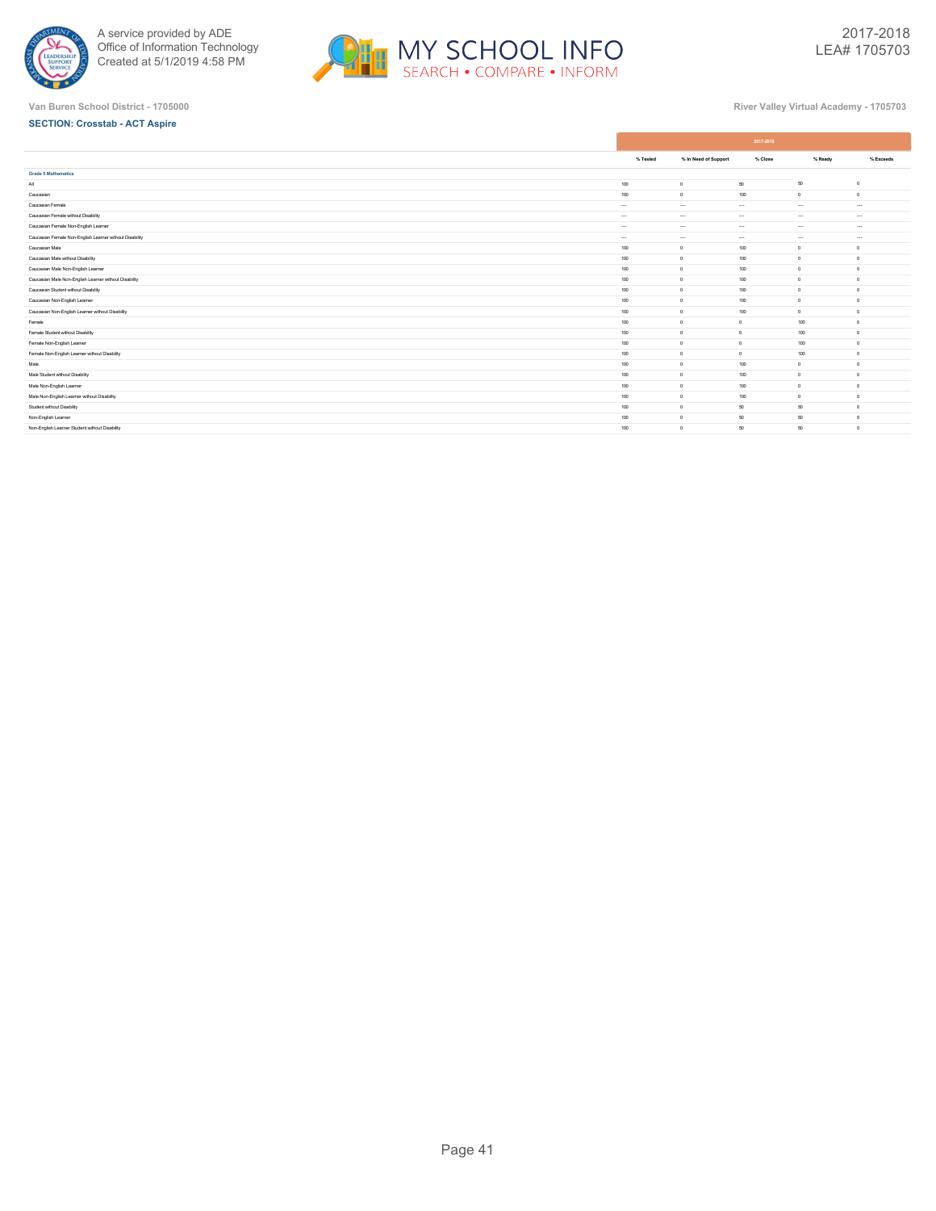



|                                                         | 2017-2018 |                      |          |            |            |
|---------------------------------------------------------|-----------|----------------------|----------|------------|------------|
|                                                         | % Tested  | % In Need of Support | % Close  | % Ready    | % Exceeds  |
| <b>Grade 5 Mathematics</b>                              |           |                      |          |            |            |
| All                                                     | 100       | $\circ$              | 50       | 50         | $\circ$    |
| Caucasian                                               | 100       | $^{\circ}$           | 100      | $\circ$    | $\circ$    |
| Caucasian Female                                        | $\cdots$  | $\sim$               | $\sim$   | $\cdots$   | $\cdots$   |
| Caucasian Female without Disability                     | $\cdots$  | $\cdots$             | $\cdots$ | $\cdots$   | $\cdots$   |
| Caucasian Female Non-English Learner                    | $\cdots$  | $\sim$               | $\sim$   | $\cdots$   | $\cdots$   |
| Caucasian Female Non-English Learner without Disability | $\cdots$  | $\cdots$             | $\sim$   | $\cdots$   | $\cdots$   |
| Caucasian Male                                          | 100       | $\overline{0}$       | 100      | $\circ$    | $\circ$    |
| Caucasian Male without Disability                       | 100       | $\Omega$             | 100      | $^{\circ}$ | $\circ$    |
| Caucasian Male Non-English Learner                      | 100       | $^{\circ}$           | 100      | $\circ$    | $\circ$    |
| Caucasian Male Non-English Learner without Disability   | 100       | $^{\circ}$           | 100      | $^{\circ}$ | $\circ$    |
| Caucasian Student without Disability                    | 100       | $^{\circ}$           | 100      | $^{\circ}$ | $^{\circ}$ |
| Caucasian Non-English Learner                           | 100       | $\circ$              | 100      | $^{\circ}$ | $\circ$    |
| Caucasian Non-English Learner without Disability        | 100       | $\circ$              | 100      | $^{\circ}$ | $\circ$    |
| Female                                                  | 100       | $\circ$              | $\circ$  | 100        | $\circ$    |
| Female Student without Disability                       | 100       | $\circ$              | $\circ$  | 100        | $\circ$    |
| Female Non-English Learner                              | 100       | $\Omega$             | $\circ$  | 100        | $^{\circ}$ |
| Female Non-English Learner without Disability           | 100       | $\Omega$             | $\circ$  | 100        | $\circ$    |
| Male                                                    | 100       | $\circ$              | 100      | $^{\circ}$ | $\circ$    |
| Male Student without Disability                         | 100       | $\circ$              | 100      | $^{\circ}$ | $^{\circ}$ |
| Male Non-English Learner                                | 100       | $^{\circ}$           | 100      | $\circ$    | $\circ$    |
| Male Non-English Learner without Disability             | 100       | $^{\circ}$           | 100      | $^{\circ}$ | $^{\circ}$ |
| Student without Disability                              | 100       | $\overline{0}$       | 50       | 50         | $^{\circ}$ |
| Non-English Learner                                     | 100       | $^{\circ}$           | 50       | 50         | $\circ$    |
| Non-English Learner Student without Disability          | 100       | $\overline{0}$       | 50       | 50         | $\circ$    |
|                                                         |           |                      |          |            |            |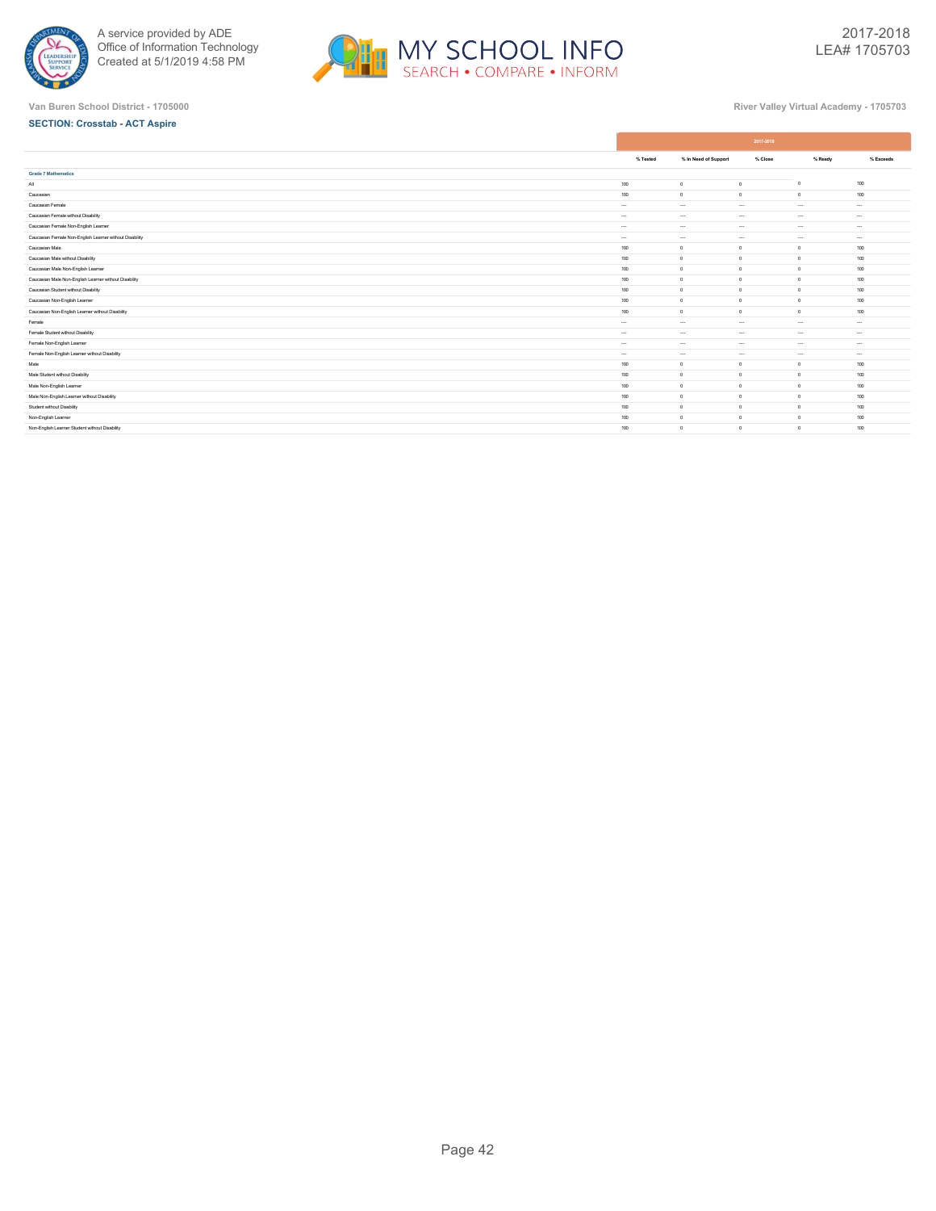



|                                                         | % Tested | % In Need of Support | % Close  | % Ready    | % Exceeds |
|---------------------------------------------------------|----------|----------------------|----------|------------|-----------|
| <b>Grade 7 Mathematics</b>                              |          |                      |          |            |           |
| All                                                     | 100      | $\circ$              | $\circ$  | $\Omega$   | 100       |
| Caucasian                                               | 100      | $\Omega$             | $\circ$  | $\Omega$   | 100       |
| Caucasian Female                                        | $\cdots$ | $\sim$               | $\cdots$ | $\cdots$   | $\cdots$  |
| Caucasian Female without Disability                     | $\cdots$ | $\cdots$             | $\cdots$ | $\cdots$   |           |
| Caucasian Female Non-English Learner                    | $\cdots$ | $\cdots$             | 1.11     | $\cdots$   |           |
| Caucasian Female Non-English Learner without Disability | $\cdots$ | $\cdots$             | $\cdots$ | $\cdots$   |           |
| Caucasian Male                                          | 100      | $\sim$               | $\Omega$ | $\sqrt{2}$ | 100       |
| Caucasian Male without Disability                       | 100      | $\Omega$             | $\circ$  | $\Omega$   | 100       |
| Caucasian Male Non-English Learner                      | 100      | $\circ$              | $\circ$  | $^{\circ}$ | 100       |
| Caucasian Male Non-English Learner without Disability   | 100      | $\Omega$             | $\circ$  | $\Omega$   | 100       |
| Caucasian Student without Disability                    | 100      | $\circ$              | $\circ$  | $^{\circ}$ | 100       |
| Caucasian Non-English Learner                           | 100      | $\circ$              | $\circ$  | $^{\circ}$ | 100       |
| Caucasian Non-English Learner without Disability        | 100      | $\Omega$             | $\Omega$ | $\Omega$   | 100       |
| Female                                                  | $\cdots$ | $\cdots$             | $\cdots$ | $\cdots$   |           |
| Female Student without Disability                       | $\cdots$ | $\cdots$             | $\cdots$ | $\cdots$   | $\cdots$  |
| Female Non-English Learner                              | $\cdots$ | $\cdots$             | $\cdots$ | $\cdots$   |           |
| Female Non-English Learner without Disability           | $\cdots$ | $\cdots$             | $\cdots$ | $\cdots$   | $\cdots$  |
| Male                                                    | 100      | $\circ$              | $\circ$  | $^{\circ}$ | 100       |
| Male Student without Disability                         | 100      | $\Omega$             | $\Omega$ | $\Omega$   | 100       |
| Male Non-English Learner                                | 100      | $\Omega$             | $\circ$  | $\Omega$   | 100       |
| Male Non-English Learner without Disability             | 100      | $\circ$              | $\circ$  | $^{\circ}$ | 100       |
| Student without Disability                              | 100      | $\Omega$             | $\circ$  | $\Omega$   | 100       |
| Non-English Learner                                     | 100      | $\Omega$             | $\circ$  | $\Omega$   | 100       |
| Non-English Learner Student without Disability          | 100      | $\Omega$             | $\circ$  | $\Omega$   | 100       |
|                                                         |          |                      |          |            |           |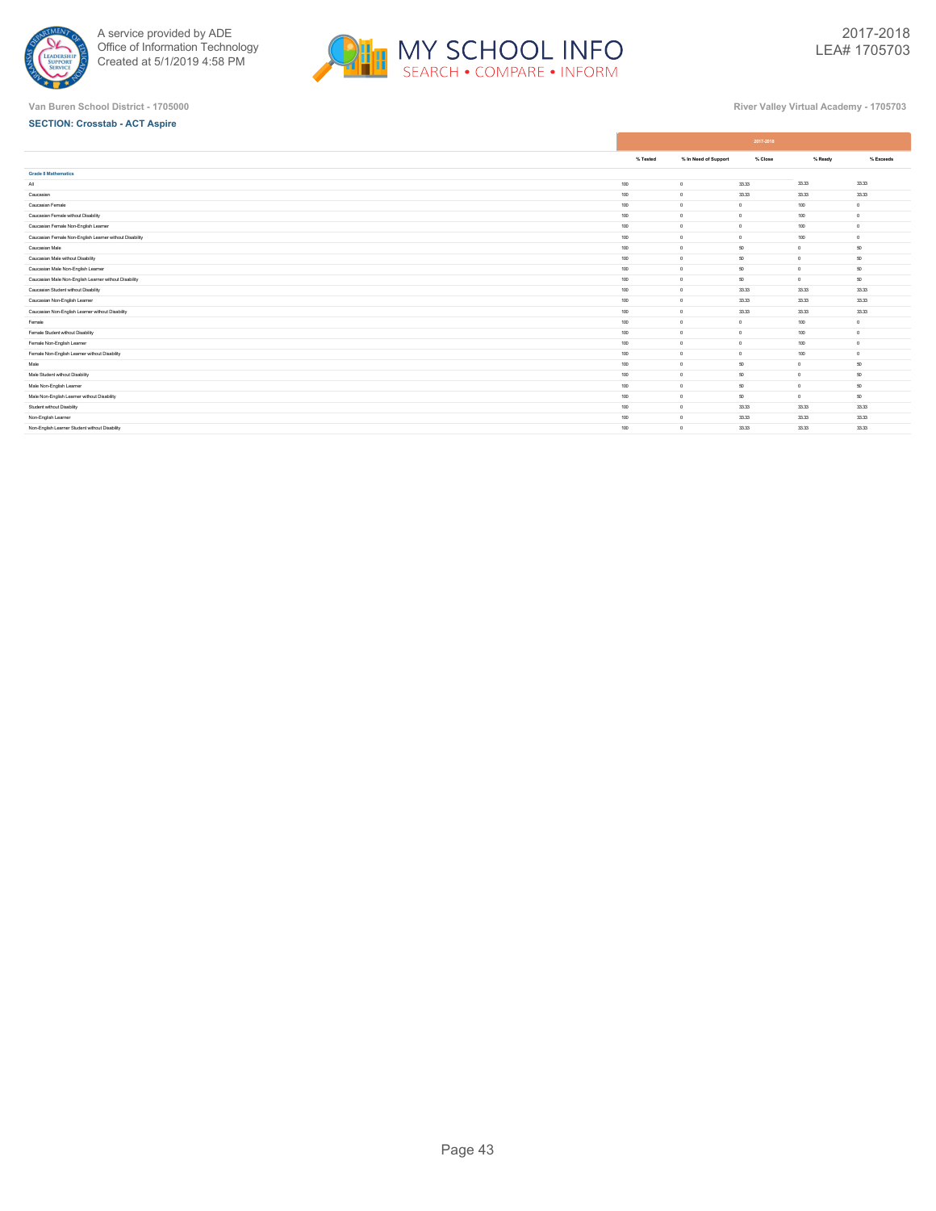



|                                                         | 2017-2018 |                      |             |            |           |
|---------------------------------------------------------|-----------|----------------------|-------------|------------|-----------|
|                                                         | % Tested  | % In Need of Support | % Close     | % Ready    | % Exceeds |
| <b>Grade 8 Mathematics</b>                              |           |                      |             |            |           |
| All                                                     | 100       | $\circ$              | 33.33       | 33.33      | 33.33     |
| Caucasian                                               | 100       | $^{\circ}$           | 33.33       | 33.33      | 33.33     |
| Caucasian Female                                        | 100       | $\circ$              | $\mathbf 0$ | 100        | $\circ$   |
| Caucasian Female without Disability                     | 100       | $\circ$              | $\circ$     | 100        | $\circ$   |
| Caucasian Female Non-English Learner                    | 100       | $^{\circ}$           | $\circ$     | 100        | $\circ$   |
| Caucasian Female Non-English Learner without Disability | 100       | $\overline{0}$       | $\circ$     | 100        | $\circ$   |
| Caucasian Male                                          | 100       | $\circ$              | 50          | $^{\circ}$ | 50        |
| Caucasian Male without Disability                       | 100       | $^{\circ}$           | 50          | $^{\circ}$ | 50        |
| Caucasian Male Non-English Learner                      | 100       | $\overline{0}$       | 50          | $\circ$    | 50        |
| Caucasian Male Non-English Learner without Disability   | 100       | $\Omega$             | 50          | $^{\circ}$ | 50        |
| Caucasian Student without Disability                    | 100       | $^{\circ}$           | 33.33       | 33.33      | 33.33     |
| Caucasian Non-English Learner                           | 100       | $\circ$              | 33.33       | 33.33      | 33.33     |
| Caucasian Non-English Learner without Disability        | 100       | $^{\circ}$           | 33.33       | 33.33      | 33.33     |
| Female                                                  | 100       | $^{\circ}$           | $\circ$     | 100        | $\circ$   |
| Female Student without Disability                       | 100       | $\circ$              | $\circ$     | 100        | $\circ$   |
| Female Non-English Learner                              | 100       | $\Omega$             | $\mathbf 0$ | 100        | $\circ$   |
| Female Non-English Learner without Disability           | 100       | $\Omega$             | $\circ$     | 100        | $\circ$   |
| Male                                                    | 100       | $\circ$              | 50          | $^{\circ}$ | 50        |
| Male Student without Disability                         | 100       | $\Omega$             | 50          | $\circ$    | 50        |
| Male Non-English Learner                                | 100       | $^{\circ}$           | 50          | $^{\circ}$ | 50        |
| Male Non-English Learner without Disability             | 100       | $\circ$              | 50          | $^{\circ}$ | 50        |
| Student without Disability                              | 100       | $\overline{0}$       | 33.33       | 33.33      | 33.33     |
| Non-English Learner                                     | 100       | $^{\circ}$           | 33.33       | 33.33      | 33.33     |
| Non-English Learner Student without Disability          | 100       | $\circ$              | 33.33       | 33.33      | 33.33     |
|                                                         |           |                      |             |            |           |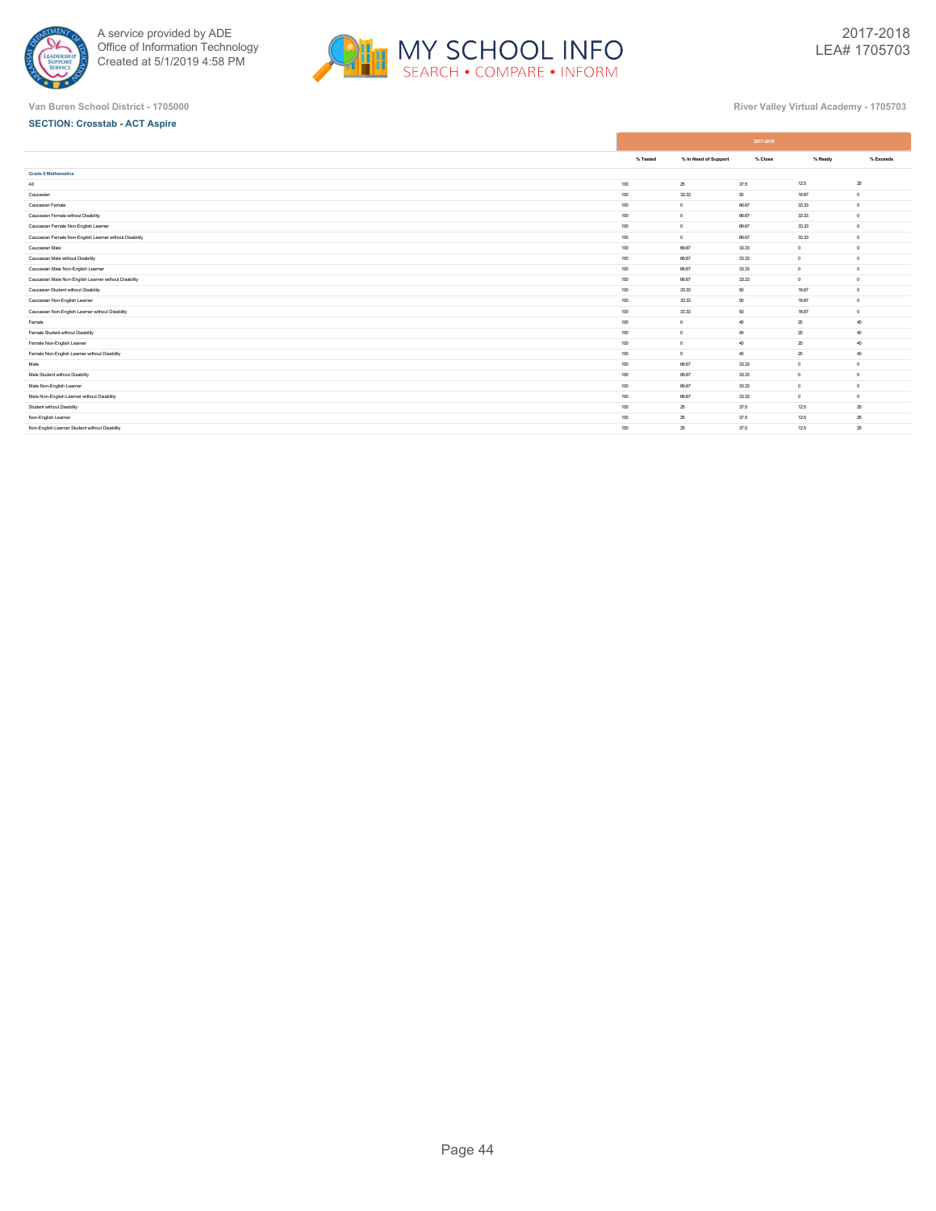



|                                                         | 2017-2018 |                      |         |            |            |
|---------------------------------------------------------|-----------|----------------------|---------|------------|------------|
|                                                         | % Tested  | % In Need of Support | % Close | % Ready    | % Exceeds  |
| <b>Grade 9 Mathematics</b>                              |           |                      |         |            |            |
| All                                                     | 100       | 25                   | 37.5    | 12.5       | 25         |
| Caucasian                                               | 100       | 33.33                | 50      | 16.67      | $^{\circ}$ |
| Caucasian Female                                        | 100       | $^{\circ}$           | 66.67   | 33.33      | $^{\circ}$ |
| Caucasian Female without Disability                     | 100       | $\circ$              | 66.67   | 33.33      | $^{\circ}$ |
| Caucasian Female Non-English Learner                    | 100       | $\Omega$             | 66.67   | 33.33      | $^{\circ}$ |
| Caucasian Female Non-English Learner without Disability | 100       | $\circ$              | 66.67   | 33.33      | $^{\circ}$ |
| Caucasian Male                                          | 100       | 66.67                | 33.33   | $\Omega$   | $^{\circ}$ |
| Caucasian Male without Disability                       | 100       | 66.67                | 33.33   | $\Omega$   | $^{\circ}$ |
| Caucasian Male Non-English Learner                      | 100       | 66.67                | 33.33   | $^{\circ}$ | $^{\circ}$ |
| Caucasian Male Non-English Learner without Disability   | 100       | 66.67                | 33.33   | $\Omega$   | $^{\circ}$ |
| Caucasian Student without Disability                    | 100       | 33.33                | 50      | 16.67      | $^{\circ}$ |
| Caucasian Non-English Learner                           | 100       | 33.33                | 50      | 16.67      | $^{\circ}$ |
| Caucasian Non-English Learner without Disability        | 100       | 33.33                | 50      | 16.67      | $^{\circ}$ |
| Female                                                  | 100       | $\Omega$             | 40      | 20         | 40         |
| Female Student without Disability                       | 100       | $^{\circ}$           | 40      | 20         | 40         |
| Female Non-English Learner                              | 100       | $\Omega$             | 40      | 20         | 40         |
| Female Non-English Learner without Disability           | 100       | $\Omega$             | 40      | 20         | 40         |
| Male                                                    | 100       | 66.67                | 33.33   | $\Omega$   | $^{\circ}$ |
| Male Student without Disability                         | 100       | 66.67                | 33.33   | $\Omega$   | $^{\circ}$ |
| Male Non-English Learner                                | 100       | 66.67                | 33.33   | $^{\circ}$ | $^{\circ}$ |
| Male Non-English Learner without Disability             | 100       | 66.67                | 33.33   | $^{\circ}$ | $^{\circ}$ |
| Student without Disability                              | 100       | 25                   | 37.5    | 12.5       | 25         |
| Non-English Learner                                     | 100       | 25                   | 37.5    | 12.5       | 25         |
| Non-English Learner Student without Disability          | 100       | 25                   | 37.5    | 12.5       | 25         |
|                                                         |           |                      |         |            |            |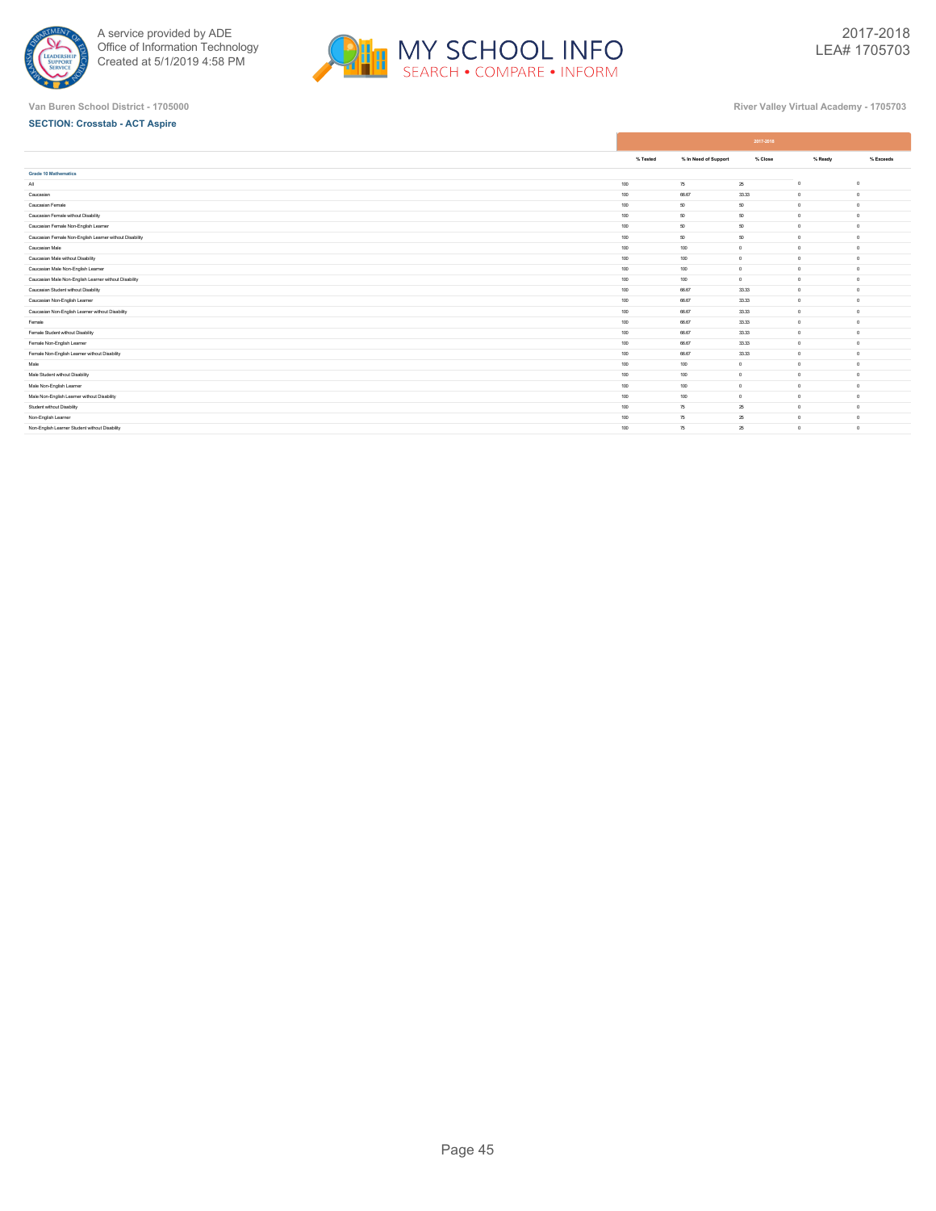



|                                                         | 2017-2018 |                      |             |            |            |
|---------------------------------------------------------|-----------|----------------------|-------------|------------|------------|
|                                                         | % Tested  | % In Need of Support | % Close     | % Ready    | % Exceeds  |
| <b>Grade 10 Mathematics</b>                             |           |                      |             |            |            |
| All                                                     | 100       | 75                   | 25          | $^{\circ}$ | $^{\circ}$ |
| Caucasian                                               | 100       | 66.67                | 33.33       | $^{\circ}$ | $\circ$    |
| Caucasian Female                                        | 100       | 50                   | 50          | $\circ$    | $\circ$    |
| Caucasian Female without Disability                     | 100       | 50                   | 50          | $^{\circ}$ | $^{\circ}$ |
| Caucasian Female Non-English Learner                    | 100       | 50                   | 50          | $\circ$    | $\circ$    |
| Caucasian Female Non-English Learner without Disability | 100       | 50                   | 50          | $^{\circ}$ | $^{\circ}$ |
| Caucasian Male                                          | 100       | 100                  | $\circ$     | $^{\circ}$ | $^{\circ}$ |
| Caucasian Male without Disability                       | 100       | 100                  | $\circ$     | $^{\circ}$ | $^{\circ}$ |
| Caucasian Male Non-English Learner                      | 100       | 100                  | $\circ$     | $^{\circ}$ | $\circ$    |
| Caucasian Male Non-English Learner without Disability   | 100       | 100                  | $\circ$     | $^{\circ}$ | $^{\circ}$ |
| Caucasian Student without Disability                    | 100       | 66.67                | 33.33       | $\circ$    | $\circ$    |
| Caucasian Non-English Learner                           | 100       | 66.67                | 33.33       | $\Omega$   | $^{\circ}$ |
| Caucasian Non-English Learner without Disability        | 100       | 66.67                | 33.33       | $^{\circ}$ | $\circ$    |
| Female                                                  | 100       | 66.67                | 33.33       | $\circ$    | $\circ$    |
| Female Student without Disability                       | 100       | 66.67                | 33.33       | $^{\circ}$ | $^{\circ}$ |
| Female Non-English Learner                              | 100       | 66.67                | 33.33       | $\circ$    | $^{\circ}$ |
| Female Non-English Learner without Disability           | 100       | 66.67                | 33.33       | $^{\circ}$ | $\circ$    |
| Male                                                    | 100       | 100                  | $\circ$     | $\circ$    | $\circ$    |
| Male Student without Disability                         | 100       | 100                  | $\mathbf 0$ | $^{\circ}$ | $\circ$    |
| Male Non-English Learner                                | 100       | 100                  | $\mathbf 0$ | $\circ$    | $\circ$    |
| Male Non-English Learner without Disability             | 100       | 100                  | $\mathbf 0$ | $^{\circ}$ | $\circ$    |
| Student without Disability                              | 100       | 75                   | 25          | $^{\circ}$ | $\circ$    |
| Non-English Learner                                     | 100       | 75                   | 25          | $^{\circ}$ | $^{\circ}$ |
| Non-English Learner Student without Disability          | 100       | 75                   | 25          | $^{\circ}$ | $^{\circ}$ |
|                                                         |           |                      |             |            |            |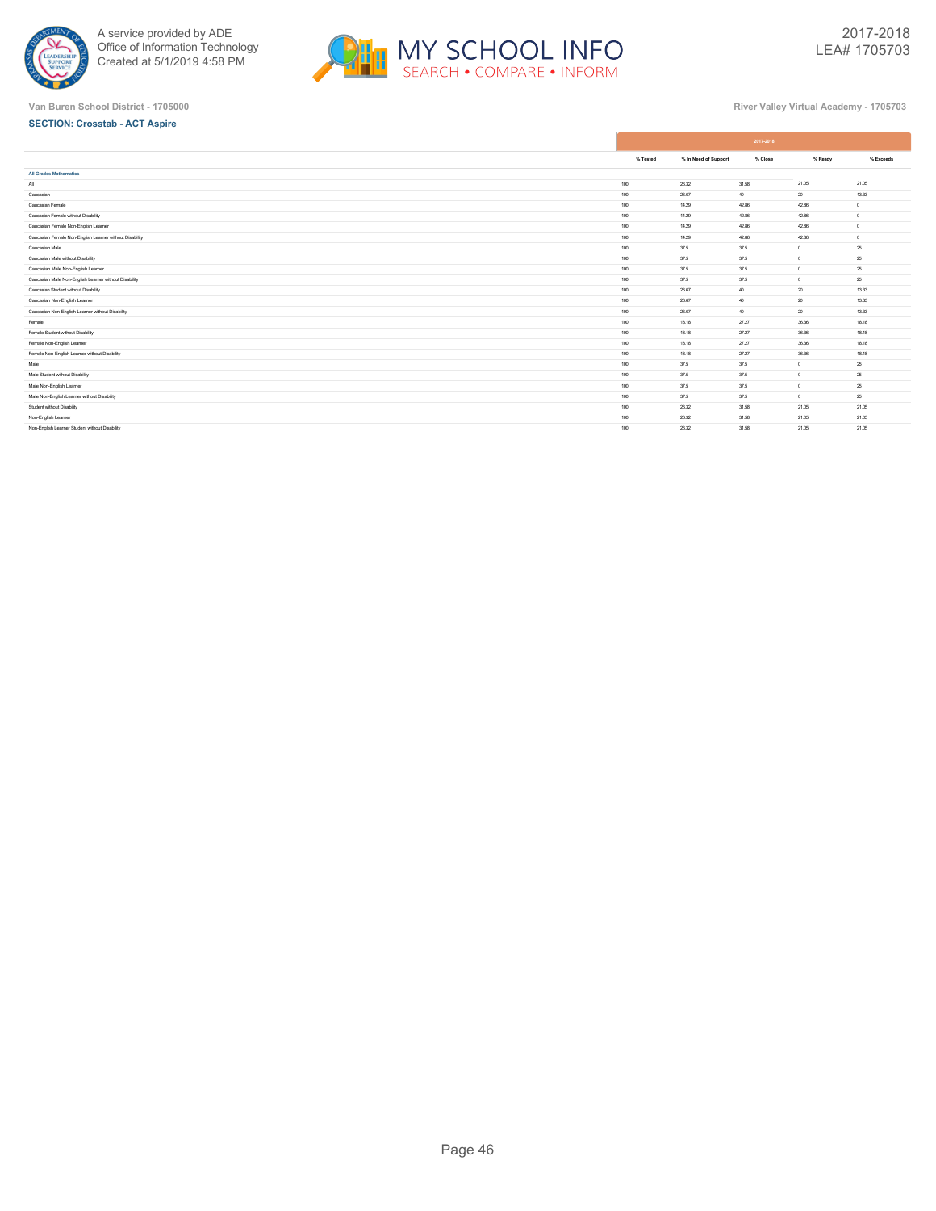



|                                                         | 2017-2018 |                      |         |            |            |
|---------------------------------------------------------|-----------|----------------------|---------|------------|------------|
|                                                         | % Tested  | % In Need of Support | % Close | % Ready    | % Exceeds  |
| <b>All Grades Mathematics</b>                           |           |                      |         |            |            |
| All                                                     | 100       | 26.32                | 31.58   | 21.05      | 21.05      |
| Caucasian                                               | 100       | 26.67                | 40      | 20         | 13.33      |
| Caucasian Female                                        | 100       | 14.29                | 42.86   | 42.86      | $^{\circ}$ |
| Caucasian Female without Disability                     | 100       | 14.29                | 42.86   | 42.86      | $^{\circ}$ |
| Caucasian Female Non-English Learner                    | 100       | 14.29                | 42.86   | 42.86      | $^{\circ}$ |
| Caucasian Female Non-English Learner without Disability | 100       | 14.29                | 42.86   | 42.86      | $\circ$    |
| Caucasian Male                                          | 100       | 37.5                 | 37.5    | $\Omega$   | 25         |
| Caucasian Male without Disability                       | 100       | 37.5                 | 37.5    | $\Omega$   | 25         |
| Caucasian Male Non-English Learner                      | 100       | 37.5                 | 37.5    | $^{\circ}$ | 25         |
| Caucasian Male Non-English Learner without Disability   | 100       | 37.5                 | 37.5    | $^{\circ}$ | 25         |
| Caucasian Student without Disability                    | 100       | 26.67                | 40      | 20         | 13.33      |
| Caucasian Non-English Learner                           | 100       | 26.67                | 40      | 20         | 13.33      |
| Caucasian Non-English Learner without Disability        | 100       | 26.67                | 40      | 20         | 13.33      |
| Female                                                  | 100       | 18.18                | 27.27   | 36.36      | 18.18      |
| Female Student without Disability                       | 100       | 18.18                | 27.27   | 36.36      | 18.18      |
| Female Non-English Learner                              | 100       | 18.18                | 27.27   | 36.36      | 18.18      |
| Female Non-English Learner without Disability           | 100       | 18.18                | 27.27   | 36.36      | 18.18      |
| Male                                                    | 100       | 37.5                 | 37.5    | $\Omega$   | 25         |
| Male Student without Disability                         | 100       | 37.5                 | 37.5    | $\Omega$   | 25         |
| Male Non-English Learner                                | 100       | 37.5                 | 37.5    | $\Omega$   | 25         |
| Male Non-English Learner without Disability             | 100       | 37.5                 | 37.5    | $^{\circ}$ | 25         |
| Student without Disability                              | 100       | 26.32                | 31.58   | 21.05      | 21.05      |
| Non-English Learner                                     | 100       | 26.32                | 31.58   | 21.05      | 21.05      |
| Non-English Learner Student without Disability          | 100       | 26.32                | 31.58   | 21.05      | 21.05      |
|                                                         |           |                      |         |            |            |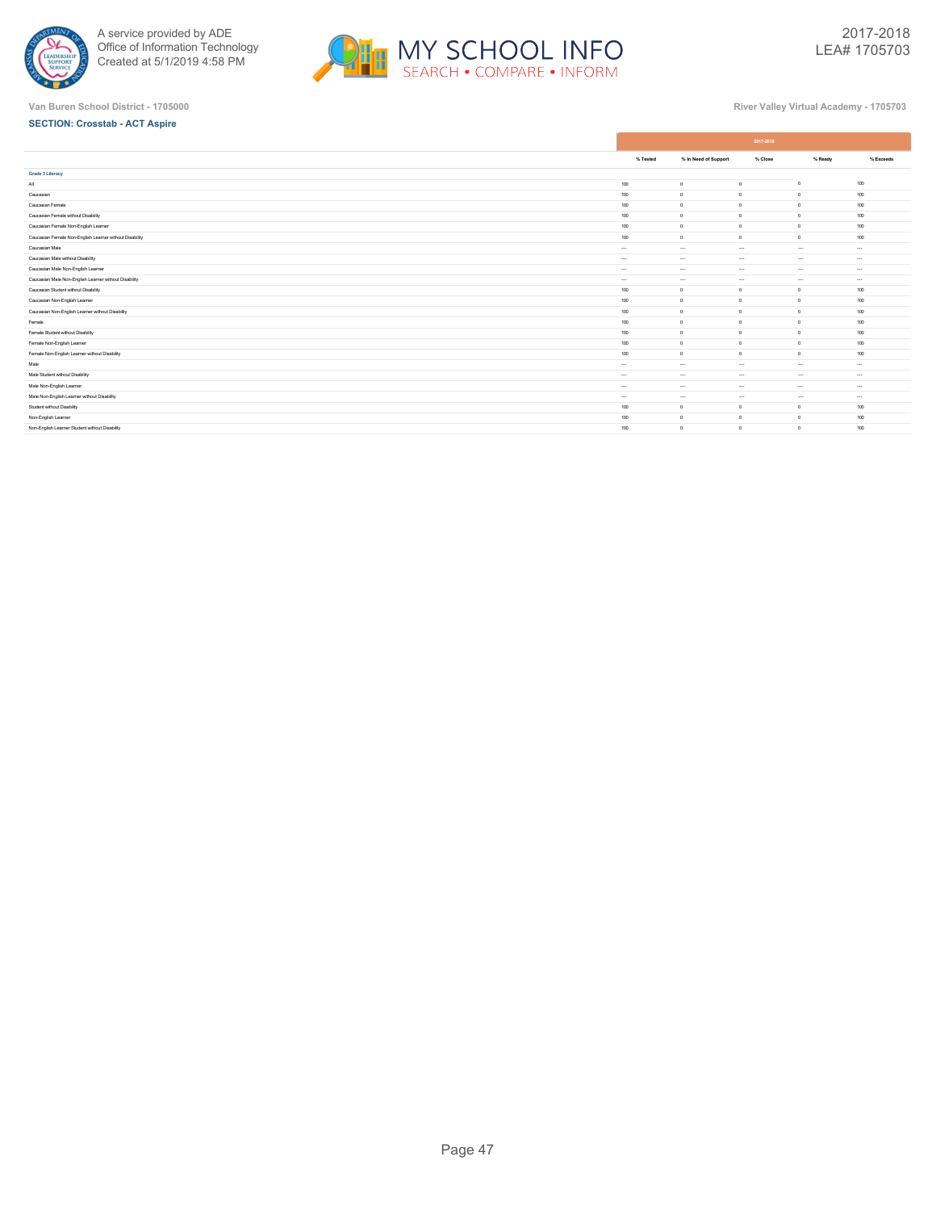



|                                                         | 2017-2018 |                      |                |            |           |
|---------------------------------------------------------|-----------|----------------------|----------------|------------|-----------|
|                                                         | % Tested  | % In Need of Support | % Close        | % Ready    | % Exceeds |
| <b>Grade 3 Literacy</b>                                 |           |                      |                |            |           |
| All                                                     | 100       | $\circ$              | $\circ$        | $^{\circ}$ | 100       |
| Caucasian                                               | 100       | $\Omega$             | $\circ$        | $^{\circ}$ | 100       |
| Caucasian Female                                        | 100       | $\circ$              | $\circ$        | $^{\circ}$ | 100       |
| Caucasian Female without Disability                     | 100       | $\Omega$             | $\circ$        | $^{\circ}$ | 100       |
| Caucasian Female Non-English Learner                    | 100       | $\Omega$             | $\circ$        | $^{\circ}$ | 100       |
| Caucasian Female Non-English Learner without Disability | 100       | $\circ$              | $\circ$        | $^{\circ}$ | 100       |
| Caucasian Male                                          | $\cdots$  | $\cdots$             | $\cdots$       | $\cdots$   | $\cdots$  |
| Caucasian Male without Disability                       | $\cdots$  | $\sim$               | $\sim$         | $\cdots$   | $\cdots$  |
| Caucasian Male Non-English Learner                      |           | $\cdots$             | $\sim$         | $\cdots$   | $\cdots$  |
| Caucasian Male Non-English Learner without Disability   | $\cdots$  | $\cdots$             | $\cdots$       | $\cdots$   | $\cdots$  |
| Caucasian Student without Disability                    | 100       | $\circ$              | $\circ$        | $^{\circ}$ | 100       |
| Caucasian Non-English Learner                           | 100       | $\Omega$             | $\overline{0}$ | $\circ$    | 100       |
| Caucasian Non-English Learner without Disability        | 100       | $\Omega$             | $\circ$        | $^{\circ}$ | 100       |
| Female                                                  | 100       | $\circ$              | $^{\circ}$     | $^{\circ}$ | 100       |
| Female Student without Disability                       | 100       | $\Omega$             | $\circ$        | $^{\circ}$ | 100       |
| Female Non-English Learner                              | 100       | $\Omega$             | $\circ$        | $^{\circ}$ | 100       |
| Female Non-English Learner without Disability           | 100       | $\circ$              | $\circ$        | $^{\circ}$ | 100       |
| Male                                                    | $\cdots$  | $\sim$               | $\sim$         | $\cdots$   | $\cdots$  |
| Male Student without Disability                         |           | $\cdots$             | $\cdots$       | $\cdots$   | $\cdots$  |
| Male Non-English Learner                                | $\cdots$  | $-$                  | $\cdots$       | $\cdots$   | $\cdots$  |
| Male Non-English Learner without Disability             | $\cdots$  | $\cdots$             | $\cdots$       | $\cdots$   | $\cdots$  |
| Student without Disability                              | 100       | $\Omega$             | $\circ$        | $^{\circ}$ | 100       |
| Non-English Learner                                     | 100       | $\circ$              | $\circ$        | $^{\circ}$ | 100       |
| Non-English Learner Student without Disability          | 100       | $\circ$              | $\circ$        | $^{\circ}$ | 100       |
|                                                         |           |                      |                |            |           |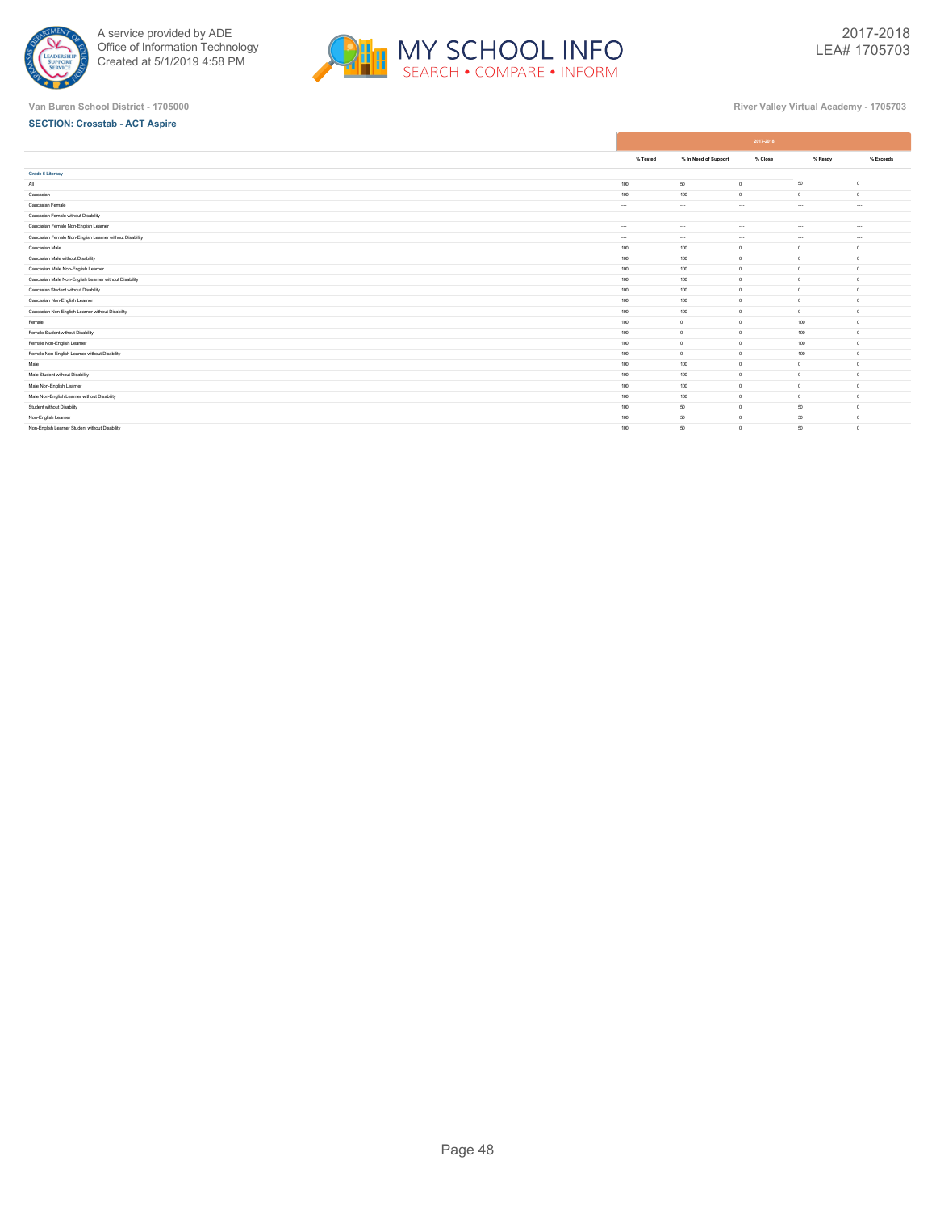



|                                                         | 2017-2018 |                      |                |            |            |
|---------------------------------------------------------|-----------|----------------------|----------------|------------|------------|
|                                                         | % Tested  | % In Need of Support | % Close        | % Ready    | % Exceeds  |
| <b>Grade 5 Literacy</b>                                 |           |                      |                |            |            |
| All                                                     | 100       | 50                   | $\circ$        | 50         | $^{\circ}$ |
| Caucasian                                               | 100       | 100                  | $\overline{0}$ | $\Omega$   | $^{\circ}$ |
| Caucasian Female                                        | $\cdots$  | $\cdots$             | $\cdots$       | $\cdots$   | $\cdots$   |
| Caucasian Female without Disability                     | $\cdots$  | $-$                  | $\cdots$       | $\cdots$   | $\cdots$   |
| Caucasian Female Non-English Learner                    | $\cdots$  | $\cdots$             | $\cdots$       | $\cdots$   | $\cdots$   |
| Caucasian Female Non-English Learner without Disability | $\cdots$  | $\cdots$             | $\cdots$       | $\cdots$   | $\cdots$   |
| Caucasian Male                                          | 100       | 100                  | $\sim$         | $\sim$     | $^{\circ}$ |
| Caucasian Male without Disability                       | 100       | 100                  | $\overline{0}$ | $\Omega$   | $^{\circ}$ |
| Caucasian Male Non-English Learner                      | 100       | 100                  | $\circ$        | $\Omega$   | $^{\circ}$ |
| Caucasian Male Non-English Learner without Disability   | 100       | 100                  | $\overline{0}$ | $\Omega$   | $^{\circ}$ |
| Caucasian Student without Disability                    | 100       | 100                  | $\overline{0}$ | $\Omega$   | $^{\circ}$ |
| Caucasian Non-English Learner                           | 100       | 100                  | $\overline{0}$ | $^{\circ}$ | $^{\circ}$ |
| Caucasian Non-English Learner without Disability        | 100       | 100                  | $\circ$        | $\Omega$   | $^{\circ}$ |
| Female                                                  | 100       | $\Omega$             | $\Omega$       | 100        | $^{\circ}$ |
| Female Student without Disability                       | 100       | $\circ$              | $\overline{0}$ | 100        | $^{\circ}$ |
| Female Non-English Learner                              | 100       | $\Omega$             | $\sim$         | 100        | $^{\circ}$ |
| Female Non-English Learner without Disability           | 100       | $\Omega$             | $\Omega$       | 100        | $^{\circ}$ |
| Male                                                    | 100       | 100                  | $\circ$        | $\Omega$   | $^{\circ}$ |
| Male Student without Disability                         | 100       | 100                  | $\overline{0}$ | $\Omega$   | $^{\circ}$ |
| Male Non-English Learner                                | 100       | 100                  | $\circ$        | $\Omega$   | $^{\circ}$ |
| Male Non-English Learner without Disability             | 100       | 100                  | $\circ$        | $^{\circ}$ | $^{\circ}$ |
| Student without Disability                              | 100       | 50                   | $\overline{0}$ | 50         | $^{\circ}$ |
| Non-English Learner                                     | 100       | 50                   | $\circ$        | 50         | $^{\circ}$ |
| Non-English Learner Student without Disability          | 100       | 60                   | $\sim$         | 50         | $^{\circ}$ |
|                                                         |           |                      |                |            |            |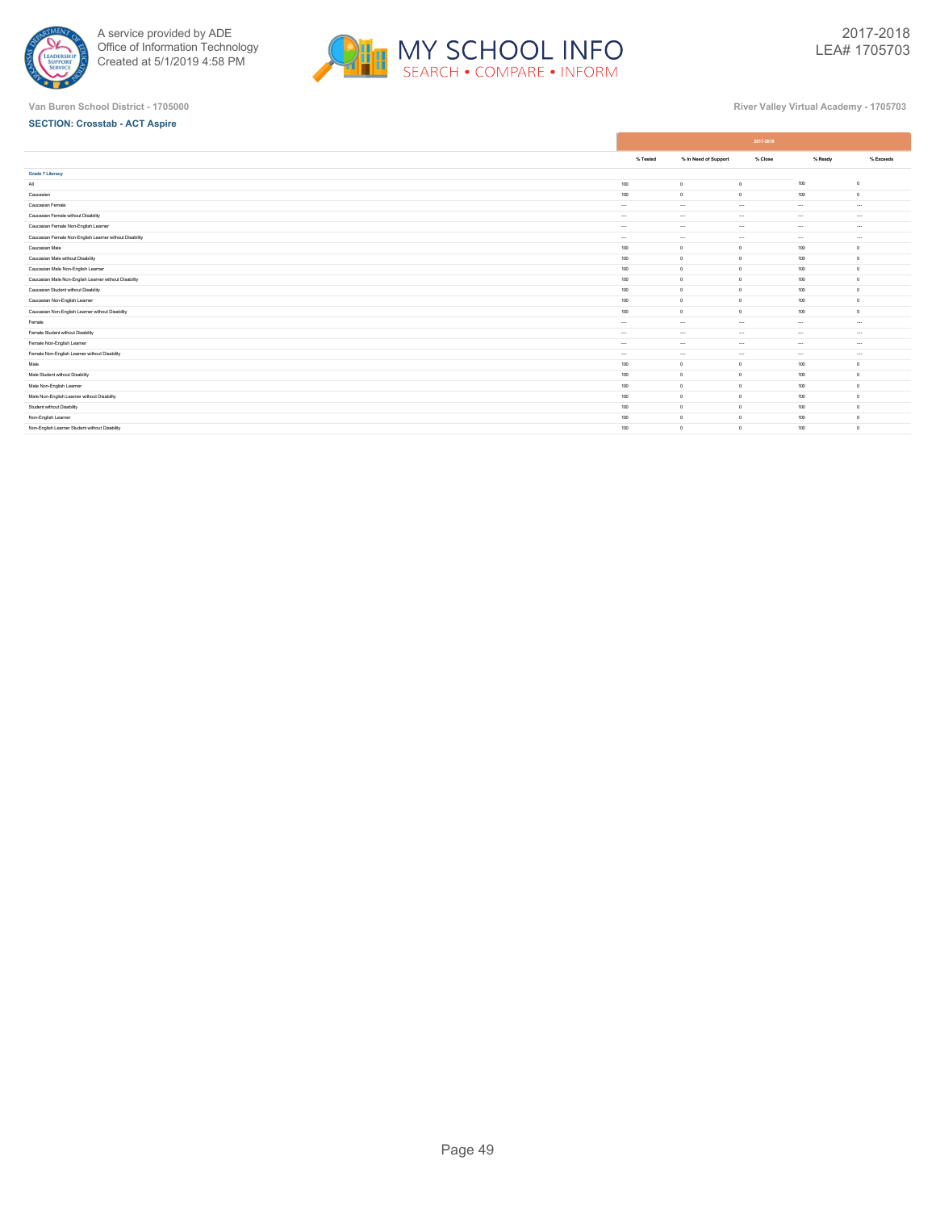



|                                                         | 2017-2018 |                      |                |          |                |  |  |
|---------------------------------------------------------|-----------|----------------------|----------------|----------|----------------|--|--|
|                                                         | % Tested  | % In Need of Support | % Close        | % Ready  | % Exceeds      |  |  |
| <b>Grade 7 Literacy</b>                                 |           |                      |                |          |                |  |  |
| All                                                     | 100       | $\overline{0}$       | $\overline{0}$ | 100      | $\overline{0}$ |  |  |
| Caucasian                                               | 100       | $^{\circ}$           | $\overline{0}$ | 100      | $\overline{0}$ |  |  |
| Caucasian Female                                        |           | $\cdots$             | $\sim$         | $\cdots$ |                |  |  |
| Caucasian Female without Disability                     | $\cdots$  | $\cdots$             | 1.11           | $\cdots$ |                |  |  |
| Caucasian Female Non-English Learner                    | $\cdots$  | $\cdots$             | 1.11           |          |                |  |  |
| Caucasian Female Non-English Learner without Disability | $\cdots$  | $\cdots$             | $\cdots$       | $\cdots$ | $\cdots$       |  |  |
| Caucasian Male                                          | 100       | $\sim$               | $\Omega$       | 100      | $^{\circ}$     |  |  |
| Caucasian Male without Disability                       | 100       | $\Omega$             | $\overline{0}$ | 100      | $^{\circ}$     |  |  |
| Caucasian Male Non-English Learner                      | 100       | $\circ$              | $\circ$        | 100      | $\overline{0}$ |  |  |
| Caucasian Male Non-English Learner without Disability   | 100       | $\Omega$             | $\circ$        | 100      | $\circ$        |  |  |
| Caucasian Student without Disability                    | 100       | $\overline{0}$       | $\overline{0}$ | 100      | $^{\circ}$     |  |  |
| Caucasian Non-English Learner                           | 100       | $\overline{0}$       | $\overline{0}$ | 100      | $^{\circ}$     |  |  |
| Caucasian Non-English Learner without Disability        | 100       | $\overline{0}$       | $\circ$        | 100      | $^{\circ}$     |  |  |
| Female                                                  | $\cdots$  | $\sim$               | $\sim$         | $\cdots$ | $\cdots$       |  |  |
| Female Student without Disability                       | $\cdots$  | $\sim$               | $\sim$         | $\cdots$ |                |  |  |
| Female Non-English Learner                              | $\cdots$  | $-$                  | $\cdots$       | $\cdots$ | $\cdots$       |  |  |
| Female Non-English Learner without Disability           |           | $\cdots$             | $\cdots$       |          |                |  |  |
| Male                                                    | 100       | $^{\circ}$           | $\circ$        | 100      | $^{\circ}$     |  |  |
| Male Student without Disability                         | 100       | $\Omega$             | $\Omega$       | 100      | $^{\circ}$     |  |  |
| Male Non-English Learner                                | 100       | $\Omega$             | $\circ$        | 100      | $\circ$        |  |  |
| Male Non-English Learner without Disability             | 100       | $\Omega$             | $\Omega$       | 100      | $\circ$        |  |  |
| Student without Disability                              | 100       | $\Omega$             | $\overline{0}$ | 100      | $^{\circ}$     |  |  |
| Non-English Learner                                     | 100       | $\overline{0}$       | $\overline{0}$ | 100      | $^{\circ}$     |  |  |
| Non-English Learner Student without Disability          | 100       | $\overline{0}$       | $\overline{0}$ | 100      | $^{\circ}$     |  |  |
|                                                         |           |                      |                |          |                |  |  |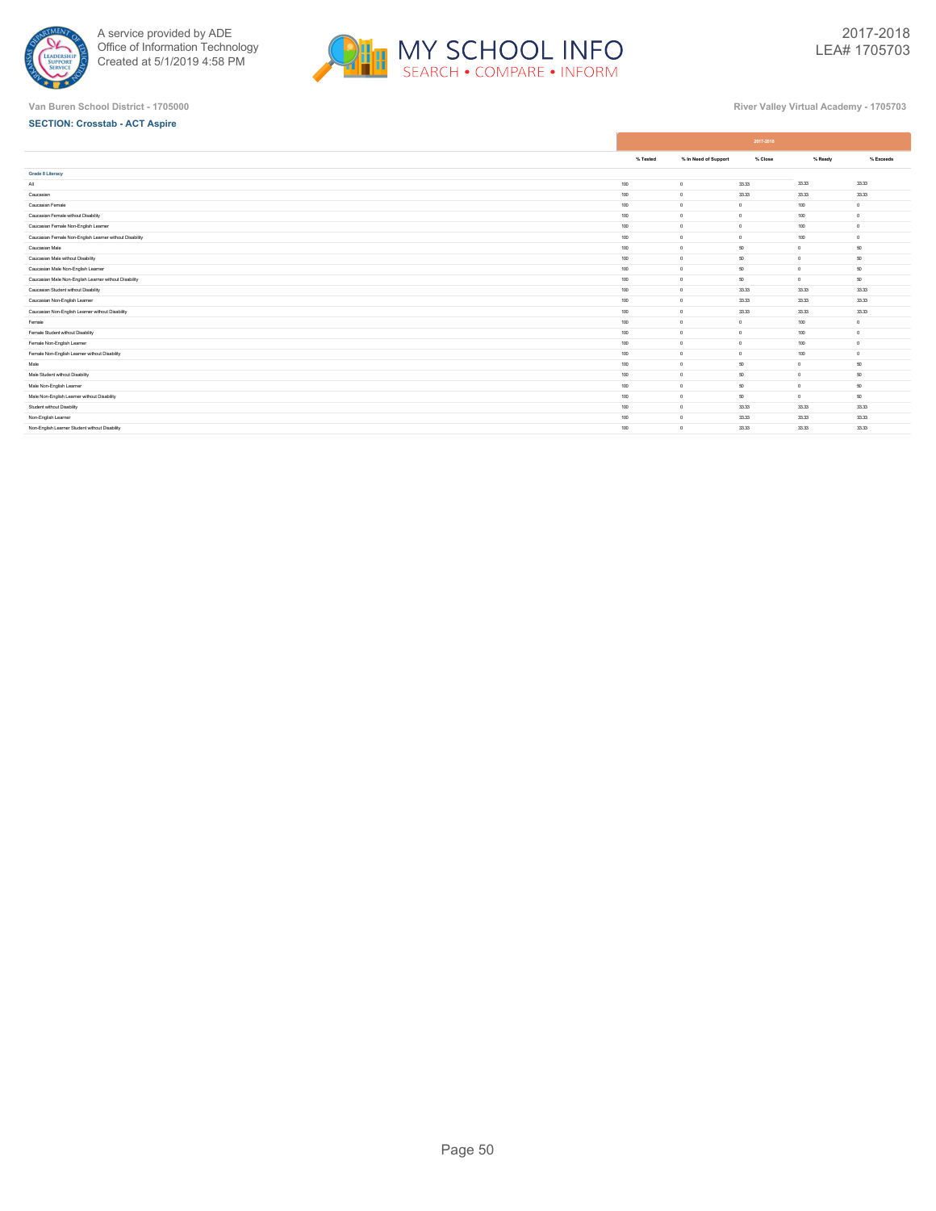



|                                                         | % Tested | % In Need of Support | % Close | % Ready    | % Exceeds  |
|---------------------------------------------------------|----------|----------------------|---------|------------|------------|
| <b>Grade 8 Literacy</b>                                 |          |                      |         |            |            |
| All                                                     | 100      | $\overline{0}$       | 33.33   | 33.33      | 33.33      |
| Caucasian                                               | 100      | $\Omega$             | 33.33   | 33.33      | 33.33      |
| Caucasian Female                                        | 100      | $^{\circ}$           | $\circ$ | 100        | $\circ$    |
| Caucasian Female without Disability                     | 100      | $\Omega$             | $\circ$ | 100        | $^{\circ}$ |
| Caucasian Female Non-English Learner                    | 100      | $\Omega$             | $\circ$ | 100        | $^{\circ}$ |
| Caucasian Female Non-English Learner without Disability | 100      | $\circ$              | $\circ$ | 100        | $\circ$    |
| Caucasian Male                                          | 100      | $\circ$              | 50      | $^{\circ}$ | 50         |
| Caucasian Male without Disability                       | 100      | $\Omega$             | 50      | $^{\circ}$ | 50         |
| Caucasian Male Non-English Learner                      | 100      | $\circ$              | 50      | $^{\circ}$ | 50         |
| Caucasian Male Non-English Learner without Disability   | 100      | $\Omega$             | 50      | $^{\circ}$ | 50         |
| Caucasian Student without Disability                    | 100      | $\Omega$             | 33.33   | 33.33      | 33.33      |
| Caucasian Non-English Learner                           | 100      | $\Omega$             | 33.33   | 33.33      | 33.33      |
| Caucasian Non-English Learner without Disability        | 100      | $\Omega$             | 33.33   | 33.33      | 33.33      |
| Female                                                  | 100      | $\circ$              | $\circ$ | 100        | $\circ$    |
| Female Student without Disability                       | 100      | $\circ$              | $\circ$ | 100        | $^{\circ}$ |
| Female Non-English Learner                              | 100      | $\Omega$             | $\circ$ | 100        | $\circ$    |
| Female Non-English Learner without Disability           | 100      | $^{\circ}$           | $\circ$ | 100        | $\circ$    |
| Male                                                    | 100      | $\Omega$             | 50      | $^{\circ}$ | 50         |
| Male Student without Disability                         | 100      | $\Omega$             | 50      | $^{\circ}$ | 50         |
| Male Non-English Learner                                | 100      | $\Omega$             | 50      | $\circ$    | 50         |
| Male Non-English Learner without Disability             | 100      | $\sim$               | 50      | $^{\circ}$ | 50         |
| Student without Disability                              | 100      | $\Omega$             | 33.33   | 33.33      | 33.33      |
| Non-English Learner                                     | 100      | $\Omega$             | 33.33   | 33.33      | 33.33      |
| Non-English Learner Student without Disability          | 100      | $\circ$              | 33.33   | 33.33      | 33.33      |
|                                                         |          |                      |         |            |            |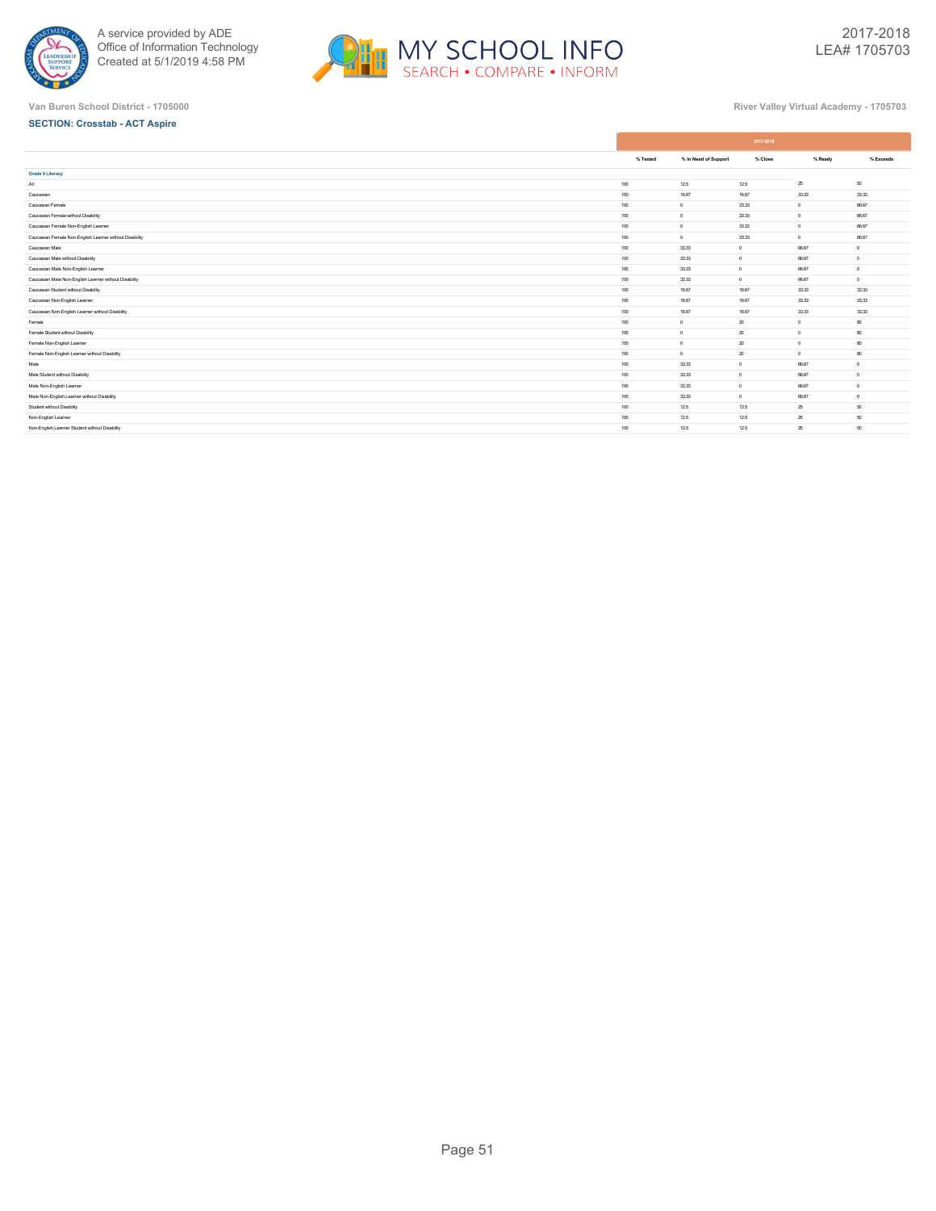



|                                                         | % Tested | % In Need of Support | % Close | % Ready    | % Exceeds  |
|---------------------------------------------------------|----------|----------------------|---------|------------|------------|
| <b>Grade 9 Literacy</b>                                 |          |                      |         |            |            |
| All                                                     | 100      | 12.5                 | 12.5    | 25         | 50         |
| Caucasian                                               | 100      | 16.67                | 16.67   | 33.33      | 33.33      |
| Caucasian Female                                        | 100      | $\circ$              | 33.33   | $^{\circ}$ | 66.67      |
| Caucasian Female without Disability                     | 100      | $\Omega$             | 33.33   | $^{\circ}$ | 66.67      |
| Caucasian Female Non-English Learner                    | 100      | $\Omega$             | 33.33   | $^{\circ}$ | 66.67      |
| Caucasian Female Non-English Learner without Disability | 100      | $\circ$              | 33.33   | $^{\circ}$ | 66.67      |
| Caucasian Male                                          | 100      | 33.33                | $\circ$ | 66.67      | $\circ$    |
| Caucasian Male without Disability                       | 100      | 33.33                | $\circ$ | 66.67      | $\circ$    |
| Caucasian Male Non-English Learner                      | 100      | 33.33                | $\circ$ | 66.67      | $^{\circ}$ |
| Caucasian Male Non-English Learner without Disability   | 100      | 33.33                | $\circ$ | 66.67      | $\circ$    |
| Caucasian Student without Disability                    | 100      | 16.67                | 16.67   | 33.33      | 33.33      |
| Caucasian Non-English Learner                           | 100      | 16.67                | 16.67   | 33.33      | 33.33      |
| Caucasian Non-English Learner without Disability        | 100      | 16.67                | 16.67   | 33.33      | 33.33      |
| Female                                                  | 100      | $\sim$               | 20      | $^{\circ}$ | 80         |
| Female Student without Disability                       | 100      | $\Omega$             | 20      | $^{\circ}$ | 80         |
| Female Non-English Learner                              | 100      | $\Omega$             | 20      | $^{\circ}$ | 80         |
| Female Non-English Learner without Disability           | 100      | $\circ$              | 20      | $^{\circ}$ | 80         |
| Male                                                    | 100      | 33.33                | $\circ$ | 66.67      | $\circ$    |
| Male Student without Disability                         | 100      | 33.33                | $\circ$ | 66.67      | $\circ$    |
| Male Non-English Learner                                | 100      | 33.33                | $\circ$ | 66.67      | $\circ$    |
| Male Non-English Learner without Disability             | 100      | 33.33                | $\circ$ | 66.67      | $\circ$    |
| Student without Disability                              | 100      | 12.5                 | 12.5    | 25         | 50         |
| Non-English Learner                                     | 100      | 12.5                 | 12.5    | 25         | 50         |
| Non-English Learner Student without Disability          | 100      | 12.5                 | 12.5    | 25         | 50         |
|                                                         |          |                      |         |            |            |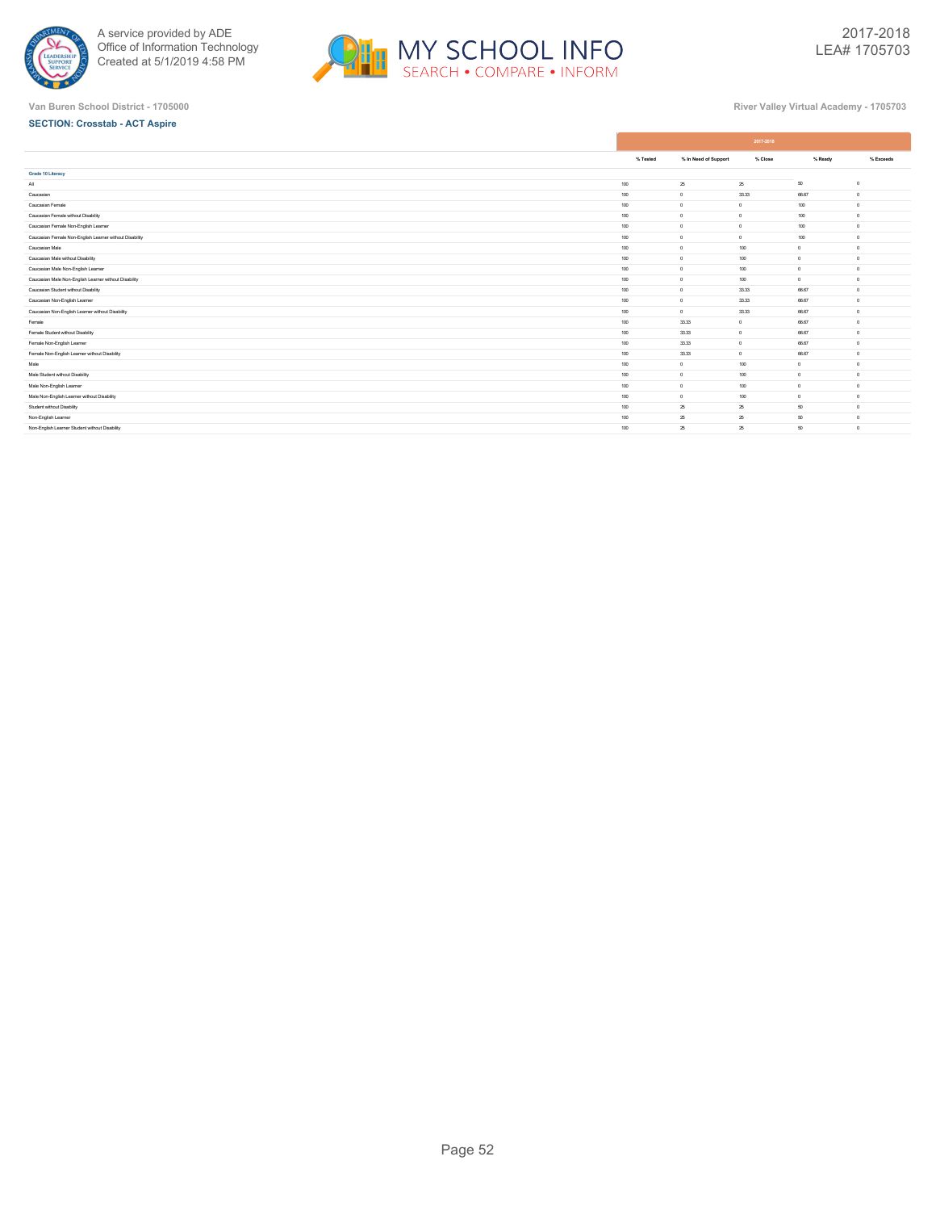



|                                                         | 2017-2018 |                      |                |            |                |
|---------------------------------------------------------|-----------|----------------------|----------------|------------|----------------|
|                                                         | % Tested  | % In Need of Support | % Close        | % Ready    | % Exceeds      |
| Grade 10 Literacy                                       |           |                      |                |            |                |
| All                                                     | 100       | 25                   | 25             | 50         | $\overline{0}$ |
| Caucasian                                               | 100       | $^{\circ}$           | 33.33          | 66.67      | $\overline{0}$ |
| Caucasian Female                                        | 100       | $\overline{0}$       | $\overline{0}$ | 100        | $\overline{0}$ |
| Caucasian Female without Disability                     | 100       | $\Omega$             | $\Omega$       | 100        | $^{\circ}$     |
| Caucasian Female Non-English Learner                    | 100       | $\Omega$             | $\overline{0}$ | 100        | $^{\circ}$     |
| Caucasian Female Non-English Learner without Disability | 100       | $\Omega$             | $\Omega$       | 100        | $\circ$        |
| Caucasian Male                                          | 100       | $\Omega$             | 100            | $\Omega$   | $^{\circ}$     |
| Caucasian Male without Disability                       | 100       | $^{\circ}$           | 100            | $\Omega$   | $^{\circ}$     |
| Caucasian Male Non-English Learner                      | 100       | $\circ$              | 100            | $^{\circ}$ | $\circ$        |
| Caucasian Male Non-English Learner without Disability   | 100       | $\overline{0}$       | 100            | $^{\circ}$ | $\overline{0}$ |
| Caucasian Student without Disability                    | 100       | $\overline{0}$       | 33.33          | 66.67      | $^{\circ}$     |
| Caucasian Non-English Learner                           | 100       | $\overline{0}$       | 33.33          | 66.67      | $\circ$        |
| Caucasian Non-English Learner without Disability        | 100       | $^{\circ}$           | 33.33          | 66.67      | $^{\circ}$     |
| Female                                                  | 100       | 33.33                | $\Omega$       | 66.67      | $\circ$        |
| Female Student without Disability                       | 100       | 33.33                | $\overline{0}$ | 66.67      | $^{\circ}$     |
| Female Non-English Learner                              | 100       | 33.33                | $\Omega$       | 66.67      | $^{\circ}$     |
| Female Non-English Learner without Disability           | 100       | 33.33                | $\Omega$       | 66.67      | $\circ$        |
| Male                                                    | 100       | $^{\circ}$           | 100            | $^{\circ}$ | $^{\circ}$     |
| Male Student without Disability                         | 100       | $^{\circ}$           | 100            | $^{\circ}$ | $^{\circ}$     |
| Male Non-English Learner                                | 100       | $\circ$              | 100            | $^{\circ}$ | $\circ$        |
| Male Non-English Learner without Disability             | 100       | $\overline{0}$       | 100            | $^{\circ}$ | $^{\circ}$     |
| Student without Disability                              | 100       | $\overline{25}$      | 25             | 50         | $^{\circ}$     |
| Non-English Learner                                     | 100       | 25                   | 25             | 50         | $\circ$        |
| Non-English Learner Student without Disability          | 100       | $\overline{25}$      | $_{25}$        | 50         | $^{\circ}$     |
|                                                         |           |                      |                |            |                |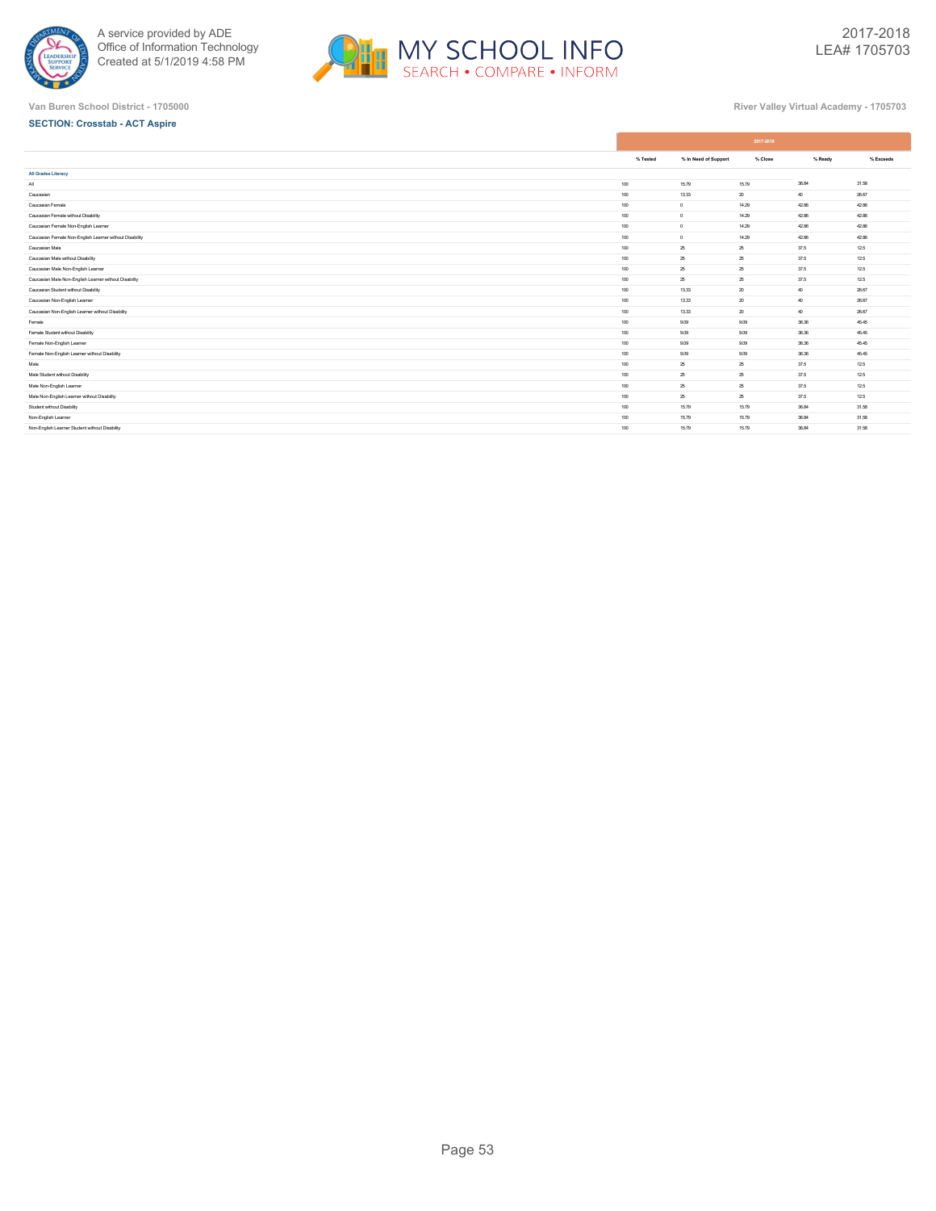



|                                                         | 2017-2018 |                      |               |         |           |
|---------------------------------------------------------|-----------|----------------------|---------------|---------|-----------|
|                                                         | % Tested  | % In Need of Support | % Close       | % Ready | % Exceeds |
| <b>All Grades Literacy</b>                              |           |                      |               |         |           |
| All                                                     | 100       | 15.79                | 15.79         | 36.84   | 31.58     |
| Caucasian                                               | 100       | 13.33                | 20            | 40      | 26.67     |
| Caucasian Female                                        | 100       | $\circ$              | 14.29         | 42.86   | 42.86     |
| Caucasian Female without Disability                     | 100       | $\Omega$             | 14.29         | 42.86   | 42.86     |
| Caucasian Female Non-English Learner                    | 100       | $\Omega$             | 14.29         | 42.86   | 42.86     |
| Caucasian Female Non-English Learner without Disability | 100       | $\circ$              | 14.29         | 42.86   | 42.86     |
| Caucasian Male                                          | 100       | $25\,$               | $\rm{2S}$     | 37.5    | 12.5      |
| Caucasian Male without Disability                       | 100       | 25                   | 25            | 37.5    | 12.5      |
| Caucasian Male Non-English Learner                      | 100       | 25                   | 25            | 37.5    | 12.5      |
| Caucasian Male Non-English Learner without Disability   | 100       | 25                   | 25            | 37.5    | 12.5      |
| Caucasian Student without Disability                    | 100       | 13.33                | 20            | 40      | 26.67     |
| Caucasian Non-English Learner                           | 100       | 13.33                | 20            | 40      | 26.67     |
| Caucasian Non-English Learner without Disability        | 100       | 13.33                | 20            | 40      | 26.67     |
| Female                                                  | 100       | 9.09                 | 9.09          | 36.36   | 45.45     |
| Female Student without Disability                       | 100       | 9.09                 | 9.09          | 36.36   | 45.45     |
| Female Non-English Learner                              | 100       | 9.09                 | 9.09          | 36.36   | 45.45     |
| Female Non-English Learner without Disability           | 100       | 9.09                 | 9.09          | 36.36   | 45.45     |
| Male                                                    | 100       | $\overline{25}$      | $\mathbf{25}$ | 37.5    | 12.5      |
| Male Student without Disability                         | 100       | 25                   | 25            | 37.5    | 12.5      |
| Male Non-English Learner                                | 100       | 25                   | 25            | 37.5    | 12.5      |
| Male Non-English Learner without Disability             | 100       | 25                   | 25            | 37.5    | 12.5      |
| Student without Disability                              | 100       | 15.79                | 15.79         | 36.84   | 31.58     |
| Non-English Learner                                     | 100       | 15.79                | 15.79         | 36.84   | 31.58     |
| Non-English Learner Student without Disability          | 100       | 15.79                | 15.79         | 36.84   | 31.58     |
|                                                         |           |                      |               |         |           |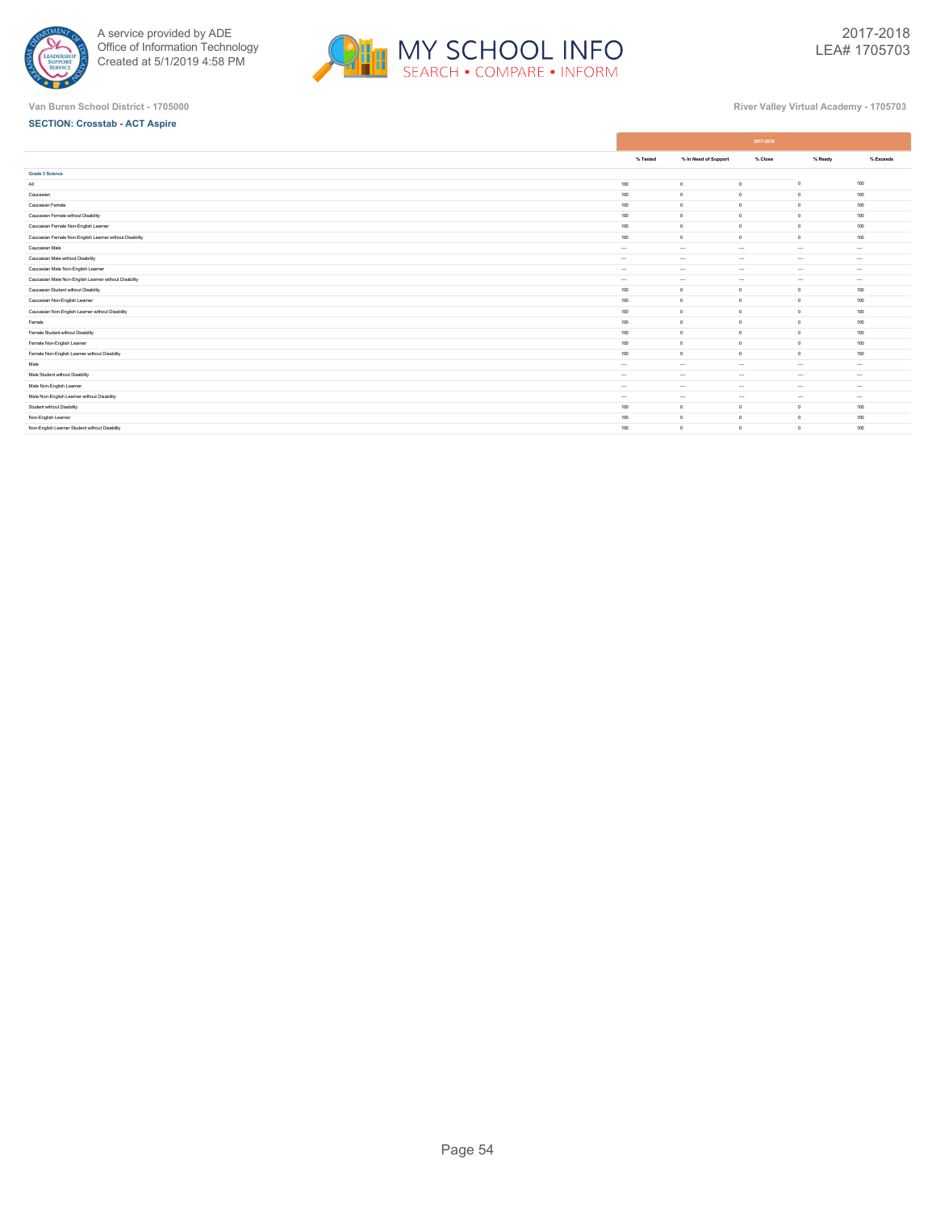



|                                                         | 2017-2018 |                      |             |            |           |
|---------------------------------------------------------|-----------|----------------------|-------------|------------|-----------|
|                                                         | % Tested  | % In Need of Support | % Close     | % Ready    | % Exceeds |
| Grade 3 Science                                         |           |                      |             |            |           |
| All                                                     | 100       | $\circ$              | $\circ$     | $^{\circ}$ | 100       |
| Caucasian                                               | 100       | $^{\circ}$           | $\circ$     | $^{\circ}$ | 100       |
| Caucasian Female                                        | 100       | $^{\circ}$           | $\mathbf 0$ | $\circ$    | 100       |
| Caucasian Female without Disability                     | 100       | $\circ$              | $\mathbf 0$ | $^{\circ}$ | 100       |
| Caucasian Female Non-English Learner                    | 100       | $^{\circ}$           | $\circ$     | $^{\circ}$ | 100       |
| Caucasian Female Non-English Learner without Disability | 100       | $\circ$              | $\mathbf 0$ | $\circ$    | 100       |
| Caucasian Male                                          | $\cdots$  | $\cdots$             | $\cdots$    | $\cdots$   | $\cdots$  |
| Caucasian Male without Disability                       | $\cdots$  | $\cdots$             | $\sim$      | $\cdots$   | $\cdots$  |
| Caucasian Male Non-English Learner                      | $\cdots$  | $\cdots$             | $\cdots$    | $\cdots$   | $\cdots$  |
| Caucasian Male Non-English Learner without Disability   | $\cdots$  | $\cdots$             | $\cdots$    | $\cdots$   | $\cdots$  |
| Caucasian Student without Disability                    | 100       | $^{\circ}$           | $\circ$     | $\circ$    | 100       |
| Caucasian Non-English Learner                           | 100       | $\circ$              | $\mathbf 0$ | $^{\circ}$ | 100       |
| Caucasian Non-English Learner without Disability        | 100       | $\circ$              | $\circ$     | $^{\circ}$ | 100       |
| Female                                                  | 100       | $^{\circ}$           | $\circ$     | $^{\circ}$ | 100       |
| Female Student without Disability                       | 100       | $^{\circ}$           | $\circ$     | $^{\circ}$ | 100       |
| Female Non-English Learner                              | 100       | $\overline{0}$       | $\circ$     | $^{\circ}$ | 100       |
| Female Non-English Learner without Disability           | 100       | $^{\circ}$           | $\mathbf 0$ | $\circ$    | 100       |
| Male                                                    | $\cdots$  | $\sim$               | $\cdots$    | $\cdots$   | $\cdots$  |
| Male Student without Disability                         | $\cdots$  | $\cdots$             | $\cdots$    | $\cdots$   | $\cdots$  |
| Male Non-English Learner                                | $\cdots$  | $\cdots$             | $\sim$      | $\cdots$   | $\cdots$  |
| Male Non-English Learner without Disability             | $\cdots$  | $\sim$               | $\sim$      | $\cdots$   | $\cdots$  |
| Student without Disability                              | 100       | $\Omega$             | $\circ$     | $^{\circ}$ | 100       |
| Non-English Learner                                     | 100       | $^{\circ}$           | $\circ$     | $^{\circ}$ | 100       |
| Non-English Learner Student without Disability          | 100       | $\circ$              | $\circ$     | $^{\circ}$ | 100       |
|                                                         |           |                      |             |            |           |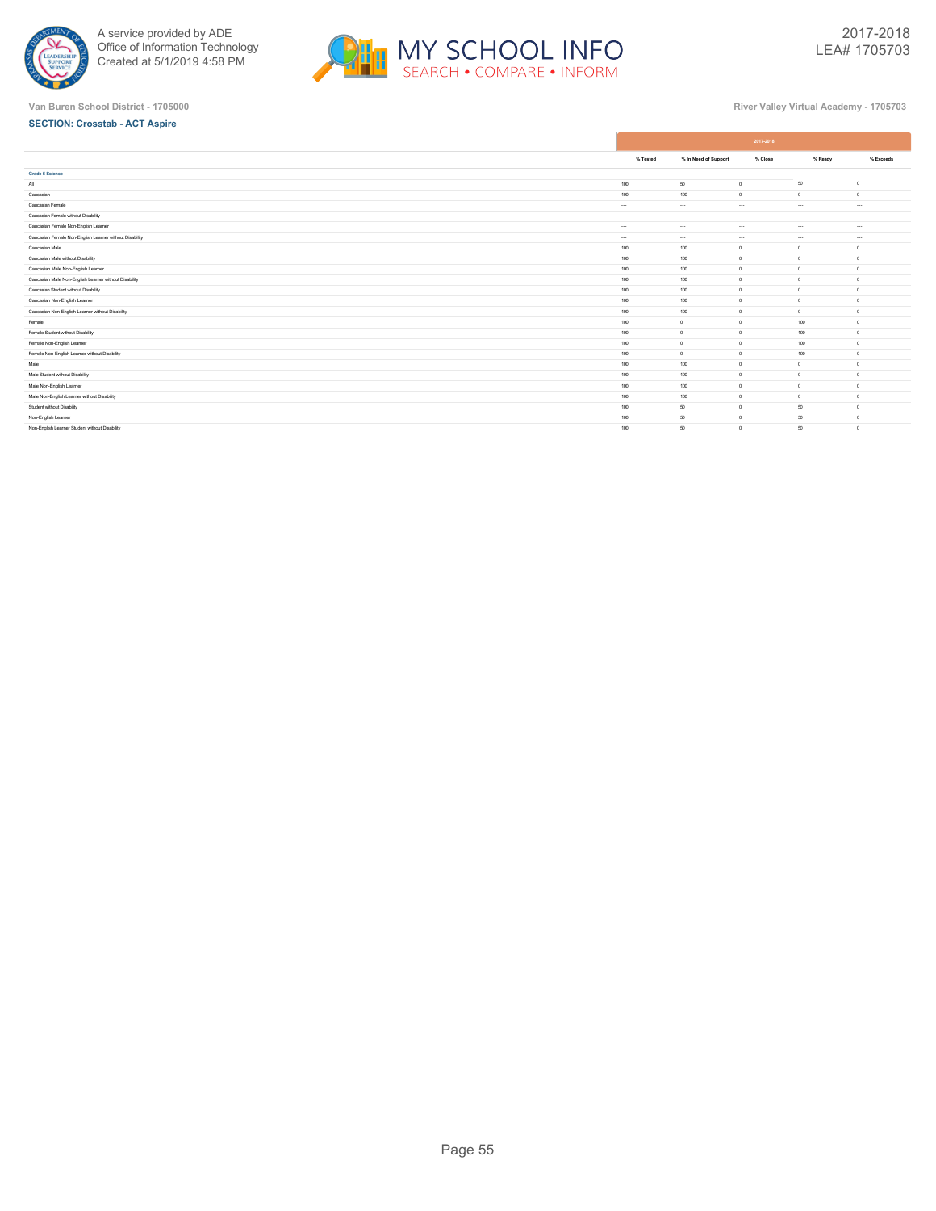



|                                                         | 2017-2018 |                      |             |            |            |
|---------------------------------------------------------|-----------|----------------------|-------------|------------|------------|
|                                                         | % Tested  | % In Need of Support | % Close     | % Ready    | % Exceeds  |
| <b>Grade 5 Science</b>                                  |           |                      |             |            |            |
| All                                                     | 100       | 50                   | $\circ$     | 50         | $\circ$    |
| Caucasian                                               | 100       | 100                  | $\circ$     | $^{\circ}$ | $^{\circ}$ |
| Caucasian Female                                        | $\cdots$  | $\sim$               | $\sim$      | $\cdots$   | $\cdots$   |
| Caucasian Female without Disability                     | $\cdots$  | $\sim$               | $\sim$      | $\cdots$   | $\cdots$   |
| Caucasian Female Non-English Learner                    | $\cdots$  | $\cdots$             | $\sim$      | $\cdots$   | $\cdots$   |
| Caucasian Female Non-English Learner without Disability | $\cdots$  | $\sim$               | $\sim$      | $\cdots$   | $\cdots$   |
| Caucasian Male                                          | 100       | 100                  | $\circ$     | $^{\circ}$ | $^{\circ}$ |
| Caucasian Male without Disability                       | 100       | 100                  | $\mathbf 0$ | $^{\circ}$ | $\circ$    |
| Caucasian Male Non-English Learner                      | 100       | 100                  | $\circ$     | $^{\circ}$ | $^{\circ}$ |
| Caucasian Male Non-English Learner without Disability   | 100       | 100                  | $\circ$     | $^{\circ}$ | $^{\circ}$ |
| Caucasian Student without Disability                    | 100       | 100                  | $\circ$     | $^{\circ}$ | $^{\circ}$ |
| Caucasian Non-English Learner                           | 100       | 100                  | $\circ$     | $^{\circ}$ | $\circ$    |
| Caucasian Non-English Learner without Disability        | 100       | 100                  | $\circ$     | $^{\circ}$ | $\circ$    |
| Female                                                  | 100       | $^{\circ}$           | $\circ$     | 100        | $\circ$    |
| Female Student without Disability                       | 100       | $\circ$              | $\circ$     | 100        | $\circ$    |
| Female Non-English Learner                              | 100       | $\overline{0}$       | $\mathbf 0$ | 100        | $\circ$    |
| Female Non-English Learner without Disability           | 100       | $^{\circ}$           | $\circ$     | 100        | $\circ$    |
| Male                                                    | 100       | 100                  | $\circ$     | $^{\circ}$ | $\circ$    |
| Male Student without Disability                         | 100       | 100                  | $\circ$     | $^{\circ}$ | $^{\circ}$ |
| Male Non-English Learner                                | 100       | 100                  | $\circ$     | $^{\circ}$ | $^{\circ}$ |
| Male Non-English Learner without Disability             | 100       | 100                  | $\circ$     | $^{\circ}$ | $\circ$    |
| Student without Disability                              | 100       | 50                   | $\circ$     | 50         | $\circ$    |
| Non-English Learner                                     | 100       | 50                   | $\circ$     | 50         | $\circ$    |
| Non-English Learner Student without Disability          | 100       | 50                   | $\circ$     | 50         | $\circ$    |
|                                                         |           |                      |             |            |            |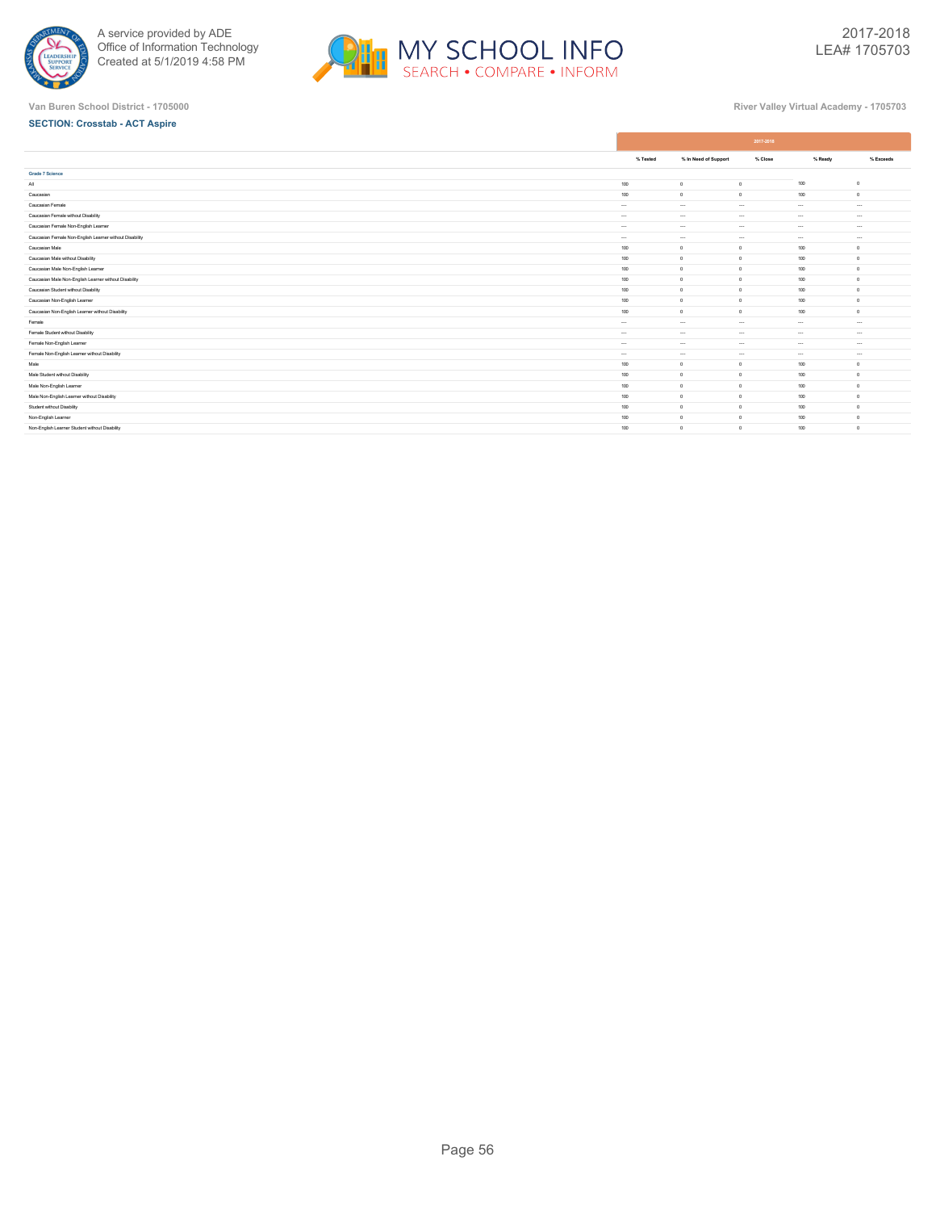



|                                                         | 2017-2018 |                      |                |          |            |
|---------------------------------------------------------|-----------|----------------------|----------------|----------|------------|
|                                                         | % Tested  | % In Need of Support | % Close        | % Ready  | % Exceeds  |
| Grade 7 Science                                         |           |                      |                |          |            |
| All                                                     | 100       | $\circ$              | $\circ$        | 100      | $^{\circ}$ |
| Caucasian                                               | 100       | $\circ$              | $\overline{0}$ | 100      | $^{\circ}$ |
| Caucasian Female                                        | $\cdots$  | 1.11                 | $\sim$         | $\cdots$ | $\cdots$   |
| Caucasian Female without Disability                     | $\cdots$  | $-$                  | $\cdots$       | $\cdots$ | $\cdots$   |
| Caucasian Female Non-English Learner                    | $\cdots$  | $\cdots$             | $\cdots$       | $\cdots$ | $\cdots$   |
| Caucasian Female Non-English Learner without Disability | $\cdots$  | $\cdots$             | $\cdots$       |          |            |
| Caucasian Male                                          | 100       | $\sqrt{2}$           | $\sim$         | 100      | $^{\circ}$ |
| Caucasian Male without Disability                       | 100       | $\Omega$             | $\overline{0}$ | 100      | $^{\circ}$ |
| Caucasian Male Non-English Learner                      | 100       | $^{\circ}$           | $\circ$        | 100      | $^{\circ}$ |
| Caucasian Male Non-English Learner without Disability   | 100       | $\circ$              | $\overline{0}$ | 100      | $^{\circ}$ |
| Caucasian Student without Disability                    | 100       | $\circ$              | $\overline{0}$ | 100      | $^{\circ}$ |
| Caucasian Non-English Learner                           | 100       | $\circ$              | $\overline{0}$ | 100      | $^{\circ}$ |
| Caucasian Non-English Learner without Disability        | 100       | $\Omega$             | $^{\circ}$     | 100      | $^{\circ}$ |
| Female                                                  | $\cdots$  | $-$                  | $-$            | $\cdots$ | $\cdots$   |
| Female Student without Disability                       | $\cdots$  | $\cdots$             | $\cdots$       | $\cdots$ | $\cdots$   |
| Female Non-English Learner                              | $\cdots$  | $\cdots$             | $\cdots$       | $\cdots$ | $\cdots$   |
| Female Non-English Learner without Disability           | $\cdots$  | $\cdots$             | $\cdots$       | $\cdots$ | $\cdots$   |
| Male                                                    | 100       | $\circ$              | $\overline{0}$ | 100      | $^{\circ}$ |
| Male Student without Disability                         | 100       | $\circ$              | $\overline{0}$ | 100      | $^{\circ}$ |
| Male Non-English Learner                                | 100       | $\Omega$             | $\circ$        | 100      | $^{\circ}$ |
| Male Non-English Learner without Disability             | 100       | $\circ$              | $\circ$        | 100      | $^{\circ}$ |
| Student without Disability                              | 100       | $\Omega$             | $\overline{0}$ | 100      | $^{\circ}$ |
| Non-English Learner                                     | 100       | $^{\circ}$           | $\circ$        | 100      | $^{\circ}$ |
| Non-English Learner Student without Disability          | 100       | $\circ$              | $\sim$         | 100      | $^{\circ}$ |
|                                                         |           |                      |                |          |            |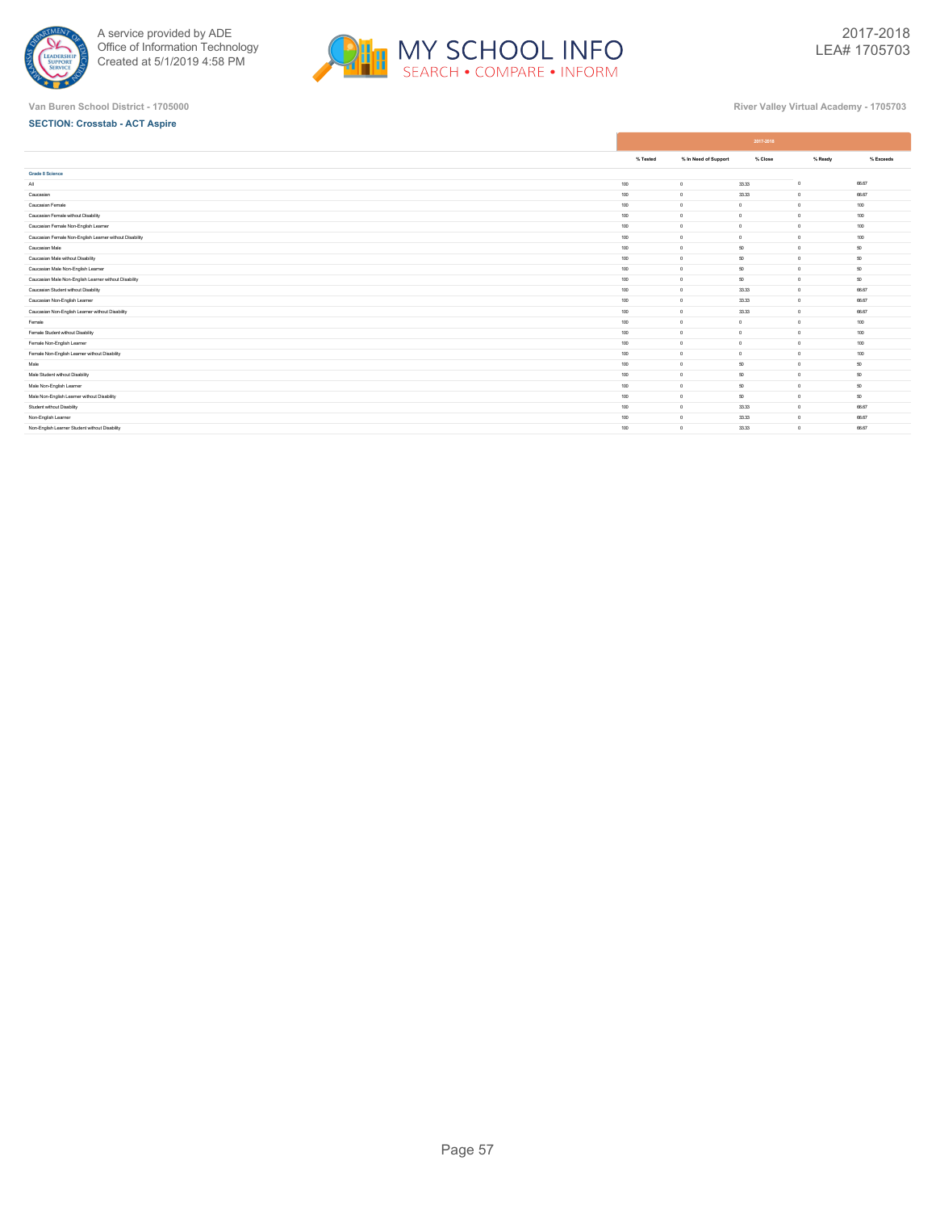



|                                                         | 2017-2018 |                      |             |            |           |
|---------------------------------------------------------|-----------|----------------------|-------------|------------|-----------|
|                                                         | % Tested  | % In Need of Support | % Close     | % Ready    | % Exceeds |
| <b>Grade 8 Science</b>                                  |           |                      |             |            |           |
| All                                                     | 100       | $\Omega$             | 33.33       | $^{\circ}$ | 66.67     |
| Caucasian                                               | 100       | $^{\circ}$           | 33.33       | $^{\circ}$ | 66.67     |
| Caucasian Female                                        | 100       | $\Omega$             | $\circ$     | $\circ$    | 100       |
| Caucasian Female without Disability                     | 100       | $\circ$              | $\circ$     | $^{\circ}$ | 100       |
| Caucasian Female Non-English Learner                    | 100       | $\circ$              | $\circ$     | $\circ$    | 100       |
| Caucasian Female Non-English Learner without Disability | 100       | $\circ$              | $\circ$     | $^{\circ}$ | 100       |
| Caucasian Male                                          | 100       | $\Omega$             | 50          | $^{\circ}$ | 50        |
| Caucasian Male without Disability                       | 100       | $^{\circ}$           | 50          | $^{\circ}$ | 50        |
| Caucasian Male Non-English Learner                      | 100       | $\Omega$             | 50          | $^{\circ}$ | 50        |
| Caucasian Male Non-English Learner without Disability   | 100       | $\Omega$             | 50          | $^{\circ}$ | 50        |
| Caucasian Student without Disability                    | 100       | $\circ$              | 33.33       | $\circ$    | 66.67     |
| Caucasian Non-English Learner                           | 100       | $\Omega$             | 33.33       | $^{\circ}$ | 66.67     |
| Caucasian Non-English Learner without Disability        | 100       | $\circ$              | 33.33       | $^{\circ}$ | 66.67     |
| Female                                                  | 100       | $\circ$              | $\mathbf 0$ | $\circ$    | 100       |
| Female Student without Disability                       | 100       | $^{\circ}$           | $\circ$     | $^{\circ}$ | 100       |
| Female Non-English Learner                              | 100       | $\Omega$             | $\circ$     | $^{\circ}$ | 100       |
| Female Non-English Learner without Disability           | 100       | $\circ$              | $\circ$     | $^{\circ}$ | 100       |
| Male                                                    | 100       | $\Omega$             | 50          | $\circ$    | 50        |
| Male Student without Disability                         | 100       | $\Omega$             | 50          | $^{\circ}$ | 50        |
| Male Non-English Learner                                | 100       | $\overline{0}$       | 50          | $\circ$    | 50        |
| Male Non-English Learner without Disability             | 100       | $\overline{0}$       | 50          | $\circ$    | 50        |
| Student without Disability                              | 100       | $\Omega$             | 33.33       | $^{\circ}$ | 66.67     |
| Non-English Learner                                     | 100       | $\circ$              | 33.33       | $^{\circ}$ | 66.67     |
| Non-English Learner Student without Disability          | 100       | $^{\circ}$           | 33.33       | $^{\circ}$ | 66.67     |
|                                                         |           |                      |             |            |           |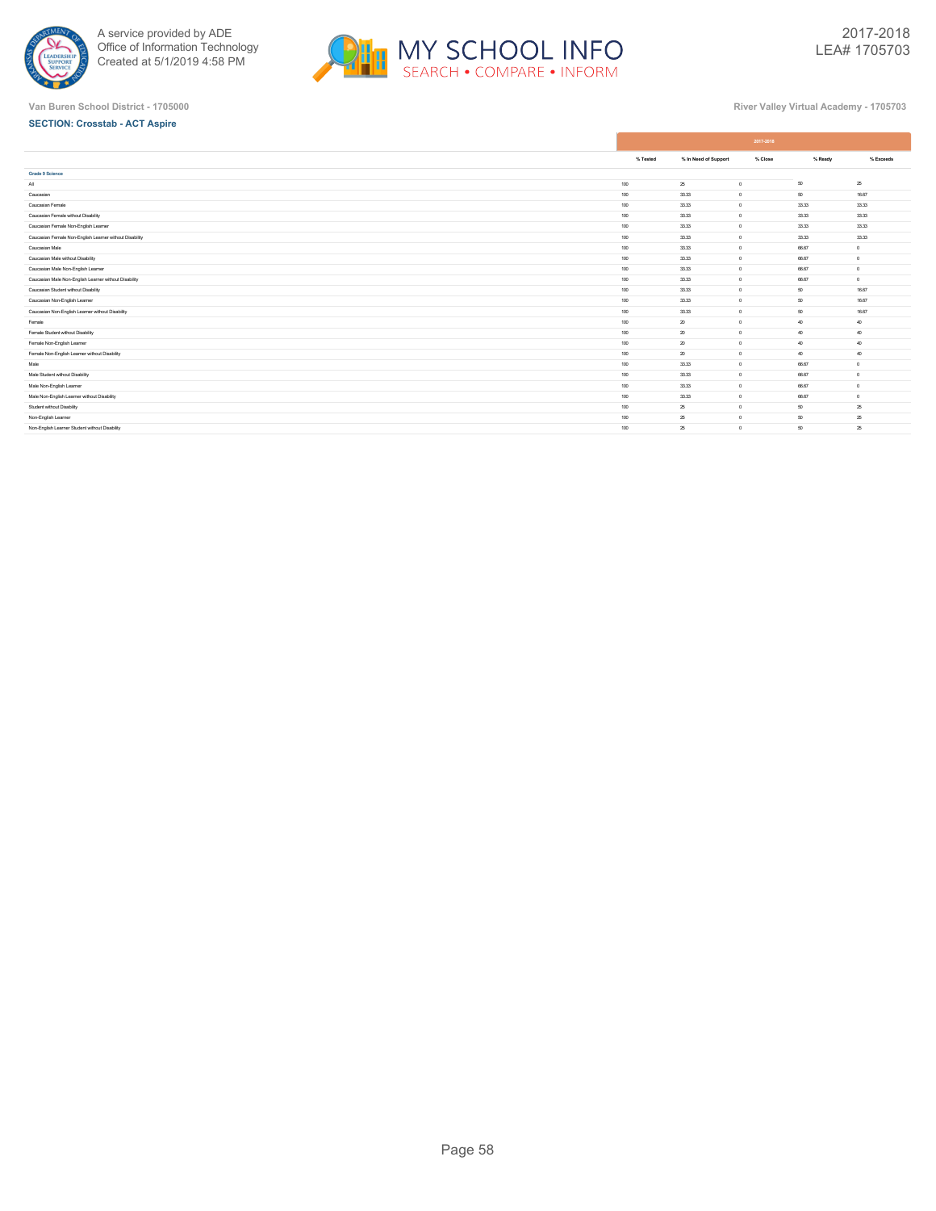



|                                                         | 2017-2018 |                      |                |         |                |
|---------------------------------------------------------|-----------|----------------------|----------------|---------|----------------|
|                                                         | % Tested  | % In Need of Support | % Close        | % Ready | % Exceeds      |
| <b>Grade 9 Science</b>                                  |           |                      |                |         |                |
| All                                                     | 100       | $\rm{25}$            | $\Omega$       | 50      | 25             |
| Caucasian                                               | 100       | 33.33                | $\circ$        | 50      | 16.67          |
| Caucasian Female                                        | 100       | 33.33                | $\Omega$       | 33.33   | 33.33          |
| Caucasian Female without Disability                     | 100       | 33.33                | $\circ$        | 33.33   | 33.33          |
| Caucasian Female Non-English Learner                    | 100       | 33.33                | $\circ$        | 33.33   | 33.33          |
| Caucasian Female Non-English Learner without Disability | 100       | 33.33                | $\overline{0}$ | 33.33   | 33.33          |
| Caucasian Male                                          | 100       | 33.33                | $\overline{0}$ | 66.67   | $^{\circ}$     |
| Caucasian Male without Disability                       | 100       | 33.33                | $\overline{0}$ | 66.67   | $\overline{0}$ |
| Caucasian Male Non-English Learner                      | 100       | 33.33                | $\overline{0}$ | 66.67   | $^{\circ}$     |
| Caucasian Male Non-English Learner without Disability   | 100       | 33.33                | $\Omega$       | 66.67   | $\Omega$       |
| Caucasian Student without Disability                    | 100       | 33.33                | $\Omega$       | 50      | 16.67          |
| Caucasian Non-English Learner                           | 100       | 33.33                | $\Omega$       | 50      | 16.67          |
| Caucasian Non-English Learner without Disability        | 100       | 33.33                | $\Omega$       | 50      | 16.67          |
| Female                                                  | 100       | 20                   | $\circ$        | 40      | 40             |
| Female Student without Disability                       | 100       | 20                   | $\circ$        | 40      | 40             |
| Female Non-English Learner                              | 100       | $20\,$               | $\overline{0}$ | 40      | 40             |
| Female Non-English Learner without Disability           | 100       | 20                   | $\overline{0}$ | 40      | 40             |
| Male                                                    | 100       | 33.33                | $\Omega$       | 66.67   | $\circ$        |
| Male Student without Disability                         | 100       | 33.33                | $\Omega$       | 66.67   | $^{\circ}$     |
| Male Non-English Learner                                | 100       | 33.33                | $\circ$        | 66.67   | $\circ$        |
| Male Non-English Learner without Disability             | 100       | 33.33                | $\Omega$       | 66.67   | $\circ$        |
| Student without Disability                              | 100       | $\rm{25}$            | $\Omega$       | 50      | 25             |
| Non-English Learner                                     | 100       | 25                   | $\overline{0}$ | 50      | 25             |
| Non-English Learner Student without Disability          | 100       | 25                   | $\overline{0}$ | 50      | 25             |
|                                                         |           |                      |                |         |                |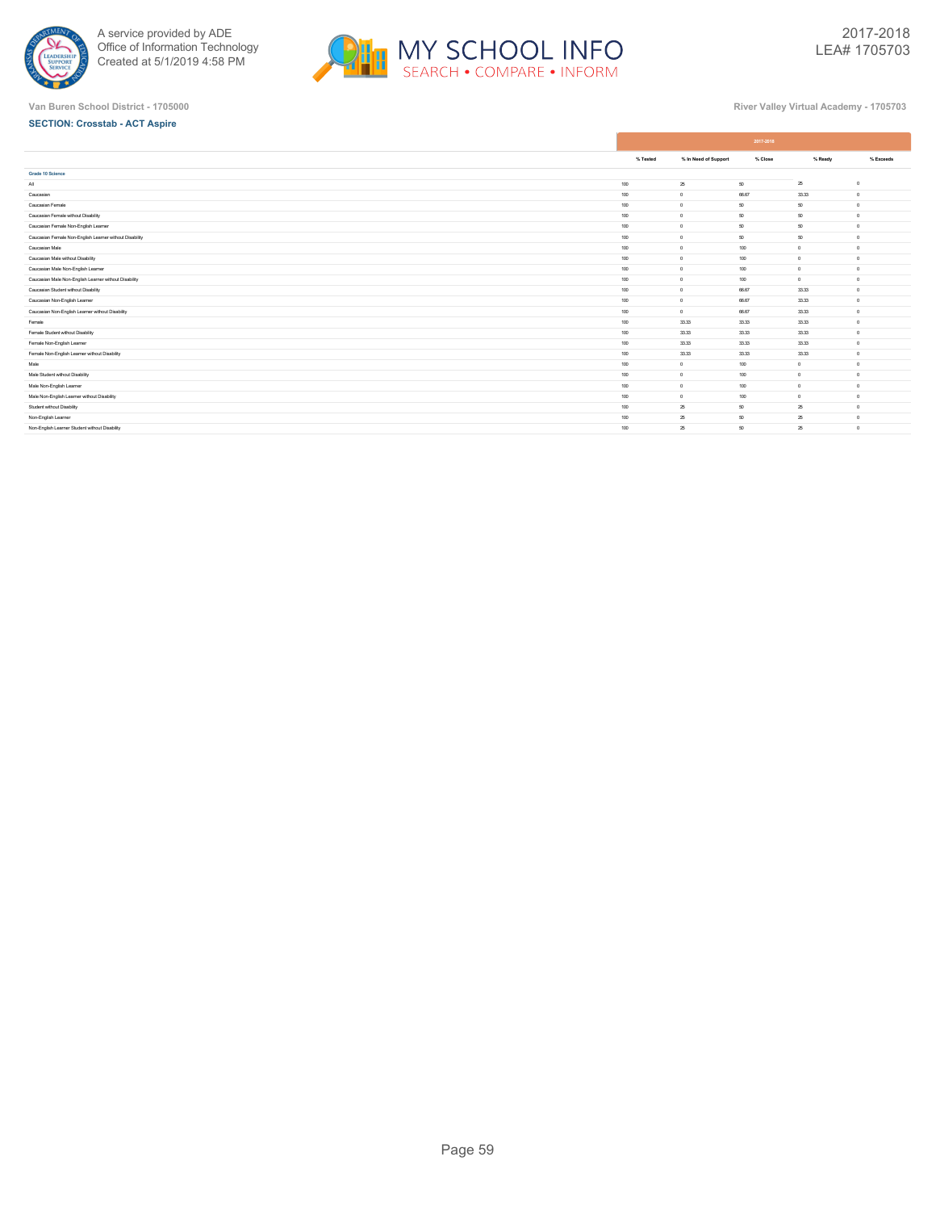



|                                                         | 2017-2018 |                      |         |            |            |
|---------------------------------------------------------|-----------|----------------------|---------|------------|------------|
|                                                         | % Tested  | % In Need of Support | % Close | % Ready    | % Exceeds  |
| Grade 10 Science                                        |           |                      |         |            |            |
| All                                                     | 100       | 25                   | 50      | 25         | $^{\circ}$ |
| Caucasian                                               | 100       | $\circ$              | 66.67   | 33.33      | $\circ$    |
| Caucasian Female                                        | 100       | $\circ$              | 50      | 50         | $\circ$    |
| Caucasian Female without Disability                     | 100       | $\Omega$             | 50      | 50         | $\circ$    |
| Caucasian Female Non-English Learner                    | 100       | $\circ$              | 50      | 50         | $^{\circ}$ |
| Caucasian Female Non-English Learner without Disability | 100       | $^{\circ}$           | 50      | 50         | $\circ$    |
| Caucasian Male                                          | 100       | $^{\circ}$           | 100     | $^{\circ}$ | $^{\circ}$ |
| Caucasian Male without Disability                       | 100       | $\circ$              | 100     | $^{\circ}$ | $^{\circ}$ |
| Caucasian Male Non-English Learner                      | 100       | $\circ$              | 100     | $^{\circ}$ | $\circ$    |
| Caucasian Male Non-English Learner without Disability   | 100       | $\circ$              | 100     | $^{\circ}$ | $\circ$    |
| Caucasian Student without Disability                    | 100       | $\Omega$             | 66.67   | 33.33      | $\circ$    |
| Caucasian Non-English Learner                           | 100       | $\circ$              | 66.67   | 33.33      | $\circ$    |
| Caucasian Non-English Learner without Disability        | 100       | $\circ$              | 66.67   | 33.33      | $\circ$    |
| Female                                                  | 100       | 33.33                | 33.33   | 33.33      | $\circ$    |
| Female Student without Disability                       | 100       | 33.33                | 33.33   | 33.33      | $^{\circ}$ |
| Female Non-English Learner                              | 100       | 33.33                | 33.33   | 33.33      | $\circ$    |
| Female Non-English Learner without Disability           | 100       | 33.33                | 33.33   | 33.33      | $\circ$    |
| Male                                                    | 100       | $\circ$              | 100     | $^{\circ}$ | $^{\circ}$ |
| Male Student without Disability                         | 100       | $\circ$              | 100     | $^{\circ}$ | $^{\circ}$ |
| Male Non-English Learner                                | 100       | $\circ$              | 100     | $\circ$    | $\circ$    |
| Male Non-English Learner without Disability             | 100       | $\Omega$             | 100     | $^{\circ}$ | $\circ$    |
| Student without Disability                              | 100       | 25                   | 50      | 25         | $^{\circ}$ |
| Non-English Learner                                     | 100       | 25                   | 50      | 25         | $\circ$    |
| Non-English Learner Student without Disability          | 100       | 25                   | 50      | 25         | $^{\circ}$ |
|                                                         |           |                      |         |            |            |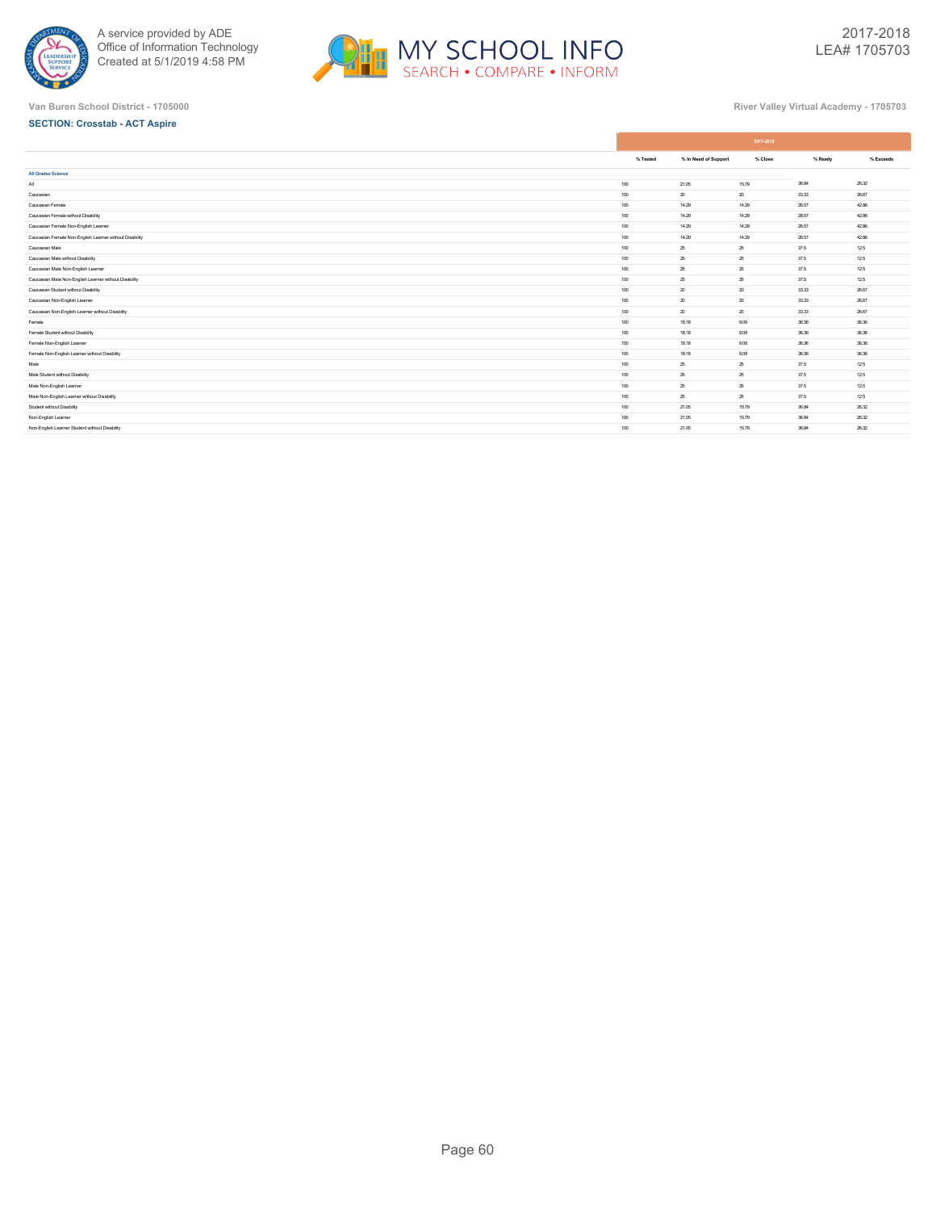



|                                                         | 2017-2018 |                      |                |         |           |
|---------------------------------------------------------|-----------|----------------------|----------------|---------|-----------|
|                                                         | % Tested  | % In Need of Support | % Close        | % Ready | % Exceeds |
| All Grades Science                                      |           |                      |                |         |           |
| All                                                     | 100       | 21.05                | 15.79          | 36.84   | 26.32     |
| Caucasian                                               | 100       | $20\,$               | 20             | 33.33   | 26.67     |
| Caucasian Female                                        | 100       | 14.29                | 14.29          | 28.57   | 42.86     |
| Caucasian Female without Disability                     | 100       | 14.29                | 14.29          | 28.57   | 42.86     |
| Caucasian Female Non-English Learner                    | 100       | 14.29                | 14.29          | 28.57   | 42.86     |
| Caucasian Female Non-English Learner without Disability | 100       | 14.29                | 14.29          | 28.57   | 42.86     |
| Caucasian Male                                          | 100       | $\overline{25}$      | $\mathfrak{B}$ | 37.5    | 12.5      |
| Caucasian Male without Disability                       | 100       | 25                   | 25             | 37.5    | 12.5      |
| Caucasian Male Non-English Learner                      | 100       | 25                   | 25             | 37.5    | 12.5      |
| Caucasian Male Non-English Learner without Disability   | 100       | 25                   | 25             | 37.5    | 12.5      |
| Caucasian Student without Disability                    | 100       | 20                   | 20             | 33.33   | 26.67     |
| Caucasian Non-English Learner                           | 100       | 20                   | 20             | 33.33   | 26.67     |
| Caucasian Non-English Learner without Disability        | 100       | 20                   | 20             | 33.33   | 26.67     |
| Female                                                  | 100       | 18.18                | 9.09           | 36.36   | 36.36     |
| Female Student without Disability                       | 100       | 18.18                | 9.09           | 36.36   | 36.36     |
| Female Non-English Learner                              | 100       | 18.18                | 9.09           | 36.36   | 36.36     |
| Female Non-English Learner without Disability           | 100       | 18.18                | 9.09           | 36.36   | 36.36     |
| Male                                                    | 100       | $\overline{25}$      | 25             | 37.5    | 12.5      |
| Male Student without Disability                         | 100       | 25                   | 25             | 37.5    | 12.5      |
| Male Non-English Learner                                | 100       | 25                   | 25             | 37.5    | 12.5      |
| Male Non-English Learner without Disability             | 100       | 25                   | 25             | 37.5    | 12.5      |
| Student without Disability                              | 100       | 21.05                | 15.79          | 36.84   | 26.32     |
| Non-English Learner                                     | 100       | 21.05                | 15.79          | 36.84   | 26.32     |
| Non-English Learner Student without Disability          | 100       | 21.05                | 15.79          | 36.84   | 26.32     |
|                                                         |           |                      |                |         |           |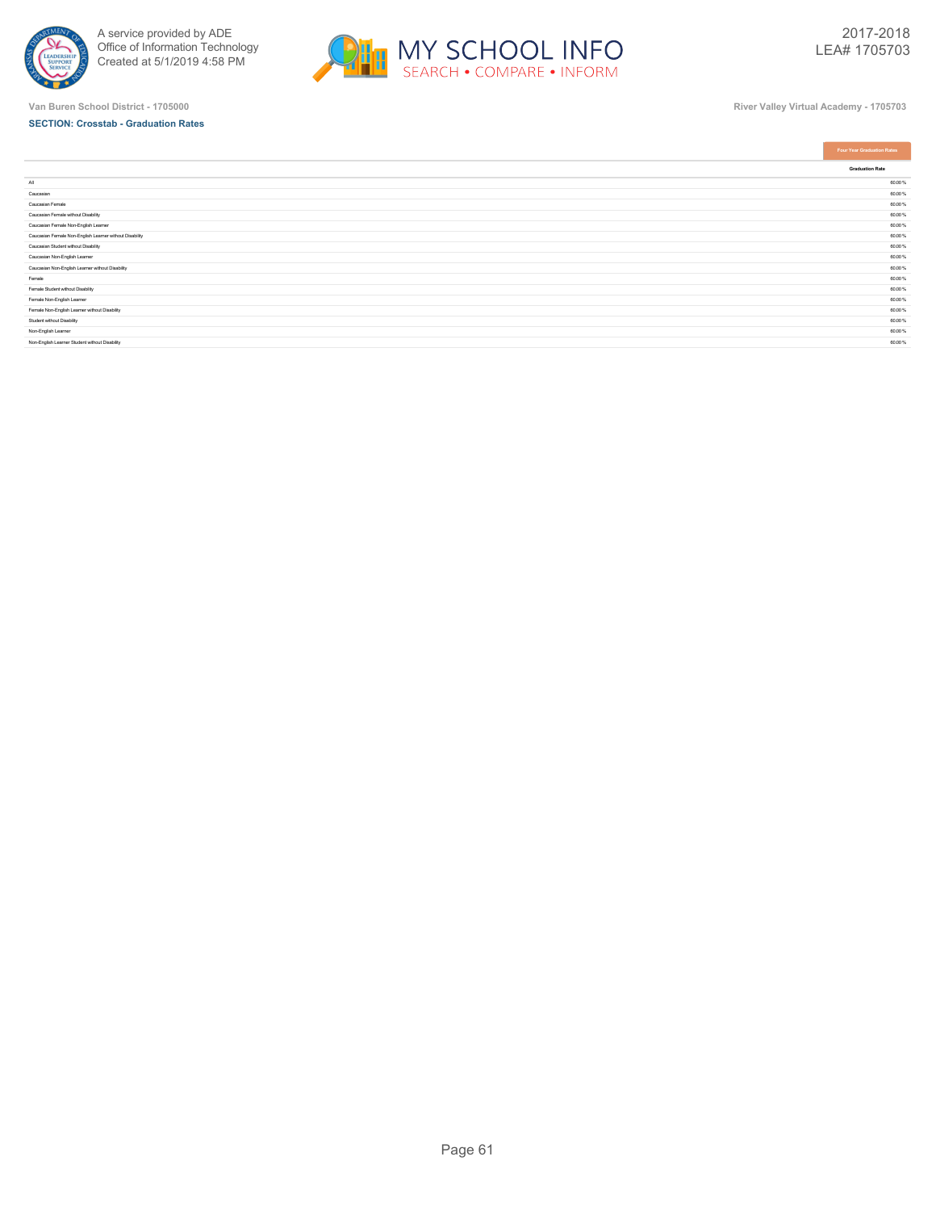



## **SECTION: Crosstab - Graduation Rates**

|                                                         | <b>Four Year Graduation Rates</b> |
|---------------------------------------------------------|-----------------------------------|
|                                                         | <b>Graduation Rate</b>            |
| All                                                     | 60.00%                            |
| Caucasian                                               | 60.00%                            |
| Caucasian Female                                        | 60.00%                            |
| Caucasian Female without Disability                     | 60.00%                            |
| Caucasian Female Non-English Learner                    | 60.00%                            |
| Caucasian Female Non-English Learner without Disability | 60.00%                            |
| Caucasian Student without Disability                    | 60.00%                            |
| Caucasian Non-English Learner                           | 60.00%                            |
| Caucasian Non-English Learner without Disability        | 60.00%                            |
| Female                                                  | 60.00%                            |
| Female Student without Disability                       | 60.00%                            |
| Female Non-English Learner                              | 60.00%                            |
| Female Non-English Learner without Disability           | 60.00%                            |
| Student without Disability                              | 60.00%                            |
| Non-English Learner                                     | 60.00%                            |
| Non-English Learner Student without Disability          | 60.00%                            |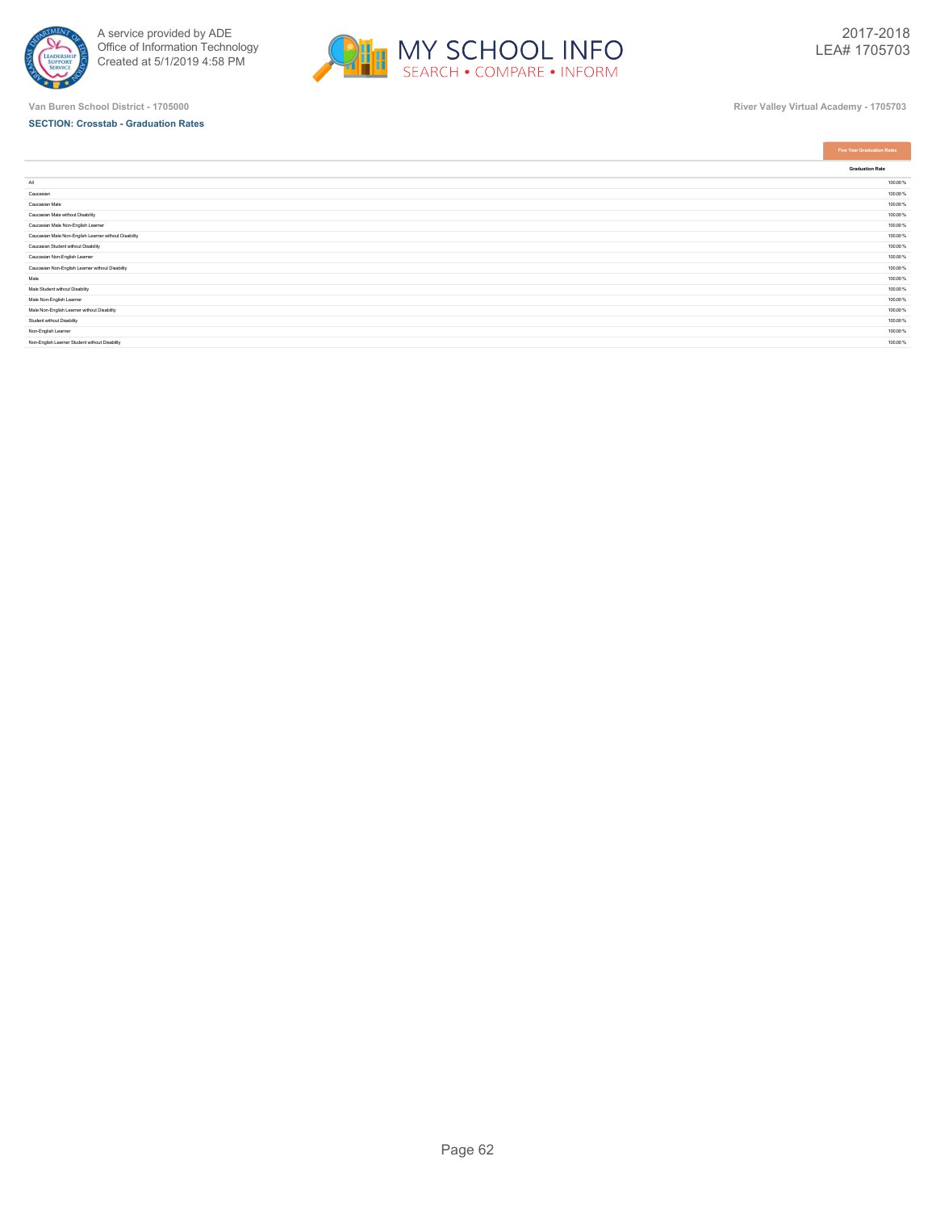



## **SECTION: Crosstab - Graduation Rates**

|                                                       | <b>Five Year Graduation Rates</b> |
|-------------------------------------------------------|-----------------------------------|
|                                                       | <b>Graduation Rate</b>            |
| All                                                   | 100.00%                           |
| Caucasian                                             | 100.00%                           |
| Caucasian Male                                        | 100.00%                           |
| Caucasian Male without Disability                     | 100.00%                           |
| Caucasian Male Non-English Learner                    | 100.00%                           |
| Caucasian Male Non-English Learner without Disability | 100.00%                           |
| Caucasian Student without Disability                  | 100.00%                           |
| Caucasian Non-English Learner                         | 100.00%                           |
| Caucasian Non-English Learner without Disability      | 100.00%                           |
| Male                                                  | 100.00%                           |
| Male Student without Disability                       | 100.00%                           |
| Male Non-English Learner                              | 100.00%                           |
| Male Non-English Learner without Disability           | 100.00%                           |
| Student without Disability                            | 100.00%                           |
| Non-English Learner                                   | 100.00%                           |
| Non-English Learner Student without Disability        | 100.00%                           |